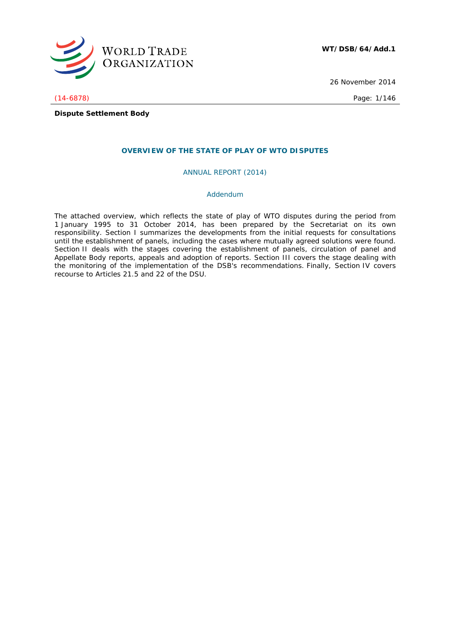

26 November 2014

(14-6878) Page: 1/146

**Dispute Settlement Body**

## **OVERVIEW OF THE STATE OF PLAY OF WTO DISPUTES**

ANNUAL REPORT (2014)

### *Addendum*

The attached overview, which reflects the state of play of WTO disputes during the period from 1 January 1995 to 31 October 2014, has been prepared by the Secretariat on its own responsibility. Section I summarizes the developments from the initial requests for consultations until the establishment of panels, including the cases where mutually agreed solutions were found. Section II deals with the stages covering the establishment of panels, circulation of panel and Appellate Body reports, appeals and adoption of reports. Section III covers the stage dealing with the monitoring of the implementation of the DSB's recommendations. Finally, Section IV covers recourse to Articles 21.5 and 22 of the DSU.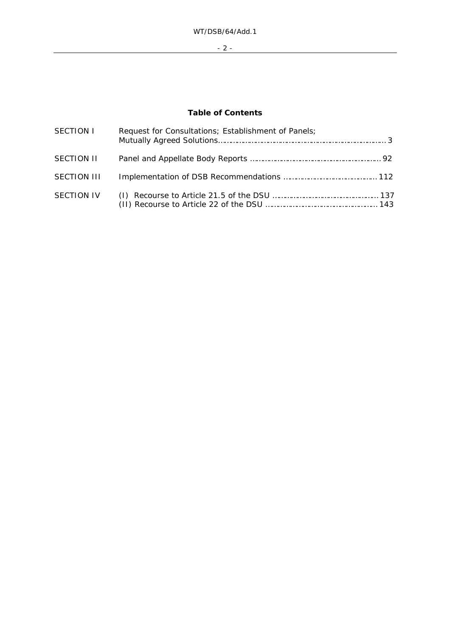- 2 -

# **Table of Contents**

| SECTION I   | Request for Consultations; Establishment of Panels; |
|-------------|-----------------------------------------------------|
| SECTION II  |                                                     |
| SECTION III |                                                     |
| SECTION IV  |                                                     |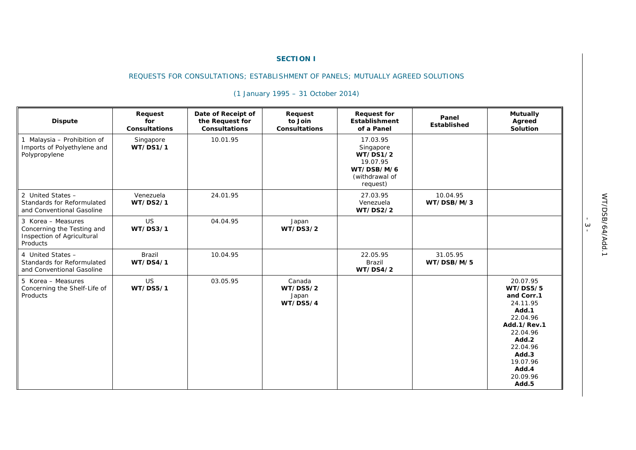#### **SECTION I**

## REQUESTS FOR CONSULTATIONS; ESTABLISHMENT OF PANELS; MUTUALLY AGREED SOLUTIONS

| <b>Dispute</b>                                                                             | Request<br>for<br><b>Consultations</b> | Date of Receipt of<br>the Request for<br><b>Consultations</b> | Request<br>to Join<br><b>Consultations</b>     | <b>Request for</b><br><b>Establishment</b><br>of a Panel                                  | Panel<br>Established   | <b>Mutually</b><br>Agreed<br>Solution                                                                                                                                         |
|--------------------------------------------------------------------------------------------|----------------------------------------|---------------------------------------------------------------|------------------------------------------------|-------------------------------------------------------------------------------------------|------------------------|-------------------------------------------------------------------------------------------------------------------------------------------------------------------------------|
| 1 Malaysia - Prohibition of<br>Imports of Polyethylene and<br>Polypropylene                | Singapore<br>WT/DS1/1                  | 10.01.95                                                      |                                                | 17.03.95<br>Singapore<br>WT/DS1/2<br>19.07.95<br>WT/DSB/M/6<br>(withdrawal of<br>request) |                        |                                                                                                                                                                               |
| 2 United States -<br>Standards for Reformulated<br>and Conventional Gasoline               | Venezuela<br><b>WT/DS2/1</b>           | 24.01.95                                                      |                                                | 27.03.95<br>Venezuela<br><b>WT/DS2/2</b>                                                  | 10.04.95<br>WT/DSB/M/3 |                                                                                                                                                                               |
| 3 Korea - Measures<br>Concerning the Testing and<br>Inspection of Agricultural<br>Products | <b>US</b><br><b>WT/DS3/1</b>           | 04.04.95                                                      | Japan<br>WT/DS3/2                              |                                                                                           |                        |                                                                                                                                                                               |
| 4 United States -<br>Standards for Reformulated<br>and Conventional Gasoline               | <b>Brazil</b><br>WT/DS4/1              | 10.04.95                                                      |                                                | 22.05.95<br>Brazil<br>WT/DS4/2                                                            | 31.05.95<br>WT/DSB/M/5 |                                                                                                                                                                               |
| 5 Korea - Measures<br>Concerning the Shelf-Life of<br>Products                             | <b>US</b><br><b>WT/DS5/1</b>           | 03.05.95                                                      | Canada<br><b>WT/DS5/2</b><br>Japan<br>WT/DSS/4 |                                                                                           |                        | 20.07.95<br><b>WT/DS5/5</b><br>and Corr.1<br>24.11.95<br>Add.1<br>22.04.96<br>Add.1/Rev.1<br>22.04.96<br>Add.2<br>22.04.96<br>Add.3<br>19.07.96<br>Add.4<br>20.09.96<br>Add.5 |

# *(1 January 1995 – 31 October 2014)*

 $-\frac{3}{4}$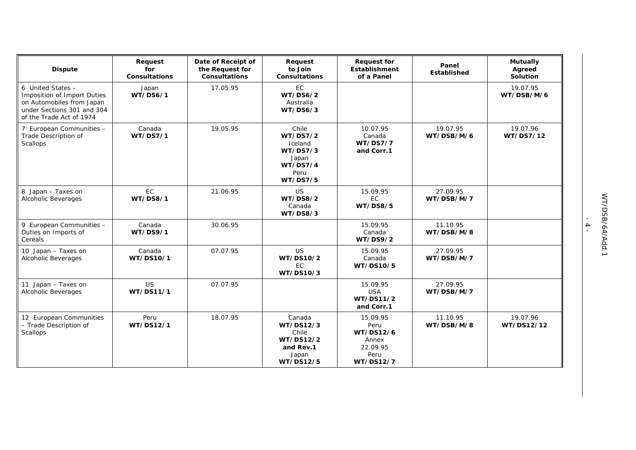| <b>Dispute</b>                                                                                                                          | Request<br>for<br><b>Consultations</b> | Date of Receipt of<br>the Request for<br><b>Consultations</b> | Request<br>to Join<br><b>Consultations</b>                                                                    | <b>Request for</b><br><b>Establishment</b><br>of a Panel                       | Panel<br>Established   | <b>Mutually</b><br>Agreed<br>Solution |
|-----------------------------------------------------------------------------------------------------------------------------------------|----------------------------------------|---------------------------------------------------------------|---------------------------------------------------------------------------------------------------------------|--------------------------------------------------------------------------------|------------------------|---------------------------------------|
| 6 United States -<br>Imposition of Import Duties<br>on Automobiles from Japan<br>under Sections 301 and 304<br>of the Trade Act of 1974 | Japan<br><b>WT/DS6/1</b>               | 17.05.95                                                      | EC<br><b>WT/DS6/2</b><br>Australia<br>WT/DS6/3                                                                |                                                                                |                        | 19.07.95<br>WT/DSB/M/6                |
| 7 European Communities -<br>Trade Description of<br>Scallops                                                                            | Canada<br><b>WT/DS7/1</b>              | 19.05.95                                                      | Chile<br><b>WT/DS7/2</b><br>Iceland<br><b>WT/DS7/3</b><br>Japan<br><b>WT/DS7/4</b><br>Peru<br><b>WT/DS7/5</b> | 10.07.95<br>Canada<br><b>WT/DS7/7</b><br>and Corr.1                            | 19.07.95<br>WT/DSB/M/6 | 19.07.96<br>WT/DS7/12                 |
| 8 Japan - Taxes on<br>Alcoholic Beverages                                                                                               | <b>EC</b><br><b>WT/DS8/1</b>           | 21.06.95                                                      | <b>US</b><br><b>WT/DS8/2</b><br>Canada<br>WT/DS8/3                                                            | 15.09.95<br>EC.<br><b>WT/DS8/5</b>                                             | 27.09.95<br>WT/DSB/M/7 |                                       |
| 9 European Communities -<br>Duties on Imports of<br>Cereals                                                                             | Canada<br><b>WT/DS9/1</b>              | 30.06.95                                                      |                                                                                                               | 15.09.95<br>Canada<br><b>WT/DS9/2</b>                                          | 11.10.95<br>WT/DSB/M/8 |                                       |
| 10 Japan - Taxes on<br>Alcoholic Beverages                                                                                              | Canada<br>WT/DS10/1                    | 07.07.95                                                      | <b>US</b><br>WT/DS10/2<br>EC.<br>WT/DS10/3                                                                    | 15.09.95<br>Canada<br>WT/DS10/5                                                | 27.09.95<br>WT/DSB/M/7 |                                       |
| 11 Japan - Taxes on<br>Alcoholic Beverages                                                                                              | <b>US</b><br>WT/DS11/1                 | 07.07.95                                                      |                                                                                                               | 15.09.95<br><b>USA</b><br>WT/DS11/2<br>and Corr.1                              | 27.09.95<br>WT/DSB/M/7 |                                       |
| 12 European Communities<br>- Trade Description of<br>Scallops                                                                           | Peru<br>WT/DS12/1                      | 18.07.95                                                      | Canada<br>WT/DS12/3<br>Chile<br>WT/DS12/2<br>and Rev.1<br>Japan<br>WT/DS12/5                                  | 15.09.95<br>Peru<br>WT/DS12/6<br>Annex<br>22.09.95<br>Peru<br><b>WT/DS12/7</b> | 11.10.95<br>WT/DSB/M/8 | 19.07.96<br>WT/DS12/12                |

- 4 -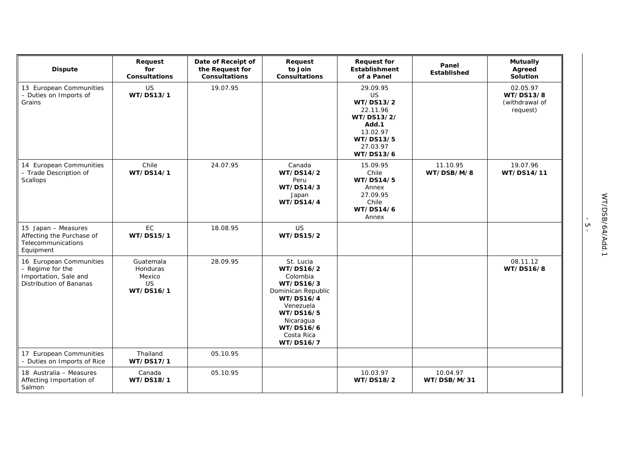| <b>Dispute</b>                                                                                  | Request<br>for<br><b>Consultations</b>                    | Date of Receipt of<br>the Request for<br>Consultations | Request<br>to Join<br><b>Consultations</b>                                                                                                                        | <b>Request for</b><br><b>Establishment</b><br>of a Panel                                                         | Panel<br>Established    | <b>Mutually</b><br>Agreed<br>Solution               |
|-------------------------------------------------------------------------------------------------|-----------------------------------------------------------|--------------------------------------------------------|-------------------------------------------------------------------------------------------------------------------------------------------------------------------|------------------------------------------------------------------------------------------------------------------|-------------------------|-----------------------------------------------------|
| 13 European Communities<br>- Duties on Imports of<br>Grains                                     | <b>US</b><br>WT/DS13/1                                    | 19.07.95                                               |                                                                                                                                                                   | 29.09.95<br>US<br>WT/DS13/2<br>22.11.96<br>WT/DS13/2/<br>Add.1<br>13.02.97<br>WT/DS13/5<br>27.03.97<br>WT/DS13/6 |                         | 02.05.97<br>WT/DS13/8<br>(withdrawal of<br>request) |
| 14 European Communities<br>- Trade Description of<br>Scallops                                   | Chile<br>WT/DS14/1                                        | 24.07.95                                               | Canada<br>WT/DS14/2<br>Peru<br>WT/DS14/3<br>Japan<br><b>WT/DS14/4</b>                                                                                             | 15.09.95<br>Chile<br>WT/DS14/5<br>Annex<br>27.09.95<br>Chile<br>WT/DS14/6<br>Annex                               | 11.10.95<br>WT/DSB/M/8  | 19.07.96<br>WT/DS14/11                              |
| 15 Japan - Measures<br>Affecting the Purchase of<br>Telecommunications<br>Equipment             | EC<br>WT/DS15/1                                           | 18.08.95                                               | <b>US</b><br>WT/DS15/2                                                                                                                                            |                                                                                                                  |                         |                                                     |
| 16 European Communities<br>- Regime for the<br>Importation, Sale and<br>Distribution of Bananas | Guatemala<br>Honduras<br>Mexico<br><b>US</b><br>WT/DS16/1 | 28.09.95                                               | St. Lucia<br>WT/DS16/2<br>Colombia<br>WT/DS16/3<br>Dominican Republic<br>WT/DS16/4<br>Venezuela<br>WT/DS16/5<br>Nicaragua<br>WT/DS16/6<br>Costa Rica<br>WT/DS16/7 |                                                                                                                  |                         | 08.11.12<br>WT/DS16/8                               |
| 17 European Communities<br>- Duties on Imports of Rice                                          | Thailand<br>WT/DS17/1                                     | 05.10.95                                               |                                                                                                                                                                   |                                                                                                                  |                         |                                                     |
| 18 Australia - Measures<br>Affecting Importation of<br>Salmon                                   | Canada<br>WT/DS18/1                                       | 05.10.95                                               |                                                                                                                                                                   | 10.03.97<br>WT/DS18/2                                                                                            | 10.04.97<br>WT/DSB/M/31 |                                                     |

|<br>| 5<br>| 5<br>|-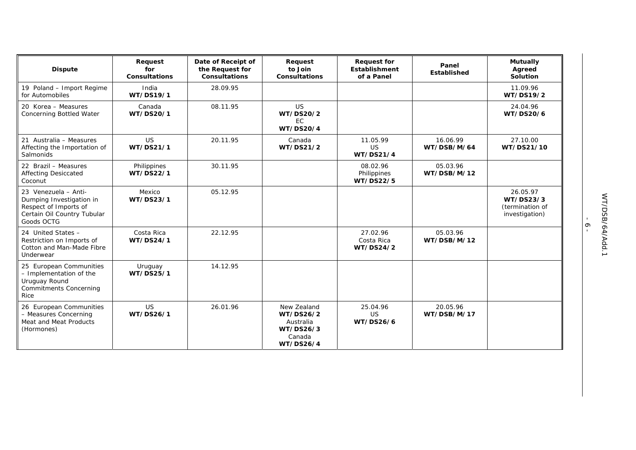| <b>Dispute</b>                                                                                                         | Request<br>for<br><b>Consultations</b> | Date of Receipt of<br>the Request for<br><b>Consultations</b> | Request<br>to Join<br><b>Consultations</b>                                       | <b>Request for</b><br><b>Establishment</b><br>of a Panel | Panel<br>Established    | <b>Mutually</b><br>Agreed<br>Solution                      |
|------------------------------------------------------------------------------------------------------------------------|----------------------------------------|---------------------------------------------------------------|----------------------------------------------------------------------------------|----------------------------------------------------------|-------------------------|------------------------------------------------------------|
| 19 Poland - Import Regime<br>for Automobiles                                                                           | India<br>WT/DS19/1                     | 28.09.95                                                      |                                                                                  |                                                          |                         | 11.09.96<br>WT/DS19/2                                      |
| 20 Korea - Measures<br>Concerning Bottled Water                                                                        | Canada<br>WT/DS20/1                    | 08.11.95                                                      | <b>US</b><br>WT/DS20/2<br>EC.<br><b>WT/DS20/4</b>                                |                                                          |                         | 24.04.96<br>WT/DS20/6                                      |
| 21 Australia - Measures<br>Affecting the Importation of<br>Salmonids                                                   | <b>US</b><br>WT/DS21/1                 | 20.11.95                                                      | Canada<br>WT/DS21/2                                                              | 11.05.99<br><b>US</b><br><b>WT/DS21/4</b>                | 16.06.99<br>WT/DSB/M/64 | 27.10.00<br>WT/DS21/10                                     |
| 22 Brazil - Measures<br><b>Affecting Desiccated</b><br>Coconut                                                         | Philippines<br>WT/DS22/1               | 30.11.95                                                      |                                                                                  | 08.02.96<br>Philippines<br>WT/DS22/5                     | 05.03.96<br>WT/DSB/M/12 |                                                            |
| 23 Venezuela - Anti-<br>Dumping Investigation in<br>Respect of Imports of<br>Certain Oil Country Tubular<br>Goods OCTG | Mexico<br>WT/DS23/1                    | 05.12.95                                                      |                                                                                  |                                                          |                         | 26.05.97<br>WT/DS23/3<br>(termination of<br>investigation) |
| 24 United States -<br>Restriction on Imports of<br>Cotton and Man-Made Fibre<br>Underwear                              | Costa Rica<br>WT/DS24/1                | 22.12.95                                                      |                                                                                  | 27.02.96<br>Costa Rica<br>WT/DS24/2                      | 05.03.96<br>WT/DSB/M/12 |                                                            |
| 25 European Communities<br>- Implementation of the<br>Uruguay Round<br><b>Commitments Concerning</b><br>Rice           | Uruguay<br>WT/DS25/1                   | 14.12.95                                                      |                                                                                  |                                                          |                         |                                                            |
| 26 European Communities<br>- Measures Concerning<br>Meat and Meat Products<br>(Hormones)                               | <b>US</b><br>WT/DS26/1                 | 26.01.96                                                      | New Zealand<br>WT/DS26/2<br>Australia<br>WT/DS26/3<br>Canada<br><b>WT/DS26/4</b> | 25.04.96<br><b>US</b><br><b>WT/DS26/6</b>                | 20.05.96<br>WT/DSB/M/17 |                                                            |

 $-9 -$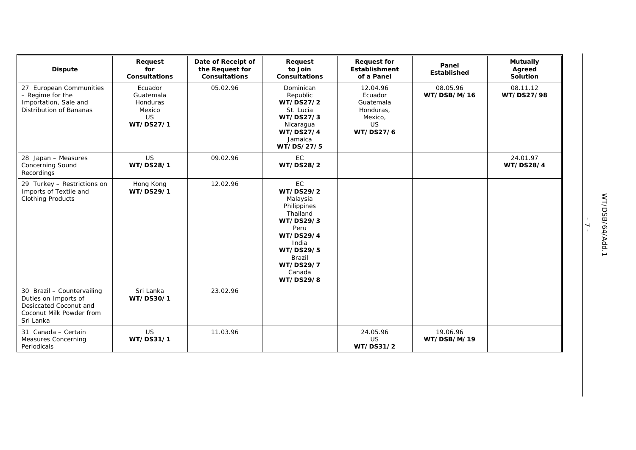| <b>Dispute</b>                                                                                                        | Request<br>for<br><b>Consultations</b>                                      | Date of Receipt of<br>the Request for<br>Consultations | Request<br>to Join<br><b>Consultations</b>                                                                                                                                        | <b>Request for</b><br><b>Establishment</b><br>of a Panel                           | Panel<br>Established    | <b>Mutually</b><br>Agreed<br>Solution |
|-----------------------------------------------------------------------------------------------------------------------|-----------------------------------------------------------------------------|--------------------------------------------------------|-----------------------------------------------------------------------------------------------------------------------------------------------------------------------------------|------------------------------------------------------------------------------------|-------------------------|---------------------------------------|
| 27 European Communities<br>- Regime for the<br>Importation, Sale and<br>Distribution of Bananas                       | Ecuador<br>Guatemala<br><b>Honduras</b><br>Mexico<br><b>US</b><br>WT/DS27/1 | 05.02.96                                               | Dominican<br>Republic<br>WT/DS27/2<br>St. Lucia<br>WT/DS27/3<br>Nicaragua<br>WT/DS27/4<br>Jamaica<br>WT/DS/27/5                                                                   | 12.04.96<br>Ecuador<br>Guatemala<br>Honduras,<br>Mexico,<br><b>US</b><br>WT/DS27/6 | 08.05.96<br>WT/DSB/M/16 | 08.11.12<br>WT/DS27/98                |
| 28 Japan - Measures<br><b>Concerning Sound</b><br>Recordings                                                          | US<br>WT/DS28/1                                                             | 09.02.96                                               | <b>EC</b><br>WT/DS28/2                                                                                                                                                            |                                                                                    |                         | 24.01.97<br>WT/DS28/4                 |
| 29 Turkey - Restrictions on<br>Imports of Textile and<br><b>Clothing Products</b>                                     | Hong Kong<br>WT/DS29/1                                                      | 12.02.96                                               | <b>EC</b><br>WT/DS29/2<br>Malaysia<br>Philippines<br>Thailand<br>WT/DS29/3<br>Peru<br>WT/DS29/4<br>India<br>WT/DS29/5<br><b>Brazil</b><br><b>WT/DS29/7</b><br>Canada<br>WT/DS29/8 |                                                                                    |                         |                                       |
| 30 Brazil - Countervailing<br>Duties on Imports of<br>Desiccated Coconut and<br>Coconut Milk Powder from<br>Sri Lanka | Sri Lanka<br>WT/DS30/1                                                      | 23.02.96                                               |                                                                                                                                                                                   |                                                                                    |                         |                                       |
| 31 Canada - Certain<br><b>Measures Concerning</b><br>Periodicals                                                      | US<br>WT/DS31/1                                                             | 11.03.96                                               |                                                                                                                                                                                   | 24.05.96<br><b>US</b><br>WT/DS31/2                                                 | 19.06.96<br>WT/DSB/M/19 |                                       |

 $-7 -$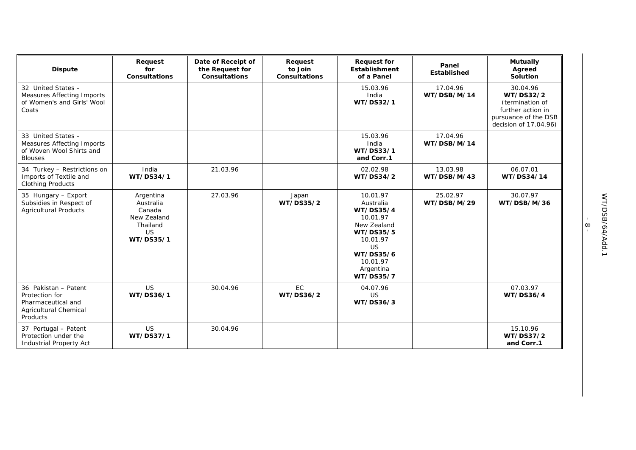| <b>Dispute</b>                                                                                           | Request<br>for<br><b>Consultations</b>                                                | Date of Receipt of<br>the Request for<br><b>Consultations</b> | Request<br>to Join<br><b>Consultations</b> | <b>Request for</b><br><b>Establishment</b><br>of a Panel                                                                                                      | Panel<br>Established    | <b>Mutually</b><br>Agreed<br>Solution                                                                          |
|----------------------------------------------------------------------------------------------------------|---------------------------------------------------------------------------------------|---------------------------------------------------------------|--------------------------------------------|---------------------------------------------------------------------------------------------------------------------------------------------------------------|-------------------------|----------------------------------------------------------------------------------------------------------------|
| 32 United States -<br><b>Measures Affecting Imports</b><br>of Women's and Girls' Wool<br>Coats           |                                                                                       |                                                               |                                            | 15.03.96<br>India<br>WT/DS32/1                                                                                                                                | 17.04.96<br>WT/DSB/M/14 | 30.04.96<br>WT/DS32/2<br>(termination of<br>further action in<br>pursuance of the DSB<br>decision of 17.04.96) |
| 33 United States -<br><b>Measures Affecting Imports</b><br>of Woven Wool Shirts and<br><b>Blouses</b>    |                                                                                       |                                                               |                                            | 15.03.96<br>India<br>WT/DS33/1<br>and Corr.1                                                                                                                  | 17.04.96<br>WT/DSB/M/14 |                                                                                                                |
| 34 Turkey - Restrictions on<br>Imports of Textile and<br><b>Clothing Products</b>                        | India<br>WT/DS34/1                                                                    | 21.03.96                                                      |                                            | 02.02.98<br>WT/DS34/2                                                                                                                                         | 13.03.98<br>WT/DSB/M/43 | 06.07.01<br>WT/DS34/14                                                                                         |
| 35 Hungary - Export<br>Subsidies in Respect of<br><b>Agricultural Products</b>                           | Argentina<br>Australia<br>Canada<br>New Zealand<br>Thailand<br><b>US</b><br>WT/DS35/1 | 27.03.96                                                      | Japan<br>WT/DS35/2                         | 10.01.97<br>Australia<br><b>WT/DS35/4</b><br>10.01.97<br>New Zealand<br>WT/DS35/5<br>10.01.97<br><b>US</b><br>WT/DS35/6<br>10.01.97<br>Argentina<br>WT/DS35/7 | 25.02.97<br>WT/DSB/M/29 | 30.07.97<br>WT/DSB/M/36                                                                                        |
| 36 Pakistan - Patent<br>Protection for<br>Pharmaceutical and<br><b>Agricultural Chemical</b><br>Products | <b>US</b><br>WT/DS36/1                                                                | 30.04.96                                                      | EC<br>WT/DS36/2                            | 04.07.96<br><b>US</b><br>WT/DS36/3                                                                                                                            |                         | 07.03.97<br>WT/DS36/4                                                                                          |
| 37 Portugal - Patent<br>Protection under the<br><b>Industrial Property Act</b>                           | <b>US</b><br>WT/DS37/1                                                                | 30.04.96                                                      |                                            |                                                                                                                                                               |                         | 15.10.96<br>WT/DS37/2<br>and Corr.1                                                                            |

- 8 -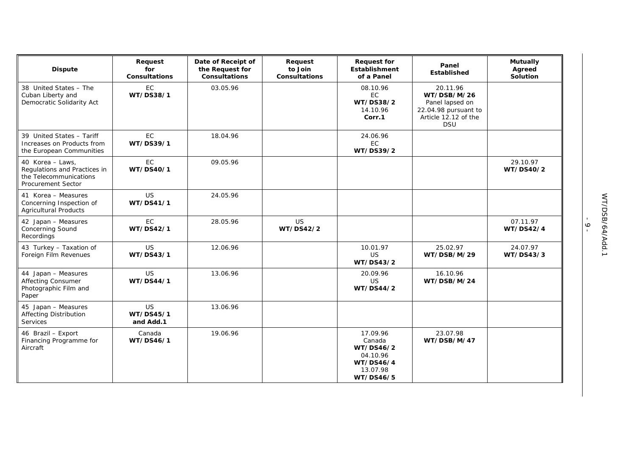| <b>Dispute</b>                                                                                          | Request<br>for<br><b>Consultations</b> | Date of Receipt of<br>the Request for<br><b>Consultations</b> | Request<br>to Join<br><b>Consultations</b> | <b>Request for</b><br><b>Establishment</b><br>of a Panel                          | Panel<br><b>Established</b>                                                                              | <b>Mutually</b><br>Agreed<br>Solution |
|---------------------------------------------------------------------------------------------------------|----------------------------------------|---------------------------------------------------------------|--------------------------------------------|-----------------------------------------------------------------------------------|----------------------------------------------------------------------------------------------------------|---------------------------------------|
| 38 United States - The<br>Cuban Liberty and<br>Democratic Solidarity Act                                | EC<br>WT/DS38/1                        | 03.05.96                                                      |                                            | 08.10.96<br><b>EC</b><br>WT/DS38/2<br>14.10.96<br>Corr.1                          | 20.11.96<br>WT/DSB/M/26<br>Panel lapsed on<br>22.04.98 pursuant to<br>Article 12.12 of the<br><b>DSU</b> |                                       |
| 39 United States - Tariff<br>Increases on Products from<br>the European Communities                     | EC<br>WT/DS39/1                        | 18.04.96                                                      |                                            | 24.06.96<br><b>EC</b><br>WT/DS39/2                                                |                                                                                                          |                                       |
| 40 Korea - Laws,<br>Regulations and Practices in<br>the Telecommunications<br><b>Procurement Sector</b> | EC<br>WT/DS40/1                        | 09.05.96                                                      |                                            |                                                                                   |                                                                                                          | 29.10.97<br>WT/DS40/2                 |
| 41 Korea - Measures<br>Concerning Inspection of<br><b>Agricultural Products</b>                         | US<br>WT/DS41/1                        | 24.05.96                                                      |                                            |                                                                                   |                                                                                                          |                                       |
| 42 Japan - Measures<br><b>Concerning Sound</b><br>Recordings                                            | <b>EC</b><br>WT/DS42/1                 | 28.05.96                                                      | <b>US</b><br>WT/DS42/2                     |                                                                                   |                                                                                                          | 07.11.97<br><b>WT/DS42/4</b>          |
| 43 Turkey - Taxation of<br>Foreign Film Revenues                                                        | US<br>WT/DS43/1                        | 12.06.96                                                      |                                            | 10.01.97<br><b>US</b><br>WT/DS43/2                                                | 25.02.97<br>WT/DSB/M/29                                                                                  | 24.07.97<br>WT/DS43/3                 |
| 44 Japan - Measures<br><b>Affecting Consumer</b><br>Photographic Film and<br>Paper                      | <b>US</b><br>WT/DS44/1                 | 13.06.96                                                      |                                            | 20.09.96<br><b>US</b><br>WT/DS44/2                                                | 16.10.96<br>WT/DSB/M/24                                                                                  |                                       |
| 45 Japan - Measures<br><b>Affecting Distribution</b><br>Services                                        | US<br>WT/DS45/1<br>and Add.1           | 13.06.96                                                      |                                            |                                                                                   |                                                                                                          |                                       |
| 46 Brazil - Export<br>Financing Programme for<br>Aircraft                                               | Canada<br>WT/DS46/1                    | 19.06.96                                                      |                                            | 17.09.96<br>Canada<br>WT/DS46/2<br>04.10.96<br>WT/DS46/4<br>13.07.98<br>WT/DS46/5 | 23.07.98<br>WT/DSB/M/47                                                                                  |                                       |

 $-9 -$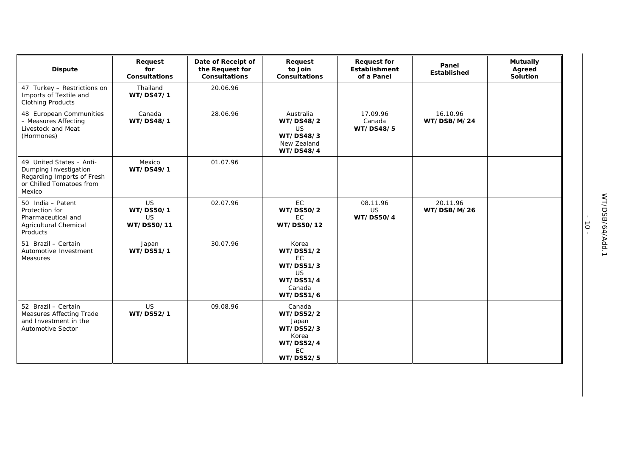| <b>Dispute</b>                                                                                                        | Request<br>for<br><b>Consultations</b>            | Date of Receipt of<br>the Request for<br><b>Consultations</b> | Request<br>to Join<br><b>Consultations</b>                                                              | <b>Request for</b><br>Establishment<br>of a Panel | Panel<br><b>Established</b> | <b>Mutually</b><br>Agreed<br>Solution |
|-----------------------------------------------------------------------------------------------------------------------|---------------------------------------------------|---------------------------------------------------------------|---------------------------------------------------------------------------------------------------------|---------------------------------------------------|-----------------------------|---------------------------------------|
| 47 Turkey - Restrictions on<br>Imports of Textile and<br><b>Clothing Products</b>                                     | Thailand<br>WT/DS47/1                             | 20.06.96                                                      |                                                                                                         |                                                   |                             |                                       |
| 48 European Communities<br>- Measures Affecting<br>Livestock and Meat<br>(Hormones)                                   | Canada<br>WT/DS48/1                               | 28.06.96                                                      | Australia<br>WT/DS48/2<br><b>US</b><br>WT/DS48/3<br>New Zealand<br>WT/DS48/4                            | 17.09.96<br>Canada<br>WT/DS48/5                   | 16.10.96<br>WT/DSB/M/24     |                                       |
| 49 United States - Anti-<br>Dumping Investigation<br>Regarding Imports of Fresh<br>or Chilled Tomatoes from<br>Mexico | Mexico<br>WT/DS49/1                               | 01.07.96                                                      |                                                                                                         |                                                   |                             |                                       |
| 50 India - Patent<br>Protection for<br>Pharmaceutical and<br><b>Agricultural Chemical</b><br>Products                 | <b>US</b><br>WT/DS50/1<br><b>US</b><br>WT/DS50/11 | 02.07.96                                                      | EC<br>WT/DS50/2<br><b>EC</b><br>WT/DS50/12                                                              | 08.11.96<br>US<br><b>WT/DS50/4</b>                | 20.11.96<br>WT/DSB/M/26     |                                       |
| 51 Brazil - Certain<br>Automotive Investment<br>Measures                                                              | Japan<br>WT/DS51/1                                | 30.07.96                                                      | Korea<br>WT/DS51/2<br>EC<br>WT/DS51/3<br>US.<br><b>WT/DS51/4</b><br>Canada<br>WT/DS51/6                 |                                                   |                             |                                       |
| 52 Brazil - Certain<br>Measures Affecting Trade<br>and Investment in the<br><b>Automotive Sector</b>                  | <b>US</b><br>WT/DS52/1                            | 09.08.96                                                      | Canada<br>WT/DS52/2<br>Japan<br>WT/DS52/3<br>Korea<br><b>WT/DS52/4</b><br><b>EC</b><br><b>WT/DS52/5</b> |                                                   |                             |                                       |

 $-10 -$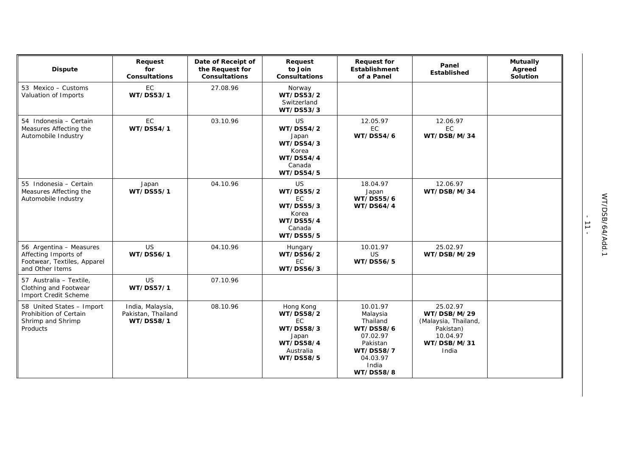| <b>Dispute</b>                                                                                    | Request<br>for<br><b>Consultations</b>              | Date of Receipt of<br>the Request for<br><b>Consultations</b> | Request<br>to Join<br><b>Consultations</b>                                                       | <b>Request for</b><br><b>Establishment</b><br>of a Panel                                                             | Panel<br>Established                                                                             | <b>Mutually</b><br>Agreed<br>Solution |
|---------------------------------------------------------------------------------------------------|-----------------------------------------------------|---------------------------------------------------------------|--------------------------------------------------------------------------------------------------|----------------------------------------------------------------------------------------------------------------------|--------------------------------------------------------------------------------------------------|---------------------------------------|
| 53 Mexico - Customs<br>Valuation of Imports                                                       | <b>EC</b><br>WT/DS53/1                              | 27.08.96                                                      | Norway<br>WT/DS53/2<br>Switzerland<br>WT/DS53/3                                                  |                                                                                                                      |                                                                                                  |                                       |
| 54 Indonesia - Certain<br>Measures Affecting the<br>Automobile Industry                           | EC<br>WT/DS54/1                                     | 03.10.96                                                      | <b>US</b><br>WT/DS54/2<br>Japan<br>WT/DS54/3<br>Korea<br><b>WT/DS54/4</b><br>Canada<br>WT/DS54/5 | 12.05.97<br>EC<br>WT/DS54/6                                                                                          | 12.06.97<br>EC<br>WT/DSB/M/34                                                                    |                                       |
| 55 Indonesia - Certain<br>Measures Affecting the<br>Automobile Industry                           | Japan<br>WT/DS55/1                                  | 04.10.96                                                      | <b>US</b><br>WT/DS55/2<br>EC.<br>WT/DS55/3<br>Korea<br><b>WT/DS55/4</b><br>Canada<br>WT/DS55/5   | 18.04.97<br>Japan<br>WT/DS55/6<br><b>WT/DS64/4</b>                                                                   | 12.06.97<br>WT/DSB/M/34                                                                          |                                       |
| 56 Argentina - Measures<br>Affecting Imports of<br>Footwear, Textiles, Apparel<br>and Other Items | <b>US</b><br>WT/DS56/1                              | 04.10.96                                                      | Hungary<br>WT/DS56/2<br>EC<br>WT/DS56/3                                                          | 10.01.97<br><b>US</b><br>WT/DS56/5                                                                                   | 25.02.97<br>WT/DSB/M/29                                                                          |                                       |
| 57 Australia - Textile.<br>Clothing and Footwear<br>Import Credit Scheme                          | <b>US</b><br>WT/DS57/1                              | 07.10.96                                                      |                                                                                                  |                                                                                                                      |                                                                                                  |                                       |
| 58 United States - Import<br>Prohibition of Certain<br>Shrimp and Shrimp<br>Products              | India, Malaysia,<br>Pakistan, Thailand<br>WT/DS58/1 | 08.10.96                                                      | Hong Kong<br>WT/DS58/2<br>EC<br>WT/DS58/3<br>Japan<br><b>WT/DS58/4</b><br>Australia<br>WT/DS58/5 | 10.01.97<br>Malaysia<br>Thailand<br>WT/DS58/6<br>07.02.97<br>Pakistan<br>WT/DS58/7<br>04.03.97<br>India<br>WT/DS58/8 | 25.02.97<br>WT/DSB/M/29<br>(Malaysia, Thailand,<br>Pakistan)<br>10.04.97<br>WT/DSB/M/31<br>India |                                       |

- 11 -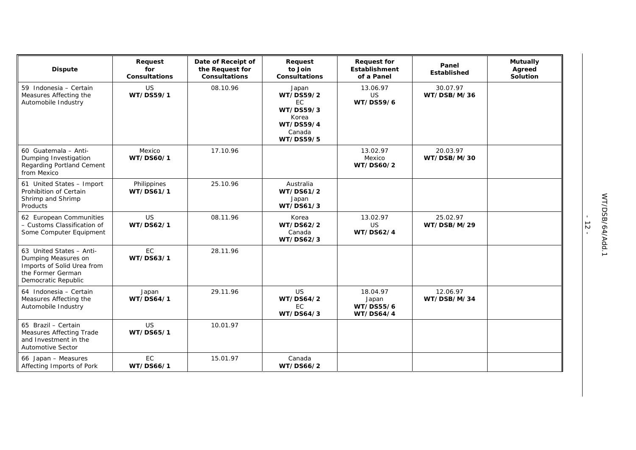| <b>Dispute</b>                                                                                                            | Request<br>for<br><b>Consultations</b> | Date of Receipt of<br>the Request for<br><b>Consultations</b> | Request<br>to Join<br>Consultations                                                                     | <b>Request for</b><br>Establishment<br>of a Panel  | Panel<br>Established    | <b>Mutually</b><br>Agreed<br>Solution |
|---------------------------------------------------------------------------------------------------------------------------|----------------------------------------|---------------------------------------------------------------|---------------------------------------------------------------------------------------------------------|----------------------------------------------------|-------------------------|---------------------------------------|
| 59 Indonesia - Certain<br>Measures Affecting the<br>Automobile Industry                                                   | US<br>WT/DS59/1                        | 08.10.96                                                      | Japan<br>WT/DS59/2<br><b>EC</b><br>WT/DS59/3<br>Korea<br><b>WT/DS59/4</b><br>Canada<br><b>WT/DS59/5</b> | 13.06.97<br>US<br>WT/DS59/6                        | 30.07.97<br>WT/DSB/M/36 |                                       |
| 60 Guatemala - Anti-<br>Dumping Investigation<br>Regarding Portland Cement<br>from Mexico                                 | Mexico<br>WT/DS60/1                    | 17.10.96                                                      |                                                                                                         | 13.02.97<br>Mexico<br>WT/DS60/2                    | 20.03.97<br>WT/DSB/M/30 |                                       |
| 61 United States - Import<br>Prohibition of Certain<br>Shrimp and Shrimp<br>Products                                      | Philippines<br>WT/DS61/1               | 25.10.96                                                      | Australia<br>WT/DS61/2<br>Japan<br>WT/DS61/3                                                            |                                                    |                         |                                       |
| 62 European Communities<br>- Customs Classification of<br>Some Computer Equipment                                         | US<br>WT/DS62/1                        | 08.11.96                                                      | Korea<br>WT/DS62/2<br>Canada<br>WT/DS62/3                                                               | 13.02.97<br>US<br>WT/DS62/4                        | 25.02.97<br>WT/DSB/M/29 |                                       |
| 63 United States - Anti-<br>Dumping Measures on<br>Imports of Solid Urea from<br>the Former German<br>Democratic Republic | EC<br>WT/DS63/1                        | 28.11.96                                                      |                                                                                                         |                                                    |                         |                                       |
| 64 Indonesia - Certain<br>Measures Affecting the<br>Automobile Industry                                                   | Japan<br>WT/DS64/1                     | 29.11.96                                                      | <b>US</b><br>WT/DS64/2<br>EC<br>WT/DS64/3                                                               | 18.04.97<br>Japan<br>WT/DS55/6<br><b>WT/DS64/4</b> | 12.06.97<br>WT/DSB/M/34 |                                       |
| 65 Brazil - Certain<br>Measures Affecting Trade<br>and Investment in the<br><b>Automotive Sector</b>                      | US<br>WT/DS65/1                        | 10.01.97                                                      |                                                                                                         |                                                    |                         |                                       |
| 66 Japan - Measures<br>Affecting Imports of Pork                                                                          | EC<br>WT/DS66/1                        | 15.01.97                                                      | Canada<br>WT/DS66/2                                                                                     |                                                    |                         |                                       |

- 12 -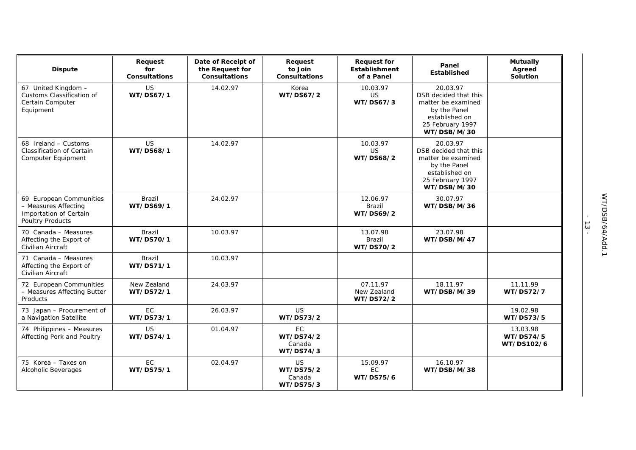| <b>Dispute</b>                                                                                | Request<br>for<br><b>Consultations</b> | Date of Receipt of<br>the Request for<br><b>Consultations</b> | Request<br>to Join<br><b>Consultations</b>    | <b>Request for</b><br>Establishment<br>of a Panel | Panel<br><b>Established</b>                                                                                                  | <b>Mutually</b><br>Agreed<br>Solution |
|-----------------------------------------------------------------------------------------------|----------------------------------------|---------------------------------------------------------------|-----------------------------------------------|---------------------------------------------------|------------------------------------------------------------------------------------------------------------------------------|---------------------------------------|
| 67 United Kingdom -<br>Customs Classification of<br>Certain Computer<br>Equipment             | US<br>WT/DS67/1                        | 14.02.97                                                      | Korea<br>WT/DS67/2                            | 10.03.97<br><b>US</b><br>WT/DS67/3                | 20.03.97<br>DSB decided that this<br>matter be examined<br>by the Panel<br>established on<br>25 February 1997<br>WT/DSB/M/30 |                                       |
| 68 Ireland - Customs<br><b>Classification of Certain</b><br>Computer Equipment                | <b>US</b><br>WT/DS68/1                 | 14.02.97                                                      |                                               | 10.03.97<br><b>US</b><br><b>WT/DS68/2</b>         | 20.03.97<br>DSB decided that this<br>matter be examined<br>by the Panel<br>established on<br>25 February 1997<br>WT/DSB/M/30 |                                       |
| 69 European Communities<br>- Measures Affecting<br>Importation of Certain<br>Poultry Products | Brazil<br>WT/DS69/1                    | 24.02.97                                                      |                                               | 12.06.97<br>Brazil<br>WT/DS69/2                   | 30.07.97<br>WT/DSB/M/36                                                                                                      |                                       |
| 70 Canada - Measures<br>Affecting the Export of<br>Civilian Aircraft                          | Brazil<br>WT/DS70/1                    | 10.03.97                                                      |                                               | 13.07.98<br>Brazil<br>WT/DS70/2                   | 23.07.98<br>WT/DSB/M/47                                                                                                      |                                       |
| 71 Canada - Measures<br>Affecting the Export of<br>Civilian Aircraft                          | Brazil<br>WT/DS71/1                    | 10.03.97                                                      |                                               |                                                   |                                                                                                                              |                                       |
| 72 European Communities<br>- Measures Affecting Butter<br>Products                            | New Zealand<br>WT/DS72/1               | 24.03.97                                                      |                                               | 07.11.97<br>New Zealand<br>WT/DS72/2              | 18.11.97<br>WT/DSB/M/39                                                                                                      | 11.11.99<br><b>WT/DS72/7</b>          |
| 73 Japan - Procurement of<br>a Navigation Satellite                                           | EC<br>WT/DS73/1                        | 26.03.97                                                      | US.<br>WT/DS73/2                              |                                                   |                                                                                                                              | 19.02.98<br>WT/DS73/5                 |
| 74 Philippines - Measures<br>Affecting Pork and Poultry                                       | US<br>WT/DS74/1                        | 01.04.97                                                      | EC<br>WT/DS74/2<br>Canada<br>WT/DS74/3        |                                                   |                                                                                                                              | 13.03.98<br>WT/DS74/5<br>WT/DS102/6   |
| 75 Korea - Taxes on<br>Alcoholic Beverages                                                    | <b>EC</b><br>WT/DS75/1                 | 02.04.97                                                      | <b>US</b><br>WT/DS75/2<br>Canada<br>WT/DS75/3 | 15.09.97<br>EC.<br>WT/DS75/6                      | 16.10.97<br>WT/DSB/M/38                                                                                                      |                                       |

- 13 -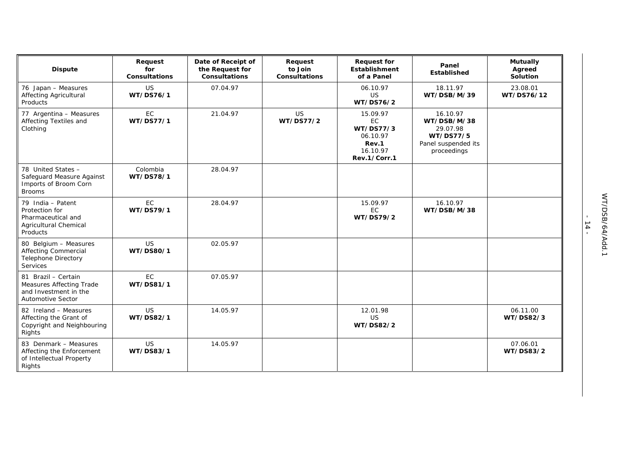| <b>Dispute</b>                                                                                 | Request<br>for<br><b>Consultations</b> | Date of Receipt of<br>the Request for<br><b>Consultations</b> | Request<br>to Join<br><b>Consultations</b> | <b>Request for</b><br><b>Establishment</b><br>of a Panel                     | Panel<br>Established                                                                   | <b>Mutually</b><br>Agreed<br>Solution |
|------------------------------------------------------------------------------------------------|----------------------------------------|---------------------------------------------------------------|--------------------------------------------|------------------------------------------------------------------------------|----------------------------------------------------------------------------------------|---------------------------------------|
| 76 Japan - Measures<br><b>Affecting Agricultural</b><br>Products                               | <b>US</b><br>WT/DS76/1                 | 07.04.97                                                      |                                            | 06.10.97<br>US<br>WT/DS76/2                                                  | 18.11.97<br>WT/DSB/M/39                                                                | 23.08.01<br>WT/DS76/12                |
| 77 Argentina - Measures<br>Affecting Textiles and<br>Clothing                                  | EC<br>WT/DS77/1                        | 21.04.97                                                      | <b>US</b><br>WT/DS77/2                     | 15.09.97<br>EC<br>WT/DS77/3<br>06.10.97<br>Rev.1<br>16.10.97<br>Rev.1/Corr.1 | 16.10.97<br>WT/DSB/M/38<br>29.07.98<br>WT/DS77/5<br>Panel suspended its<br>proceedings |                                       |
| 78 United States -<br>Safeguard Measure Against<br>Imports of Broom Corn<br><b>Brooms</b>      | Colombia<br>WT/DS78/1                  | 28.04.97                                                      |                                            |                                                                              |                                                                                        |                                       |
| 79 India - Patent<br>Protection for<br>Pharmaceutical and<br>Agricultural Chemical<br>Products | EC<br>WT/DS79/1                        | 28.04.97                                                      |                                            | 15.09.97<br>EC<br>WT/DS79/2                                                  | 16.10.97<br>WT/DSB/M/38                                                                |                                       |
| 80 Belgium - Measures<br><b>Affecting Commercial</b><br><b>Telephone Directory</b><br>Services | <b>US</b><br>WT/DS80/1                 | 02.05.97                                                      |                                            |                                                                              |                                                                                        |                                       |
| 81 Brazil - Certain<br>Measures Affecting Trade<br>and Investment in the<br>Automotive Sector  | <b>EC</b><br>WT/DS81/1                 | 07.05.97                                                      |                                            |                                                                              |                                                                                        |                                       |
| 82 Ireland - Measures<br>Affecting the Grant of<br>Copyright and Neighbouring<br>Rights        | <b>US</b><br>WT/DS82/1                 | 14.05.97                                                      |                                            | 12.01.98<br>US<br>WT/DS82/2                                                  |                                                                                        | 06.11.00<br>WT/DS82/3                 |
| 83 Denmark - Measures<br>Affecting the Enforcement<br>of Intellectual Property<br>Rights       | <b>US</b><br>WT/DS83/1                 | 14.05.97                                                      |                                            |                                                                              |                                                                                        | 07.06.01<br>WT/DS83/2                 |

- 14 -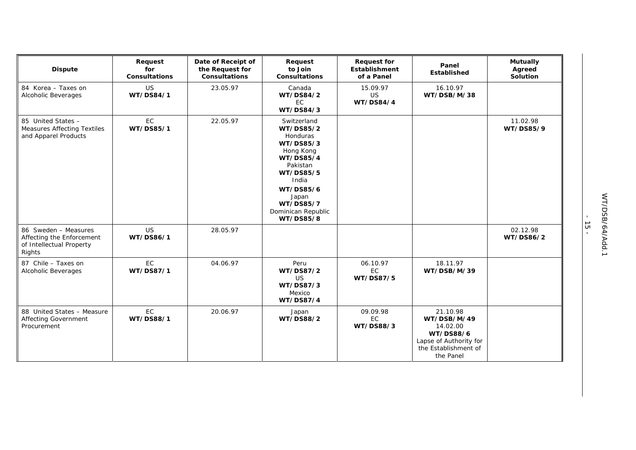| <b>Dispute</b>                                                                          | Request<br>for<br><b>Consultations</b> | Date of Receipt of<br>the Request for<br><b>Consultations</b> | Request<br>to Join<br><b>Consultations</b>                                                                                                                                                 | <b>Request for</b><br><b>Establishment</b><br>of a Panel | Panel<br>Established                                                                                                   | <b>Mutually</b><br>Agreed<br>Solution |
|-----------------------------------------------------------------------------------------|----------------------------------------|---------------------------------------------------------------|--------------------------------------------------------------------------------------------------------------------------------------------------------------------------------------------|----------------------------------------------------------|------------------------------------------------------------------------------------------------------------------------|---------------------------------------|
| 84 Korea - Taxes on<br>Alcoholic Beverages                                              | US<br>WT/DS84/1                        | 23.05.97                                                      | Canada<br>WT/DS84/2<br><b>EC</b><br>WT/DS84/3                                                                                                                                              | 15.09.97<br><b>US</b><br>WT/DS84/4                       | 16.10.97<br>WT/DSB/M/38                                                                                                |                                       |
| 85 United States -<br><b>Measures Affecting Textiles</b><br>and Apparel Products        | EC<br>WT/DS85/1                        | 22.05.97                                                      | Switzerland<br>WT/DS85/2<br>Honduras<br>WT/DS85/3<br>Hong Kong<br><b>WT/DS85/4</b><br>Pakistan<br>WT/DS85/5<br>India<br>WT/DS85/6<br>Japan<br>WT/DS85/7<br>Dominican Republic<br>WT/DS85/8 |                                                          |                                                                                                                        | 11.02.98<br>WT/DS85/9                 |
| 86 Sweden - Measures<br>Affecting the Enforcement<br>of Intellectual Property<br>Rights | <b>US</b><br>WT/DS86/1                 | 28.05.97                                                      |                                                                                                                                                                                            |                                                          |                                                                                                                        | 02.12.98<br>WT/DS86/2                 |
| 87 Chile - Taxes on<br>Alcoholic Beverages                                              | EC<br>WT/DS87/1                        | 04.06.97                                                      | Peru<br>WT/DS87/2<br><b>US</b><br>WT/DS87/3<br>Mexico<br><b>WT/DS87/4</b>                                                                                                                  | 06.10.97<br>EC<br>WT/DS87/5                              | 18.11.97<br>WT/DSB/M/39                                                                                                |                                       |
| 88 United States - Measure<br><b>Affecting Government</b><br>Procurement                | EC<br>WT/DS88/1                        | 20.06.97                                                      | Japan<br>WT/DS88/2                                                                                                                                                                         | 09.09.98<br>EC<br>WT/DS88/3                              | 21.10.98<br>WT/DSB/M/49<br>14.02.00<br><b>WT/DS88/6</b><br>Lapse of Authority for<br>the Establishment of<br>the Panel |                                       |

- 15 -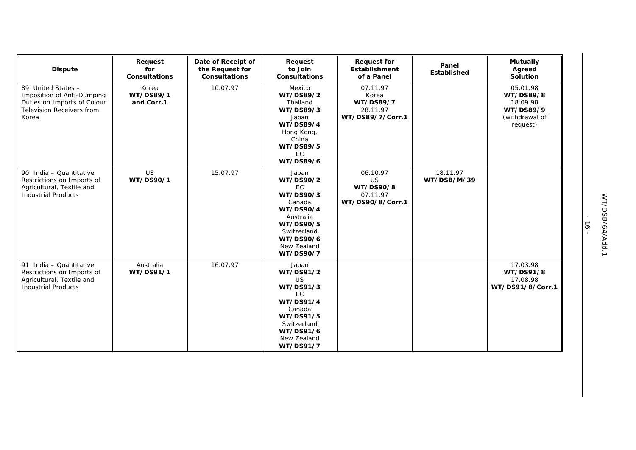| <b>Dispute</b>                                                                                                               | Request<br>for<br>Consultations  | Date of Receipt of<br>the Request for<br><b>Consultations</b> | Request<br>to Join<br><b>Consultations</b>                                                                                                            | <b>Request for</b><br>Establishment<br>of a Panel                  | Panel<br>Established    | <b>Mutually</b><br>Agreed<br>Solution                                        |
|------------------------------------------------------------------------------------------------------------------------------|----------------------------------|---------------------------------------------------------------|-------------------------------------------------------------------------------------------------------------------------------------------------------|--------------------------------------------------------------------|-------------------------|------------------------------------------------------------------------------|
| 89 United States -<br>Imposition of Anti-Dumping<br>Duties on Imports of Colour<br><b>Television Receivers from</b><br>Korea | Korea<br>WT/DS89/1<br>and Corr.1 | 10.07.97                                                      | Mexico<br>WT/DS89/2<br>Thailand<br>WT/DS89/3<br>Japan<br><b>WT/DS89/4</b><br>Hong Kong,<br>China<br>WT/DS89/5<br>EC<br>WT/DS89/6                      | 07.11.97<br>Korea<br>WT/DS89/7<br>28.11.97<br>WT/DS89/7/Corr.1     |                         | 05.01.98<br>WT/DS89/8<br>18.09.98<br>WT/DS89/9<br>(withdrawal of<br>request) |
| 90 India - Quantitative<br>Restrictions on Imports of<br>Agricultural, Textile and<br><b>Industrial Products</b>             | US<br>WT/DS90/1                  | 15.07.97                                                      | Japan<br>WT/DS90/2<br><b>EC</b><br>WT/DS90/3<br>Canada<br>WT/DS90/4<br>Australia<br>WT/DS90/5<br>Switzerland<br>WT/DS90/6<br>New Zealand<br>WT/DS90/7 | 06.10.97<br><b>US</b><br>WT/DS90/8<br>07.11.97<br>WT/DS90/8/Corr.1 | 18.11.97<br>WT/DSB/M/39 |                                                                              |
| 91 India - Quantitative<br>Restrictions on Imports of<br>Agricultural, Textile and<br><b>Industrial Products</b>             | Australia<br>WT/DS91/1           | 16.07.97                                                      | Japan<br>WT/DS91/2<br><b>US</b><br>WT/DS91/3<br>EC.<br>WT/DS91/4<br>Canada<br>WT/DS91/5<br>Switzerland<br>WT/DS91/6<br>New Zealand<br>WT/DS91/7       |                                                                    |                         | 17.03.98<br>WT/DS91/8<br>17.08.98<br>WT/DS91/8/Corr.1                        |

- 16 -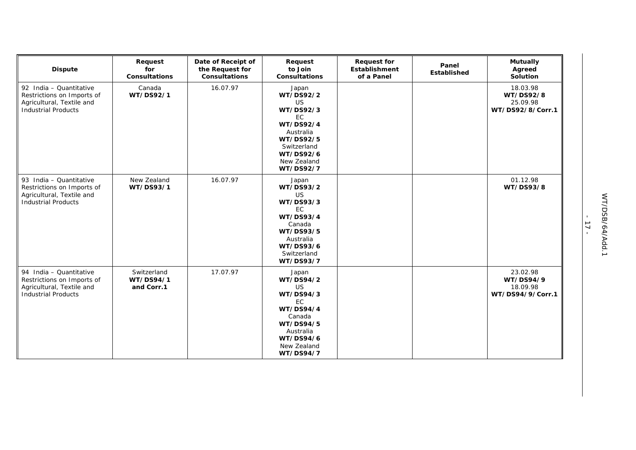| <b>Dispute</b>                                                                                                   | Request<br>for<br><b>Consultations</b> | Date of Receipt of<br>the Request for<br>Consultations | Request<br>to Join<br>Consultations                                                                                                                      | <b>Request for</b><br>Establishment<br>of a Panel | Panel<br>Established | <b>Mutually</b><br>Agreed<br>Solution                 |
|------------------------------------------------------------------------------------------------------------------|----------------------------------------|--------------------------------------------------------|----------------------------------------------------------------------------------------------------------------------------------------------------------|---------------------------------------------------|----------------------|-------------------------------------------------------|
| 92 India - Quantitative<br>Restrictions on Imports of<br>Agricultural, Textile and<br><b>Industrial Products</b> | Canada<br>WT/DS92/1                    | 16.07.97                                               | Japan<br>WT/DS92/2<br><b>US</b><br>WT/DS92/3<br><b>EC</b><br>WT/DS92/4<br>Australia<br>WT/DS92/5<br>Switzerland<br>WT/DS92/6<br>New Zealand<br>WT/DS92/7 |                                                   |                      | 18.03.98<br>WT/DS92/8<br>25.09.98<br>WT/DS92/8/Corr.1 |
| 93 India - Quantitative<br>Restrictions on Imports of<br>Agricultural, Textile and<br><b>Industrial Products</b> | New Zealand<br>WT/DS93/1               | 16.07.97                                               | Japan<br>WT/DS93/2<br><b>US</b><br>WT/DS93/3<br>EC<br><b>WT/DS93/4</b><br>Canada<br>WT/DS93/5<br>Australia<br>WT/DS93/6<br>Switzerland<br>WT/DS93/7      |                                                   |                      | 01.12.98<br>WT/DS93/8                                 |
| 94 India - Quantitative<br>Restrictions on Imports of<br>Agricultural, Textile and<br><b>Industrial Products</b> | Switzerland<br>WT/DS94/1<br>and Corr.1 | 17.07.97                                               | Japan<br>WT/DS94/2<br><b>US</b><br>WT/DS94/3<br>EC.<br>WT/DS94/4<br>Canada<br>WT/DS94/5<br>Australia<br>WT/DS94/6<br>New Zealand<br>WT/DS94/7            |                                                   |                      | 23.02.98<br>WT/DS94/9<br>18.09.98<br>WT/DS94/9/Corr.1 |

- 17 -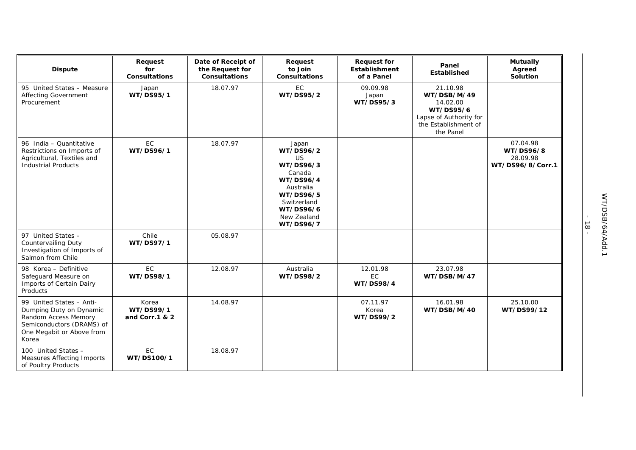| <b>Dispute</b>                                                                                                                                 | Request<br>for<br>Consultations      | Date of Receipt of<br>the Request for<br>Consultations | Request<br>to Join<br>Consultations                                                                                                                   | <b>Request for</b><br>Establishment<br>of a Panel | Panel<br>Established                                                                                            | <b>Mutually</b><br>Agreed<br>Solution                 |
|------------------------------------------------------------------------------------------------------------------------------------------------|--------------------------------------|--------------------------------------------------------|-------------------------------------------------------------------------------------------------------------------------------------------------------|---------------------------------------------------|-----------------------------------------------------------------------------------------------------------------|-------------------------------------------------------|
| 95 United States - Measure<br>Affecting Government<br>Procurement                                                                              | Japan<br>WT/DS95/1                   | 18.07.97                                               | EC<br>WT/DS95/2                                                                                                                                       | 09.09.98<br>Japan<br>WT/DS95/3                    | 21.10.98<br>WT/DSB/M/49<br>14.02.00<br>WT/DS95/6<br>Lapse of Authority for<br>the Establishment of<br>the Panel |                                                       |
| 96 India - Quantitative<br>Restrictions on Imports of<br>Agricultural, Textiles and<br><b>Industrial Products</b>                              | EC<br>WT/DS96/1                      | 18.07.97                                               | Japan<br>WT/DS96/2<br><b>US</b><br>WT/DS96/3<br>Canada<br>WT/DS96/4<br>Australia<br>WT/DS96/5<br>Switzerland<br>WT/DS96/6<br>New Zealand<br>WT/DS96/7 |                                                   |                                                                                                                 | 07.04.98<br>WT/DS96/8<br>28.09.98<br>WT/DS96/8/Corr.1 |
| 97 United States -<br><b>Countervailing Duty</b><br>Investigation of Imports of<br>Salmon from Chile                                           | Chile<br>WT/DS97/1                   | 05.08.97                                               |                                                                                                                                                       |                                                   |                                                                                                                 |                                                       |
| 98 Korea - Definitive<br>Safeguard Measure on<br>Imports of Certain Dairy<br>Products                                                          | EC<br>WT/DS98/1                      | 12.08.97                                               | Australia<br>WT/DS98/2                                                                                                                                | 12.01.98<br>EC.<br><b>WT/DS98/4</b>               | 23.07.98<br>WT/DSB/M/47                                                                                         |                                                       |
| 99 United States - Anti-<br>Dumping Duty on Dynamic<br>Random Access Memory<br>Semiconductors (DRAMS) of<br>One Megabit or Above from<br>Korea | Korea<br>WT/DS99/1<br>and Corr.1 & 2 | 14.08.97                                               |                                                                                                                                                       | 07.11.97<br>Korea<br>WT/DS99/2                    | 16.01.98<br>WT/DSB/M/40                                                                                         | 25.10.00<br>WT/DS99/12                                |
| 100 United States -<br><b>Measures Affecting Imports</b><br>of Poultry Products                                                                | EC<br>WT/DS100/1                     | 18.08.97                                               |                                                                                                                                                       |                                                   |                                                                                                                 |                                                       |

- 18 -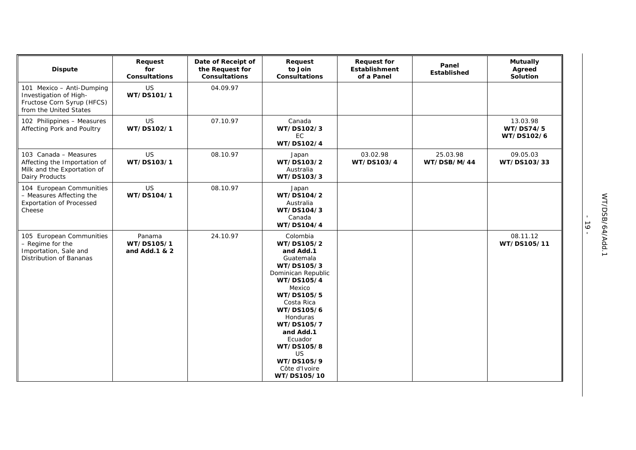| <b>Dispute</b>                                                                                              | Request<br>for<br><b>Consultations</b> | Date of Receipt of<br>the Request for<br><b>Consultations</b> | Request<br>to Join<br><b>Consultations</b>                                                                                                                                                                                                                                  | <b>Request for</b><br>Establishment<br>of a Panel | Panel<br><b>Established</b> | <b>Mutually</b><br>Agreed<br>Solution |
|-------------------------------------------------------------------------------------------------------------|----------------------------------------|---------------------------------------------------------------|-----------------------------------------------------------------------------------------------------------------------------------------------------------------------------------------------------------------------------------------------------------------------------|---------------------------------------------------|-----------------------------|---------------------------------------|
| 101 Mexico - Anti-Dumping<br>Investigation of High-<br>Fructose Corn Syrup (HFCS)<br>from the United States | US<br>WT/DS101/1                       | 04.09.97                                                      |                                                                                                                                                                                                                                                                             |                                                   |                             |                                       |
| 102 Philippines - Measures<br>Affecting Pork and Poultry                                                    | <b>US</b><br>WT/DS102/1                | 07.10.97                                                      | Canada<br>WT/DS102/3<br><b>EC</b><br>WT/DS102/4                                                                                                                                                                                                                             |                                                   |                             | 13.03.98<br>WT/DS74/5<br>WT/DS102/6   |
| 103 Canada - Measures<br>Affecting the Importation of<br>Milk and the Exportation of<br>Dairy Products      | <b>US</b><br>WT/DS103/1                | 08.10.97                                                      | Japan<br>WT/DS103/2<br>Australia<br>WT/DS103/3                                                                                                                                                                                                                              | 03.02.98<br>WT/DS103/4                            | 25.03.98<br>WT/DSB/M/44     | 09.05.03<br>WT/DS103/33               |
| 104 European Communities<br>- Measures Affecting the<br><b>Exportation of Processed</b><br>Cheese           | US<br>WT/DS104/1                       | 08.10.97                                                      | Japan<br>WT/DS104/2<br>Australia<br>WT/DS104/3<br>Canada<br>WT/DS104/4                                                                                                                                                                                                      |                                                   |                             |                                       |
| 105 European Communities<br>- Regime for the<br>Importation, Sale and<br>Distribution of Bananas            | Panama<br>WT/DS105/1<br>and Add.1 & 2  | 24.10.97                                                      | Colombia<br>WT/DS105/2<br>and Add.1<br>Guatemala<br>WT/DS105/3<br>Dominican Republic<br>WT/DS105/4<br>Mexico<br>WT/DS105/5<br>Costa Rica<br>WT/DS105/6<br>Honduras<br>WT/DS105/7<br>and Add.1<br>Ecuador<br>WT/DS105/8<br>US.<br>WT/DS105/9<br>Côte d'Ivoire<br>WT/DS105/10 |                                                   |                             | 08.11.12<br>WT/DS105/11               |

- 19 -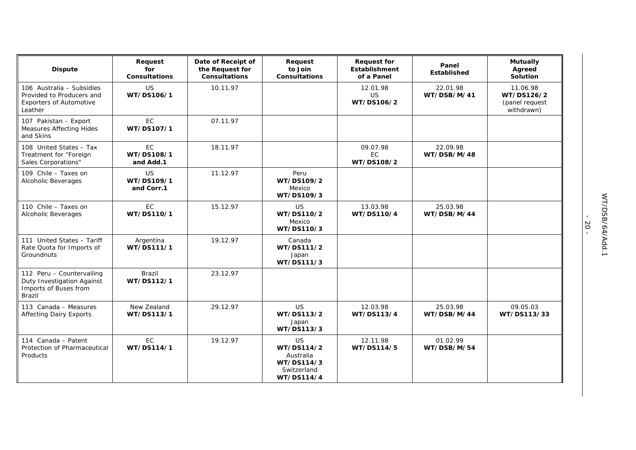| <b>Dispute</b>                                                                                      | Request<br>for<br><b>Consultations</b> | Date of Receipt of<br>the Request for<br><b>Consultations</b> | Request<br>to Join<br><b>Consultations</b>                                | <b>Request for</b><br><b>Establishment</b><br>of a Panel | Panel<br>Established    | <b>Mutually</b><br>Agreed<br>Solution                  |
|-----------------------------------------------------------------------------------------------------|----------------------------------------|---------------------------------------------------------------|---------------------------------------------------------------------------|----------------------------------------------------------|-------------------------|--------------------------------------------------------|
| 106 Australia - Subsidies<br>Provided to Producers and<br><b>Exporters of Automotive</b><br>Leather | <b>US</b><br>WT/DS106/1                | 10.11.97                                                      |                                                                           | 12.01.98<br><b>US</b><br>WT/DS106/2                      | 22.01.98<br>WT/DSB/M/41 | 11.06.98<br>WT/DS126/2<br>(panel request<br>withdrawn) |
| 107 Pakistan - Export<br><b>Measures Affecting Hides</b><br>and Skins                               | EC<br>WT/DS107/1                       | 07.11.97                                                      |                                                                           |                                                          |                         |                                                        |
| 108 United States - Tax<br>Treatment for "Foreign<br><b>Sales Corporations"</b>                     | EC.<br>WT/DS108/1<br>and Add.1         | 18.11.97                                                      |                                                                           | 09.07.98<br>EC<br>WT/DS108/2                             | 22.09.98<br>WT/DSB/M/48 |                                                        |
| 109 Chile - Taxes on<br>Alcoholic Beverages                                                         | <b>US</b><br>WT/DS109/1<br>and Corr.1  | 11.12.97                                                      | Peru<br>WT/DS109/2<br>Mexico<br>WT/DS109/3                                |                                                          |                         |                                                        |
| 110 Chile - Taxes on<br>Alcoholic Beverages                                                         | EC<br>WT/DS110/1                       | 15.12.97                                                      | US.<br>WT/DS110/2<br>Mexico<br>WT/DS110/3                                 | 13.03.98<br>WT/DS110/4                                   | 25.03.98<br>WT/DSB/M/44 |                                                        |
| 111 United States - Tariff<br>Rate Quota for Imports of<br>Groundnuts                               | Argentina<br>WT/DS111/1                | 19.12.97                                                      | Canada<br>WT/DS111/2<br>Japan<br>WT/DS111/3                               |                                                          |                         |                                                        |
| 112 Peru - Countervailing<br>Duty Investigation Against<br>Imports of Buses from<br>Brazil          | Brazil<br>WT/DS112/1                   | 23.12.97                                                      |                                                                           |                                                          |                         |                                                        |
| 113 Canada - Measures<br><b>Affecting Dairy Exports</b>                                             | New Zealand<br>WT/DS113/1              | 29.12.97                                                      | <b>US</b><br>WT/DS113/2<br>Japan<br>WT/DS113/3                            | 12.03.98<br>WT/DS113/4                                   | 25.03.98<br>WT/DSB/M/44 | 09.05.03<br>WT/DS113/33                                |
| 114 Canada - Patent<br>Protection of Pharmaceutical<br>Products                                     | <b>EC</b><br>WT/DS114/1                | 19.12.97                                                      | US.<br>WT/DS114/2<br>Australia<br>WT/DS114/3<br>Switzerland<br>WT/DS114/4 | 12.11.98<br>WT/DS114/5                                   | 01.02.99<br>WT/DSB/M/54 |                                                        |

- 20 -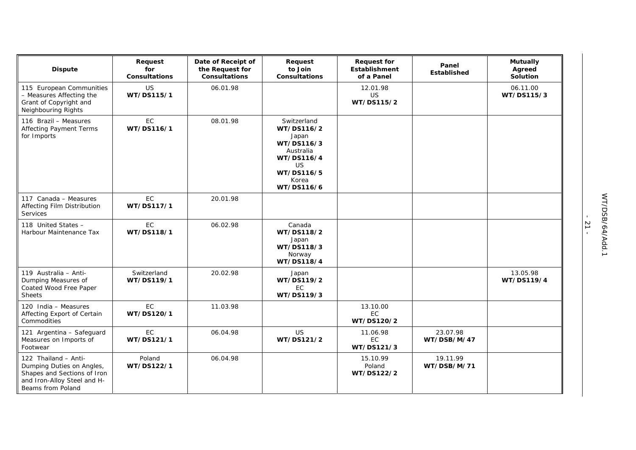| <b>Dispute</b>                                                                                                                       | Request<br>for<br><b>Consultations</b> | Date of Receipt of<br>the Request for<br><b>Consultations</b> | Request<br>to Join<br><b>Consultations</b>                                                                                    | <b>Request for</b><br><b>Establishment</b><br>of a Panel | Panel<br><b>Established</b> | <b>Mutually</b><br>Agreed<br>Solution |
|--------------------------------------------------------------------------------------------------------------------------------------|----------------------------------------|---------------------------------------------------------------|-------------------------------------------------------------------------------------------------------------------------------|----------------------------------------------------------|-----------------------------|---------------------------------------|
| 115 European Communities<br>- Measures Affecting the<br>Grant of Copyright and<br>Neighbouring Rights                                | US<br>WT/DS115/1                       | 06.01.98                                                      |                                                                                                                               | 12.01.98<br>US<br>WT/DS115/2                             |                             | 06.11.00<br>WT/DS115/3                |
| 116 Brazil - Measures<br><b>Affecting Payment Terms</b><br>for Imports                                                               | EC<br>WT/DS116/1                       | 08.01.98                                                      | Switzerland<br>WT/DS116/2<br>Japan<br>WT/DS116/3<br>Australia<br>WT/DS116/4<br><b>US</b><br>WT/DS116/5<br>Korea<br>WT/DS116/6 |                                                          |                             |                                       |
| 117 Canada - Measures<br>Affecting Film Distribution<br><b>Services</b>                                                              | <b>EC</b><br>WT/DS117/1                | 20.01.98                                                      |                                                                                                                               |                                                          |                             |                                       |
| 118 United States -<br>Harbour Maintenance Tax                                                                                       | EC<br>WT/DS118/1                       | 06.02.98                                                      | Canada<br>WT/DS118/2<br>Japan<br>WT/DS118/3<br>Norway<br>WT/DS118/4                                                           |                                                          |                             |                                       |
| 119 Australia - Anti-<br>Dumping Measures of<br>Coated Wood Free Paper<br><b>Sheets</b>                                              | Switzerland<br>WT/DS119/1              | 20.02.98                                                      | Japan<br>WT/DS119/2<br>EC<br>WT/DS119/3                                                                                       |                                                          |                             | 13.05.98<br>WT/DS119/4                |
| 120 India - Measures<br>Affecting Export of Certain<br>Commodities                                                                   | EC<br>WT/DS120/1                       | 11.03.98                                                      |                                                                                                                               | 13.10.00<br>EC<br>WT/DS120/2                             |                             |                                       |
| 121 Argentina - Safeguard<br>Measures on Imports of<br>Footwear                                                                      | EC.<br>WT/DS121/1                      | 06.04.98                                                      | <b>US</b><br>WT/DS121/2                                                                                                       | 11.06.98<br>EC<br>WT/DS121/3                             | 23.07.98<br>WT/DSB/M/47     |                                       |
| 122 Thailand - Anti-<br>Dumping Duties on Angles,<br>Shapes and Sections of Iron<br>and Iron-Alloy Steel and H-<br>Beams from Poland | Poland<br>WT/DS122/1                   | 06.04.98                                                      |                                                                                                                               | 15.10.99<br>Poland<br>WT/DS122/2                         | 19.11.99<br>WT/DSB/M/71     |                                       |

- 21 -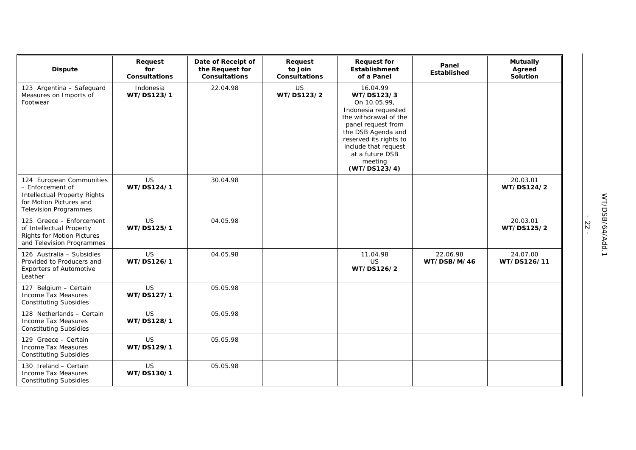| <b>Dispute</b>                                                                                                                                 | Request<br>for<br><b>Consultations</b> | Date of Receipt of<br>the Request for<br><b>Consultations</b> | Request<br>to Join<br><b>Consultations</b> | <b>Request for</b><br>Establishment<br>of a Panel                                                                                                                                                                                  | Panel<br>Established    | <b>Mutually</b><br>Agreed<br>Solution |
|------------------------------------------------------------------------------------------------------------------------------------------------|----------------------------------------|---------------------------------------------------------------|--------------------------------------------|------------------------------------------------------------------------------------------------------------------------------------------------------------------------------------------------------------------------------------|-------------------------|---------------------------------------|
| 123 Argentina - Safeguard<br>Measures on Imports of<br>Footwear                                                                                | Indonesia<br>WT/DS123/1                | 22.04.98                                                      | <b>US</b><br>WT/DS123/2                    | 16.04.99<br>WT/DS123/3<br>On 10.05.99,<br>Indonesia requested<br>the withdrawal of the<br>panel request from<br>the DSB Agenda and<br>reserved its rights to<br>include that request<br>at a future DSB<br>meeting<br>(WT/DS123/4) |                         |                                       |
| 124 European Communities<br>- Enforcement of<br><b>Intellectual Property Rights</b><br>for Motion Pictures and<br><b>Television Programmes</b> | US<br>WT/DS124/1                       | 30.04.98                                                      |                                            |                                                                                                                                                                                                                                    |                         | 20.03.01<br>WT/DS124/2                |
| 125 Greece - Enforcement<br>of Intellectual Property<br><b>Rights for Motion Pictures</b><br>and Television Programmes                         | <b>US</b><br>WT/DS125/1                | 04.05.98                                                      |                                            |                                                                                                                                                                                                                                    |                         | 20.03.01<br>WT/DS125/2                |
| 126 Australia - Subsidies<br>Provided to Producers and<br><b>Exporters of Automotive</b><br>Leather                                            | <b>US</b><br>WT/DS126/1                | 04.05.98                                                      |                                            | 11.04.98<br><b>US</b><br>WT/DS126/2                                                                                                                                                                                                | 22.06.98<br>WT/DSB/M/46 | 24.07.00<br>WT/DS126/11               |
| 127 Belgium - Certain<br>Income Tax Measures<br><b>Constituting Subsidies</b>                                                                  | <b>US</b><br>WT/DS127/1                | 05.05.98                                                      |                                            |                                                                                                                                                                                                                                    |                         |                                       |
| 128 Netherlands - Certain<br>Income Tax Measures<br><b>Constituting Subsidies</b>                                                              | <b>US</b><br>WT/DS128/1                | 05.05.98                                                      |                                            |                                                                                                                                                                                                                                    |                         |                                       |
| 129 Greece - Certain<br>Income Tax Measures<br><b>Constituting Subsidies</b>                                                                   | <b>US</b><br>WT/DS129/1                | 05.05.98                                                      |                                            |                                                                                                                                                                                                                                    |                         |                                       |
| 130 Ireland - Certain<br>Income Tax Measures<br><b>Constituting Subsidies</b>                                                                  | <b>US</b><br>WT/DS130/1                | 05.05.98                                                      |                                            |                                                                                                                                                                                                                                    |                         |                                       |

- 22 -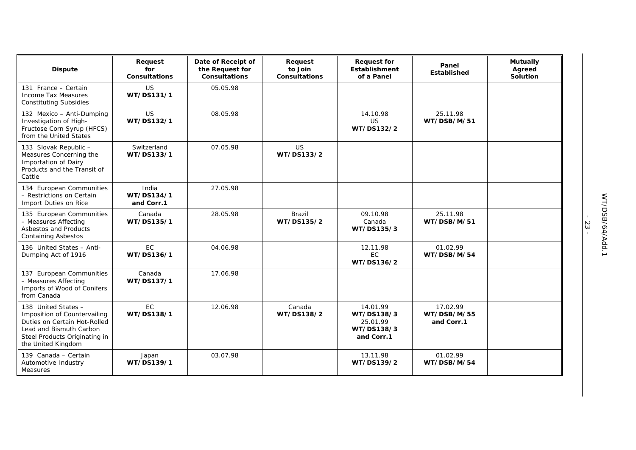| <b>Dispute</b>                                                                                                                                                        | Request<br>for<br><b>Consultations</b> | Date of Receipt of<br>the Request for<br><b>Consultations</b> | Request<br>to Join<br><b>Consultations</b> | <b>Request for</b><br><b>Establishment</b><br>of a Panel       | Panel<br><b>Established</b>           | <b>Mutually</b><br>Agreed<br>Solution |
|-----------------------------------------------------------------------------------------------------------------------------------------------------------------------|----------------------------------------|---------------------------------------------------------------|--------------------------------------------|----------------------------------------------------------------|---------------------------------------|---------------------------------------|
| 131 France - Certain<br>Income Tax Measures<br><b>Constituting Subsidies</b>                                                                                          | <b>US</b><br>WT/DS131/1                | 05.05.98                                                      |                                            |                                                                |                                       |                                       |
| 132 Mexico - Anti-Dumping<br>Investigation of High-<br>Fructose Corn Syrup (HFCS)<br>from the United States                                                           | <b>US</b><br>WT/DS132/1                | 08.05.98                                                      |                                            | 14.10.98<br>US<br>WT/DS132/2                                   | 25.11.98<br>WT/DSB/M/51               |                                       |
| 133 Slovak Republic -<br>Measures Concerning the<br>Importation of Dairy<br>Products and the Transit of<br>Cattle                                                     | Switzerland<br>WT/DS133/1              | 07.05.98                                                      | <b>US</b><br>WT/DS133/2                    |                                                                |                                       |                                       |
| 134 European Communities<br>- Restrictions on Certain<br>Import Duties on Rice                                                                                        | India<br>WT/DS134/1<br>and Corr.1      | 27.05.98                                                      |                                            |                                                                |                                       |                                       |
| 135 European Communities<br>- Measures Affecting<br>Asbestos and Products<br><b>Containing Asbestos</b>                                                               | Canada<br>WT/DS135/1                   | 28.05.98                                                      | <b>Brazil</b><br>WT/DS135/2                | 09.10.98<br>Canada<br>WT/DS135/3                               | 25.11.98<br>WT/DSB/M/51               |                                       |
| 136 United States - Anti-<br>Dumping Act of 1916                                                                                                                      | <b>EC</b><br>WT/DS136/1                | 04.06.98                                                      |                                            | 12.11.98<br><b>EC</b><br>WT/DS136/2                            | 01.02.99<br>WT/DSB/M/54               |                                       |
| 137 European Communities<br>- Measures Affecting<br>Imports of Wood of Conifers<br>from Canada                                                                        | Canada<br>WT/DS137/1                   | 17.06.98                                                      |                                            |                                                                |                                       |                                       |
| 138 United States -<br>Imposition of Countervailing<br>Duties on Certain Hot-Rolled<br>Lead and Bismuth Carbon<br>Steel Products Originating in<br>the United Kingdom | <b>EC</b><br>WT/DS138/1                | 12.06.98                                                      | Canada<br>WT/DS138/2                       | 14.01.99<br>WT/DS138/3<br>25.01.99<br>WT/DS138/3<br>and Corr.1 | 17.02.99<br>WT/DSB/M/55<br>and Corr.1 |                                       |
| 139 Canada - Certain<br>Automotive Industry<br>Measures                                                                                                               | Japan<br>WT/DS139/1                    | 03.07.98                                                      |                                            | 13.11.98<br>WT/DS139/2                                         | 01.02.99<br>WT/DSB/M/54               |                                       |

- 23 -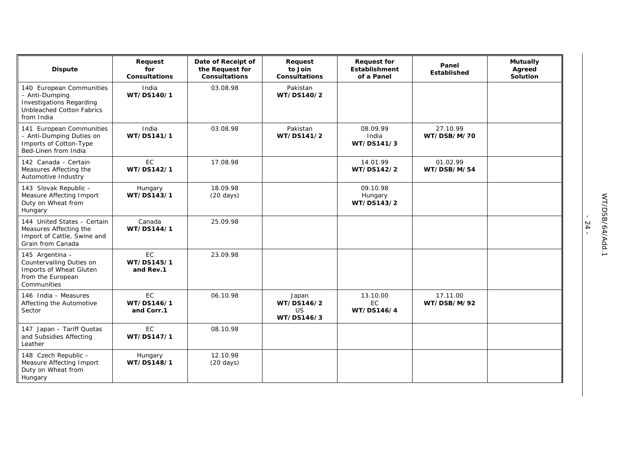| <b>Dispute</b>                                                                                                                  | Request<br>for<br><b>Consultations</b> | Date of Receipt of<br>the Request for<br><b>Consultations</b> | Request<br>to Join<br><b>Consultations</b> | <b>Request for</b><br><b>Establishment</b><br>of a Panel | Panel<br>Established    | <b>Mutually</b><br>Agreed<br>Solution |
|---------------------------------------------------------------------------------------------------------------------------------|----------------------------------------|---------------------------------------------------------------|--------------------------------------------|----------------------------------------------------------|-------------------------|---------------------------------------|
| 140 European Communities<br>- Anti-Dumping<br><b>Investigations Regarding</b><br><b>Unbleached Cotton Fabrics</b><br>from India | India<br>WT/DS140/1                    | 03.08.98                                                      | Pakistan<br>WT/DS140/2                     |                                                          |                         |                                       |
| 141 European Communities<br>- Anti-Dumping Duties on<br>Imports of Cotton-Type<br>Bed-Linen from India                          | India<br>WT/DS141/1                    | 03.08.98                                                      | Pakistan<br>WT/DS141/2                     | 08.09.99<br>India<br>WT/DS141/3                          | 27.10.99<br>WT/DSB/M/70 |                                       |
| 142 Canada - Certain<br>Measures Affecting the<br>Automotive Industry                                                           | <b>EC</b><br>WT/DS142/1                | 17.08.98                                                      |                                            | 14.01.99<br>WT/DS142/2                                   | 01.02.99<br>WT/DSB/M/54 |                                       |
| 143 Slovak Republic -<br>Measure Affecting Import<br>Duty on Wheat from<br>Hungary                                              | Hungary<br>WT/DS143/1                  | 18.09.98<br>$(20 \text{ days})$                               |                                            | 09.10.98<br>Hungary<br>WT/DS143/2                        |                         |                                       |
| 144 United States - Certain<br>Measures Affecting the<br>Import of Cattle, Swine and<br>Grain from Canada                       | Canada<br>WT/DS144/1                   | 25.09.98                                                      |                                            |                                                          |                         |                                       |
| 145 Argentina -<br>Countervailing Duties on<br>Imports of Wheat Gluten<br>from the European<br>Communities                      | EC<br>WT/DS145/1<br>and Rev.1          | 23.09.98                                                      |                                            |                                                          |                         |                                       |
| 146 India - Measures<br>Affecting the Automotive<br>Sector                                                                      | <b>EC</b><br>WT/DS146/1<br>and Corr.1  | 06.10.98                                                      | Japan<br>WT/DS146/2<br>US<br>WT/DS146/3    | 13.10.00<br><b>EC</b><br>WT/DS146/4                      | 17.11.00<br>WT/DSB/M/92 |                                       |
| 147 Japan - Tariff Quotas<br>and Subsidies Affecting<br>Leather                                                                 | <b>EC</b><br>WT/DS147/1                | 08.10.98                                                      |                                            |                                                          |                         |                                       |
| 148 Czech Republic -<br>Measure Affecting Import<br>Duty on Wheat from<br>Hungary                                               | Hungary<br>WT/DS148/1                  | 12.10.98<br>$(20 \text{ days})$                               |                                            |                                                          |                         |                                       |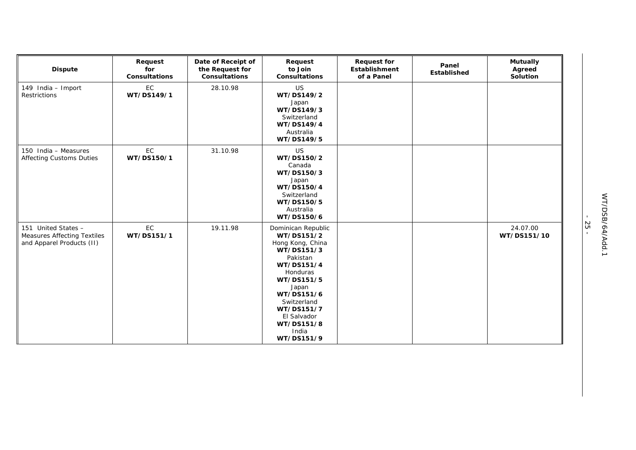| <b>Dispute</b>                                                                         | Request<br>for<br><b>Consultations</b> | Date of Receipt of<br>the Request for<br>Consultations | Request<br>to Join<br>Consultations                                                                                                                                                                                            | <b>Request for</b><br>Establishment<br>of a Panel | Panel<br>Established | <b>Mutually</b><br>Agreed<br>Solution |
|----------------------------------------------------------------------------------------|----------------------------------------|--------------------------------------------------------|--------------------------------------------------------------------------------------------------------------------------------------------------------------------------------------------------------------------------------|---------------------------------------------------|----------------------|---------------------------------------|
| 149 India - Import<br>Restrictions                                                     | EC<br>WT/DS149/1                       | 28.10.98                                               | <b>US</b><br>WT/DS149/2<br>Japan<br>WT/DS149/3<br>Switzerland<br>WT/DS149/4<br>Australia<br>WT/DS149/5                                                                                                                         |                                                   |                      |                                       |
| 150 India - Measures<br><b>Affecting Customs Duties</b>                                | EC<br>WT/DS150/1                       | 31.10.98                                               | <b>US</b><br>WT/DS150/2<br>Canada<br>WT/DS150/3<br>Japan<br>WT/DS150/4<br>Switzerland<br>WT/DS150/5<br>Australia<br>WT/DS150/6                                                                                                 |                                                   |                      |                                       |
| 151 United States -<br><b>Measures Affecting Textiles</b><br>and Apparel Products (II) | EC<br>WT/DS151/1                       | 19.11.98                                               | Dominican Republic<br>WT/DS151/2<br>Hong Kong, China<br>WT/DS151/3<br>Pakistan<br>WT/DS151/4<br>Honduras<br>WT/DS151/5<br>Japan<br>WT/DS151/6<br>Switzerland<br>WT/DS151/7<br>El Salvador<br>WT/DS151/8<br>India<br>WT/DS151/9 |                                                   |                      | 24.07.00<br>WT/DS151/10               |

- 25 -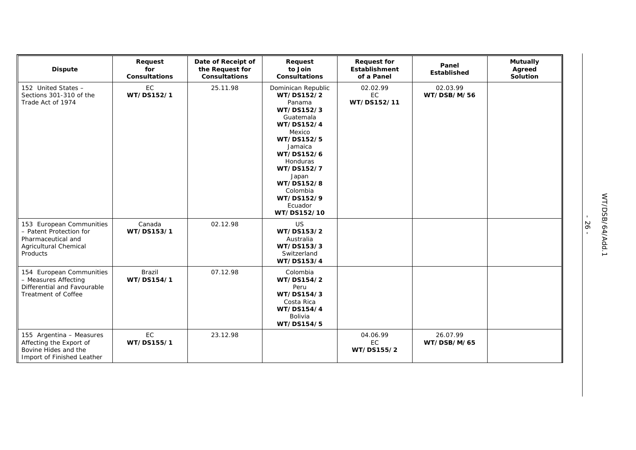| <b>Dispute</b>                                                                                                        | Request<br>for<br>Consultations | Date of Receipt of<br>the Request for<br>Consultations | Request<br>to Join<br><b>Consultations</b>                                                                                                                                                                                                       | <b>Request for</b><br>Establishment<br>of a Panel | Panel<br>Established    | <b>Mutually</b><br>Agreed<br>Solution |
|-----------------------------------------------------------------------------------------------------------------------|---------------------------------|--------------------------------------------------------|--------------------------------------------------------------------------------------------------------------------------------------------------------------------------------------------------------------------------------------------------|---------------------------------------------------|-------------------------|---------------------------------------|
| 152 United States -<br>Sections 301-310 of the<br>Trade Act of 1974                                                   | EC<br>WT/DS152/1                | 25.11.98                                               | Dominican Republic<br>WT/DS152/2<br>Panama<br>WT/DS152/3<br>Guatemala<br>WT/DS152/4<br>Mexico<br>WT/DS152/5<br>Jamaica<br>WT/DS152/6<br><b>Honduras</b><br>WT/DS152/7<br>Japan<br>WT/DS152/8<br>Colombia<br>WT/DS152/9<br>Ecuador<br>WT/DS152/10 | 02.02.99<br>EC<br>WT/DS152/11                     | 02.03.99<br>WT/DSB/M/56 |                                       |
| 153 European Communities<br>- Patent Protection for<br>Pharmaceutical and<br><b>Agricultural Chemical</b><br>Products | Canada<br>WT/DS153/1            | 02.12.98                                               | US<br>WT/DS153/2<br>Australia<br>WT/DS153/3<br>Switzerland<br>WT/DS153/4                                                                                                                                                                         |                                                   |                         |                                       |
| 154 European Communities<br>- Measures Affecting<br>Differential and Favourable<br><b>Treatment of Coffee</b>         | Brazil<br>WT/DS154/1            | 07.12.98                                               | Colombia<br>WT/DS154/2<br>Peru<br>WT/DS154/3<br>Costa Rica<br>WT/DS154/4<br>Bolivia<br>WT/DS154/5                                                                                                                                                |                                                   |                         |                                       |
| 155 Argentina - Measures<br>Affecting the Export of<br>Bovine Hides and the<br>Import of Finished Leather             | EC<br>WT/DS155/1                | 23.12.98                                               |                                                                                                                                                                                                                                                  | 04.06.99<br>EC<br>WT/DS155/2                      | 26.07.99<br>WT/DSB/M/65 |                                       |

- 26 -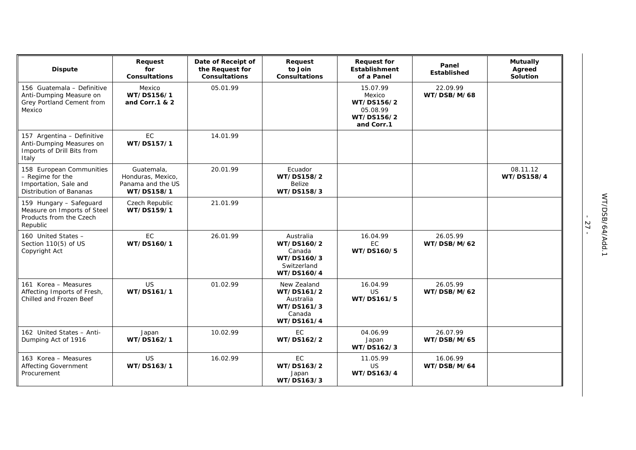| <b>Dispute</b>                                                                                   | Request<br>for<br>Consultations                                    | Date of Receipt of<br>the Request for<br><b>Consultations</b> | Request<br>to Join<br><b>Consultations</b>                                   | <b>Request for</b><br><b>Establishment</b><br>of a Panel                 | Panel<br>Established    | <b>Mutually</b><br>Agreed<br>Solution |
|--------------------------------------------------------------------------------------------------|--------------------------------------------------------------------|---------------------------------------------------------------|------------------------------------------------------------------------------|--------------------------------------------------------------------------|-------------------------|---------------------------------------|
| 156 Guatemala - Definitive<br>Anti-Dumping Measure on<br>Grey Portland Cement from<br>Mexico     | Mexico<br>WT/DS156/1<br>and Corr.1 & 2                             | 05.01.99                                                      |                                                                              | 15.07.99<br>Mexico<br>WT/DS156/2<br>05.08.99<br>WT/DS156/2<br>and Corr.1 | 22.09.99<br>WT/DSB/M/68 |                                       |
| 157 Argentina - Definitive<br>Anti-Dumping Measures on<br>Imports of Drill Bits from<br>Italy    | EC<br>WT/DS157/1                                                   | 14.01.99                                                      |                                                                              |                                                                          |                         |                                       |
| 158 European Communities<br>- Regime for the<br>Importation, Sale and<br>Distribution of Bananas | Guatemala,<br>Honduras, Mexico,<br>Panama and the US<br>WT/DS158/1 | 20.01.99                                                      | Ecuador<br>WT/DS158/2<br><b>Belize</b><br>WT/DS158/3                         |                                                                          |                         | 08.11.12<br>WT/DS158/4                |
| 159 Hungary - Safeguard<br>Measure on Imports of Steel<br>Products from the Czech<br>Republic    | Czech Republic<br>WT/DS159/1                                       | 21.01.99                                                      |                                                                              |                                                                          |                         |                                       |
| 160 United States -<br>Section 110(5) of US<br>Copyright Act                                     | EC<br>WT/DS160/1                                                   | 26.01.99                                                      | Australia<br>WT/DS160/2<br>Canada<br>WT/DS160/3<br>Switzerland<br>WT/DS160/4 | 16.04.99<br><b>EC</b><br>WT/DS160/5                                      | 26.05.99<br>WT/DSB/M/62 |                                       |
| 161 Korea - Measures<br>Affecting Imports of Fresh,<br>Chilled and Frozen Beef                   | <b>US</b><br>WT/DS161/1                                            | 01.02.99                                                      | New Zealand<br>WT/DS161/2<br>Australia<br>WT/DS161/3<br>Canada<br>WT/DS161/4 | 16.04.99<br><b>US</b><br>WT/DS161/5                                      | 26.05.99<br>WT/DSB/M/62 |                                       |
| 162 United States - Anti-<br>Dumping Act of 1916                                                 | Japan<br>WT/DS162/1                                                | 10.02.99                                                      | <b>EC</b><br>WT/DS162/2                                                      | 04.06.99<br>Japan<br>WT/DS162/3                                          | 26.07.99<br>WT/DSB/M/65 |                                       |
| 163 Korea - Measures<br><b>Affecting Government</b><br>Procurement                               | <b>US</b><br>WT/DS163/1                                            | 16.02.99                                                      | EC<br>WT/DS163/2<br>Japan<br>WT/DS163/3                                      | 11.05.99<br><b>US</b><br>WT/DS163/4                                      | 16.06.99<br>WT/DSB/M/64 |                                       |

- 27 -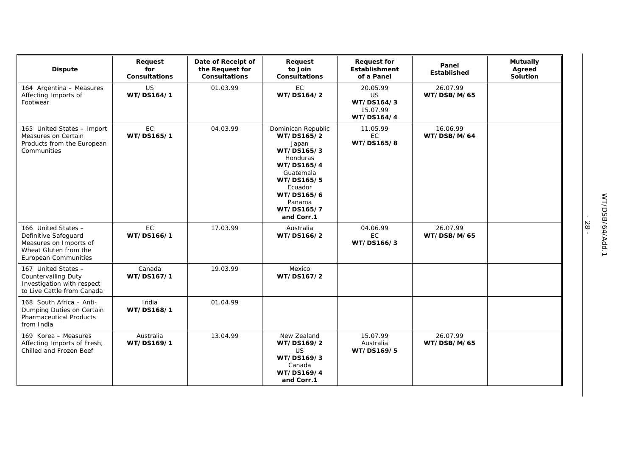| <b>Dispute</b>                                                                                                                | Request<br>for<br><b>Consultations</b> | Date of Receipt of<br>the Request for<br><b>Consultations</b> | Request<br>to Join<br><b>Consultations</b>                                                                                                                                  | <b>Request for</b><br><b>Establishment</b><br>of a Panel      | Panel<br><b>Established</b> | <b>Mutually</b><br>Agreed<br>Solution |
|-------------------------------------------------------------------------------------------------------------------------------|----------------------------------------|---------------------------------------------------------------|-----------------------------------------------------------------------------------------------------------------------------------------------------------------------------|---------------------------------------------------------------|-----------------------------|---------------------------------------|
| 164 Argentina - Measures<br>Affecting Imports of<br>Footwear                                                                  | US<br>WT/DS164/1                       | 01.03.99                                                      | <b>EC</b><br>WT/DS164/2                                                                                                                                                     | 20.05.99<br><b>US</b><br>WT/DS164/3<br>15.07.99<br>WT/DS164/4 | 26.07.99<br>WT/DSB/M/65     |                                       |
| 165 United States - Import<br>Measures on Certain<br>Products from the European<br>Communities                                | EC<br>WT/DS165/1                       | 04.03.99                                                      | Dominican Republic<br>WT/DS165/2<br>Japan<br>WT/DS165/3<br>Honduras<br>WT/DS165/4<br>Guatemala<br>WT/DS165/5<br>Ecuador<br>WT/DS165/6<br>Panama<br>WT/DS165/7<br>and Corr.1 | 11.05.99<br>EC<br>WT/DS165/8                                  | 16.06.99<br>WT/DSB/M/64     |                                       |
| 166 United States -<br>Definitive Safeguard<br>Measures on Imports of<br>Wheat Gluten from the<br><b>European Communities</b> | EC<br>WT/DS166/1                       | 17.03.99                                                      | Australia<br>WT/DS166/2                                                                                                                                                     | 04.06.99<br>EC<br>WT/DS166/3                                  | 26.07.99<br>WT/DSB/M/65     |                                       |
| 167 United States -<br><b>Countervailing Duty</b><br>Investigation with respect<br>to Live Cattle from Canada                 | Canada<br>WT/DS167/1                   | 19.03.99                                                      | Mexico<br>WT/DS167/2                                                                                                                                                        |                                                               |                             |                                       |
| 168 South Africa - Anti-<br>Dumping Duties on Certain<br><b>Pharmaceutical Products</b><br>from India                         | India<br>WT/DS168/1                    | 01.04.99                                                      |                                                                                                                                                                             |                                                               |                             |                                       |
| 169 Korea - Measures<br>Affecting Imports of Fresh,<br>Chilled and Frozen Beef                                                | Australia<br>WT/DS169/1                | 13.04.99                                                      | New Zealand<br>WT/DS169/2<br><b>US</b><br>WT/DS169/3<br>Canada<br>WT/DS169/4<br>and Corr.1                                                                                  | 15.07.99<br>Australia<br>WT/DS169/5                           | 26.07.99<br>WT/DSB/M/65     |                                       |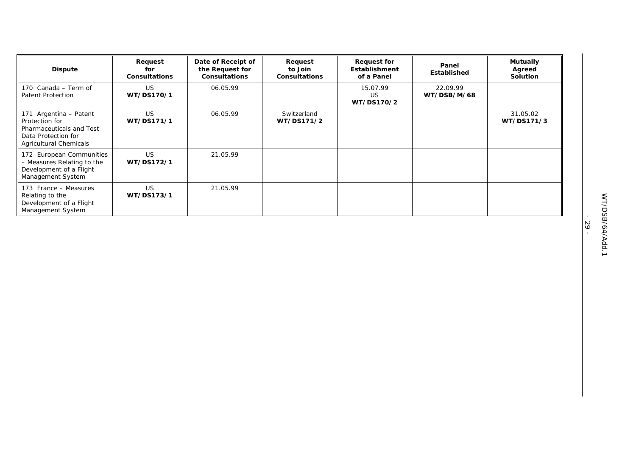| <b>Dispute</b>                                                                                                               | Request<br>for<br><b>Consultations</b> | Date of Receipt of<br>the Request for<br><b>Consultations</b> | Request<br>to Join<br><b>Consultations</b> | <b>Request for</b><br>Establishment<br>of a Panel | Panel<br>Established    | <b>Mutually</b><br>Agreed<br><b>Solution</b> |
|------------------------------------------------------------------------------------------------------------------------------|----------------------------------------|---------------------------------------------------------------|--------------------------------------------|---------------------------------------------------|-------------------------|----------------------------------------------|
| 170 Canada - Term of<br>Patent Protection                                                                                    | <b>US</b><br>WT/DS170/1                | 06.05.99                                                      |                                            | 15.07.99<br><b>US</b><br>WT/DS170/2               | 22.09.99<br>WT/DSB/M/68 |                                              |
| 171 Argentina - Patent<br>Protection for<br>Pharmaceuticals and Test<br>Data Protection for<br><b>Agricultural Chemicals</b> | <b>US</b><br>WT/DS171/1                | 06.05.99                                                      | Switzerland<br>WT/DS171/2                  |                                                   |                         | 31.05.02<br>WT/DS171/3                       |
| 172 European Communities<br>- Measures Relating to the<br>Development of a Flight<br>Management System                       | US.<br>WT/DS172/1                      | 21.05.99                                                      |                                            |                                                   |                         |                                              |
| 173 France - Measures<br>Relating to the<br>Development of a Flight<br>Management System                                     | US.<br>WT/DS173/1                      | 21.05.99                                                      |                                            |                                                   |                         |                                              |

- 29 -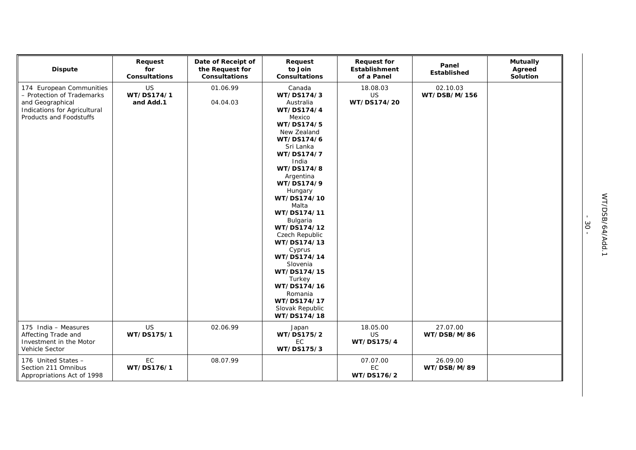| <b>Dispute</b>                                                                                                                        | Request<br>for<br><b>Consultations</b> | Date of Receipt of<br>the Request for<br><b>Consultations</b> | Request<br>to Join<br><b>Consultations</b>                                                                                                                                                                                                                                                                                                                                                                                               | <b>Request for</b><br>Establishment<br>of a Panel | Panel<br>Established     | <b>Mutually</b><br>Agreed<br>Solution |
|---------------------------------------------------------------------------------------------------------------------------------------|----------------------------------------|---------------------------------------------------------------|------------------------------------------------------------------------------------------------------------------------------------------------------------------------------------------------------------------------------------------------------------------------------------------------------------------------------------------------------------------------------------------------------------------------------------------|---------------------------------------------------|--------------------------|---------------------------------------|
| 174 European Communities<br>- Protection of Trademarks<br>and Geographical<br>Indications for Agricultural<br>Products and Foodstuffs | <b>US</b><br>WT/DS174/1<br>and Add.1   | 01.06.99<br>04.04.03                                          | Canada<br>WT/DS174/3<br>Australia<br>WT/DS174/4<br>Mexico<br>WT/DS174/5<br>New Zealand<br>WT/DS174/6<br>Sri Lanka<br>WT/DS174/7<br>India<br>WT/DS174/8<br>Argentina<br>WT/DS174/9<br>Hungary<br>WT/DS174/10<br>Malta<br>WT/DS174/11<br>Bulgaria<br>WT/DS174/12<br>Czech Republic<br>WT/DS174/13<br>Cyprus<br>WT/DS174/14<br>Slovenia<br>WT/DS174/15<br>Turkey<br>WT/DS174/16<br>Romania<br>WT/DS174/17<br>Slovak Republic<br>WT/DS174/18 | 18.08.03<br><b>US</b><br>WT/DS174/20              | 02.10.03<br>WT/DSB/M/156 |                                       |
| 175 India - Measures<br>Affecting Trade and<br>Investment in the Motor<br>Vehicle Sector                                              | <b>US</b><br>WT/DS175/1                | 02.06.99                                                      | Japan<br>WT/DS175/2<br>EC<br>WT/DS175/3                                                                                                                                                                                                                                                                                                                                                                                                  | 18.05.00<br><b>US</b><br>WT/DS175/4               | 27.07.00<br>WT/DSB/M/86  |                                       |
| 176 United States -<br>Section 211 Omnibus<br>Appropriations Act of 1998                                                              | EC<br>WT/DS176/1                       | 08.07.99                                                      |                                                                                                                                                                                                                                                                                                                                                                                                                                          | 07.07.00<br>EC<br>WT/DS176/2                      | 26.09.00<br>WT/DSB/M/89  |                                       |

- 30 -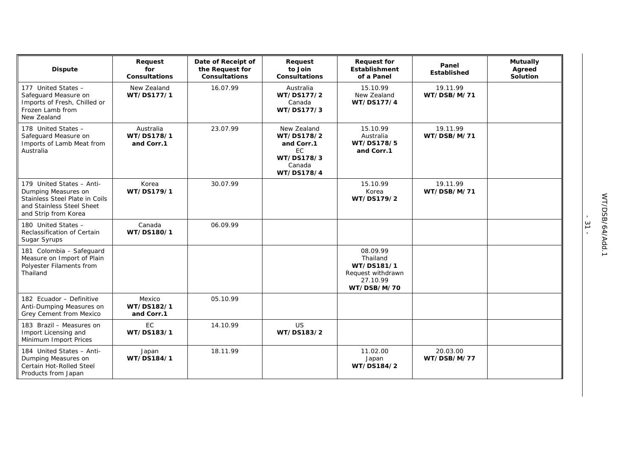| <b>Dispute</b>                                                                                                                          | Request<br>for<br><b>Consultations</b> | Date of Receipt of<br>the Request for<br><b>Consultations</b> | Request<br>to Join<br><b>Consultations</b>                                          | <b>Request for</b><br>Establishment<br>of a Panel                                  | Panel<br><b>Established</b> | <b>Mutually</b><br>Agreed<br>Solution |
|-----------------------------------------------------------------------------------------------------------------------------------------|----------------------------------------|---------------------------------------------------------------|-------------------------------------------------------------------------------------|------------------------------------------------------------------------------------|-----------------------------|---------------------------------------|
| 177 United States -<br>Safeguard Measure on<br>Imports of Fresh, Chilled or<br>Frozen Lamb from<br>New Zealand                          | New Zealand<br>WT/DS177/1              | 16.07.99                                                      | Australia<br>WT/DS177/2<br>Canada<br>WT/DS177/3                                     | 15.10.99<br>New Zealand<br>WT/DS177/4                                              | 19.11.99<br>WT/DSB/M/71     |                                       |
| 178 United States -<br>Safeguard Measure on<br>Imports of Lamb Meat from<br>Australia                                                   | Australia<br>WT/DS178/1<br>and Corr.1  | 23.07.99                                                      | New Zealand<br>WT/DS178/2<br>and Corr.1<br>EC<br>WT/DS178/3<br>Canada<br>WT/DS178/4 | 15.10.99<br>Australia<br>WT/DS178/5<br>and Corr.1                                  | 19.11.99<br>WT/DSB/M/71     |                                       |
| 179 United States - Anti-<br>Dumping Measures on<br>Stainless Steel Plate in Coils<br>and Stainless Steel Sheet<br>and Strip from Korea | Korea<br>WT/DS179/1                    | 30.07.99                                                      |                                                                                     | 15.10.99<br>Korea<br>WT/DS179/2                                                    | 19.11.99<br>WT/DSB/M/71     |                                       |
| 180 United States -<br>Reclassification of Certain<br>Sugar Syrups                                                                      | Canada<br>WT/DS180/1                   | 06.09.99                                                      |                                                                                     |                                                                                    |                             |                                       |
| 181 Colombia - Safeguard<br>Measure on Import of Plain<br>Polyester Filaments from<br>Thailand                                          |                                        |                                                               |                                                                                     | 08.09.99<br>Thailand<br>WT/DS181/1<br>Request withdrawn<br>27.10.99<br>WT/DSB/M/70 |                             |                                       |
| 182 Ecuador - Definitive<br>Anti-Dumping Measures on<br>Grey Cement from Mexico                                                         | Mexico<br>WT/DS182/1<br>and Corr.1     | 05.10.99                                                      |                                                                                     |                                                                                    |                             |                                       |
| 183 Brazil - Measures on<br>Import Licensing and<br>Minimum Import Prices                                                               | <b>EC</b><br>WT/DS183/1                | 14.10.99                                                      | <b>US</b><br>WT/DS183/2                                                             |                                                                                    |                             |                                       |
| 184 United States - Anti-<br>Dumping Measures on<br>Certain Hot-Rolled Steel<br>Products from Japan                                     | Japan<br>WT/DS184/1                    | 18.11.99                                                      |                                                                                     | 11.02.00<br>Japan<br>WT/DS184/2                                                    | 20.03.00<br>WT/DSB/M/77     |                                       |

- 31 -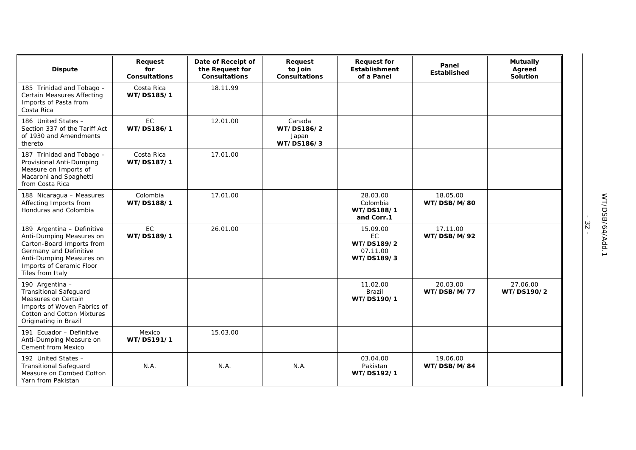| <b>Dispute</b>                                                                                                                                                                            | Request<br>for<br><b>Consultations</b> | Date of Receipt of<br>the Request for<br><b>Consultations</b> | Request<br>to Join<br><b>Consultations</b>  | <b>Request for</b><br><b>Establishment</b><br>of a Panel | Panel<br>Established    | <b>Mutually</b><br>Agreed<br>Solution |
|-------------------------------------------------------------------------------------------------------------------------------------------------------------------------------------------|----------------------------------------|---------------------------------------------------------------|---------------------------------------------|----------------------------------------------------------|-------------------------|---------------------------------------|
| 185 Trinidad and Tobago -<br><b>Certain Measures Affecting</b><br>Imports of Pasta from<br>Costa Rica                                                                                     | Costa Rica<br>WT/DS185/1               | 18.11.99                                                      |                                             |                                                          |                         |                                       |
| 186 United States -<br>Section 337 of the Tariff Act<br>of 1930 and Amendments<br>thereto                                                                                                 | EC<br>WT/DS186/1                       | 12.01.00                                                      | Canada<br>WT/DS186/2<br>Japan<br>WT/DS186/3 |                                                          |                         |                                       |
| 187 Trinidad and Tobago -<br>Provisional Anti-Dumping<br>Measure on Imports of<br>Macaroni and Spaghetti<br>from Costa Rica                                                               | Costa Rica<br>WT/DS187/1               | 17.01.00                                                      |                                             |                                                          |                         |                                       |
| 188 Nicaragua - Measures<br>Affecting Imports from<br>Honduras and Colombia                                                                                                               | Colombia<br>WT/DS188/1                 | 17.01.00                                                      |                                             | 28.03.00<br>Colombia<br>WT/DS188/1<br>and Corr.1         | 18.05.00<br>WT/DSB/M/80 |                                       |
| 189 Argentina - Definitive<br>Anti-Dumping Measures on<br>Carton-Board Imports from<br>Germany and Definitive<br>Anti-Dumping Measures on<br>Imports of Ceramic Floor<br>Tiles from Italy | <b>EC</b><br>WT/DS189/1                | 26.01.00                                                      |                                             | 15.09.00<br>EC<br>WT/DS189/2<br>07.11.00<br>WT/DS189/3   | 17.11.00<br>WT/DSB/M/92 |                                       |
| 190 Argentina -<br><b>Transitional Safeguard</b><br>Measures on Certain<br>Imports of Woven Fabrics of<br><b>Cotton and Cotton Mixtures</b><br>Originating in Brazil                      |                                        |                                                               |                                             | 11.02.00<br>Brazil<br>WT/DS190/1                         | 20.03.00<br>WT/DSB/M/77 | 27.06.00<br>WT/DS190/2                |
| 191 Ecuador - Definitive<br>Anti-Dumping Measure on<br>Cement from Mexico                                                                                                                 | Mexico<br>WT/DS191/1                   | 15.03.00                                                      |                                             |                                                          |                         |                                       |
| 192 United States -<br><b>Transitional Safeguard</b><br>Measure on Combed Cotton<br>Yarn from Pakistan                                                                                    | N.A.                                   | N.A.                                                          | N.A.                                        | 03.04.00<br>Pakistan<br>WT/DS192/1                       | 19.06.00<br>WT/DSB/M/84 |                                       |

- 32 -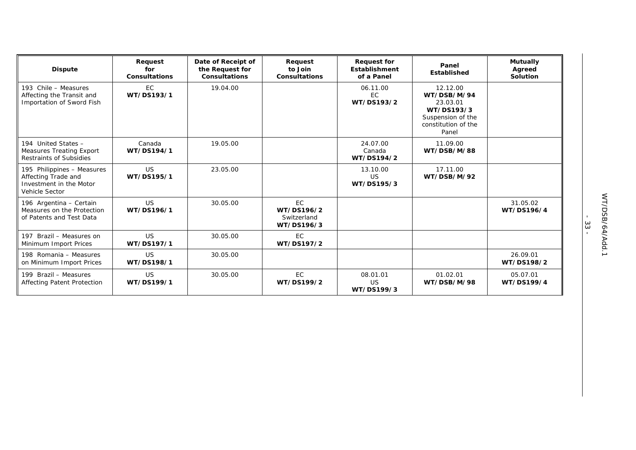| <b>Dispute</b>                                                                                 | Request<br>for<br><b>Consultations</b> | Date of Receipt of<br>the Request for<br><b>Consultations</b> | Request<br>to Join<br><b>Consultations</b>    | <b>Request for</b><br><b>Establishment</b><br>of a Panel | Panel<br>Established                                                                                   | <b>Mutually</b><br>Agreed<br>Solution |
|------------------------------------------------------------------------------------------------|----------------------------------------|---------------------------------------------------------------|-----------------------------------------------|----------------------------------------------------------|--------------------------------------------------------------------------------------------------------|---------------------------------------|
| 193 Chile - Measures<br>Affecting the Transit and<br>Importation of Sword Fish                 | EC<br>WT/DS193/1                       | 19.04.00                                                      |                                               | 06.11.00<br><b>EC</b><br>WT/DS193/2                      | 12.12.00<br>WT/DSB/M/94<br>23.03.01<br>WT/DS193/3<br>Suspension of the<br>constitution of the<br>Panel |                                       |
| 194 United States -<br><b>Measures Treating Export</b><br>Restraints of Subsidies              | Canada<br>WT/DS194/1                   | 19.05.00                                                      |                                               | 24.07.00<br>Canada<br>WT/DS194/2                         | 11.09.00<br>WT/DSB/M/88                                                                                |                                       |
| 195 Philippines - Measures<br>Affecting Trade and<br>Investment in the Motor<br>Vehicle Sector | <b>US</b><br>WT/DS195/1                | 23.05.00                                                      |                                               | 13.10.00<br>US<br>WT/DS195/3                             | 17.11.00<br>WT/DSB/M/92                                                                                |                                       |
| 196 Argentina - Certain<br>Measures on the Protection<br>of Patents and Test Data              | US.<br>WT/DS196/1                      | 30.05.00                                                      | EC<br>WT/DS196/2<br>Switzerland<br>WT/DS196/3 |                                                          |                                                                                                        | 31.05.02<br>WT/DS196/4                |
| 197 Brazil - Measures on<br>Minimum Import Prices                                              | <b>US</b><br>WT/DS197/1                | 30.05.00                                                      | EC.<br>WT/DS197/2                             |                                                          |                                                                                                        |                                       |
| 198 Romania - Measures<br>on Minimum Import Prices                                             | US.<br>WT/DS198/1                      | 30.05.00                                                      |                                               |                                                          |                                                                                                        | 26.09.01<br>WT/DS198/2                |
| 199 Brazil - Measures<br><b>Affecting Patent Protection</b>                                    | US.<br>WT/DS199/1                      | 30.05.00                                                      | EC.<br>WT/DS199/2                             | 08.01.01<br><b>US</b><br>WT/DS199/3                      | 01.02.01<br>WT/DSB/M/98                                                                                | 05.07.01<br>WT/DS199/4                |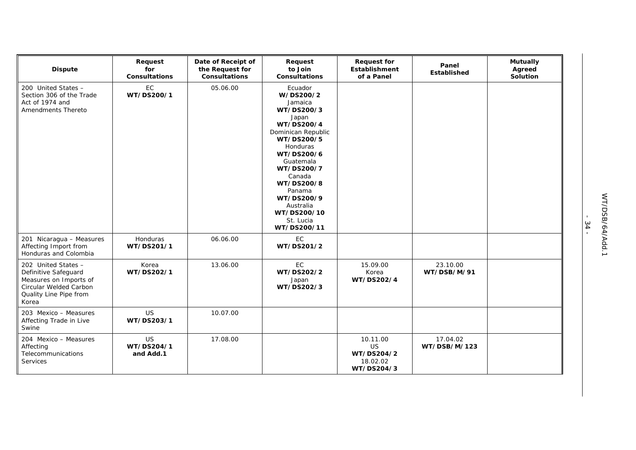| <b>Dispute</b>                                                                                                                     | Request<br>for<br><b>Consultations</b> | Date of Receipt of<br>the Request for<br><b>Consultations</b> | Request<br>to Join<br><b>Consultations</b>                                                                                                                                                                                                                                   | <b>Request for</b><br>Establishment<br>of a Panel             | Panel<br>Established     | <b>Mutually</b><br>Agreed<br>Solution |
|------------------------------------------------------------------------------------------------------------------------------------|----------------------------------------|---------------------------------------------------------------|------------------------------------------------------------------------------------------------------------------------------------------------------------------------------------------------------------------------------------------------------------------------------|---------------------------------------------------------------|--------------------------|---------------------------------------|
| 200 United States -<br>Section 306 of the Trade<br>Act of 1974 and<br>Amendments Thereto                                           | EC<br>WT/DS200/1                       | 05.06.00                                                      | Ecuador<br>W/DS200/2<br>Jamaica<br>WT/DS200/3<br>Japan<br>WT/DS200/4<br>Dominican Republic<br>WT/DS200/5<br><b>Honduras</b><br>WT/DS200/6<br>Guatemala<br>WT/DS200/7<br>Canada<br>WT/DS200/8<br>Panama<br>WT/DS200/9<br>Australia<br>WT/DS200/10<br>St. Lucia<br>WT/DS200/11 |                                                               |                          |                                       |
| 201 Nicaragua - Measures<br>Affecting Import from<br>Honduras and Colombia                                                         | Honduras<br>WT/DS201/1                 | 06.06.00                                                      | EC<br>WT/DS201/2                                                                                                                                                                                                                                                             |                                                               |                          |                                       |
| 202 United States -<br>Definitive Safeguard<br>Measures on Imports of<br>Circular Welded Carbon<br>Quality Line Pipe from<br>Korea | Korea<br>WT/DS202/1                    | 13.06.00                                                      | EC<br>WT/DS202/2<br>Japan<br>WT/DS202/3                                                                                                                                                                                                                                      | 15.09.00<br>Korea<br>WT/DS202/4                               | 23.10.00<br>WT/DSB/M/91  |                                       |
| 203 Mexico - Measures<br>Affecting Trade in Live<br>Swine                                                                          | <b>US</b><br>WT/DS203/1                | 10.07.00                                                      |                                                                                                                                                                                                                                                                              |                                                               |                          |                                       |
| 204 Mexico - Measures<br>Affecting<br>Telecommunications<br>Services                                                               | US<br>WT/DS204/1<br>and Add.1          | 17.08.00                                                      |                                                                                                                                                                                                                                                                              | 10.11.00<br><b>US</b><br>WT/DS204/2<br>18.02.02<br>WT/DS204/3 | 17.04.02<br>WT/DSB/M/123 |                                       |

- 34 -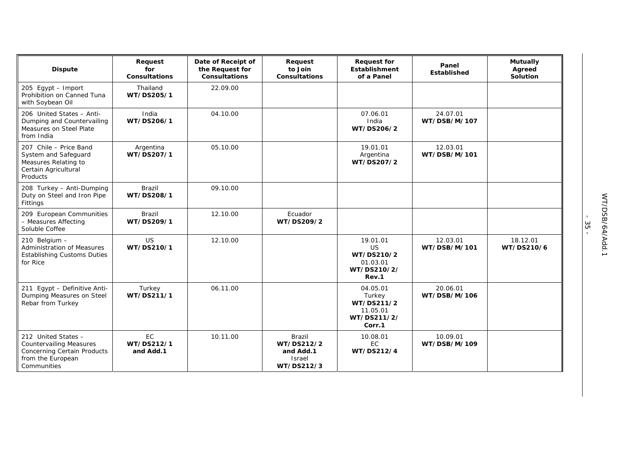| <b>Dispute</b>                                                                                                                  | Request<br>for<br><b>Consultations</b> | Date of Receipt of<br>the Request for<br><b>Consultations</b> | Request<br>to Join<br><b>Consultations</b>                              | <b>Request for</b><br><b>Establishment</b><br>of a Panel                | Panel<br><b>Established</b> | <b>Mutually</b><br>Agreed<br>Solution |
|---------------------------------------------------------------------------------------------------------------------------------|----------------------------------------|---------------------------------------------------------------|-------------------------------------------------------------------------|-------------------------------------------------------------------------|-----------------------------|---------------------------------------|
| 205 Egypt - Import<br>Prohibition on Canned Tuna<br>with Soybean Oil                                                            | Thailand<br>WT/DS205/1                 | 22.09.00                                                      |                                                                         |                                                                         |                             |                                       |
| 206 United States - Anti-<br>Dumping and Countervailing<br>Measures on Steel Plate<br>from India                                | India<br>WT/DS206/1                    | 04.10.00                                                      |                                                                         | 07.06.01<br>India<br>WT/DS206/2                                         | 24.07.01<br>WT/DSB/M/107    |                                       |
| 207 Chile - Price Band<br>System and Safeguard<br>Measures Relating to<br>Certain Agricultural<br>Products                      | Argentina<br>WT/DS207/1                | 05.10.00                                                      |                                                                         | 19.01.01<br>Argentina<br>WT/DS207/2                                     | 12.03.01<br>WT/DSB/M/101    |                                       |
| 208 Turkey - Anti-Dumping<br>Duty on Steel and Iron Pipe<br>Fittings                                                            | Brazil<br>WT/DS208/1                   | 09.10.00                                                      |                                                                         |                                                                         |                             |                                       |
| 209 European Communities<br>- Measures Affecting<br>Soluble Coffee                                                              | <b>Brazil</b><br>WT/DS209/1            | 12.10.00                                                      | Ecuador<br>WT/DS209/2                                                   |                                                                         |                             |                                       |
| 210 Belgium -<br><b>Administration of Measures</b><br><b>Establishing Customs Duties</b><br>for Rice                            | <b>US</b><br>WT/DS210/1                | 12.10.00                                                      |                                                                         | 19.01.01<br><b>US</b><br>WT/DS210/2<br>01.03.01<br>WT/DS210/2/<br>Rev.1 | 12.03.01<br>WT/DSB/M/101    | 18.12.01<br>WT/DS210/6                |
| 211 Egypt - Definitive Anti-<br>Dumping Measures on Steel<br>Rebar from Turkey                                                  | Turkey<br>WT/DS211/1                   | 06.11.00                                                      |                                                                         | 04.05.01<br>Turkey<br>WT/DS211/2<br>11.05.01<br>WT/DS211/2/<br>Corr.1   | 20.06.01<br>WT/DSB/M/106    |                                       |
| 212 United States -<br><b>Countervailing Measures</b><br><b>Concerning Certain Products</b><br>from the European<br>Communities | <b>EC</b><br>WT/DS212/1<br>and Add.1   | 10.11.00                                                      | <b>Brazil</b><br>WT/DS212/2<br>and Add.1<br><b>Israel</b><br>WT/DS212/3 | 10.08.01<br>EC.<br>WT/DS212/4                                           | 10.09.01<br>WT/DSB/M/109    |                                       |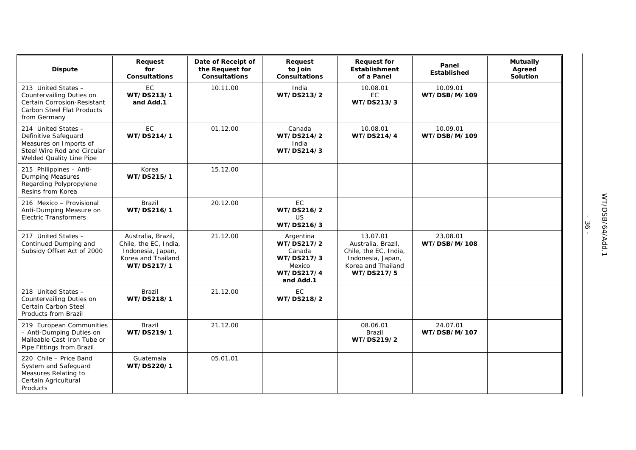| <b>Dispute</b>                                                                                                                   | Request<br>for<br><b>Consultations</b>                                                               | Date of Receipt of<br>the Request for<br><b>Consultations</b> | Request<br>to Join<br><b>Consultations</b>                                           | <b>Request for</b><br><b>Establishment</b><br>of a Panel                                                         | Panel<br>Established     | <b>Mutually</b><br>Agreed<br>Solution |
|----------------------------------------------------------------------------------------------------------------------------------|------------------------------------------------------------------------------------------------------|---------------------------------------------------------------|--------------------------------------------------------------------------------------|------------------------------------------------------------------------------------------------------------------|--------------------------|---------------------------------------|
| 213 United States -<br>Countervailing Duties on<br>Certain Corrosion-Resistant<br>Carbon Steel Flat Products<br>from Germany     | <b>EC</b><br>WT/DS213/1<br>and Add.1                                                                 | 10.11.00                                                      | India<br>WT/DS213/2                                                                  | 10.08.01<br>EC<br>WT/DS213/3                                                                                     | 10.09.01<br>WT/DSB/M/109 |                                       |
| 214 United States -<br>Definitive Safeguard<br>Measures on Imports of<br>Steel Wire Rod and Circular<br>Welded Quality Line Pipe | EC<br>WT/DS214/1                                                                                     | 01.12.00                                                      | Canada<br>WT/DS214/2<br>India<br>WT/DS214/3                                          | 10.08.01<br>WT/DS214/4                                                                                           | 10.09.01<br>WT/DSB/M/109 |                                       |
| 215 Philippines - Anti-<br><b>Dumping Measures</b><br>Regarding Polypropylene<br>Resins from Korea                               | Korea<br>WT/DS215/1                                                                                  | 15.12.00                                                      |                                                                                      |                                                                                                                  |                          |                                       |
| 216 Mexico - Provisional<br>Anti-Dumping Measure on<br><b>Electric Transformers</b>                                              | Brazil<br>WT/DS216/1                                                                                 | 20.12.00                                                      | <b>EC</b><br>WT/DS216/2<br>US<br>WT/DS216/3                                          |                                                                                                                  |                          |                                       |
| 217 United States -<br>Continued Dumping and<br>Subsidy Offset Act of 2000                                                       | Australia, Brazil,<br>Chile, the EC, India,<br>Indonesia, Japan,<br>Korea and Thailand<br>WT/DS217/1 | 21.12.00                                                      | Argentina<br>WT/DS217/2<br>Canada<br>WT/DS217/3<br>Mexico<br>WT/DS217/4<br>and Add.1 | 13.07.01<br>Australia, Brazil,<br>Chile, the EC, India,<br>Indonesia, Japan,<br>Korea and Thailand<br>WT/DS217/5 | 23.08.01<br>WT/DSB/M/108 |                                       |
| 218 United States -<br>Countervailing Duties on<br>Certain Carbon Steel<br>Products from Brazil                                  | <b>Brazil</b><br>WT/DS218/1                                                                          | 21.12.00                                                      | EC<br>WT/DS218/2                                                                     |                                                                                                                  |                          |                                       |
| 219 European Communities<br>- Anti-Dumping Duties on<br>Malleable Cast Iron Tube or<br>Pipe Fittings from Brazil                 | Brazil<br>WT/DS219/1                                                                                 | 21.12.00                                                      |                                                                                      | 08.06.01<br>Brazil<br>WT/DS219/2                                                                                 | 24.07.01<br>WT/DSB/M/107 |                                       |
| 220 Chile - Price Band<br>System and Safeguard<br>Measures Relating to<br>Certain Agricultural<br>Products                       | Guatemala<br>WT/DS220/1                                                                              | 05.01.01                                                      |                                                                                      |                                                                                                                  |                          |                                       |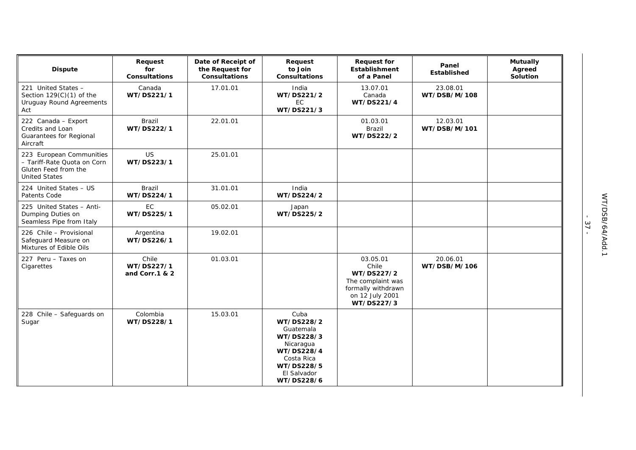| <b>Dispute</b>                                                                                          | Request<br>for<br><b>Consultations</b> | Date of Receipt of<br>the Request for<br><b>Consultations</b> | Request<br>to Join<br><b>Consultations</b>                                                                                        | <b>Request for</b><br><b>Establishment</b><br>of a Panel                                                    | Panel<br>Established     | <b>Mutually</b><br>Agreed<br>Solution |
|---------------------------------------------------------------------------------------------------------|----------------------------------------|---------------------------------------------------------------|-----------------------------------------------------------------------------------------------------------------------------------|-------------------------------------------------------------------------------------------------------------|--------------------------|---------------------------------------|
| 221 United States -<br>Section $129(C)(1)$ of the<br>Uruguay Round Agreements<br>Act                    | Canada<br>WT/DS221/1                   | 17.01.01                                                      | India<br>WT/DS221/2<br>EC<br>WT/DS221/3                                                                                           | 13.07.01<br>Canada<br>WT/DS221/4                                                                            | 23.08.01<br>WT/DSB/M/108 |                                       |
| 222 Canada - Export<br>Credits and Loan<br>Guarantees for Regional<br>Aircraft                          | Brazil<br>WT/DS222/1                   | 22.01.01                                                      |                                                                                                                                   | 01.03.01<br>Brazil<br>WT/DS222/2                                                                            | 12.03.01<br>WT/DSB/M/101 |                                       |
| 223 European Communities<br>- Tariff-Rate Quota on Corn<br>Gluten Feed from the<br><b>United States</b> | <b>US</b><br>WT/DS223/1                | 25.01.01                                                      |                                                                                                                                   |                                                                                                             |                          |                                       |
| 224 United States - US<br>Patents Code                                                                  | Brazil<br>WT/DS224/1                   | 31.01.01                                                      | India<br>WT/DS224/2                                                                                                               |                                                                                                             |                          |                                       |
| 225 United States - Anti-<br>Dumping Duties on<br>Seamless Pipe from Italy                              | EC<br>WT/DS225/1                       | 05.02.01                                                      | Japan<br>WT/DS225/2                                                                                                               |                                                                                                             |                          |                                       |
| 226 Chile - Provisional<br>Safeguard Measure on<br>Mixtures of Edible Oils                              | Argentina<br>WT/DS226/1                | 19.02.01                                                      |                                                                                                                                   |                                                                                                             |                          |                                       |
| 227 Peru - Taxes on<br>Cigarettes                                                                       | Chile<br>WT/DS227/1<br>and Corr.1 & 2  | 01.03.01                                                      |                                                                                                                                   | 03.05.01<br>Chile<br>WT/DS227/2<br>The complaint was<br>formally withdrawn<br>on 12 July 2001<br>WT/DS227/3 | 20.06.01<br>WT/DSB/M/106 |                                       |
| 228 Chile - Safeguards on<br>Sugar                                                                      | Colombia<br>WT/DS228/1                 | 15.03.01                                                      | Cuba<br>WT/DS228/2<br>Guatemala<br>WT/DS228/3<br>Nicaragua<br>WT/DS228/4<br>Costa Rica<br>WT/DS228/5<br>El Salvador<br>WT/DS228/6 |                                                                                                             |                          |                                       |

- 37 -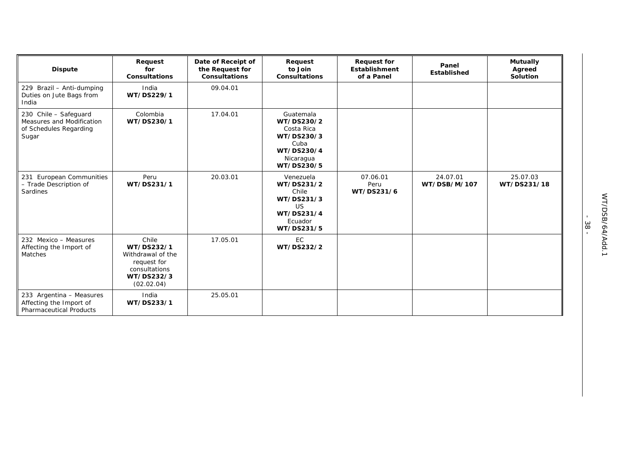| <b>Dispute</b>                                                                        | Request<br>for<br><b>Consultations</b>                                                               | Date of Receipt of<br>the Request for<br><b>Consultations</b> | Request<br>to Join<br><b>Consultations</b>                                                           | <b>Request for</b><br><b>Establishment</b><br>of a Panel | Panel<br>Established     | <b>Mutually</b><br>Agreed<br><b>Solution</b> |
|---------------------------------------------------------------------------------------|------------------------------------------------------------------------------------------------------|---------------------------------------------------------------|------------------------------------------------------------------------------------------------------|----------------------------------------------------------|--------------------------|----------------------------------------------|
| 229 Brazil - Anti-dumping<br>Duties on Jute Bags from<br>India                        | India<br>WT/DS229/1                                                                                  | 09.04.01                                                      |                                                                                                      |                                                          |                          |                                              |
| 230 Chile - Safeguard<br>Measures and Modification<br>of Schedules Regarding<br>Sugar | Colombia<br>WT/DS230/1                                                                               | 17.04.01                                                      | Guatemala<br>WT/DS230/2<br>Costa Rica<br>WT/DS230/3<br>Cuba<br>WT/DS230/4<br>Nicaragua<br>WT/DS230/5 |                                                          |                          |                                              |
| 231 European Communities<br>- Trade Description of<br>Sardines                        | Peru<br>WT/DS231/1                                                                                   | 20.03.01                                                      | Venezuela<br>WT/DS231/2<br>Chile<br>WT/DS231/3<br><b>US</b><br>WT/DS231/4<br>Ecuador<br>WT/DS231/5   | 07.06.01<br>Peru<br>WT/DS231/6                           | 24.07.01<br>WT/DSB/M/107 | 25.07.03<br>WT/DS231/18                      |
| 232 Mexico - Measures<br>Affecting the Import of<br>Matches                           | Chile<br>WT/DS232/1<br>Withdrawal of the<br>request for<br>consultations<br>WT/DS232/3<br>(02.02.04) | 17.05.01                                                      | EC<br>WT/DS232/2                                                                                     |                                                          |                          |                                              |
| 233 Argentina - Measures<br>Affecting the Import of<br><b>Pharmaceutical Products</b> | India<br>WT/DS233/1                                                                                  | 25.05.01                                                      |                                                                                                      |                                                          |                          |                                              |

WT/DSB/64/Add.1

WT/DSB/64/Add.1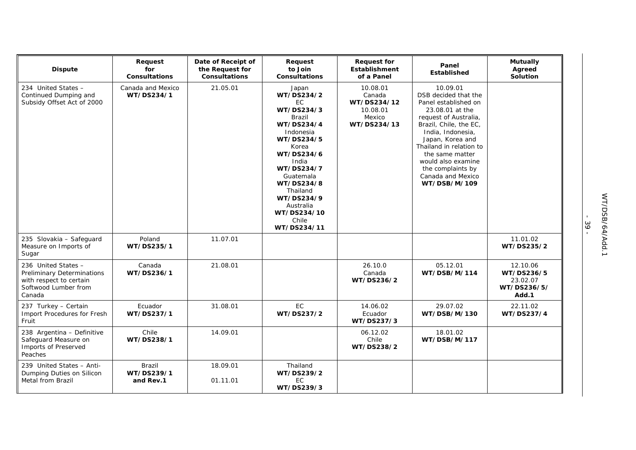| <b>Dispute</b>                                                                                                 | Request<br>for<br><b>Consultations</b> | Date of Receipt of<br>the Request for<br><b>Consultations</b> | Request<br>to Join<br><b>Consultations</b>                                                                                                                                                                                                         | <b>Request for</b><br><b>Establishment</b><br>of a Panel               | Panel<br>Established                                                                                                                                                                                                                                                                                  | <b>Mutually</b><br>Agreed<br>Solution                      |
|----------------------------------------------------------------------------------------------------------------|----------------------------------------|---------------------------------------------------------------|----------------------------------------------------------------------------------------------------------------------------------------------------------------------------------------------------------------------------------------------------|------------------------------------------------------------------------|-------------------------------------------------------------------------------------------------------------------------------------------------------------------------------------------------------------------------------------------------------------------------------------------------------|------------------------------------------------------------|
| 234 United States -<br>Continued Dumping and<br>Subsidy Offset Act of 2000                                     | Canada and Mexico<br>WT/DS234/1        | 21.05.01                                                      | Japan<br>WT/DS234/2<br>EC.<br>WT/DS234/3<br>Brazil<br>WT/DS234/4<br>Indonesia<br>WT/DS234/5<br>Korea<br>WT/DS234/6<br>India<br>WT/DS234/7<br>Guatemala<br>WT/DS234/8<br>Thailand<br>WT/DS234/9<br>Australia<br>WT/DS234/10<br>Chile<br>WT/DS234/11 | 10.08.01<br>Canada<br>WT/DS234/12<br>10.08.01<br>Mexico<br>WT/DS234/13 | 10.09.01<br>DSB decided that the<br>Panel established on<br>23.08.01 at the<br>request of Australia,<br>Brazil, Chile, the EC,<br>India, Indonesia,<br>Japan, Korea and<br>Thailand in relation to<br>the same matter<br>would also examine<br>the complaints by<br>Canada and Mexico<br>WT/DSB/M/109 |                                                            |
| 235 Slovakia - Safeguard<br>Measure on Imports of<br>Sugar                                                     | Poland<br>WT/DS235/1                   | 11.07.01                                                      |                                                                                                                                                                                                                                                    |                                                                        |                                                                                                                                                                                                                                                                                                       | 11.01.02<br>WT/DS235/2                                     |
| 236 United States -<br>Preliminary Determinations<br>with respect to certain<br>Softwood Lumber from<br>Canada | Canada<br>WT/DS236/1                   | 21.08.01                                                      |                                                                                                                                                                                                                                                    | 26.10.0<br>Canada<br>WT/DS236/2                                        | 05.12.01<br>WT/DSB/M/114                                                                                                                                                                                                                                                                              | 12.10.06<br>WT/DS236/5<br>23.02.07<br>WT/DS236/5/<br>Add.1 |
| 237 Turkey - Certain<br>Import Procedures for Fresh<br>Fruit                                                   | Ecuador<br>WT/DS237/1                  | 31.08.01                                                      | EC<br>WT/DS237/2                                                                                                                                                                                                                                   | 14.06.02<br>Ecuador<br>WT/DS237/3                                      | 29.07.02<br>WT/DSB/M/130                                                                                                                                                                                                                                                                              | 22.11.02<br>WT/DS237/4                                     |
| 238 Argentina - Definitive<br>Safeguard Measure on<br>Imports of Preserved<br>Peaches                          | Chile<br>WT/DS238/1                    | 14.09.01                                                      |                                                                                                                                                                                                                                                    | 06.12.02<br>Chile<br>WT/DS238/2                                        | 18.01.02<br>WT/DSB/M/117                                                                                                                                                                                                                                                                              |                                                            |
| 239 United States - Anti-<br>Dumping Duties on Silicon<br>Metal from Brazil                                    | Brazil<br>WT/DS239/1<br>and Rev.1      | 18.09.01<br>01.11.01                                          | Thailand<br>WT/DS239/2<br>EC<br>WT/DS239/3                                                                                                                                                                                                         |                                                                        |                                                                                                                                                                                                                                                                                                       |                                                            |

- 39 -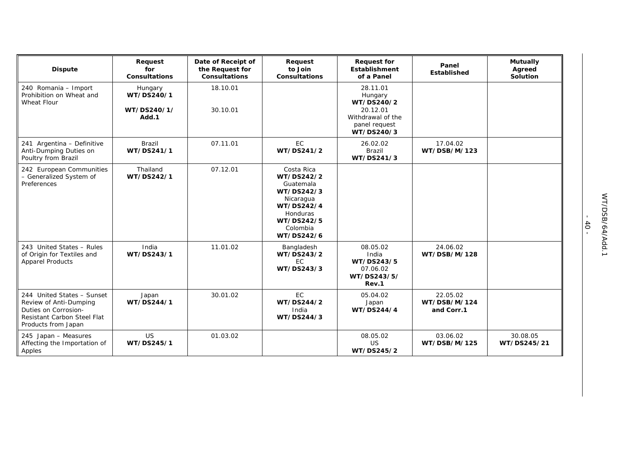| <b>Dispute</b>                                                                                                                            | Request<br>for<br><b>Consultations</b>        | Date of Receipt of<br>the Request for<br><b>Consultations</b> | Request<br>to Join<br><b>Consultations</b>                                                                                         | <b>Request for</b><br>Establishment<br>of a Panel                                                 | Panel<br>Established                   | <b>Mutually</b><br>Agreed<br>Solution |
|-------------------------------------------------------------------------------------------------------------------------------------------|-----------------------------------------------|---------------------------------------------------------------|------------------------------------------------------------------------------------------------------------------------------------|---------------------------------------------------------------------------------------------------|----------------------------------------|---------------------------------------|
| 240 Romania - Import<br>Prohibition on Wheat and<br>Wheat Flour                                                                           | Hungary<br>WT/DS240/1<br>WT/DS240/1/<br>Add.1 | 18.10.01<br>30.10.01                                          |                                                                                                                                    | 28.11.01<br>Hungary<br>WT/DS240/2<br>20.12.01<br>Withdrawal of the<br>panel request<br>WT/DS240/3 |                                        |                                       |
| 241 Argentina - Definitive<br>Anti-Dumping Duties on<br>Poultry from Brazil                                                               | Brazil<br>WT/DS241/1                          | 07.11.01                                                      | <b>EC</b><br>WT/DS241/2                                                                                                            | 26.02.02<br>Brazil<br>WT/DS241/3                                                                  | 17.04.02<br>WT/DSB/M/123               |                                       |
| 242 European Communities<br>- Generalized System of<br>Preferences                                                                        | Thailand<br>WT/DS242/1                        | 07.12.01                                                      | Costa Rica<br>WT/DS242/2<br>Guatemala<br>WT/DS242/3<br>Nicaragua<br>WT/DS242/4<br>Honduras<br>WT/DS242/5<br>Colombia<br>WT/DS242/6 |                                                                                                   |                                        |                                       |
| 243 United States - Rules<br>of Origin for Textiles and<br><b>Apparel Products</b>                                                        | India<br>WT/DS243/1                           | 11.01.02                                                      | Bangladesh<br>WT/DS243/2<br><b>EC</b><br>WT/DS243/3                                                                                | 08.05.02<br>India<br>WT/DS243/5<br>07.06.02<br>WT/DS243/5/<br>Rev.1                               | 24.06.02<br>WT/DSB/M/128               |                                       |
| 244 United States - Sunset<br>Review of Anti-Dumping<br>Duties on Corrosion-<br><b>Resistant Carbon Steel Flat</b><br>Products from Japan | Japan<br>WT/DS244/1                           | 30.01.02                                                      | EC<br>WT/DS244/2<br>India<br>WT/DS244/3                                                                                            | 05.04.02<br>Japan<br>WT/DS244/4                                                                   | 22.05.02<br>WT/DSB/M/124<br>and Corr.1 |                                       |
| 245 Japan - Measures<br>Affecting the Importation of<br>Apples                                                                            | <b>US</b><br>WT/DS245/1                       | 01.03.02                                                      |                                                                                                                                    | 08.05.02<br><b>US</b><br>WT/DS245/2                                                               | 03.06.02<br>WT/DSB/M/125               | 30.08.05<br>WT/DS245/21               |

- 40 -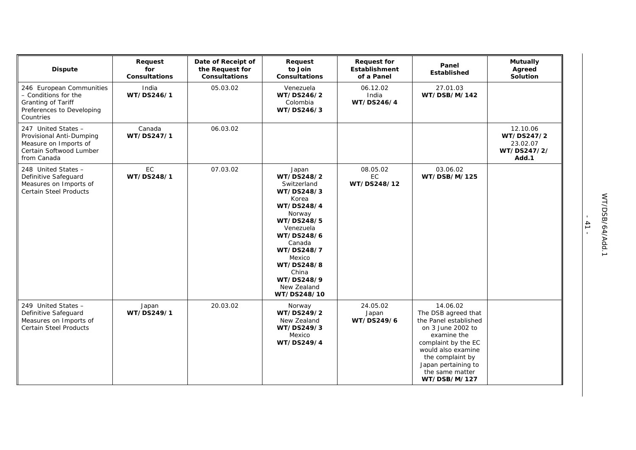| <b>Dispute</b>                                                                                                     | Request<br>for<br><b>Consultations</b> | Date of Receipt of<br>the Request for<br><b>Consultations</b> | Request<br>to Join<br><b>Consultations</b>                                                                                                                                                                                      | <b>Request for</b><br>Establishment<br>of a Panel | Panel<br>Established                                                                                                                                                                                                    | <b>Mutually</b><br>Agreed<br>Solution                      |
|--------------------------------------------------------------------------------------------------------------------|----------------------------------------|---------------------------------------------------------------|---------------------------------------------------------------------------------------------------------------------------------------------------------------------------------------------------------------------------------|---------------------------------------------------|-------------------------------------------------------------------------------------------------------------------------------------------------------------------------------------------------------------------------|------------------------------------------------------------|
| 246 European Communities<br>- Conditions for the<br>Granting of Tariff<br>Preferences to Developing<br>Countries   | India<br>WT/DS246/1                    | 05.03.02                                                      | Venezuela<br>WT/DS246/2<br>Colombia<br>WT/DS246/3                                                                                                                                                                               | 06.12.02<br>India<br>WT/DS246/4                   | 27.01.03<br>WT/DSB/M/142                                                                                                                                                                                                |                                                            |
| 247 United States -<br>Provisional Anti-Dumping<br>Measure on Imports of<br>Certain Softwood Lumber<br>from Canada | Canada<br>WT/DS247/1                   | 06.03.02                                                      |                                                                                                                                                                                                                                 |                                                   |                                                                                                                                                                                                                         | 12.10.06<br>WT/DS247/2<br>23.02.07<br>WT/DS247/2/<br>Add.1 |
| 248 United States -<br>Definitive Safeguard<br>Measures on Imports of<br><b>Certain Steel Products</b>             | EC<br>WT/DS248/1                       | 07.03.02                                                      | Japan<br>WT/DS248/2<br>Switzerland<br>WT/DS248/3<br>Korea<br>WT/DS248/4<br>Norway<br>WT/DS248/5<br>Venezuela<br>WT/DS248/6<br>Canada<br>WT/DS248/7<br>Mexico<br>WT/DS248/8<br>China<br>WT/DS248/9<br>New Zealand<br>WT/DS248/10 | 08.05.02<br>EC<br>WT/DS248/12                     | 03.06.02<br>WT/DSB/M/125                                                                                                                                                                                                |                                                            |
| 249 United States -<br>Definitive Safeguard<br>Measures on Imports of<br><b>Certain Steel Products</b>             | Japan<br>WT/DS249/1                    | 20.03.02                                                      | Norway<br>WT/DS249/2<br>New Zealand<br>WT/DS249/3<br>Mexico<br>WT/DS249/4                                                                                                                                                       | 24.05.02<br>Japan<br>WT/DS249/6                   | 14.06.02<br>The DSB agreed that<br>the Panel established<br>on 3 June 2002 to<br>examine the<br>complaint by the EC<br>would also examine<br>the complaint by<br>Japan pertaining to<br>the same matter<br>WT/DSB/M/127 |                                                            |

- 41 -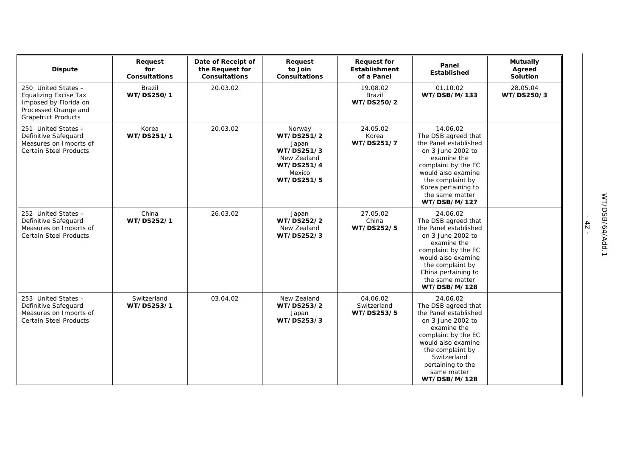| <b>Dispute</b>                                                                                                                     | Request<br>for<br><b>Consultations</b> | Date of Receipt of<br>the Request for<br><b>Consultations</b> | Request<br>to Join<br><b>Consultations</b>                                                       | <b>Request for</b><br>Establishment<br>of a Panel | Panel<br>Established                                                                                                                                                                                                             | <b>Mutually</b><br>Agreed<br>Solution |
|------------------------------------------------------------------------------------------------------------------------------------|----------------------------------------|---------------------------------------------------------------|--------------------------------------------------------------------------------------------------|---------------------------------------------------|----------------------------------------------------------------------------------------------------------------------------------------------------------------------------------------------------------------------------------|---------------------------------------|
| 250 United States -<br><b>Equalizing Excise Tax</b><br>Imposed by Florida on<br>Processed Orange and<br><b>Grapefruit Products</b> | Brazil<br>WT/DS250/1                   | 20.03.02                                                      |                                                                                                  | 19.08.02<br>Brazil<br>WT/DS250/2                  | 01.10.02<br>WT/DSB/M/133                                                                                                                                                                                                         | 28.05.04<br>WT/DS250/3                |
| 251 United States -<br>Definitive Safeguard<br>Measures on Imports of<br><b>Certain Steel Products</b>                             | Korea<br>WT/DS251/1                    | 20.03.02                                                      | Norway<br>WT/DS251/2<br>Japan<br>WT/DS251/3<br>New Zealand<br>WT/DS251/4<br>Mexico<br>WT/DS251/5 | 24.05.02<br>Korea<br>WT/DS251/7                   | 14.06.02<br>The DSB agreed that<br>the Panel established<br>on 3 June 2002 to<br>examine the<br>complaint by the EC<br>would also examine<br>the complaint by<br>Korea pertaining to<br>the same matter<br>WT/DSB/M/127          |                                       |
| 252 United States -<br>Definitive Safeguard<br>Measures on Imports of<br><b>Certain Steel Products</b>                             | China<br>WT/DS252/1                    | 26.03.02                                                      | Japan<br>WT/DS252/2<br>New Zealand<br>WT/DS252/3                                                 | 27.05.02<br>China<br>WT/DS252/5                   | 24.06.02<br>The DSB agreed that<br>the Panel established<br>on 3 June 2002 to<br>examine the<br>complaint by the EC<br>would also examine<br>the complaint by<br>China pertaining to<br>the same matter<br>WT/DSB/M/128          |                                       |
| 253 United States -<br>Definitive Safeguard<br>Measures on Imports of<br><b>Certain Steel Products</b>                             | Switzerland<br>WT/DS253/1              | 03.04.02                                                      | New Zealand<br>WT/DS253/2<br>Japan<br>WT/DS253/3                                                 | 04.06.02<br>Switzerland<br>WT/DS253/5             | 24.06.02<br>The DSB agreed that<br>the Panel established<br>on 3 June 2002 to<br>examine the<br>complaint by the EC<br>would also examine<br>the complaint by<br>Switzerland<br>pertaining to the<br>same matter<br>WT/DSB/M/128 |                                       |

- 42 -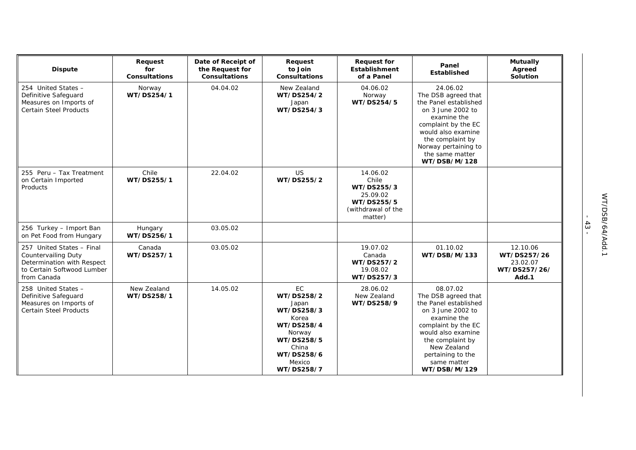| <b>Dispute</b>                                                                                                                     | Request<br>for<br><b>Consultations</b> | Date of Receipt of<br>the Request for<br><b>Consultations</b> | Request<br>to Join<br><b>Consultations</b>                                                                                                   | <b>Request for</b><br><b>Establishment</b><br>of a Panel                                   | Panel<br>Established                                                                                                                                                                                                             | <b>Mutually</b><br>Agreed<br>Solution                        |
|------------------------------------------------------------------------------------------------------------------------------------|----------------------------------------|---------------------------------------------------------------|----------------------------------------------------------------------------------------------------------------------------------------------|--------------------------------------------------------------------------------------------|----------------------------------------------------------------------------------------------------------------------------------------------------------------------------------------------------------------------------------|--------------------------------------------------------------|
| 254 United States -<br>Definitive Safeguard<br>Measures on Imports of<br><b>Certain Steel Products</b>                             | Norway<br>WT/DS254/1                   | 04.04.02                                                      | New Zealand<br>WT/DS254/2<br>Japan<br>WT/DS254/3                                                                                             | 04.06.02<br>Norway<br>WT/DS254/5                                                           | 24.06.02<br>The DSB agreed that<br>the Panel established<br>on 3 June 2002 to<br>examine the<br>complaint by the EC<br>would also examine<br>the complaint by<br>Norway pertaining to<br>the same matter<br>WT/DSB/M/128         |                                                              |
| 255 Peru - Tax Treatment<br>on Certain Imported<br>Products                                                                        | Chile<br>WT/DS255/1                    | 22.04.02                                                      | <b>US</b><br>WT/DS255/2                                                                                                                      | 14.06.02<br>Chile<br>WT/DS255/3<br>25.09.02<br>WT/DS255/5<br>(withdrawal of the<br>matter) |                                                                                                                                                                                                                                  |                                                              |
| 256 Turkey - Import Ban<br>on Pet Food from Hungary                                                                                | Hungary<br>WT/DS256/1                  | 03.05.02                                                      |                                                                                                                                              |                                                                                            |                                                                                                                                                                                                                                  |                                                              |
| 257 United States - Final<br><b>Countervailing Duty</b><br>Determination with Respect<br>to Certain Softwood Lumber<br>from Canada | Canada<br>WT/DS257/1                   | 03.05.02                                                      |                                                                                                                                              | 19.07.02<br>Canada<br>WT/DS257/2<br>19.08.02<br>WT/DS257/3                                 | 01.10.02<br>WT/DSB/M/133                                                                                                                                                                                                         | 12.10.06<br>WT/DS257/26<br>23.02.07<br>WT/DS257/26/<br>Add.1 |
| 258 United States -<br>Definitive Safeguard<br>Measures on Imports of<br><b>Certain Steel Products</b>                             | New Zealand<br>WT/DS258/1              | 14.05.02                                                      | <b>EC</b><br>WT/DS258/2<br>Japan<br>WT/DS258/3<br>Korea<br>WT/DS258/4<br>Norway<br>WT/DS258/5<br>China<br>WT/DS258/6<br>Mexico<br>WT/DS258/7 | 28.06.02<br>New Zealand<br>WT/DS258/9                                                      | 08.07.02<br>The DSB agreed that<br>the Panel established<br>on 3 June 2002 to<br>examine the<br>complaint by the EC<br>would also examine<br>the complaint by<br>New Zealand<br>pertaining to the<br>same matter<br>WT/DSB/M/129 |                                                              |

- 43 -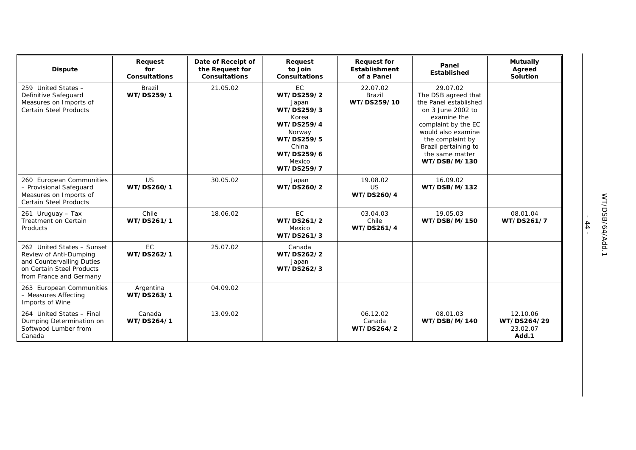| <b>Dispute</b>                                                                                                                            | Request<br>for<br><b>Consultations</b> | Date of Receipt of<br>the Request for<br><b>Consultations</b> | Request<br>to Join<br><b>Consultations</b>                                                                                            | <b>Request for</b><br><b>Establishment</b><br>of a Panel | Panel<br><b>Established</b>                                                                                                                                                                                              | <b>Mutually</b><br>Agreed<br>Solution        |
|-------------------------------------------------------------------------------------------------------------------------------------------|----------------------------------------|---------------------------------------------------------------|---------------------------------------------------------------------------------------------------------------------------------------|----------------------------------------------------------|--------------------------------------------------------------------------------------------------------------------------------------------------------------------------------------------------------------------------|----------------------------------------------|
| 259 United States -<br>Definitive Safeguard<br>Measures on Imports of<br><b>Certain Steel Products</b>                                    | <b>Brazil</b><br>WT/DS259/1            | 21.05.02                                                      | EC<br>WT/DS259/2<br>Japan<br>WT/DS259/3<br>Korea<br>WT/DS259/4<br>Norway<br>WT/DS259/5<br>China<br>WT/DS259/6<br>Mexico<br>WT/DS259/7 | 22.07.02<br>Brazil<br>WT/DS259/10                        | 29.07.02<br>The DSB agreed that<br>the Panel established<br>on 3 June 2002 to<br>examine the<br>complaint by the EC<br>would also examine<br>the complaint by<br>Brazil pertaining to<br>the same matter<br>WT/DSB/M/130 |                                              |
| 260 European Communities<br>- Provisional Safeguard<br>Measures on Imports of<br><b>Certain Steel Products</b>                            | <b>US</b><br>WT/DS260/1                | 30.05.02                                                      | Japan<br>WT/DS260/2                                                                                                                   | 19.08.02<br><b>US</b><br>WT/DS260/4                      | 16.09.02<br>WT/DSB/M/132                                                                                                                                                                                                 |                                              |
| 261 Uruguay - Tax<br>Treatment on Certain<br>Products                                                                                     | Chile<br>WT/DS261/1                    | 18.06.02                                                      | EC<br>WT/DS261/2<br>Mexico<br>WT/DS261/3                                                                                              | 03.04.03<br>Chile<br>WT/DS261/4                          | 19.05.03<br>WT/DSB/M/150                                                                                                                                                                                                 | 08.01.04<br>WT/DS261/7                       |
| 262 United States - Sunset<br>Review of Anti-Dumping<br>and Countervailing Duties<br>on Certain Steel Products<br>from France and Germany | EC<br>WT/DS262/1                       | 25.07.02                                                      | Canada<br>WT/DS262/2<br>Japan<br>WT/DS262/3                                                                                           |                                                          |                                                                                                                                                                                                                          |                                              |
| 263 European Communities<br>- Measures Affecting<br>Imports of Wine                                                                       | Argentina<br>WT/DS263/1                | 04.09.02                                                      |                                                                                                                                       |                                                          |                                                                                                                                                                                                                          |                                              |
| 264 United States - Final<br>Dumping Determination on<br>Softwood Lumber from<br>Canada                                                   | Canada<br>WT/DS264/1                   | 13.09.02                                                      |                                                                                                                                       | 06.12.02<br>Canada<br>WT/DS264/2                         | 08.01.03<br>WT/DSB/M/140                                                                                                                                                                                                 | 12.10.06<br>WT/DS264/29<br>23.02.07<br>Add.1 |

- 44 -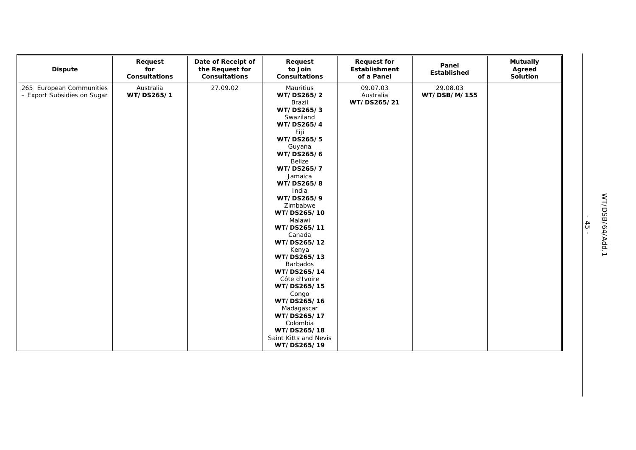| <b>Dispute</b>                                          | Request<br>for<br>Consultations | Date of Receipt of<br>the Request for<br>Consultations | Request<br>to Join<br>Consultations                                                                                                                                                                                                                                                                                                                                                                           | <b>Request for</b><br>Establishment<br>of a Panel | Panel<br>Established     | <b>Mutually</b><br>Agreed<br>Solution |
|---------------------------------------------------------|---------------------------------|--------------------------------------------------------|---------------------------------------------------------------------------------------------------------------------------------------------------------------------------------------------------------------------------------------------------------------------------------------------------------------------------------------------------------------------------------------------------------------|---------------------------------------------------|--------------------------|---------------------------------------|
| 265 European Communities<br>- Export Subsidies on Sugar | Australia<br>WT/DS265/1         | 27.09.02                                               | Mauritius<br>WT/DS265/2<br>Brazil<br>WT/DS265/3<br>Swaziland<br>WT/DS265/4<br>Fiji<br>WT/DS265/5<br>Guyana<br>WT/DS265/6<br>Belize<br>WT/DS265/7<br>Jamaica<br>WT/DS265/8<br>India<br>WT/DS265/9<br>Zimbabwe<br>WT/DS265/10<br>Malawi<br>WT/DS265/11<br>Canada<br>WT/DS265/12<br>Kenya<br>WT/DS265/13<br><b>Barbados</b><br>WT/DS265/14<br>Côte d'Ivoire<br>WT/DS265/15<br>Congo<br>WT/DS265/16<br>Madagascar | 09.07.03<br>Australia<br>WT/DS265/21              | 29.08.03<br>WT/DSB/M/155 |                                       |
|                                                         |                                 |                                                        | WT/DS265/17<br>Colombia<br>WT/DS265/18                                                                                                                                                                                                                                                                                                                                                                        |                                                   |                          |                                       |
|                                                         |                                 |                                                        | Saint Kitts and Nevis<br>WT/DS265/19                                                                                                                                                                                                                                                                                                                                                                          |                                                   |                          |                                       |

- 45 -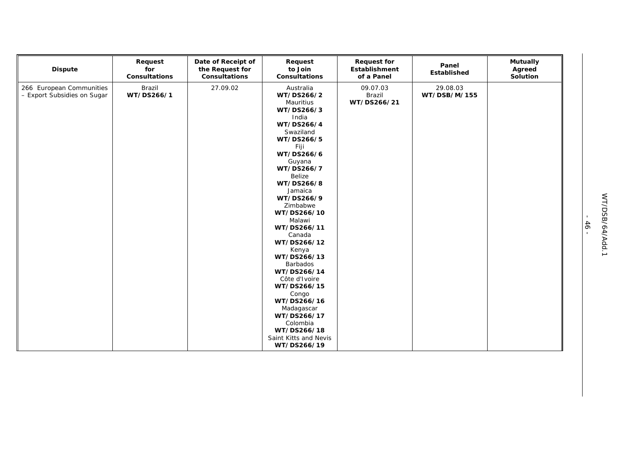| <b>Dispute</b>                                          | Request<br>for<br>Consultations | Date of Receipt of<br>the Request for<br>Consultations | Request<br>to Join<br>Consultations                                                                                                                                                                                                                                                                                                                                                                       | <b>Request for</b><br>Establishment<br>of a Panel | Panel<br>Established     | <b>Mutually</b><br>Agreed<br>Solution |
|---------------------------------------------------------|---------------------------------|--------------------------------------------------------|-----------------------------------------------------------------------------------------------------------------------------------------------------------------------------------------------------------------------------------------------------------------------------------------------------------------------------------------------------------------------------------------------------------|---------------------------------------------------|--------------------------|---------------------------------------|
| 266 European Communities<br>- Export Subsidies on Sugar | Brazil<br>WT/DS266/1            | 27.09.02                                               | Australia<br>WT/DS266/2<br>Mauritius<br>WT/DS266/3<br>India<br>WT/DS266/4<br>Swaziland<br>WT/DS266/5<br>Fiji<br>WT/DS266/6<br>Guyana<br>WT/DS266/7<br><b>Belize</b><br>WT/DS266/8<br>Jamaica<br>WT/DS266/9<br>Zimbabwe<br>WT/DS266/10<br>Malawi<br>WT/DS266/11<br>Canada<br>WT/DS266/12<br>Kenya<br>WT/DS266/13<br><b>Barbados</b><br>WT/DS266/14<br>Côte d'Ivoire<br>WT/DS266/15<br>Congo<br>WT/DS266/16 | 09.07.03<br>Brazil<br>WT/DS266/21                 | 29.08.03<br>WT/DSB/M/155 |                                       |
|                                                         |                                 |                                                        | Madagascar<br>WT/DS266/17<br>Colombia<br>WT/DS266/18<br>Saint Kitts and Nevis<br>WT/DS266/19                                                                                                                                                                                                                                                                                                              |                                                   |                          |                                       |

- 46 -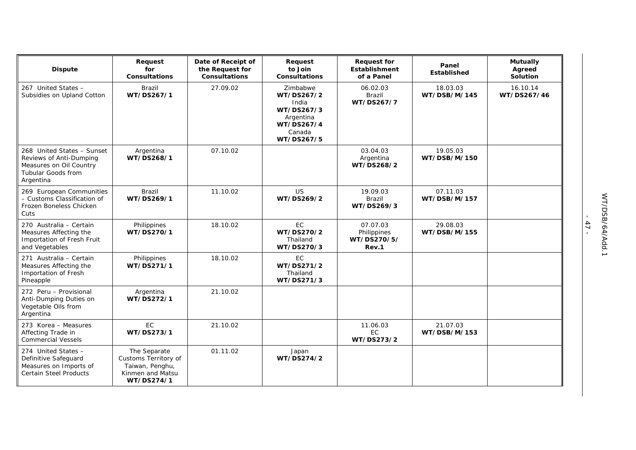| <b>Dispute</b>                                                                                                      | Request<br>for<br><b>Consultations</b>                                                    | Date of Receipt of<br>the Request for<br><b>Consultations</b> | Request<br>to Join<br><b>Consultations</b>                                                       | <b>Request for</b><br>Establishment<br>of a Panel | Panel<br><b>Established</b> | <b>Mutually</b><br>Agreed<br>Solution |
|---------------------------------------------------------------------------------------------------------------------|-------------------------------------------------------------------------------------------|---------------------------------------------------------------|--------------------------------------------------------------------------------------------------|---------------------------------------------------|-----------------------------|---------------------------------------|
| 267 United States -<br>Subsidies on Upland Cotton                                                                   | <b>Brazil</b><br>WT/DS267/1                                                               | 27.09.02                                                      | Zimbabwe<br>WT/DS267/2<br>India<br>WT/DS267/3<br>Argentina<br>WT/DS267/4<br>Canada<br>WT/DS267/5 | 06.02.03<br><b>Brazil</b><br>WT/DS267/7           | 18.03.03<br>WT/DSB/M/145    | 16.10.14<br>WT/DS267/46               |
| 268 United States - Sunset<br>Reviews of Anti-Dumping<br>Measures on Oil Country<br>Tubular Goods from<br>Argentina | Argentina<br>WT/DS268/1                                                                   | 07.10.02                                                      |                                                                                                  | 03.04.03<br>Argentina<br>WT/DS268/2               | 19.05.03<br>WT/DSB/M/150    |                                       |
| 269 European Communities<br>- Customs Classification of<br>Frozen Boneless Chicken<br>Cuts                          | Brazil<br>WT/DS269/1                                                                      | 11.10.02                                                      | <b>US</b><br>WT/DS269/2                                                                          | 19.09.03<br><b>Brazil</b><br>WT/DS269/3           | 07.11.03<br>WT/DSB/M/157    |                                       |
| 270 Australia - Certain<br>Measures Affecting the<br>Importation of Fresh Fruit<br>and Vegetables                   | Philippines<br>WT/DS270/1                                                                 | 18.10.02                                                      | EC<br>WT/DS270/2<br>Thailand<br>WT/DS270/3                                                       | 07.07.03<br>Philippines<br>WT/DS270/5/<br>Rev.1   | 29.08.03<br>WT/DSB/M/155    |                                       |
| 271 Australia - Certain<br>Measures Affecting the<br>Importation of Fresh<br>Pineapple                              | Philippines<br>WT/DS271/1                                                                 | 18.10.02                                                      | EC<br>WT/DS271/2<br>Thailand<br>WT/DS271/3                                                       |                                                   |                             |                                       |
| 272 Peru - Provisional<br>Anti-Dumping Duties on<br>Vegetable Oils from<br>Argentina                                | Argentina<br>WT/DS272/1                                                                   | 21.10.02                                                      |                                                                                                  |                                                   |                             |                                       |
| 273 Korea - Measures<br>Affecting Trade in<br><b>Commercial Vessels</b>                                             | EC<br>WT/DS273/1                                                                          | 21.10.02                                                      |                                                                                                  | 11.06.03<br><b>EC</b><br>WT/DS273/2               | 21.07.03<br>WT/DSB/M/153    |                                       |
| 274 United States -<br>Definitive Safeguard<br>Measures on Imports of<br><b>Certain Steel Products</b>              | The Separate<br>Customs Territory of<br>Taiwan, Penghu,<br>Kinmen and Matsu<br>WT/DS274/1 | 01.11.02                                                      | Japan<br>WT/DS274/2                                                                              |                                                   |                             |                                       |

- 47 -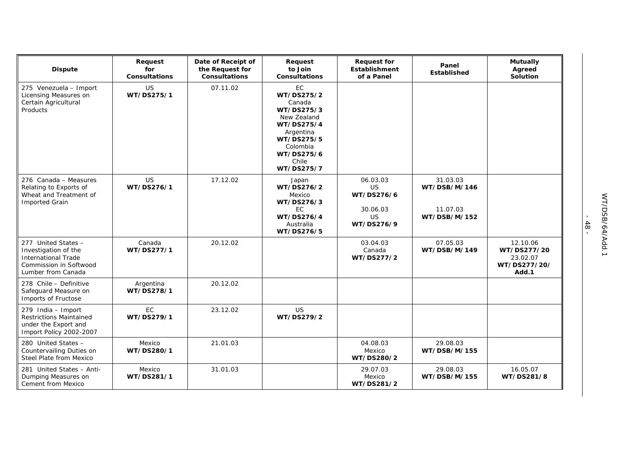| <b>Dispute</b>                                                                                                            | Request<br>for<br><b>Consultations</b> | Date of Receipt of<br>the Request for<br><b>Consultations</b> | Request<br>to Join<br><b>Consultations</b>                                                                                                        | <b>Request for</b><br>Establishment<br>of a Panel                          | Panel<br><b>Established</b>                          | <b>Mutually</b><br>Agreed<br>Solution                        |
|---------------------------------------------------------------------------------------------------------------------------|----------------------------------------|---------------------------------------------------------------|---------------------------------------------------------------------------------------------------------------------------------------------------|----------------------------------------------------------------------------|------------------------------------------------------|--------------------------------------------------------------|
| 275 Venezuela - Import<br>Licensing Measures on<br>Certain Agricultural<br>Products                                       | US<br>WT/DS275/1                       | 07.11.02                                                      | EC<br>WT/DS275/2<br>Canada<br>WT/DS275/3<br>New Zealand<br>WT/DS275/4<br>Argentina<br>WT/DS275/5<br>Colombia<br>WT/DS275/6<br>Chile<br>WT/DS275/7 |                                                                            |                                                      |                                                              |
| 276 Canada - Measures<br>Relating to Exports of<br>Wheat and Treatment of<br><b>Imported Grain</b>                        | US<br>WT/DS276/1                       | 17.12.02                                                      | Japan<br>WT/DS276/2<br>Mexico<br>WT/DS276/3<br>EC.<br>WT/DS276/4<br>Australia<br>WT/DS276/5                                                       | 06.03.03<br><b>US</b><br>WT/DS276/6<br>30.06.03<br><b>US</b><br>WT/DS276/9 | 31.03.03<br>WT/DSB/M/146<br>11.07.03<br>WT/DSB/M/152 |                                                              |
| 277 United States -<br>Investigation of the<br><b>International Trade</b><br>Commission in Softwood<br>Lumber from Canada | Canada<br>WT/DS277/1                   | 20.12.02                                                      |                                                                                                                                                   | 03.04.03<br>Canada<br>WT/DS277/2                                           | 07.05.03<br>WT/DSB/M/149                             | 12.10.06<br>WT/DS277/20<br>23.02.07<br>WT/DS277/20/<br>Add.1 |
| 278 Chile - Definitive<br>Safeguard Measure on<br>Imports of Fructose                                                     | Argentina<br>WT/DS278/1                | 20.12.02                                                      |                                                                                                                                                   |                                                                            |                                                      |                                                              |
| 279 India - Import<br>Restrictions Maintained<br>under the Export and<br>Import Policy 2002-2007                          | <b>EC</b><br>WT/DS279/1                | 23.12.02                                                      | US.<br>WT/DS279/2                                                                                                                                 |                                                                            |                                                      |                                                              |
| 280 United States -<br>Countervailing Duties on<br>Steel Plate from Mexico                                                | Mexico<br>WT/DS280/1                   | 21.01.03                                                      |                                                                                                                                                   | 04.08.03<br>Mexico<br>WT/DS280/2                                           | 29.08.03<br>WT/DSB/M/155                             |                                                              |
| 281 United States - Anti-<br>Dumping Measures on<br>Cement from Mexico                                                    | Mexico<br>WT/DS281/1                   | 31.01.03                                                      |                                                                                                                                                   | 29.07.03<br>Mexico<br>WT/DS281/2                                           | 29.08.03<br>WT/DSB/M/155                             | 16.05.07<br>WT/DS281/8                                       |

- 48 -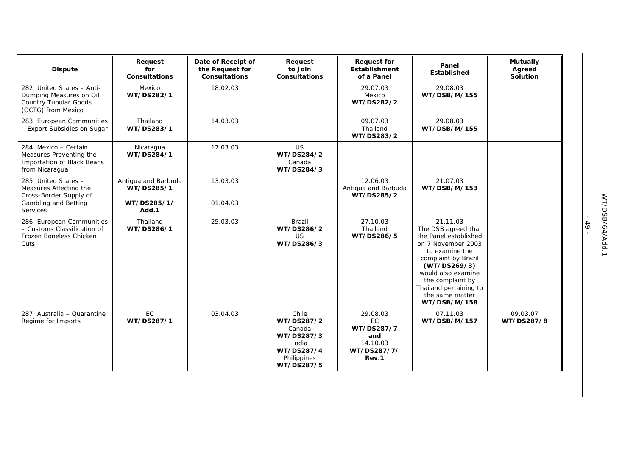| <b>Dispute</b>                                                                                                     | Request<br>for<br><b>Consultations</b>                    | Date of Receipt of<br>the Request for<br><b>Consultations</b> | Request<br>to Join<br><b>Consultations</b>                                                      | <b>Request for</b><br><b>Establishment</b><br>of a Panel                | Panel<br>Established                                                                                                                                                                                                                           | <b>Mutually</b><br>Agreed<br>Solution |
|--------------------------------------------------------------------------------------------------------------------|-----------------------------------------------------------|---------------------------------------------------------------|-------------------------------------------------------------------------------------------------|-------------------------------------------------------------------------|------------------------------------------------------------------------------------------------------------------------------------------------------------------------------------------------------------------------------------------------|---------------------------------------|
| 282 United States - Anti-<br>Dumping Measures on Oil<br>Country Tubular Goods<br>(OCTG) from Mexico                | Mexico<br>WT/DS282/1                                      | 18.02.03                                                      |                                                                                                 | 29.07.03<br>Mexico<br>WT/DS282/2                                        | 29.08.03<br>WT/DSB/M/155                                                                                                                                                                                                                       |                                       |
| 283 European Communities<br>- Export Subsidies on Sugar                                                            | Thailand<br>WT/DS283/1                                    | 14.03.03                                                      |                                                                                                 | 09.07.03<br>Thailand<br>WT/DS283/2                                      | 29.08.03<br>WT/DSB/M/155                                                                                                                                                                                                                       |                                       |
| 284 Mexico - Certain<br>Measures Preventing the<br>Importation of Black Beans<br>from Nicaragua                    | Nicaragua<br>WT/DS284/1                                   | 17.03.03                                                      | <b>US</b><br>WT/DS284/2<br>Canada<br>WT/DS284/3                                                 |                                                                         |                                                                                                                                                                                                                                                |                                       |
| 285 United States -<br>Measures Affecting the<br>Cross-Border Supply of<br>Gambling and Betting<br><b>Services</b> | Antigua and Barbuda<br>WT/DS285/1<br>WT/DS285/1/<br>Add.1 | 13.03.03<br>01.04.03                                          |                                                                                                 | 12.06.03<br>Antigua and Barbuda<br>WT/DS285/2                           | 21.07.03<br>WT/DSB/M/153                                                                                                                                                                                                                       |                                       |
| 286 European Communities<br>- Customs Classification of<br>Frozen Boneless Chicken<br>Cuts                         | Thailand<br>WT/DS286/1                                    | 25.03.03                                                      | <b>Brazil</b><br>WT/DS286/2<br><b>US</b><br>WT/DS286/3                                          | 27.10.03<br>Thailand<br>WT/DS286/5                                      | 21.11.03<br>The DSB agreed that<br>the Panel established<br>on 7 November 2003<br>to examine the<br>complaint by Brazil<br>(WT/DS269/3)<br>would also examine<br>the complaint by<br>Thailand pertaining to<br>the same matter<br>WT/DSB/M/158 |                                       |
| 287 Australia - Quarantine<br>Regime for Imports                                                                   | <b>EC</b><br>WT/DS287/1                                   | 03.04.03                                                      | Chile<br>WT/DS287/2<br>Canada<br>WT/DS287/3<br>India<br>WT/DS287/4<br>Philippines<br>WT/DS287/5 | 29.08.03<br>EC<br>WT/DS287/7<br>and<br>14.10.03<br>WT/DS287/7/<br>Rev.1 | 07.11.03<br>WT/DSB/M/157                                                                                                                                                                                                                       | 09.03.07<br>WT/DS287/8                |

- 49 -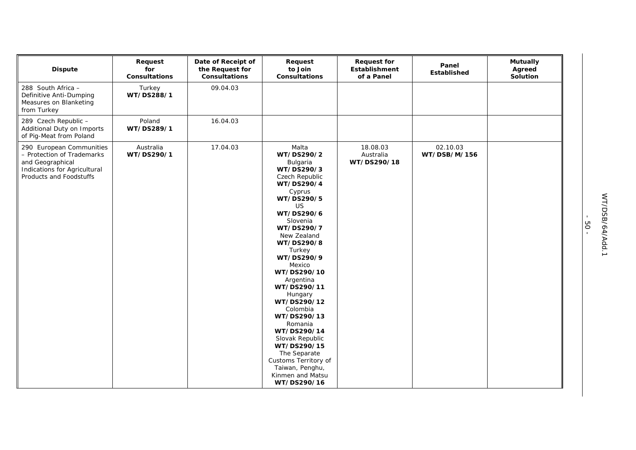| <b>Dispute</b>                                                                                                                        | Request<br>for<br><b>Consultations</b> | Date of Receipt of<br>the Request for<br><b>Consultations</b> | Request<br>to Join<br><b>Consultations</b>                                                                                                                                                                                                                                                                                                                                                                                                                                          | <b>Request for</b><br>Establishment<br>of a Panel | Panel<br>Established     | <b>Mutually</b><br>Agreed<br>Solution |
|---------------------------------------------------------------------------------------------------------------------------------------|----------------------------------------|---------------------------------------------------------------|-------------------------------------------------------------------------------------------------------------------------------------------------------------------------------------------------------------------------------------------------------------------------------------------------------------------------------------------------------------------------------------------------------------------------------------------------------------------------------------|---------------------------------------------------|--------------------------|---------------------------------------|
| 288 South Africa -<br>Definitive Anti-Dumping<br>Measures on Blanketing<br>from Turkey                                                | Turkey<br>WT/DS288/1                   | 09.04.03                                                      |                                                                                                                                                                                                                                                                                                                                                                                                                                                                                     |                                                   |                          |                                       |
| 289 Czech Republic -<br>Additional Duty on Imports<br>of Pig-Meat from Poland                                                         | Poland<br>WT/DS289/1                   | 16.04.03                                                      |                                                                                                                                                                                                                                                                                                                                                                                                                                                                                     |                                                   |                          |                                       |
| 290 European Communities<br>- Protection of Trademarks<br>and Geographical<br>Indications for Agricultural<br>Products and Foodstuffs | Australia<br>WT/DS290/1                | 17.04.03                                                      | Malta<br>WT/DS290/2<br>Bulgaria<br>WT/DS290/3<br>Czech Republic<br>WT/DS290/4<br>Cyprus<br>WT/DS290/5<br><b>US</b><br>WT/DS290/6<br>Slovenia<br>WT/DS290/7<br>New Zealand<br>WT/DS290/8<br>Turkey<br>WT/DS290/9<br>Mexico<br>WT/DS290/10<br>Argentina<br>WT/DS290/11<br>Hungary<br>WT/DS290/12<br>Colombia<br>WT/DS290/13<br>Romania<br>WT/DS290/14<br>Slovak Republic<br>WT/DS290/15<br>The Separate<br>Customs Territory of<br>Taiwan, Penghu,<br>Kinmen and Matsu<br>WT/DS290/16 | 18.08.03<br>Australia<br>WT/DS290/18              | 02.10.03<br>WT/DSB/M/156 |                                       |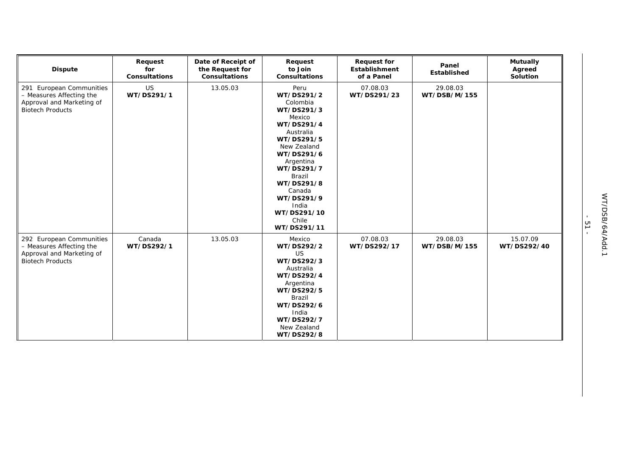| <b>Dispute</b>                                                                                               | Request<br>for<br><b>Consultations</b> | Date of Receipt of<br>the Request for<br>Consultations | Request<br>to Join<br>Consultations                                                                                                                                                                                                                     | <b>Request for</b><br>Establishment<br>of a Panel | Panel<br>Established     | <b>Mutually</b><br>Agreed<br>Solution |
|--------------------------------------------------------------------------------------------------------------|----------------------------------------|--------------------------------------------------------|---------------------------------------------------------------------------------------------------------------------------------------------------------------------------------------------------------------------------------------------------------|---------------------------------------------------|--------------------------|---------------------------------------|
| 291 European Communities<br>- Measures Affecting the<br>Approval and Marketing of<br><b>Biotech Products</b> | US<br>WT/DS291/1                       | 13.05.03                                               | Peru<br>WT/DS291/2<br>Colombia<br>WT/DS291/3<br>Mexico<br>WT/DS291/4<br>Australia<br>WT/DS291/5<br>New Zealand<br>WT/DS291/6<br>Argentina<br>WT/DS291/7<br>Brazil<br>WT/DS291/8<br>Canada<br>WT/DS291/9<br>India<br>WT/DS291/10<br>Chile<br>WT/DS291/11 | 07.08.03<br>WT/DS291/23                           | 29.08.03<br>WT/DSB/M/155 |                                       |
| 292 European Communities<br>- Measures Affecting the<br>Approval and Marketing of<br><b>Biotech Products</b> | Canada<br>WT/DS292/1                   | 13.05.03                                               | Mexico<br>WT/DS292/2<br><b>US</b><br>WT/DS292/3<br>Australia<br>WT/DS292/4<br>Argentina<br>WT/DS292/5<br>Brazil<br>WT/DS292/6<br>India<br>WT/DS292/7<br>New Zealand<br>WT/DS292/8                                                                       | 07.08.03<br>WT/DS292/17                           | 29.08.03<br>WT/DSB/M/155 | 15.07.09<br>WT/DS292/40               |

- 51 -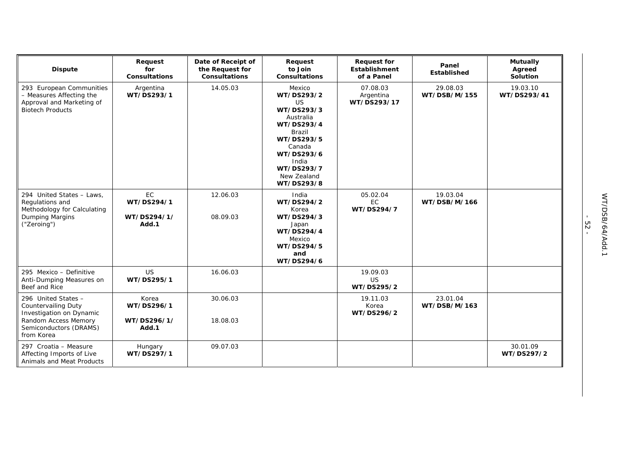| <b>Dispute</b>                                                                                                                         | Request<br>for<br><b>Consultations</b>      | Date of Receipt of<br>the Request for<br><b>Consultations</b> | Request<br>to Join<br><b>Consultations</b>                                                                                                                                     | <b>Request for</b><br>Establishment<br>of a Panel | Panel<br><b>Established</b> | <b>Mutually</b><br>Agreed<br><b>Solution</b> |
|----------------------------------------------------------------------------------------------------------------------------------------|---------------------------------------------|---------------------------------------------------------------|--------------------------------------------------------------------------------------------------------------------------------------------------------------------------------|---------------------------------------------------|-----------------------------|----------------------------------------------|
| 293 European Communities<br>- Measures Affecting the<br>Approval and Marketing of<br><b>Biotech Products</b>                           | Argentina<br>WT/DS293/1                     | 14.05.03                                                      | Mexico<br>WT/DS293/2<br>US<br>WT/DS293/3<br>Australia<br>WT/DS293/4<br><b>Brazil</b><br>WT/DS293/5<br>Canada<br>WT/DS293/6<br>India<br>WT/DS293/7<br>New Zealand<br>WT/DS293/8 | 07.08.03<br>Argentina<br>WT/DS293/17              | 29.08.03<br>WT/DSB/M/155    | 19.03.10<br>WT/DS293/41                      |
| 294 United States - Laws.<br>Regulations and<br>Methodology for Calculating<br>Dumping Margins<br>("Zeroing")                          | EC<br>WT/DS294/1<br>WT/DS294/1/<br>Add.1    | 12.06.03<br>08.09.03                                          | India<br>WT/DS294/2<br>Korea<br>WT/DS294/3<br>Japan<br>WT/DS294/4<br>Mexico<br>WT/DS294/5<br>and<br>WT/DS294/6                                                                 | 05.02.04<br>EC.<br>WT/DS294/7                     | 19.03.04<br>WT/DSB/M/166    |                                              |
| 295 Mexico - Definitive<br>Anti-Dumping Measures on<br>Beef and Rice                                                                   | <b>US</b><br>WT/DS295/1                     | 16.06.03                                                      |                                                                                                                                                                                | 19.09.03<br><b>US</b><br>WT/DS295/2               |                             |                                              |
| 296 United States -<br>Countervailing Duty<br>Investigation on Dynamic<br>Random Access Memory<br>Semiconductors (DRAMS)<br>from Korea | Korea<br>WT/DS296/1<br>WT/DS296/1/<br>Add.1 | 30.06.03<br>18.08.03                                          |                                                                                                                                                                                | 19.11.03<br>Korea<br>WT/DS296/2                   | 23.01.04<br>WT/DSB/M/163    |                                              |
| 297 Croatia - Measure<br>Affecting Imports of Live<br>Animals and Meat Products                                                        | Hungary<br>WT/DS297/1                       | 09.07.03                                                      |                                                                                                                                                                                |                                                   |                             | 30.01.09<br>WT/DS297/2                       |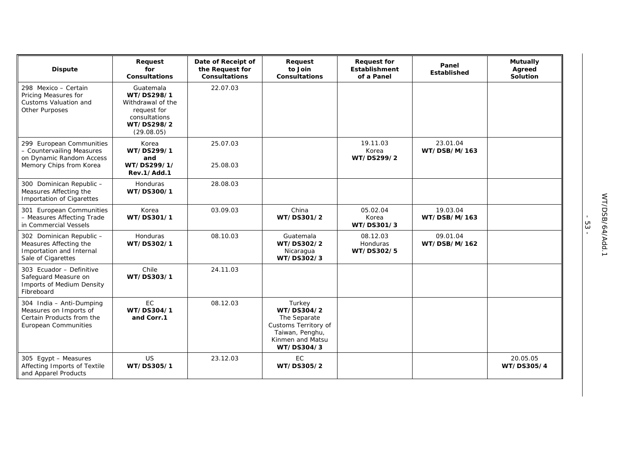| <b>Dispute</b>                                                                                                 | Request<br>for<br><b>Consultations</b>                                                                   | Date of Receipt of<br>the Request for<br><b>Consultations</b> | Request<br>to Join<br><b>Consultations</b>                                                                        | <b>Request for</b><br><b>Establishment</b><br>of a Panel | Panel<br><b>Established</b> | <b>Mutually</b><br>Agreed<br>Solution |
|----------------------------------------------------------------------------------------------------------------|----------------------------------------------------------------------------------------------------------|---------------------------------------------------------------|-------------------------------------------------------------------------------------------------------------------|----------------------------------------------------------|-----------------------------|---------------------------------------|
| 298 Mexico - Certain<br>Pricing Measures for<br>Customs Valuation and<br><b>Other Purposes</b>                 | Guatemala<br>WT/DS298/1<br>Withdrawal of the<br>request for<br>consultations<br>WT/DS298/2<br>(29.08.05) | 22.07.03                                                      |                                                                                                                   |                                                          |                             |                                       |
| 299 European Communities<br>- Countervailing Measures<br>on Dynamic Random Access<br>Memory Chips from Korea   | Korea<br>WT/DS299/1<br>and<br>WT/DS299/1/<br>Rev.1/Add.1                                                 | 25.07.03<br>25.08.03                                          |                                                                                                                   | 19.11.03<br>Korea<br>WT/DS299/2                          | 23.01.04<br>WT/DSB/M/163    |                                       |
| 300 Dominican Republic -<br>Measures Affecting the<br>Importation of Cigarettes                                | Honduras<br>WT/DS300/1                                                                                   | 28.08.03                                                      |                                                                                                                   |                                                          |                             |                                       |
| 301 European Communities<br>- Measures Affecting Trade<br>in Commercial Vessels                                | Korea<br>WT/DS301/1                                                                                      | 03.09.03                                                      | China<br>WT/DS301/2                                                                                               | 05.02.04<br>Korea<br>WT/DS301/3                          | 19.03.04<br>WT/DSB/M/163    |                                       |
| 302 Dominican Republic -<br>Measures Affecting the<br>Importation and Internal<br>Sale of Cigarettes           | Honduras<br>WT/DS302/1                                                                                   | 08.10.03                                                      | Guatemala<br>WT/DS302/2<br>Nicaragua<br>WT/DS302/3                                                                | 08.12.03<br>Honduras<br>WT/DS302/5                       | 09.01.04<br>WT/DSB/M/162    |                                       |
| 303 Ecuador - Definitive<br>Safeguard Measure on<br>Imports of Medium Density<br>Fibreboard                    | Chile<br>WT/DS303/1                                                                                      | 24.11.03                                                      |                                                                                                                   |                                                          |                             |                                       |
| 304 India - Anti-Dumping<br>Measures on Imports of<br>Certain Products from the<br><b>European Communities</b> | <b>EC</b><br>WT/DS304/1<br>and Corr.1                                                                    | 08.12.03                                                      | Turkey<br>WT/DS304/2<br>The Separate<br>Customs Territory of<br>Taiwan, Penghu,<br>Kinmen and Matsu<br>WT/DS304/3 |                                                          |                             |                                       |
| 305 Egypt - Measures<br>Affecting Imports of Textile<br>and Apparel Products                                   | US<br>WT/DS305/1                                                                                         | 23.12.03                                                      | EC<br>WT/DS305/2                                                                                                  |                                                          |                             | 20.05.05<br>WT/DS305/4                |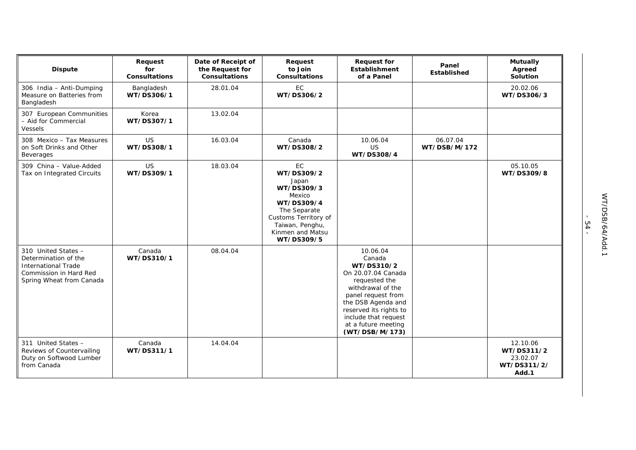| <b>Dispute</b>                                                                                                           | Request<br>for<br><b>Consultations</b> | Date of Receipt of<br>the Request for<br><b>Consultations</b> | Request<br>to Join<br><b>Consultations</b>                                                                                                                   | <b>Request for</b><br><b>Establishment</b><br>of a Panel                                                                                                                                                                            | Panel<br>Established     | <b>Mutually</b><br>Agreed<br>Solution                      |
|--------------------------------------------------------------------------------------------------------------------------|----------------------------------------|---------------------------------------------------------------|--------------------------------------------------------------------------------------------------------------------------------------------------------------|-------------------------------------------------------------------------------------------------------------------------------------------------------------------------------------------------------------------------------------|--------------------------|------------------------------------------------------------|
| 306 India - Anti-Dumping<br>Measure on Batteries from<br>Bangladesh                                                      | Bangladesh<br>WT/DS306/1               | 28.01.04                                                      | EC<br>WT/DS306/2                                                                                                                                             |                                                                                                                                                                                                                                     |                          | 20.02.06<br>WT/DS306/3                                     |
| 307 European Communities<br>- Aid for Commercial<br>Vessels                                                              | Korea<br>WT/DS307/1                    | 13.02.04                                                      |                                                                                                                                                              |                                                                                                                                                                                                                                     |                          |                                                            |
| 308 Mexico - Tax Measures<br>on Soft Drinks and Other<br><b>Beverages</b>                                                | <b>US</b><br>WT/DS308/1                | 16.03.04                                                      | Canada<br>WT/DS308/2                                                                                                                                         | 10.06.04<br><b>US</b><br>WT/DS308/4                                                                                                                                                                                                 | 06.07.04<br>WT/DSB/M/172 |                                                            |
| 309 China - Value-Added<br>Tax on Integrated Circuits                                                                    | <b>US</b><br>WT/DS309/1                | 18.03.04                                                      | EC<br>WT/DS309/2<br>Japan<br>WT/DS309/3<br>Mexico<br>WT/DS309/4<br>The Separate<br>Customs Territory of<br>Taiwan, Penghu,<br>Kinmen and Matsu<br>WT/DS309/5 |                                                                                                                                                                                                                                     |                          | 05.10.05<br>WT/DS309/8                                     |
| 310 United States -<br>Determination of the<br>International Trade<br>Commission in Hard Red<br>Spring Wheat from Canada | Canada<br>WT/DS310/1                   | 08.04.04                                                      |                                                                                                                                                              | 10.06.04<br>Canada<br>WT/DS310/2<br>On 20.07.04 Canada<br>requested the<br>withdrawal of the<br>panel request from<br>the DSB Agenda and<br>reserved its rights to<br>include that request<br>at a future meeting<br>(WT/DSB/M/173) |                          |                                                            |
| 311 United States -<br>Reviews of Countervailing<br>Duty on Softwood Lumber<br>from Canada                               | Canada<br>WT/DS311/1                   | 14.04.04                                                      |                                                                                                                                                              |                                                                                                                                                                                                                                     |                          | 12.10.06<br>WT/DS311/2<br>23.02.07<br>WT/DS311/2/<br>Add.1 |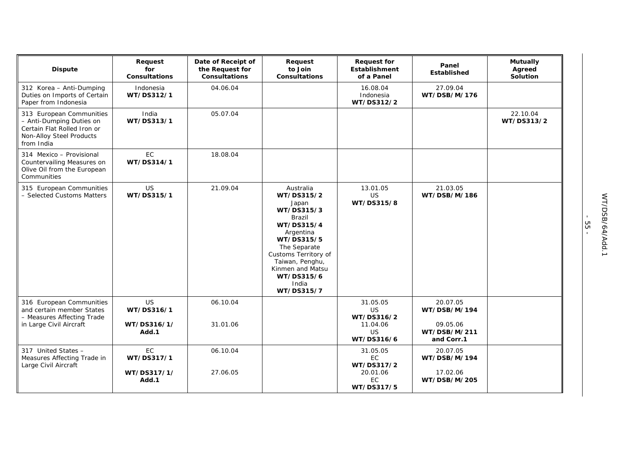| <b>Dispute</b>                                                                                                                | Request<br>for<br><b>Consultations</b> | Date of Receipt of<br>the Request for<br><b>Consultations</b> | Request<br>to Join<br><b>Consultations</b>                                                                                                                                                                            | <b>Request for</b><br>Establishment<br>of a Panel | Panel<br>Established                 | <b>Mutually</b><br>Agreed<br>Solution |
|-------------------------------------------------------------------------------------------------------------------------------|----------------------------------------|---------------------------------------------------------------|-----------------------------------------------------------------------------------------------------------------------------------------------------------------------------------------------------------------------|---------------------------------------------------|--------------------------------------|---------------------------------------|
| 312 Korea - Anti-Dumping<br>Duties on Imports of Certain<br>Paper from Indonesia                                              | Indonesia<br>WT/DS312/1                | 04.06.04                                                      |                                                                                                                                                                                                                       | 16.08.04<br>Indonesia<br>WT/DS312/2               | 27.09.04<br>WT/DSB/M/176             |                                       |
| 313 European Communities<br>- Anti-Dumping Duties on<br>Certain Flat Rolled Iron or<br>Non-Alloy Steel Products<br>from India | India<br>WT/DS313/1                    | 05.07.04                                                      |                                                                                                                                                                                                                       |                                                   |                                      | 22.10.04<br>WT/DS313/2                |
| 314 Mexico - Provisional<br>Countervailing Measures on<br>Olive Oil from the European<br>Communities                          | EC<br>WT/DS314/1                       | 18.08.04                                                      |                                                                                                                                                                                                                       |                                                   |                                      |                                       |
| 315 European Communities<br>- Selected Customs Matters                                                                        | <b>US</b><br>WT/DS315/1                | 21.09.04                                                      | Australia<br>WT/DS315/2<br>Japan<br>WT/DS315/3<br>Brazil<br>WT/DS315/4<br>Argentina<br>WT/DS315/5<br>The Separate<br>Customs Territory of<br>Taiwan, Penghu,<br>Kinmen and Matsu<br>WT/DS315/6<br>India<br>WT/DS315/7 | 13.01.05<br>US<br>WT/DS315/8                      | 21.03.05<br>WT/DSB/M/186             |                                       |
| 316 European Communities<br>and certain member States<br>- Measures Affecting Trade<br>in Large Civil Aircraft                | <b>US</b><br>WT/DS316/1<br>WT/DS316/1/ | 06.10.04<br>31.01.06                                          |                                                                                                                                                                                                                       | 31.05.05<br><b>US</b><br>WT/DS316/2<br>11.04.06   | 20.07.05<br>WT/DSB/M/194<br>09.05.06 |                                       |
|                                                                                                                               | Add.1                                  |                                                               |                                                                                                                                                                                                                       | US<br>WT/DS316/6                                  | WT/DSB/M/211<br>and Corr.1           |                                       |
| 317 United States -<br>Measures Affecting Trade in<br>Large Civil Aircraft                                                    | EC<br>WT/DS317/1                       | 06.10.04                                                      |                                                                                                                                                                                                                       | 31.05.05<br>EC<br>WT/DS317/2                      | 20.07.05<br>WT/DSB/M/194             |                                       |
|                                                                                                                               | WT/DS317/1/<br>Add.1                   | 27.06.05                                                      |                                                                                                                                                                                                                       | 20.01.06<br>EC<br>WT/DS317/5                      | 17.02.06<br>WT/DSB/M/205             |                                       |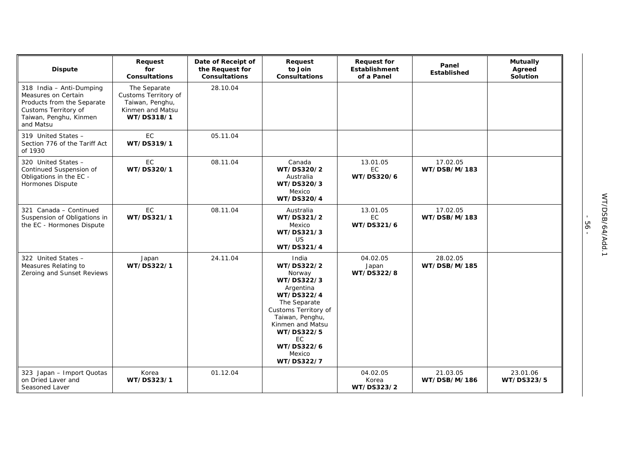| <b>Dispute</b>                                                                                                                               | Request<br>for<br><b>Consultations</b>                                                    | Date of Receipt of<br>the Request for<br><b>Consultations</b> | Request<br>to Join<br><b>Consultations</b>                                                                                                                                                                       | <b>Request for</b><br><b>Establishment</b><br>of a Panel | Panel<br><b>Established</b> | <b>Mutually</b><br>Agreed<br>Solution |
|----------------------------------------------------------------------------------------------------------------------------------------------|-------------------------------------------------------------------------------------------|---------------------------------------------------------------|------------------------------------------------------------------------------------------------------------------------------------------------------------------------------------------------------------------|----------------------------------------------------------|-----------------------------|---------------------------------------|
| 318 India - Anti-Dumping<br>Measures on Certain<br>Products from the Separate<br>Customs Territory of<br>Taiwan, Penghu, Kinmen<br>and Matsu | The Separate<br>Customs Territory of<br>Taiwan, Penghu,<br>Kinmen and Matsu<br>WT/DS318/1 | 28.10.04                                                      |                                                                                                                                                                                                                  |                                                          |                             |                                       |
| 319 United States -<br>Section 776 of the Tariff Act<br>of 1930                                                                              | EC<br>WT/DS319/1                                                                          | 05.11.04                                                      |                                                                                                                                                                                                                  |                                                          |                             |                                       |
| 320 United States -<br>Continued Suspension of<br>Obligations in the EC -<br>Hormones Dispute                                                | EC<br>WT/DS320/1                                                                          | 08.11.04                                                      | Canada<br>WT/DS320/2<br>Australia<br>WT/DS320/3<br>Mexico<br>WT/DS320/4                                                                                                                                          | 13.01.05<br>EC<br>WT/DS320/6                             | 17.02.05<br>WT/DSB/M/183    |                                       |
| 321 Canada - Continued<br>Suspension of Obligations in<br>the EC - Hormones Dispute                                                          | EC<br>WT/DS321/1                                                                          | 08.11.04                                                      | Australia<br>WT/DS321/2<br>Mexico<br>WT/DS321/3<br>US.<br>WT/DS321/4                                                                                                                                             | 13.01.05<br>EC<br>WT/DS321/6                             | 17.02.05<br>WT/DSB/M/183    |                                       |
| 322 United States -<br>Measures Relating to<br>Zeroing and Sunset Reviews                                                                    | Japan<br>WT/DS322/1                                                                       | 24.11.04                                                      | India<br>WT/DS322/2<br>Norway<br>WT/DS322/3<br>Argentina<br>WT/DS322/4<br>The Separate<br>Customs Territory of<br>Taiwan, Penghu,<br>Kinmen and Matsu<br>WT/DS322/5<br>EC.<br>WT/DS322/6<br>Mexico<br>WT/DS322/7 | 04.02.05<br>Japan<br>WT/DS322/8                          | 28.02.05<br>WT/DSB/M/185    |                                       |
| 323 Japan - Import Quotas<br>on Dried Laver and<br>Seasoned Laver                                                                            | Korea<br>WT/DS323/1                                                                       | 01.12.04                                                      |                                                                                                                                                                                                                  | 04.02.05<br>Korea<br>WT/DS323/2                          | 21.03.05<br>WT/DSB/M/186    | 23.01.06<br>WT/DS323/5                |

- 56 -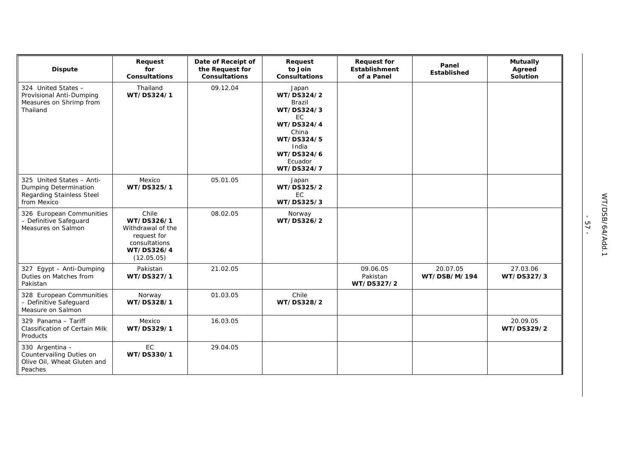| <b>Dispute</b>                                                                                 | Request<br>for<br><b>Consultations</b>                                                               | Date of Receipt of<br>the Request for<br><b>Consultations</b> | Request<br>to Join<br>Consultations                                                                                                                  | <b>Request for</b><br>Establishment<br>of a Panel | Panel<br>Established     | <b>Mutually</b><br>Agreed<br>Solution |
|------------------------------------------------------------------------------------------------|------------------------------------------------------------------------------------------------------|---------------------------------------------------------------|------------------------------------------------------------------------------------------------------------------------------------------------------|---------------------------------------------------|--------------------------|---------------------------------------|
| 324 United States -<br>Provisional Anti-Dumping<br>Measures on Shrimp from<br>Thailand         | Thailand<br>WT/DS324/1                                                                               | 09.12.04                                                      | Japan<br>WT/DS324/2<br><b>Brazil</b><br>WT/DS324/3<br><b>EC</b><br>WT/DS324/4<br>China<br>WT/DS324/5<br>India<br>WT/DS324/6<br>Ecuador<br>WT/DS324/7 |                                                   |                          |                                       |
| 325 United States - Anti-<br>Dumping Determination<br>Regarding Stainless Steel<br>from Mexico | Mexico<br>WT/DS325/1                                                                                 | 05.01.05                                                      | Japan<br>WT/DS325/2<br>EC<br>WT/DS325/3                                                                                                              |                                                   |                          |                                       |
| 326 European Communities<br>- Definitive Safeguard<br>Measures on Salmon                       | Chile<br>WT/DS326/1<br>Withdrawal of the<br>request for<br>consultations<br>WT/DS326/4<br>(12.05.05) | 08.02.05                                                      | Norway<br>WT/DS326/2                                                                                                                                 |                                                   |                          |                                       |
| 327 Egypt - Anti-Dumping<br>Duties on Matches from<br>Pakistan                                 | Pakistan<br>WT/DS327/1                                                                               | 21.02.05                                                      |                                                                                                                                                      | 09.06.05<br>Pakistan<br>WT/DS327/2                | 20.07.05<br>WT/DSB/M/194 | 27.03.06<br>WT/DS327/3                |
| 328 European Communities<br>- Definitive Safeguard<br>Measure on Salmon                        | Norway<br>WT/DS328/1                                                                                 | 01.03.05                                                      | Chile<br>WT/DS328/2                                                                                                                                  |                                                   |                          |                                       |
| 329 Panama - Tariff<br><b>Classification of Certain Milk</b><br>Products                       | Mexico<br>WT/DS329/1                                                                                 | 16.03.05                                                      |                                                                                                                                                      |                                                   |                          | 20.09.05<br>WT/DS329/2                |
| 330 Argentina -<br>Countervailing Duties on<br>Olive Oil, Wheat Gluten and<br>Peaches          | EC<br>WT/DS330/1                                                                                     | 29.04.05                                                      |                                                                                                                                                      |                                                   |                          |                                       |

- 57 -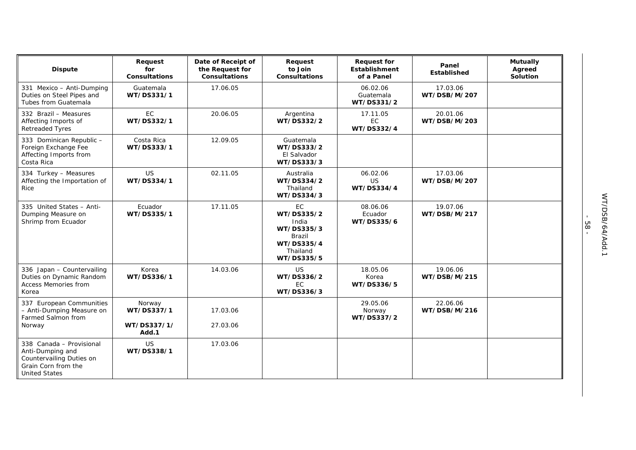| <b>Dispute</b>                                                                                                          | Request<br>for<br><b>Consultations</b>       | Date of Receipt of<br>the Request for<br><b>Consultations</b> | Request<br>to Join<br><b>Consultations</b>                                                       | <b>Request for</b><br>Establishment<br>of a Panel | Panel<br><b>Established</b> | <b>Mutually</b><br>Agreed<br><b>Solution</b> |
|-------------------------------------------------------------------------------------------------------------------------|----------------------------------------------|---------------------------------------------------------------|--------------------------------------------------------------------------------------------------|---------------------------------------------------|-----------------------------|----------------------------------------------|
| 331 Mexico - Anti-Dumping<br>Duties on Steel Pipes and<br>Tubes from Guatemala                                          | Guatemala<br>WT/DS331/1                      | 17.06.05                                                      |                                                                                                  | 06.02.06<br>Guatemala<br>WT/DS331/2               | 17.03.06<br>WT/DSB/M/207    |                                              |
| 332 Brazil - Measures<br>Affecting Imports of<br><b>Retreaded Tyres</b>                                                 | EC<br>WT/DS332/1                             | 20.06.05                                                      | Argentina<br>WT/DS332/2                                                                          | 17.11.05<br>EC.<br>WT/DS332/4                     | 20.01.06<br>WT/DSB/M/203    |                                              |
| 333 Dominican Republic -<br>Foreign Exchange Fee<br>Affecting Imports from<br>Costa Rica                                | Costa Rica<br>WT/DS333/1                     | 12.09.05                                                      | Guatemala<br>WT/DS333/2<br>El Salvador<br>WT/DS333/3                                             |                                                   |                             |                                              |
| 334 Turkey - Measures<br>Affecting the Importation of<br>Rice                                                           | <b>US</b><br>WT/DS334/1                      | 02.11.05                                                      | Australia<br>WT/DS334/2<br>Thailand<br>WT/DS334/3                                                | 06.02.06<br>US.<br>WT/DS334/4                     | 17.03.06<br>WT/DSB/M/207    |                                              |
| 335 United States - Anti-<br>Dumping Measure on<br>Shrimp from Ecuador                                                  | Ecuador<br>WT/DS335/1                        | 17.11.05                                                      | <b>EC</b><br>WT/DS335/2<br>India<br>WT/DS335/3<br>Brazil<br>WT/DS335/4<br>Thailand<br>WT/DS335/5 | 08.06.06<br>Ecuador<br>WT/DS335/6                 | 19.07.06<br>WT/DSB/M/217    |                                              |
| 336 Japan - Countervailing<br>Duties on Dynamic Random<br>Access Memories from<br>Korea                                 | Korea<br>WT/DS336/1                          | 14.03.06                                                      | <b>US</b><br>WT/DS336/2<br><b>EC</b><br>WT/DS336/3                                               | 18.05.06<br>Korea<br>WT/DS336/5                   | 19.06.06<br>WT/DSB/M/215    |                                              |
| 337 European Communities<br>- Anti-Dumping Measure on<br>Farmed Salmon from<br>Norway                                   | Norway<br>WT/DS337/1<br>WT/DS337/1/<br>Add.1 | 17.03.06<br>27.03.06                                          |                                                                                                  | 29.05.06<br>Norway<br>WT/DS337/2                  | 22.06.06<br>WT/DSB/M/216    |                                              |
| 338 Canada - Provisional<br>Anti-Dumping and<br>Countervailing Duties on<br>Grain Corn from the<br><b>United States</b> | US<br>WT/DS338/1                             | 17.03.06                                                      |                                                                                                  |                                                   |                             |                                              |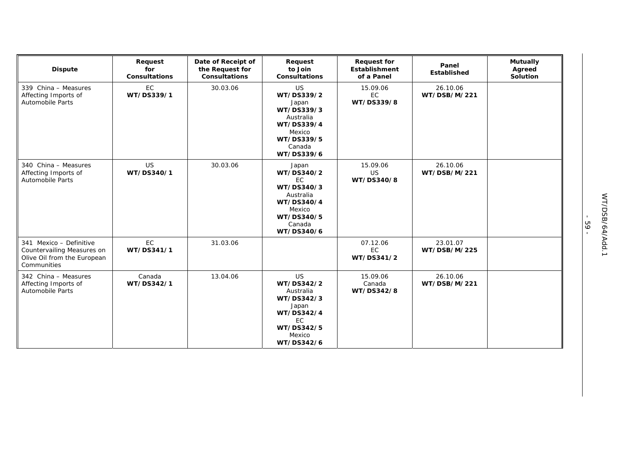| <b>Dispute</b>                                                                                      | Request<br>for<br><b>Consultations</b> | Date of Receipt of<br>the Request for<br><b>Consultations</b> | Request<br>to Join<br><b>Consultations</b>                                                                                | <b>Request for</b><br><b>Establishment</b><br>of a Panel | Panel<br>Established     | <b>Mutually</b><br>Agreed<br>Solution |
|-----------------------------------------------------------------------------------------------------|----------------------------------------|---------------------------------------------------------------|---------------------------------------------------------------------------------------------------------------------------|----------------------------------------------------------|--------------------------|---------------------------------------|
| 339 China - Measures<br>Affecting Imports of<br>Automobile Parts                                    | EC<br>WT/DS339/1                       | 30.03.06                                                      | <b>US</b><br>WT/DS339/2<br>Japan<br>WT/DS339/3<br>Australia<br>WT/DS339/4<br>Mexico<br>WT/DS339/5<br>Canada<br>WT/DS339/6 | 15.09.06<br>EC<br>WT/DS339/8                             | 26.10.06<br>WT/DSB/M/221 |                                       |
| 340 China - Measures<br>Affecting Imports of<br><b>Automobile Parts</b>                             | US<br>WT/DS340/1                       | 30.03.06                                                      | Japan<br>WT/DS340/2<br>EC<br>WT/DS340/3<br>Australia<br>WT/DS340/4<br>Mexico<br>WT/DS340/5<br>Canada<br>WT/DS340/6        | 15.09.06<br><b>US</b><br>WT/DS340/8                      | 26.10.06<br>WT/DSB/M/221 |                                       |
| 341 Mexico - Definitive<br>Countervailing Measures on<br>Olive Oil from the European<br>Communities | EC<br>WT/DS341/1                       | 31.03.06                                                      |                                                                                                                           | 07.12.06<br><b>EC</b><br>WT/DS341/2                      | 23.01.07<br>WT/DSB/M/225 |                                       |
| 342 China - Measures<br>Affecting Imports of<br><b>Automobile Parts</b>                             | Canada<br>WT/DS342/1                   | 13.04.06                                                      | <b>US</b><br>WT/DS342/2<br>Australia<br>WT/DS342/3<br>Japan<br>WT/DS342/4<br>EC<br>WT/DS342/5<br>Mexico<br>WT/DS342/6     | 15.09.06<br>Canada<br>WT/DS342/8                         | 26.10.06<br>WT/DSB/M/221 |                                       |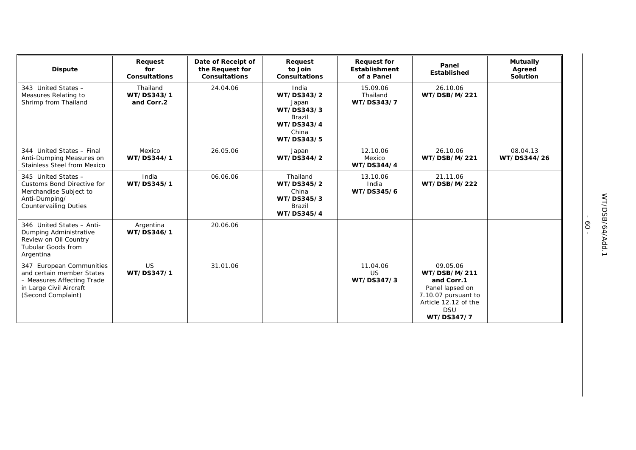| <b>Dispute</b>                                                                                                                       | Request<br>for<br><b>Consultations</b> | Date of Receipt of<br>the Request for<br><b>Consultations</b> | Request<br>to Join<br><b>Consultations</b>                                                       | <b>Request for</b><br>Establishment<br>of a Panel | Panel<br><b>Established</b>                                                                                                          | <b>Mutually</b><br>Agreed<br>Solution |
|--------------------------------------------------------------------------------------------------------------------------------------|----------------------------------------|---------------------------------------------------------------|--------------------------------------------------------------------------------------------------|---------------------------------------------------|--------------------------------------------------------------------------------------------------------------------------------------|---------------------------------------|
| 343 United States -<br>Measures Relating to<br>Shrimp from Thailand                                                                  | Thailand<br>WT/DS343/1<br>and Corr.2   | 24.04.06                                                      | India<br>WT/DS343/2<br>Japan<br>WT/DS343/3<br><b>Brazil</b><br>WT/DS343/4<br>China<br>WT/DS343/5 | 15.09.06<br>Thailand<br>WT/DS343/7                | 26.10.06<br>WT/DSB/M/221                                                                                                             |                                       |
| 344 United States - Final<br>Anti-Dumping Measures on<br><b>Stainless Steel from Mexico</b>                                          | Mexico<br>WT/DS344/1                   | 26.05.06                                                      | Japan<br>WT/DS344/2                                                                              | 12.10.06<br>Mexico<br>WT/DS344/4                  | 26.10.06<br>WT/DSB/M/221                                                                                                             | 08.04.13<br>WT/DS344/26               |
| 345 United States -<br>Customs Bond Directive for<br>Merchandise Subject to<br>Anti-Dumping/<br><b>Countervailing Duties</b>         | India<br>WT/DS345/1                    | 06.06.06                                                      | Thailand<br>WT/DS345/2<br>China<br>WT/DS345/3<br><b>Brazil</b><br>WT/DS345/4                     | 13.10.06<br>India<br>WT/DS345/6                   | 21.11.06<br>WT/DSB/M/222                                                                                                             |                                       |
| 346 United States - Anti-<br>Dumping Administrative<br>Review on Oil Country<br>Tubular Goods from<br>Argentina                      | Argentina<br>WT/DS346/1                | 20.06.06                                                      |                                                                                                  |                                                   |                                                                                                                                      |                                       |
| 347 European Communities<br>and certain member States<br>- Measures Affecting Trade<br>in Large Civil Aircraft<br>(Second Complaint) | US.<br>WT/DS347/1                      | 31.01.06                                                      |                                                                                                  | 11.04.06<br><b>US</b><br>WT/DS347/3               | 09.05.06<br>WT/DSB/M/211<br>and Corr.1<br>Panel lapsed on<br>7.10.07 pursuant to<br>Article 12.12 of the<br><b>DSU</b><br>WT/DS347/7 |                                       |

 $- 09 -$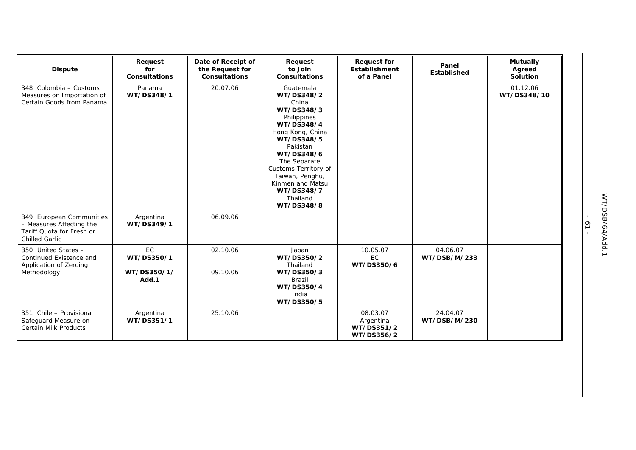| <b>Dispute</b>                                                                                             | Request<br>for<br><b>Consultations</b>   | Date of Receipt of<br>the Request for<br><b>Consultations</b> | Request<br>to Join<br><b>Consultations</b>                                                                                                                                                                                                                     | <b>Request for</b><br><b>Establishment</b><br>of a Panel | Panel<br>Established     | <b>Mutually</b><br>Agreed<br>Solution |
|------------------------------------------------------------------------------------------------------------|------------------------------------------|---------------------------------------------------------------|----------------------------------------------------------------------------------------------------------------------------------------------------------------------------------------------------------------------------------------------------------------|----------------------------------------------------------|--------------------------|---------------------------------------|
| 348 Colombia - Customs<br>Measures on Importation of<br>Certain Goods from Panama                          | Panama<br>WT/DS348/1                     | 20.07.06                                                      | Guatemala<br>WT/DS348/2<br>China<br>WT/DS348/3<br>Philippines<br>WT/DS348/4<br>Hong Kong, China<br>WT/DS348/5<br>Pakistan<br>WT/DS348/6<br>The Separate<br>Customs Territory of<br>Taiwan, Penghu,<br>Kinmen and Matsu<br>WT/DS348/7<br>Thailand<br>WT/DS348/8 |                                                          |                          | 01.12.06<br>WT/DS348/10               |
| 349 European Communities<br>- Measures Affecting the<br>Tariff Quota for Fresh or<br><b>Chilled Garlic</b> | Argentina<br>WT/DS349/1                  | 06.09.06                                                      |                                                                                                                                                                                                                                                                |                                                          |                          |                                       |
| 350 United States -<br>Continued Existence and<br>Application of Zeroing<br>Methodology                    | EC<br>WT/DS350/1<br>WT/DS350/1/<br>Add.1 | 02.10.06<br>09.10.06                                          | Japan<br>WT/DS350/2<br>Thailand<br>WT/DS350/3<br><b>Brazil</b><br>WT/DS350/4<br>India<br>WT/DS350/5                                                                                                                                                            | 10.05.07<br>EC<br>WT/DS350/6                             | 04.06.07<br>WT/DSB/M/233 |                                       |
| 351 Chile - Provisional<br>Safeguard Measure on<br><b>Certain Milk Products</b>                            | Argentina<br>WT/DS351/1                  | 25.10.06                                                      |                                                                                                                                                                                                                                                                | 08.03.07<br>Argentina<br>WT/DS351/2<br>WT/DS356/2        | 24.04.07<br>WT/DSB/M/230 |                                       |

- 61 -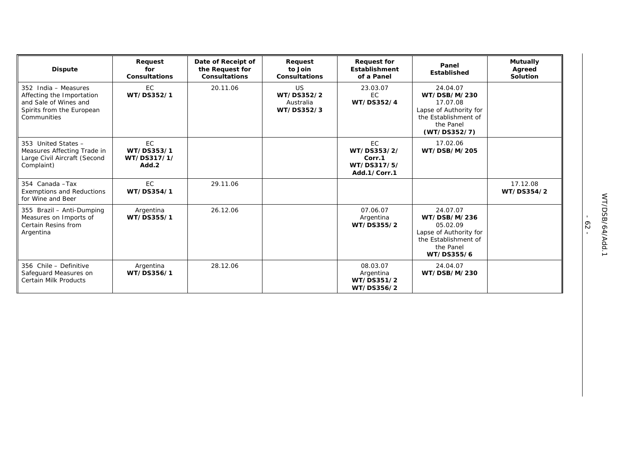| <b>Dispute</b>                                                                                                         | Request<br>for<br><b>Consultations</b>          | Date of Receipt of<br>the Request for<br><b>Consultations</b> | Request<br>to Join<br><b>Consultations</b>         | <b>Request for</b><br>Establishment<br>of a Panel          | Panel<br>Established                                                                                                | <b>Mutually</b><br>Agreed<br>Solution |
|------------------------------------------------------------------------------------------------------------------------|-------------------------------------------------|---------------------------------------------------------------|----------------------------------------------------|------------------------------------------------------------|---------------------------------------------------------------------------------------------------------------------|---------------------------------------|
| 352 India - Measures<br>Affecting the Importation<br>and Sale of Wines and<br>Spirits from the European<br>Communities | <b>EC</b><br>WT/DS352/1                         | 20.11.06                                                      | <b>US</b><br>WT/DS352/2<br>Australia<br>WT/DS352/3 | 23.03.07<br><b>EC</b><br>WT/DS352/4                        | 24.04.07<br>WT/DSB/M/230<br>17.07.08<br>Lapse of Authority for<br>the Establishment of<br>the Panel<br>(WT/DS352/7) |                                       |
| 353 United States -<br>Measures Affecting Trade in<br>Large Civil Aircraft (Second<br>Complaint)                       | <b>EC</b><br>WT/DS353/1<br>WT/DS317/1/<br>Add.2 |                                                               |                                                    | EC<br>WT/DS353/2/<br>Corr.1<br>WT/DS317/5/<br>Add.1/Corr.1 | 17.02.06<br>WT/DSB/M/205                                                                                            |                                       |
| 354 Canada - Tax<br><b>Exemptions and Reductions</b><br>for Wine and Beer                                              | <b>EC</b><br>WT/DS354/1                         | 29.11.06                                                      |                                                    |                                                            |                                                                                                                     | 17.12.08<br>WT/DS354/2                |
| 355 Brazil - Anti-Dumping<br>Measures on Imports of<br>Certain Resins from<br>Argentina                                | Argentina<br>WT/DS355/1                         | 26.12.06                                                      |                                                    | 07.06.07<br>Argentina<br>WT/DS355/2                        | 24.07.07<br>WT/DSB/M/236<br>05.02.09<br>Lapse of Authority for<br>the Establishment of<br>the Panel<br>WT/DS355/6   |                                       |
| 356 Chile - Definitive<br>Safeguard Measures on<br>Certain Milk Products                                               | Argentina<br>WT/DS356/1                         | 28.12.06                                                      |                                                    | 08.03.07<br>Argentina<br>WT/DS351/2<br>WT/DS356/2          | 24.04.07<br>WT/DSB/M/230                                                                                            |                                       |

- 62 -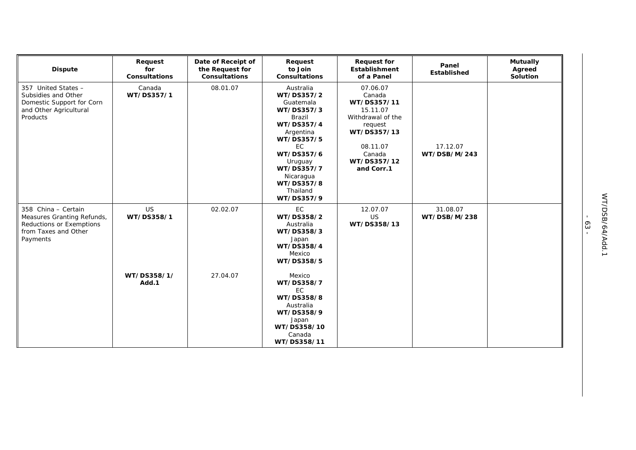| <b>Dispute</b>                                                                                                    | Request<br>for<br><b>Consultations</b> | Date of Receipt of<br>the Request for<br><b>Consultations</b> | Request<br>to Join<br><b>Consultations</b>                                                                                                                                                                            | <b>Request for</b><br>Establishment<br>of a Panel                                                                                               | Panel<br>Established     | <b>Mutually</b><br>Agreed<br>Solution |
|-------------------------------------------------------------------------------------------------------------------|----------------------------------------|---------------------------------------------------------------|-----------------------------------------------------------------------------------------------------------------------------------------------------------------------------------------------------------------------|-------------------------------------------------------------------------------------------------------------------------------------------------|--------------------------|---------------------------------------|
| 357 United States -<br>Subsidies and Other<br>Domestic Support for Corn<br>and Other Agricultural<br>Products     | Canada<br>WT/DS357/1                   | 08.01.07                                                      | Australia<br>WT/DS357/2<br>Guatemala<br>WT/DS357/3<br><b>Brazil</b><br>WT/DS357/4<br>Argentina<br>WT/DS357/5<br><b>EC</b><br>WT/DS357/6<br>Uruguay<br>WT/DS357/7<br>Nicaragua<br>WT/DS357/8<br>Thailand<br>WT/DS357/9 | 07.06.07<br>Canada<br>WT/DS357/11<br>15.11.07<br>Withdrawal of the<br>request<br>WT/DS357/13<br>08.11.07<br>Canada<br>WT/DS357/12<br>and Corr.1 | 17.12.07<br>WT/DSB/M/243 |                                       |
| 358 China - Certain<br>Measures Granting Refunds,<br>Reductions or Exemptions<br>from Taxes and Other<br>Payments | <b>US</b><br>WT/DS358/1                | 02.02.07                                                      | EC<br>WT/DS358/2<br>Australia<br>WT/DS358/3<br>Japan<br>WT/DS358/4<br>Mexico<br>WT/DS358/5                                                                                                                            | 12.07.07<br><b>US</b><br>WT/DS358/13                                                                                                            | 31.08.07<br>WT/DSB/M/238 |                                       |
|                                                                                                                   | WT/DS358/1/<br>Add.1                   | 27.04.07                                                      | Mexico<br>WT/DS358/7<br><b>EC</b><br>WT/DS358/8<br>Australia<br>WT/DS358/9<br>Japan<br>WT/DS358/10<br>Canada<br>WT/DS358/11                                                                                           |                                                                                                                                                 |                          |                                       |

- 63 -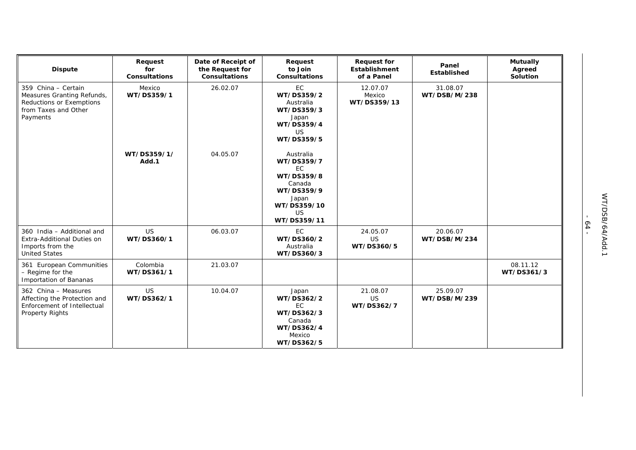| <b>Dispute</b>                                                                                                    | Request<br>for<br><b>Consultations</b> | Date of Receipt of<br>the Request for<br><b>Consultations</b> | Request<br>to Join<br><b>Consultations</b>                                                                                     | <b>Request for</b><br>Establishment<br>of a Panel | Panel<br>Established     | <b>Mutually</b><br>Agreed<br>Solution |
|-------------------------------------------------------------------------------------------------------------------|----------------------------------------|---------------------------------------------------------------|--------------------------------------------------------------------------------------------------------------------------------|---------------------------------------------------|--------------------------|---------------------------------------|
| 359 China - Certain<br>Measures Granting Refunds,<br>Reductions or Exemptions<br>from Taxes and Other<br>Payments | Mexico<br>WT/DS359/1                   | 26.02.07                                                      | EC<br>WT/DS359/2<br>Australia<br>WT/DS359/3<br>Japan<br>WT/DS359/4<br><b>US</b><br>WT/DS359/5                                  | 12.07.07<br>Mexico<br>WT/DS359/13                 | 31.08.07<br>WT/DSB/M/238 |                                       |
|                                                                                                                   | WT/DS359/1/<br>Add.1                   | 04.05.07                                                      | Australia<br>WT/DS359/7<br><b>EC</b><br>WT/DS359/8<br>Canada<br>WT/DS359/9<br>Japan<br>WT/DS359/10<br><b>US</b><br>WT/DS359/11 |                                                   |                          |                                       |
| 360 India - Additional and<br>Extra-Additional Duties on<br>Imports from the<br><b>United States</b>              | <b>US</b><br>WT/DS360/1                | 06.03.07                                                      | <b>EC</b><br>WT/DS360/2<br>Australia<br>WT/DS360/3                                                                             | 24.05.07<br><b>US</b><br>WT/DS360/5               | 20.06.07<br>WT/DSB/M/234 |                                       |
| 361 European Communities<br>- Regime for the<br>Importation of Bananas                                            | Colombia<br>WT/DS361/1                 | 21.03.07                                                      |                                                                                                                                |                                                   |                          | 08.11.12<br>WT/DS361/3                |
| 362 China - Measures<br>Affecting the Protection and<br>Enforcement of Intellectual<br><b>Property Rights</b>     | <b>US</b><br>WT/DS362/1                | 10.04.07                                                      | Japan<br>WT/DS362/2<br><b>EC</b><br>WT/DS362/3<br>Canada<br>WT/DS362/4<br>Mexico<br>WT/DS362/5                                 | 21.08.07<br><b>US</b><br>WT/DS362/7               | 25.09.07<br>WT/DSB/M/239 |                                       |

- 64 -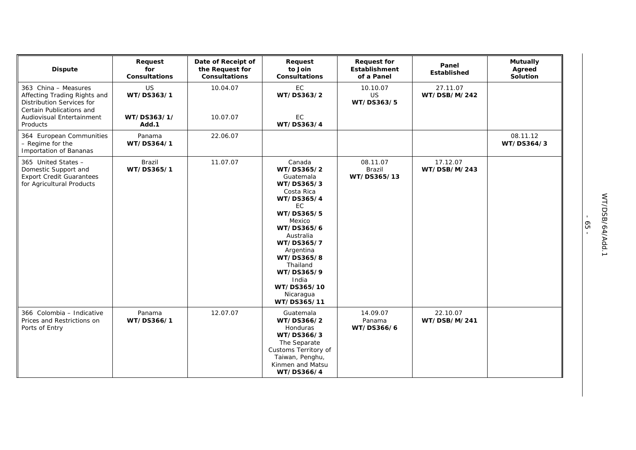| <b>Dispute</b>                                                                                                       | Request<br>for<br><b>Consultations</b> | Date of Receipt of<br>the Request for<br><b>Consultations</b> | Request<br>to Join<br>Consultations                                                                                                                                                                                                                          | <b>Request for</b><br>Establishment<br>of a Panel | Panel<br>Established     | <b>Mutually</b><br>Agreed<br>Solution |
|----------------------------------------------------------------------------------------------------------------------|----------------------------------------|---------------------------------------------------------------|--------------------------------------------------------------------------------------------------------------------------------------------------------------------------------------------------------------------------------------------------------------|---------------------------------------------------|--------------------------|---------------------------------------|
| 363 China - Measures<br>Affecting Trading Rights and<br><b>Distribution Services for</b><br>Certain Publications and | <b>US</b><br>WT/DS363/1                | 10.04.07                                                      | EC<br>WT/DS363/2                                                                                                                                                                                                                                             | 10.10.07<br>US<br>WT/DS363/5                      | 27.11.07<br>WT/DSB/M/242 |                                       |
| Audiovisual Entertainment<br>Products                                                                                | WT/DS363/1/<br>Add.1                   | 10.07.07                                                      | EC<br>WT/DS363/4                                                                                                                                                                                                                                             |                                                   |                          |                                       |
| 364 European Communities<br>- Regime for the<br>Importation of Bananas                                               | Panama<br>WT/DS364/1                   | 22.06.07                                                      |                                                                                                                                                                                                                                                              |                                                   |                          | 08.11.12<br>WT/DS364/3                |
| 365 United States -<br>Domestic Support and<br><b>Export Credit Guarantees</b><br>for Agricultural Products          | <b>Brazil</b><br>WT/DS365/1            | 11.07.07                                                      | Canada<br>WT/DS365/2<br>Guatemala<br>WT/DS365/3<br>Costa Rica<br>WT/DS365/4<br>EC.<br>WT/DS365/5<br>Mexico<br>WT/DS365/6<br>Australia<br>WT/DS365/7<br>Argentina<br>WT/DS365/8<br>Thailand<br>WT/DS365/9<br>India<br>WT/DS365/10<br>Nicaragua<br>WT/DS365/11 | 08.11.07<br>Brazil<br>WT/DS365/13                 | 17.12.07<br>WT/DSB/M/243 |                                       |
| 366 Colombia - Indicative<br>Prices and Restrictions on<br>Ports of Entry                                            | Panama<br>WT/DS366/1                   | 12.07.07                                                      | Guatemala<br>WT/DS366/2<br>Honduras<br>WT/DS366/3<br>The Separate<br>Customs Territory of<br>Taiwan, Penghu,<br>Kinmen and Matsu<br>WT/DS366/4                                                                                                               | 14.09.07<br>Panama<br>WT/DS366/6                  | 22.10.07<br>WT/DSB/M/241 |                                       |

- 65 -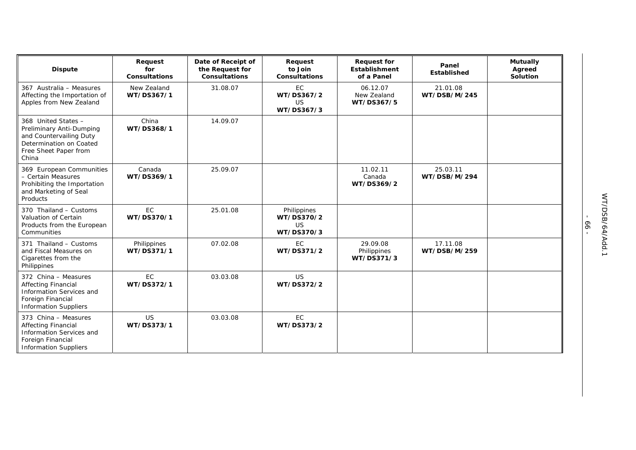| <b>Dispute</b>                                                                                                                          | Request<br>for<br><b>Consultations</b> | Date of Receipt of<br>the Request for<br><b>Consultations</b> | Request<br>to Join<br>Consultations                  | <b>Request for</b><br><b>Establishment</b><br>of a Panel | Panel<br><b>Established</b> | <b>Mutually</b><br>Agreed<br>Solution |
|-----------------------------------------------------------------------------------------------------------------------------------------|----------------------------------------|---------------------------------------------------------------|------------------------------------------------------|----------------------------------------------------------|-----------------------------|---------------------------------------|
| 367 Australia - Measures<br>Affecting the Importation of<br>Apples from New Zealand                                                     | New Zealand<br>WT/DS367/1              | 31.08.07                                                      | EC<br>WT/DS367/2<br>US<br>WT/DS367/3                 | 06.12.07<br>New Zealand<br>WT/DS367/5                    | 21.01.08<br>WT/DSB/M/245    |                                       |
| 368 United States -<br>Preliminary Anti-Dumping<br>and Countervailing Duty<br>Determination on Coated<br>Free Sheet Paper from<br>China | China<br>WT/DS368/1                    | 14.09.07                                                      |                                                      |                                                          |                             |                                       |
| 369 European Communities<br>- Certain Measures<br>Prohibiting the Importation<br>and Marketing of Seal<br>Products                      | Canada<br>WT/DS369/1                   | 25.09.07                                                      |                                                      | 11.02.11<br>Canada<br>WT/DS369/2                         | 25.03.11<br>WT/DSB/M/294    |                                       |
| 370 Thailand - Customs<br>Valuation of Certain<br>Products from the European<br>Communities                                             | EC<br>WT/DS370/1                       | 25.01.08                                                      | Philippines<br>WT/DS370/2<br><b>US</b><br>WT/DS370/3 |                                                          |                             |                                       |
| 371 Thailand - Customs<br>and Fiscal Measures on<br>Cigarettes from the<br>Philippines                                                  | Philippines<br>WT/DS371/1              | 07.02.08                                                      | EC<br>WT/DS371/2                                     | 29.09.08<br>Philippines<br>WT/DS371/3                    | 17.11.08<br>WT/DSB/M/259    |                                       |
| 372 China - Measures<br><b>Affecting Financial</b><br>Information Services and<br>Foreign Financial<br><b>Information Suppliers</b>     | EC<br>WT/DS372/1                       | 03.03.08                                                      | <b>US</b><br>WT/DS372/2                              |                                                          |                             |                                       |
| 373 China - Measures<br><b>Affecting Financial</b><br>Information Services and<br>Foreign Financial<br><b>Information Suppliers</b>     | US<br>WT/DS373/1                       | 03.03.08                                                      | EC<br>WT/DS373/2                                     |                                                          |                             |                                       |

- 66 -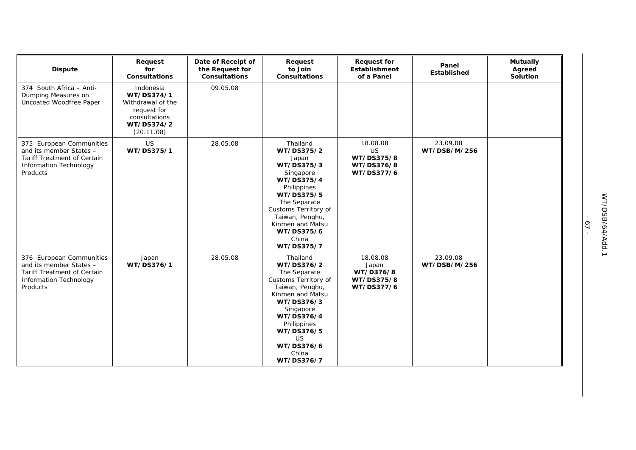| <b>Dispute</b>                                                                                                           | Request<br>for<br><b>Consultations</b>                                                                   | Date of Receipt of<br>the Request for<br><b>Consultations</b> | Request<br>to Join<br><b>Consultations</b>                                                                                                                                                                                    | <b>Request for</b><br>Establishment<br>of a Panel               | Panel<br>Established     | <b>Mutually</b><br>Agreed<br>Solution |
|--------------------------------------------------------------------------------------------------------------------------|----------------------------------------------------------------------------------------------------------|---------------------------------------------------------------|-------------------------------------------------------------------------------------------------------------------------------------------------------------------------------------------------------------------------------|-----------------------------------------------------------------|--------------------------|---------------------------------------|
| 374 South Africa - Anti-<br>Dumping Measures on<br>Uncoated Woodfree Paper                                               | Indonesia<br>WT/DS374/1<br>Withdrawal of the<br>request for<br>consultations<br>WT/DS374/2<br>(20.11.08) | 09.05.08                                                      |                                                                                                                                                                                                                               |                                                                 |                          |                                       |
| 375 European Communities<br>and its member States -<br>Tariff Treatment of Certain<br>Information Technology<br>Products | US<br>WT/DS375/1                                                                                         | 28.05.08                                                      | Thailand<br>WT/DS375/2<br>Japan<br>WT/DS375/3<br>Singapore<br>WT/DS375/4<br>Philippines<br>WT/DS375/5<br>The Separate<br>Customs Territory of<br>Taiwan, Penghu,<br>Kinmen and Matsu<br>WT/DS375/6<br>China<br>WT/DS375/7     | 18.08.08<br><b>US</b><br>WT/DS375/8<br>WT/DS376/8<br>WT/DS377/6 | 23.09.08<br>WT/DSB/M/256 |                                       |
| 376 European Communities<br>and its member States -<br>Tariff Treatment of Certain<br>Information Technology<br>Products | Japan<br>WT/DS376/1                                                                                      | 28.05.08                                                      | Thailand<br>WT/DS376/2<br>The Separate<br>Customs Territory of<br>Taiwan, Penghu,<br>Kinmen and Matsu<br>WT/DS376/3<br>Singapore<br>WT/DS376/4<br>Philippines<br>WT/DS376/5<br><b>US</b><br>WT/DS376/6<br>China<br>WT/DS376/7 | 18.08.08<br>Japan<br>WT/D376/8<br>WT/DS375/8<br>WT/DS377/6      | 23.09.08<br>WT/DSB/M/256 |                                       |

- 67 -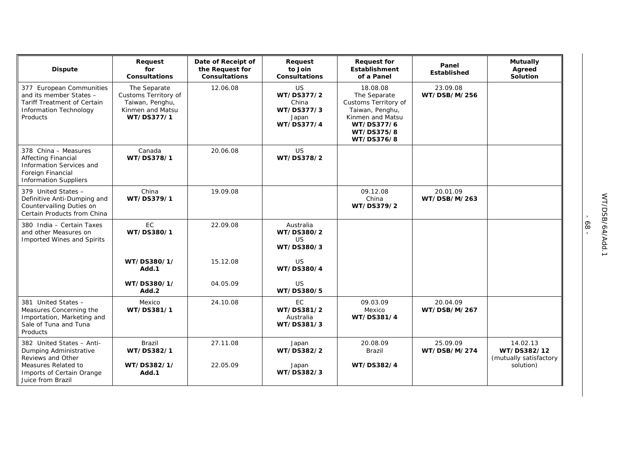| <b>Dispute</b>                                                                                                                      | Request<br>for<br><b>Consultations</b>                                                    | Date of Receipt of<br>the Request for<br><b>Consultations</b> | Request<br>to Join<br><b>Consultations</b>                     | <b>Request for</b><br><b>Establishment</b><br>of a Panel                                                                          | Panel<br><b>Established</b> | <b>Mutually</b><br>Agreed<br>Solution             |
|-------------------------------------------------------------------------------------------------------------------------------------|-------------------------------------------------------------------------------------------|---------------------------------------------------------------|----------------------------------------------------------------|-----------------------------------------------------------------------------------------------------------------------------------|-----------------------------|---------------------------------------------------|
| 377 European Communities<br>and its member States -<br>Tariff Treatment of Certain<br><b>Information Technology</b><br>Products     | The Separate<br>Customs Territory of<br>Taiwan, Penghu,<br>Kinmen and Matsu<br>WT/DS377/1 | 12.06.08                                                      | US<br>WT/DS377/2<br>China<br>WT/DS377/3<br>Japan<br>WT/DS377/4 | 18.08.08<br>The Separate<br>Customs Territory of<br>Taiwan, Penghu,<br>Kinmen and Matsu<br>WT/DS377/6<br>WT/DS375/8<br>WT/DS376/8 | 23.09.08<br>WT/DSB/M/256    |                                                   |
| 378 China - Measures<br><b>Affecting Financial</b><br>Information Services and<br>Foreign Financial<br><b>Information Suppliers</b> | Canada<br>WT/DS378/1                                                                      | 20.06.08                                                      | <b>US</b><br>WT/DS378/2                                        |                                                                                                                                   |                             |                                                   |
| 379 United States -<br>Definitive Anti-Dumping and<br>Countervailing Duties on<br>Certain Products from China                       | China<br>WT/DS379/1                                                                       | 19.09.08                                                      |                                                                | 09.12.08<br>China<br>WT/DS379/2                                                                                                   | 20.01.09<br>WT/DSB/M/263    |                                                   |
| 380 India - Certain Taxes<br>and other Measures on<br>Imported Wines and Spirits                                                    | EC<br>WT/DS380/1                                                                          | 22.09.08                                                      | Australia<br>WT/DS380/2<br>US.<br>WT/DS380/3                   |                                                                                                                                   |                             |                                                   |
|                                                                                                                                     | WT/DS380/1/<br>Add.1                                                                      | 15.12.08                                                      | <b>US</b><br>WT/DS380/4                                        |                                                                                                                                   |                             |                                                   |
|                                                                                                                                     | WT/DS380/1/<br>Add.2                                                                      | 04.05.09                                                      | US<br>WT/DS380/5                                               |                                                                                                                                   |                             |                                                   |
| 381 United States -<br>Measures Concerning the<br>Importation, Marketing and<br>Sale of Tuna and Tuna<br>Products                   | Mexico<br>WT/DS381/1                                                                      | 24.10.08                                                      | EC<br>WT/DS381/2<br>Australia<br>WT/DS381/3                    | 09.03.09<br>Mexico<br>WT/DS381/4                                                                                                  | 20.04.09<br>WT/DSB/M/267    |                                                   |
| 382 United States - Anti-<br>Dumping Administrative<br>Reviews and Other                                                            | <b>Brazil</b><br>WT/DS382/1                                                               | 27.11.08                                                      | Japan<br>WT/DS382/2                                            | 20.08.09<br>Brazil                                                                                                                | 25.09.09<br>WT/DSB/M/274    | 14.02.13<br>WT/DS382/12<br>(mutually satisfactory |
| Measures Related to<br>Imports of Certain Orange<br>Juice from Brazil                                                               | WT/DS382/1/<br>Add.1                                                                      | 22.05.09                                                      | Japan<br>WT/DS382/3                                            | WT/DS382/4                                                                                                                        |                             | solution)                                         |

- 68 -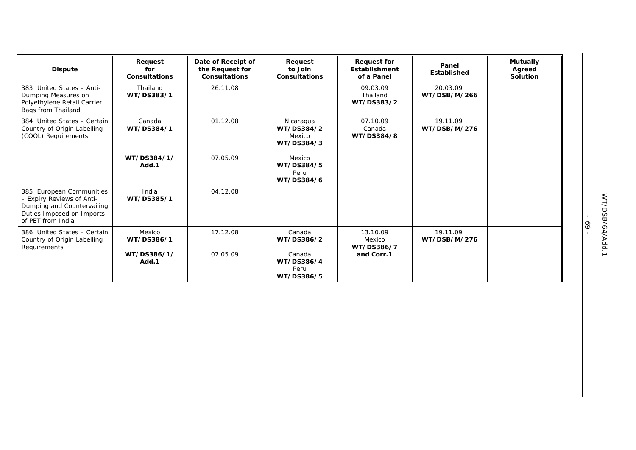| <b>Dispute</b>                                                                                                                        | Request<br>for<br><b>Consultations</b> | Date of Receipt of<br>the Request for<br><b>Consultations</b> | Request<br>to Join<br><b>Consultations</b>      | <b>Request for</b><br>Establishment<br>of a Panel | Panel<br>Established     | <b>Mutually</b><br>Agreed<br>Solution |
|---------------------------------------------------------------------------------------------------------------------------------------|----------------------------------------|---------------------------------------------------------------|-------------------------------------------------|---------------------------------------------------|--------------------------|---------------------------------------|
| 383 United States - Anti-<br>Dumping Measures on<br>Polyethylene Retail Carrier<br>Bags from Thailand                                 | Thailand<br>WT/DS383/1                 | 26.11.08                                                      |                                                 | 09.03.09<br>Thailand<br>WT/DS383/2                | 20.03.09<br>WT/DSB/M/266 |                                       |
| 384 United States - Certain<br>Country of Origin Labelling<br>(COOL) Requirements                                                     | Canada<br>WT/DS384/1                   | 01.12.08                                                      | Nicaragua<br>WT/DS384/2<br>Mexico<br>WT/DS384/3 | 07.10.09<br>Canada<br>WT/DS384/8                  | 19.11.09<br>WT/DSB/M/276 |                                       |
|                                                                                                                                       | WT/DS384/1/<br>Add.1                   | 07.05.09                                                      | Mexico<br>WT/DS384/5<br>Peru<br>WT/DS384/6      |                                                   |                          |                                       |
| 385 European Communities<br>- Expiry Reviews of Anti-<br>Dumping and Countervailing<br>Duties Imposed on Imports<br>of PET from India | India<br>WT/DS385/1                    | 04.12.08                                                      |                                                 |                                                   |                          |                                       |
| 386 United States - Certain<br>Country of Origin Labelling<br>Requirements                                                            | Mexico<br>WT/DS386/1                   | 17.12.08                                                      | Canada<br>WT/DS386/2                            | 13.10.09<br>Mexico<br>WT/DS386/7                  | 19.11.09<br>WT/DSB/M/276 |                                       |
|                                                                                                                                       | WT/DS386/1/<br>Add.1                   | 07.05.09                                                      | Canada<br>WT/DS386/4<br>Peru<br>WT/DS386/5      | and Corr.1                                        |                          |                                       |

- 69 -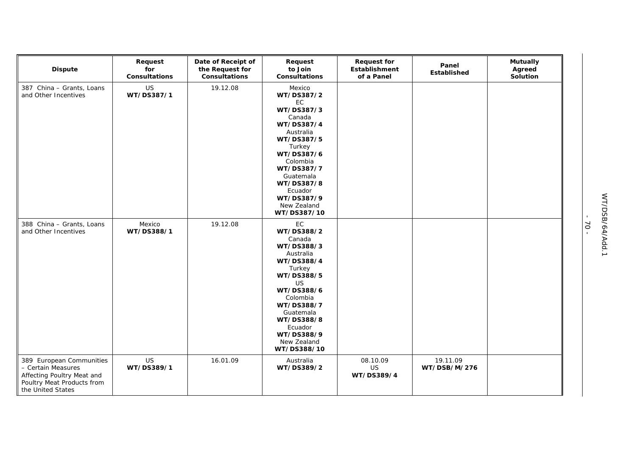| <b>Dispute</b>                                                                                                                  | Request<br>for<br><b>Consultations</b> | Date of Receipt of<br>the Request for<br>Consultations | Request<br>to Join<br>Consultations                                                                                                                                                                                             | <b>Request for</b><br>Establishment<br>of a Panel | Panel<br><b>Established</b> | <b>Mutually</b><br>Agreed<br>Solution |
|---------------------------------------------------------------------------------------------------------------------------------|----------------------------------------|--------------------------------------------------------|---------------------------------------------------------------------------------------------------------------------------------------------------------------------------------------------------------------------------------|---------------------------------------------------|-----------------------------|---------------------------------------|
| 387 China - Grants, Loans<br>and Other Incentives                                                                               | US<br>WT/DS387/1                       | 19.12.08                                               | Mexico<br>WT/DS387/2<br>EC<br>WT/DS387/3<br>Canada<br>WT/DS387/4<br>Australia<br>WT/DS387/5<br>Turkey<br>WT/DS387/6<br>Colombia<br>WT/DS387/7<br>Guatemala<br>WT/DS387/8<br>Ecuador<br>WT/DS387/9<br>New Zealand<br>WT/DS387/10 |                                                   |                             |                                       |
| 388 China - Grants, Loans<br>and Other Incentives                                                                               | Mexico<br>WT/DS388/1                   | 19.12.08                                               | EC<br>WT/DS388/2<br>Canada<br>WT/DS388/3<br>Australia<br>WT/DS388/4<br>Turkey<br>WT/DS388/5<br>US<br>WT/DS388/6<br>Colombia<br>WT/DS388/7<br>Guatemala<br>WT/DS388/8<br>Ecuador<br>WT/DS388/9<br>New Zealand<br>WT/DS388/10     |                                                   |                             |                                       |
| 389 European Communities<br>- Certain Measures<br>Affecting Poultry Meat and<br>Poultry Meat Products from<br>the United States | US<br>WT/DS389/1                       | 16.01.09                                               | Australia<br>WT/DS389/2                                                                                                                                                                                                         | 08.10.09<br><b>US</b><br>WT/DS389/4               | 19.11.09<br>WT/DSB/M/276    |                                       |

- 70 -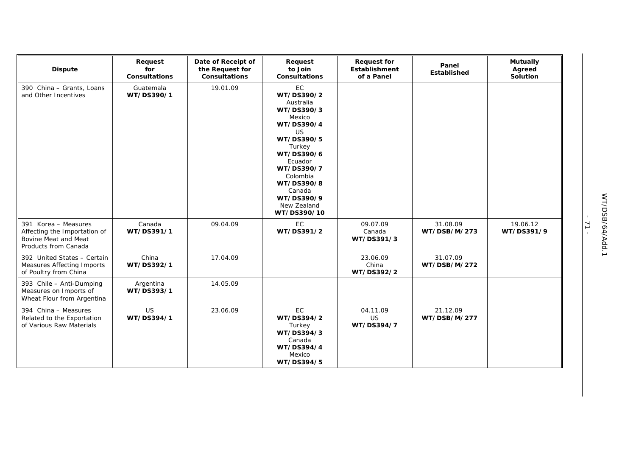| <b>Dispute</b>                                                                                       | Request<br>for<br><b>Consultations</b> | Date of Receipt of<br>the Request for<br><b>Consultations</b> | Request<br>to Join<br><b>Consultations</b>                                                                                                                                                                                      | <b>Request for</b><br>Establishment<br>of a Panel | Panel<br>Established     | <b>Mutually</b><br>Agreed<br><b>Solution</b> |
|------------------------------------------------------------------------------------------------------|----------------------------------------|---------------------------------------------------------------|---------------------------------------------------------------------------------------------------------------------------------------------------------------------------------------------------------------------------------|---------------------------------------------------|--------------------------|----------------------------------------------|
| 390 China - Grants, Loans<br>and Other Incentives                                                    | Guatemala<br>WT/DS390/1                | 19.01.09                                                      | EC<br>WT/DS390/2<br>Australia<br>WT/DS390/3<br>Mexico<br>WT/DS390/4<br><b>US</b><br>WT/DS390/5<br>Turkey<br>WT/DS390/6<br>Ecuador<br>WT/DS390/7<br>Colombia<br>WT/DS390/8<br>Canada<br>WT/DS390/9<br>New Zealand<br>WT/DS390/10 |                                                   |                          |                                              |
| 391 Korea - Measures<br>Affecting the Importation of<br>Bovine Meat and Meat<br>Products from Canada | Canada<br>WT/DS391/1                   | 09.04.09                                                      | EC<br>WT/DS391/2                                                                                                                                                                                                                | 09.07.09<br>Canada<br>WT/DS391/3                  | 31.08.09<br>WT/DSB/M/273 | 19.06.12<br>WT/DS391/9                       |
| 392 United States - Certain<br><b>Measures Affecting Imports</b><br>of Poultry from China            | China<br>WT/DS392/1                    | 17.04.09                                                      |                                                                                                                                                                                                                                 | 23.06.09<br>China<br>WT/DS392/2                   | 31.07.09<br>WT/DSB/M/272 |                                              |
| 393 Chile - Anti-Dumping<br>Measures on Imports of<br>Wheat Flour from Argentina                     | Argentina<br>WT/DS393/1                | 14.05.09                                                      |                                                                                                                                                                                                                                 |                                                   |                          |                                              |
| 394 China - Measures<br>Related to the Exportation<br>of Various Raw Materials                       | <b>US</b><br>WT/DS394/1                | 23.06.09                                                      | EC<br>WT/DS394/2<br>Turkey<br>WT/DS394/3<br>Canada<br>WT/DS394/4<br>Mexico<br>WT/DS394/5                                                                                                                                        | 04.11.09<br>US<br>WT/DS394/7                      | 21.12.09<br>WT/DSB/M/277 |                                              |

- 71 -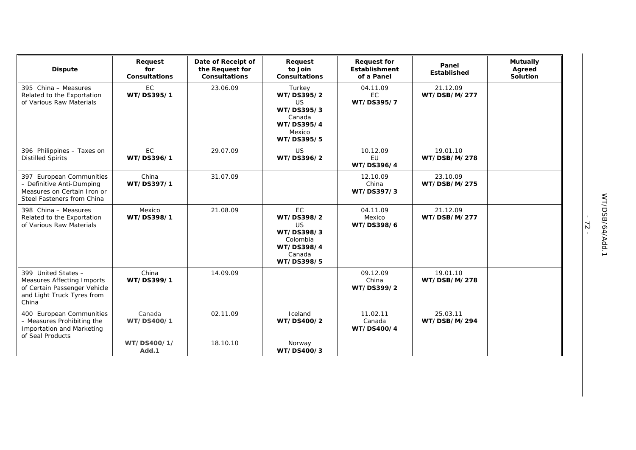| <b>Dispute</b>                                                                                                                  | Request<br>for<br><b>Consultations</b> | Date of Receipt of<br>the Request for<br><b>Consultations</b> | Request<br>to Join<br><b>Consultations</b>                                                           | <b>Request for</b><br><b>Establishment</b><br>of a Panel | Panel<br>Established     | <b>Mutually</b><br>Agreed<br>Solution |
|---------------------------------------------------------------------------------------------------------------------------------|----------------------------------------|---------------------------------------------------------------|------------------------------------------------------------------------------------------------------|----------------------------------------------------------|--------------------------|---------------------------------------|
| 395 China - Measures<br>Related to the Exportation<br>of Various Raw Materials                                                  | EC<br>WT/DS395/1                       | 23.06.09                                                      | Turkey<br>WT/DS395/2<br><b>US</b><br>WT/DS395/3<br>Canada<br>WT/DS395/4<br>Mexico<br>WT/DS395/5      | 04.11.09<br><b>EC</b><br>WT/DS395/7                      | 21.12.09<br>WT/DSB/M/277 |                                       |
| 396 Philippines - Taxes on<br><b>Distilled Spirits</b>                                                                          | EC<br>WT/DS396/1                       | 29.07.09                                                      | <b>US</b><br>WT/DS396/2                                                                              | 10.12.09<br><b>EU</b><br>WT/DS396/4                      | 19.01.10<br>WT/DSB/M/278 |                                       |
| 397 European Communities<br>- Definitive Anti-Dumping<br>Measures on Certain Iron or<br>Steel Fasteners from China              | China<br>WT/DS397/1                    | 31.07.09                                                      |                                                                                                      | 12.10.09<br>China<br>WT/DS397/3                          | 23.10.09<br>WT/DSB/M/275 |                                       |
| 398 China - Measures<br>Related to the Exportation<br>of Various Raw Materials                                                  | Mexico<br>WT/DS398/1                   | 21.08.09                                                      | <b>EC</b><br>WT/DS398/2<br><b>US</b><br>WT/DS398/3<br>Colombia<br>WT/DS398/4<br>Canada<br>WT/DS398/5 | 04.11.09<br>Mexico<br>WT/DS398/6                         | 21.12.09<br>WT/DSB/M/277 |                                       |
| 399 United States -<br><b>Measures Affecting Imports</b><br>of Certain Passenger Vehicle<br>and Light Truck Tyres from<br>China | China<br>WT/DS399/1                    | 14.09.09                                                      |                                                                                                      | 09.12.09<br>China<br>WT/DS399/2                          | 19.01.10<br>WT/DSB/M/278 |                                       |
| 400 European Communities<br>- Measures Prohibiting the<br>Importation and Marketing<br>of Seal Products                         | Canada<br>WT/DS400/1                   | 02.11.09                                                      | Iceland<br>WT/DS400/2                                                                                | 11.02.11<br>Canada<br>WT/DS400/4                         | 25.03.11<br>WT/DSB/M/294 |                                       |
|                                                                                                                                 | WT/DS400/1/<br>Add.1                   | 18.10.10                                                      | Norway<br>WT/DS400/3                                                                                 |                                                          |                          |                                       |

- 72 -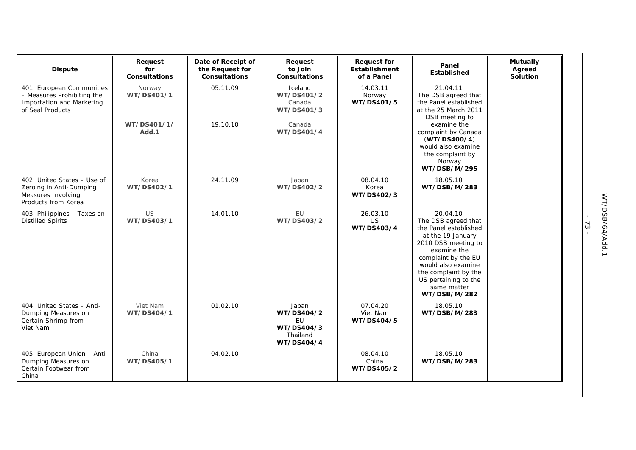| <b>Dispute</b>                                                                                          | Request<br>for<br><b>Consultations</b> | Date of Receipt of<br>the Request for<br><b>Consultations</b> | Request<br>to Join<br><b>Consultations</b>                        | <b>Request for</b><br><b>Establishment</b><br>of a Panel | Panel<br><b>Established</b>                                                                                                                                                                                                                     | <b>Mutually</b><br>Agreed<br>Solution |
|---------------------------------------------------------------------------------------------------------|----------------------------------------|---------------------------------------------------------------|-------------------------------------------------------------------|----------------------------------------------------------|-------------------------------------------------------------------------------------------------------------------------------------------------------------------------------------------------------------------------------------------------|---------------------------------------|
| 401 European Communities<br>- Measures Prohibiting the<br>Importation and Marketing<br>of Seal Products | Norway<br>WT/DS401/1                   | 05.11.09                                                      | Iceland<br>WT/DS401/2<br>Canada<br>WT/DS401/3                     | 14.03.11<br>Norway<br>WT/DS401/5                         | 21.04.11<br>The DSB agreed that<br>the Panel established<br>at the 25 March 2011<br>DSB meeting to                                                                                                                                              |                                       |
|                                                                                                         | WT/DS401/1/<br>Add.1                   | 19.10.10                                                      | Canada<br>WT/DS401/4                                              |                                                          | examine the<br>complaint by Canada<br>(WT/DS400/4)<br>would also examine<br>the complaint by<br>Norway<br>WT/DSB/M/295                                                                                                                          |                                       |
| 402 United States - Use of<br>Zeroing in Anti-Dumping<br>Measures Involving<br>Products from Korea      | Korea<br>WT/DS402/1                    | 24.11.09                                                      | Japan<br>WT/DS402/2                                               | 08.04.10<br>Korea<br>WT/DS402/3                          | 18.05.10<br>WT/DSB/M/283                                                                                                                                                                                                                        |                                       |
| 403 Philippines - Taxes on<br><b>Distilled Spirits</b>                                                  | <b>US</b><br>WT/DS403/1                | 14.01.10                                                      | EU<br>WT/DS403/2                                                  | 26.03.10<br>US<br>WT/DS403/4                             | 20.04.10<br>The DSB agreed that<br>the Panel established<br>at the 19 January<br>2010 DSB meeting to<br>examine the<br>complaint by the EU<br>would also examine<br>the complaint by the<br>US pertaining to the<br>same matter<br>WT/DSB/M/282 |                                       |
| 404 United States - Anti-<br>Dumping Measures on<br>Certain Shrimp from<br>Viet Nam                     | Viet Nam<br>WT/DS404/1                 | 01.02.10                                                      | Japan<br>WT/DS404/2<br>EU<br>WT/DS404/3<br>Thailand<br>WT/DS404/4 | 07.04.20<br>Viet Nam<br>WT/DS404/5                       | 18.05.10<br>WT/DSB/M/283                                                                                                                                                                                                                        |                                       |
| 405 European Union - Anti-<br>Dumping Measures on<br>Certain Footwear from<br>China                     | China<br>WT/DS405/1                    | 04.02.10                                                      |                                                                   | 08.04.10<br>China<br>WT/DS405/2                          | 18.05.10<br>WT/DSB/M/283                                                                                                                                                                                                                        |                                       |

- 73 -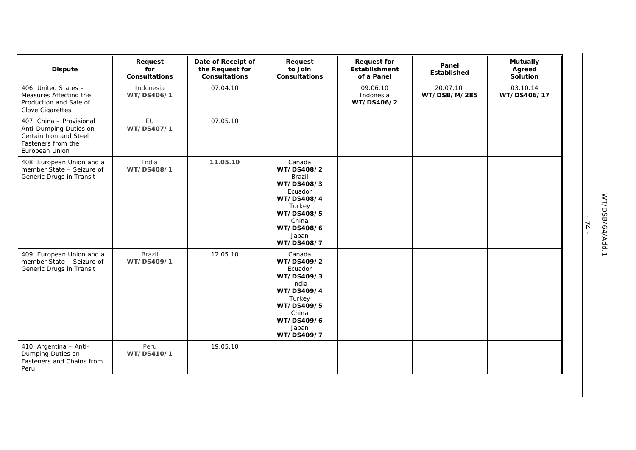| <b>Dispute</b>                                                                                                      | Request<br>for<br><b>Consultations</b> | Date of Receipt of<br>the Request for<br><b>Consultations</b> | Request<br>to Join<br>Consultations                                                                                                                | <b>Request for</b><br><b>Establishment</b><br>of a Panel | Panel<br>Established     | <b>Mutually</b><br>Agreed<br>Solution |
|---------------------------------------------------------------------------------------------------------------------|----------------------------------------|---------------------------------------------------------------|----------------------------------------------------------------------------------------------------------------------------------------------------|----------------------------------------------------------|--------------------------|---------------------------------------|
| 406 United States -<br>Measures Affecting the<br>Production and Sale of<br>Clove Cigarettes                         | Indonesia<br>WT/DS406/1                | 07.04.10                                                      |                                                                                                                                                    | 09.06.10<br>Indonesia<br>WT/DS406/2                      | 20.07.10<br>WT/DSB/M/285 | 03.10.14<br>WT/DS406/17               |
| 407 China - Provisional<br>Anti-Dumping Duties on<br>Certain Iron and Steel<br>Fasteners from the<br>European Union | EU<br>WT/DS407/1                       | 07.05.10                                                      |                                                                                                                                                    |                                                          |                          |                                       |
| 408 European Union and a<br>member State - Seizure of<br>Generic Drugs in Transit                                   | India<br>WT/DS408/1                    | 11.05.10                                                      | Canada<br>WT/DS408/2<br><b>Brazil</b><br>WT/DS408/3<br>Ecuador<br>WT/DS408/4<br>Turkey<br>WT/DS408/5<br>China<br>WT/DS408/6<br>Japan<br>WT/DS408/7 |                                                          |                          |                                       |
| 409 European Union and a<br>member State - Seizure of<br>Generic Drugs in Transit                                   | Brazil<br>WT/DS409/1                   | 12.05.10                                                      | Canada<br>WT/DS409/2<br>Ecuador<br>WT/DS409/3<br>India<br>WT/DS409/4<br>Turkey<br>WT/DS409/5<br>China<br>WT/DS409/6<br>Japan<br>WT/DS409/7         |                                                          |                          |                                       |
| 410 Argentina - Anti-<br>Dumping Duties on<br>Fasteners and Chains from<br>Peru                                     | Peru<br>WT/DS410/1                     | 19.05.10                                                      |                                                                                                                                                    |                                                          |                          |                                       |

- 74 -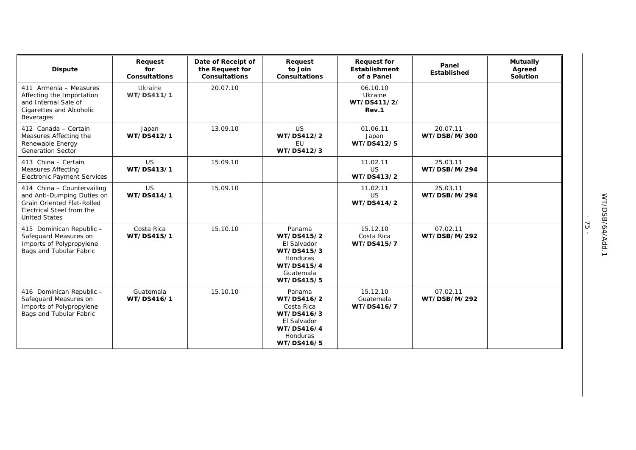| <b>Dispute</b>                                                                                                                                     | Request<br>for<br><b>Consultations</b> | Date of Receipt of<br>the Request for<br><b>Consultations</b> | Request<br>to Join<br><b>Consultations</b>                                                              | <b>Request for</b><br><b>Establishment</b><br>of a Panel | Panel<br>Established     | <b>Mutually</b><br>Agreed<br><b>Solution</b> |
|----------------------------------------------------------------------------------------------------------------------------------------------------|----------------------------------------|---------------------------------------------------------------|---------------------------------------------------------------------------------------------------------|----------------------------------------------------------|--------------------------|----------------------------------------------|
| 411 Armenia - Measures<br>Affecting the Importation<br>and Internal Sale of<br>Cigarettes and Alcoholic<br>Beverages                               | Ukraine<br>WT/DS411/1                  | 20.07.10                                                      |                                                                                                         | 06.10.10<br>Ukraine<br>WT/DS411/2/<br>Rev.1              |                          |                                              |
| 412 Canada - Certain<br>Measures Affecting the<br>Renewable Energy<br><b>Generation Sector</b>                                                     | Japan<br>WT/DS412/1                    | 13.09.10                                                      | <b>US</b><br>WT/DS412/2<br><b>EU</b><br>WT/DS412/3                                                      | 01.06.11<br>Japan<br>WT/DS412/5                          | 20.07.11<br>WT/DSB/M/300 |                                              |
| 413 China - Certain<br><b>Measures Affecting</b><br><b>Electronic Payment Services</b>                                                             | <b>US</b><br>WT/DS413/1                | 15.09.10                                                      |                                                                                                         | 11.02.11<br><b>US</b><br>WT/DS413/2                      | 25.03.11<br>WT/DSB/M/294 |                                              |
| 414 China - Countervailing<br>and Anti-Dumping Duties on<br><b>Grain Oriented Flat-Rolled</b><br>Electrical Steel from the<br><b>United States</b> | <b>US</b><br>WT/DS414/1                | 15.09.10                                                      |                                                                                                         | 11.02.11<br><b>US</b><br>WT/DS414/2                      | 25.03.11<br>WT/DSB/M/294 |                                              |
| 415 Dominican Republic -<br>Safeguard Measures on<br>Imports of Polypropylene<br>Bags and Tubular Fabric                                           | Costa Rica<br>WT/DS415/1               | 15.10.10                                                      | Panama<br>WT/DS415/2<br>El Salvador<br>WT/DS415/3<br>Honduras<br>WT/DS415/4<br>Guatemala<br>WT/DS415/5  | 15.12.10<br>Costa Rica<br>WT/DS415/7                     | 07.02.11<br>WT/DSB/M/292 |                                              |
| 416 Dominican Republic -<br>Safeguard Measures on<br>Imports of Polypropylene<br>Bags and Tubular Fabric                                           | Guatemala<br>WT/DS416/1                | 15.10.10                                                      | Panama<br>WT/DS416/2<br>Costa Rica<br>WT/DS416/3<br>El Salvador<br>WT/DS416/4<br>Honduras<br>WT/DS416/5 | 15.12.10<br>Guatemala<br>WT/DS416/7                      | 07.02.11<br>WT/DSB/M/292 |                                              |

- 75 -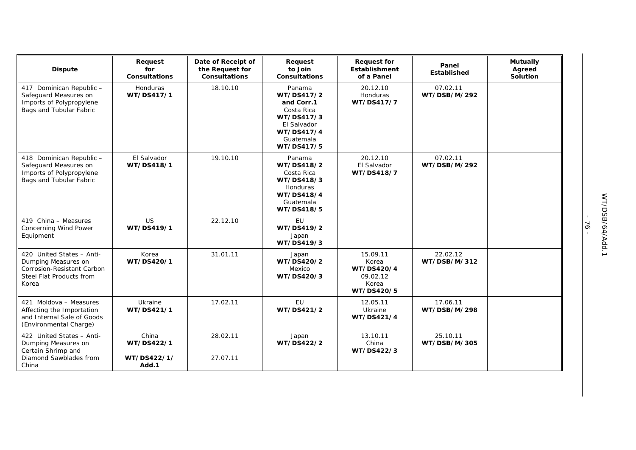| <b>Dispute</b>                                                                                                      | Request<br>for<br><b>Consultations</b>      | Date of Receipt of<br>the Request for<br><b>Consultations</b> | Request<br>to Join<br><b>Consultations</b>                                                                             | <b>Request for</b><br><b>Establishment</b><br>of a Panel           | Panel<br>Established     | <b>Mutually</b><br>Agreed<br>Solution |
|---------------------------------------------------------------------------------------------------------------------|---------------------------------------------|---------------------------------------------------------------|------------------------------------------------------------------------------------------------------------------------|--------------------------------------------------------------------|--------------------------|---------------------------------------|
| 417 Dominican Republic -<br>Safeguard Measures on<br>Imports of Polypropylene<br>Bags and Tubular Fabric            | Honduras<br>WT/DS417/1                      | 18.10.10                                                      | Panama<br>WT/DS417/2<br>and Corr.1<br>Costa Rica<br>WT/DS417/3<br>El Salvador<br>WT/DS417/4<br>Guatemala<br>WT/DS417/5 | 20.12.10<br>Honduras<br>WT/DS417/7                                 | 07.02.11<br>WT/DSB/M/292 |                                       |
| 418 Dominican Republic -<br>Safeguard Measures on<br>Imports of Polypropylene<br>Bags and Tubular Fabric            | El Salvador<br>WT/DS418/1                   | 19.10.10                                                      | Panama<br>WT/DS418/2<br>Costa Rica<br>WT/DS418/3<br>Honduras<br>WT/DS418/4<br>Guatemala<br>WT/DS418/5                  | 20.12.10<br>El Salvador<br>WT/DS418/7                              | 07.02.11<br>WT/DSB/M/292 |                                       |
| 419 China - Measures<br><b>Concerning Wind Power</b><br>Equipment                                                   | <b>US</b><br>WT/DS419/1                     | 22.12.10                                                      | EU<br>WT/DS419/2<br>Japan<br>WT/DS419/3                                                                                |                                                                    |                          |                                       |
| 420 United States - Anti-<br>Dumping Measures on<br>Corrosion-Resistant Carbon<br>Steel Flat Products from<br>Korea | Korea<br>WT/DS420/1                         | 31.01.11                                                      | Japan<br>WT/DS420/2<br>Mexico<br>WT/DS420/3                                                                            | 15.09.11<br>Korea<br>WT/DS420/4<br>09.02.12<br>Korea<br>WT/DS420/5 | 22.02.12<br>WT/DSB/M/312 |                                       |
| 421 Moldova - Measures<br>Affecting the Importation<br>and Internal Sale of Goods<br>(Environmental Charge)         | Ukraine<br>WT/DS421/1                       | 17.02.11                                                      | EU<br>WT/DS421/2                                                                                                       | 12.05.11<br>Ukraine<br>WT/DS421/4                                  | 17.06.11<br>WT/DSB/M/298 |                                       |
| 422 United States - Anti-<br>Dumping Measures on<br>Certain Shrimp and<br>Diamond Sawblades from<br>China           | China<br>WT/DS422/1<br>WT/DS422/1/<br>Add.1 | 28.02.11<br>27.07.11                                          | Japan<br>WT/DS422/2                                                                                                    | 13.10.11<br>China<br>WT/DS422/3                                    | 25.10.11<br>WT/DSB/M/305 |                                       |

- 76 -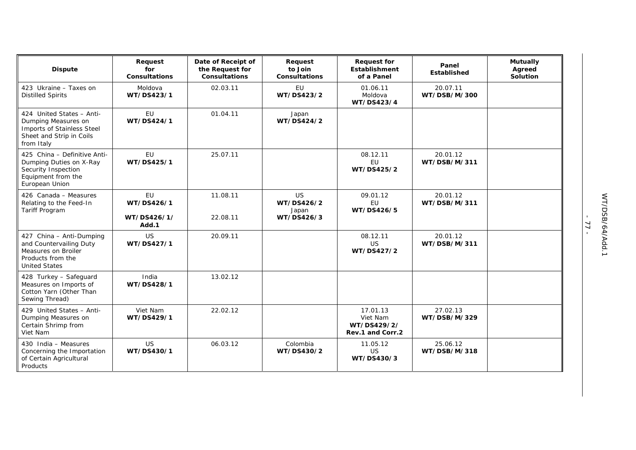| <b>Dispute</b>                                                                                                           | Request<br>for<br><b>Consultations</b>          | Date of Receipt of<br>the Request for<br><b>Consultations</b> | Request<br>to Join<br>Consultations            | <b>Request for</b><br><b>Establishment</b><br>of a Panel | Panel<br>Established     | <b>Mutually</b><br>Agreed<br>Solution |
|--------------------------------------------------------------------------------------------------------------------------|-------------------------------------------------|---------------------------------------------------------------|------------------------------------------------|----------------------------------------------------------|--------------------------|---------------------------------------|
| 423 Ukraine - Taxes on<br><b>Distilled Spirits</b>                                                                       | Moldova<br>WT/DS423/1                           | 02.03.11                                                      | EU<br>WT/DS423/2                               | 01.06.11<br>Moldova<br>WT/DS423/4                        | 20.07.11<br>WT/DSB/M/300 |                                       |
| 424 United States - Anti-<br>Dumping Measures on<br>Imports of Stainless Steel<br>Sheet and Strip in Coils<br>from Italy | EU<br>WT/DS424/1                                | 01.04.11                                                      | Japan<br>WT/DS424/2                            |                                                          |                          |                                       |
| 425 China - Definitive Anti-<br>Dumping Duties on X-Ray<br>Security Inspection<br>Equipment from the<br>European Union   | EU<br>WT/DS425/1                                | 25.07.11                                                      |                                                | 08.12.11<br>EU<br>WT/DS425/2                             | 20.01.12<br>WT/DSB/M/311 |                                       |
| 426 Canada - Measures<br>Relating to the Feed-In<br><b>Tariff Program</b>                                                | <b>EU</b><br>WT/DS426/1<br>WT/DS426/1/<br>Add.1 | 11.08.11<br>22.08.11                                          | <b>US</b><br>WT/DS426/2<br>Japan<br>WT/DS426/3 | 09.01.12<br>EU<br>WT/DS426/5                             | 20.01.12<br>WT/DSB/M/311 |                                       |
| 427 China - Anti-Dumping<br>and Countervailing Duty<br>Measures on Broiler<br>Products from the<br><b>United States</b>  | <b>US</b><br>WT/DS427/1                         | 20.09.11                                                      |                                                | 08.12.11<br><b>US</b><br>WT/DS427/2                      | 20.01.12<br>WT/DSB/M/311 |                                       |
| 428 Turkey - Safeguard<br>Measures on Imports of<br>Cotton Yarn (Other Than<br>Sewing Thread)                            | India<br>WT/DS428/1                             | 13.02.12                                                      |                                                |                                                          |                          |                                       |
| 429 United States - Anti-<br>Dumping Measures on<br>Certain Shrimp from<br>Viet Nam                                      | Viet Nam<br>WT/DS429/1                          | 22.02.12                                                      |                                                | 17.01.13<br>Viet Nam<br>WT/DS429/2/<br>Rev.1 and Corr.2  | 27.02.13<br>WT/DSB/M/329 |                                       |
| 430 India - Measures<br>Concerning the Importation<br>of Certain Agricultural<br>Products                                | <b>US</b><br>WT/DS430/1                         | 06.03.12                                                      | Colombia<br>WT/DS430/2                         | 11.05.12<br><b>US</b><br>WT/DS430/3                      | 25.06.12<br>WT/DSB/M/318 |                                       |

- 77 -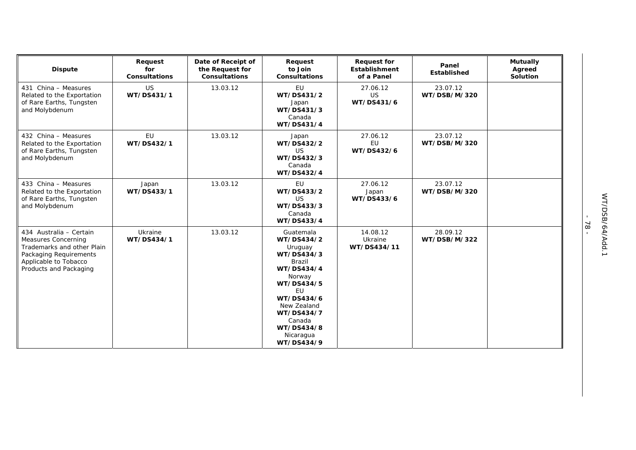| <b>Dispute</b>                                                                                                                                                   | Request<br>for<br><b>Consultations</b> | Date of Receipt of<br>the Request for<br><b>Consultations</b> | Request<br>to Join<br><b>Consultations</b>                                                                                                                                                                         | <b>Request for</b><br><b>Establishment</b><br>of a Panel | Panel<br><b>Established</b> | <b>Mutually</b><br>Agreed<br>Solution |
|------------------------------------------------------------------------------------------------------------------------------------------------------------------|----------------------------------------|---------------------------------------------------------------|--------------------------------------------------------------------------------------------------------------------------------------------------------------------------------------------------------------------|----------------------------------------------------------|-----------------------------|---------------------------------------|
| 431 China - Measures<br>Related to the Exportation<br>of Rare Earths, Tungsten<br>and Molybdenum                                                                 | US<br>WT/DS431/1                       | 13.03.12                                                      | EU<br>WT/DS431/2<br>Japan<br>WT/DS431/3<br>Canada<br>WT/DS431/4                                                                                                                                                    | 27.06.12<br><b>US</b><br>WT/DS431/6                      | 23.07.12<br>WT/DSB/M/320    |                                       |
| 432 China - Measures<br>Related to the Exportation<br>of Rare Earths, Tungsten<br>and Molybdenum                                                                 | EU<br>WT/DS432/1                       | 13.03.12                                                      | Japan<br>WT/DS432/2<br><b>US</b><br>WT/DS432/3<br>Canada<br>WT/DS432/4                                                                                                                                             | 27.06.12<br>EU<br>WT/DS432/6                             | 23.07.12<br>WT/DSB/M/320    |                                       |
| 433 China - Measures<br>Related to the Exportation<br>of Rare Earths, Tungsten<br>and Molybdenum                                                                 | Japan<br>WT/DS433/1                    | 13.03.12                                                      | EU<br>WT/DS433/2<br><b>US</b><br>WT/DS433/3<br>Canada<br>WT/DS433/4                                                                                                                                                | 27.06.12<br>Japan<br>WT/DS433/6                          | 23.07.12<br>WT/DSB/M/320    |                                       |
| 434 Australia - Certain<br><b>Measures Concerning</b><br>Trademarks and other Plain<br>Packaging Requirements<br>Applicable to Tobacco<br>Products and Packaging | Ukraine<br>WT/DS434/1                  | 13.03.12                                                      | Guatemala<br>WT/DS434/2<br>Uruguay<br>WT/DS434/3<br><b>Brazil</b><br>WT/DS434/4<br>Norway<br>WT/DS434/5<br><b>EU</b><br>WT/DS434/6<br>New Zealand<br>WT/DS434/7<br>Canada<br>WT/DS434/8<br>Nicaragua<br>WT/DS434/9 | 14.08.12<br>Ukraine<br>WT/DS434/11                       | 28.09.12<br>WT/DSB/M/322    |                                       |

- 78 -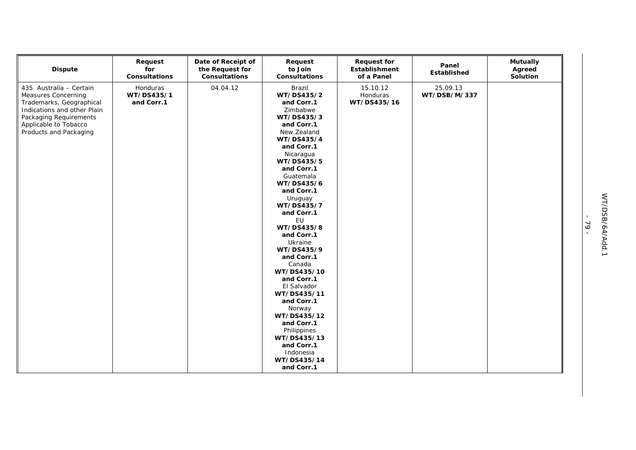| <b>Dispute</b>                                                                                                                                                                         | Request<br>for<br><b>Consultations</b> | Date of Receipt of<br>the Request for<br><b>Consultations</b> | Request<br>to Join<br>Consultations                                                                                                                                                                                                                                                                                                                                                                                                                                             | <b>Request for</b><br>Establishment<br>of a Panel | Panel<br>Established     | <b>Mutually</b><br>Agreed<br>Solution |
|----------------------------------------------------------------------------------------------------------------------------------------------------------------------------------------|----------------------------------------|---------------------------------------------------------------|---------------------------------------------------------------------------------------------------------------------------------------------------------------------------------------------------------------------------------------------------------------------------------------------------------------------------------------------------------------------------------------------------------------------------------------------------------------------------------|---------------------------------------------------|--------------------------|---------------------------------------|
| 435 Australia - Certain<br>Measures Concerning<br>Trademarks, Geographical<br>Indications and other Plain<br>Packaging Requirements<br>Applicable to Tobacco<br>Products and Packaging | Honduras<br>WT/DS435/1<br>and Corr.1   | 04.04.12                                                      | Brazil<br>WT/DS435/2<br>and Corr.1<br>Zimbabwe<br>WT/DS435/3<br>and Corr.1<br>New Zealand<br>WT/DS435/4<br>and Corr.1<br>Nicaragua<br>WT/DS435/5<br>and Corr.1<br>Guatemala<br>WT/DS435/6<br>and Corr.1<br>Uruguay<br>WT/DS435/7<br>and Corr.1<br>EU<br>WT/DS435/8<br>and Corr.1<br>Ukraine<br>WT/DS435/9<br>and Corr.1<br>Canada<br>WT/DS435/10<br>and Corr.1<br>El Salvador<br>WT/DS435/11<br>and Corr.1<br>Norway<br>WT/DS435/12<br>and Corr.1<br>Philippines<br>WT/DS435/13 | 15.10.12<br>Honduras<br>WT/DS435/16               | 25.09.13<br>WT/DSB/M/337 |                                       |
|                                                                                                                                                                                        |                                        |                                                               | and Corr.1<br>Indonesia<br>WT/DS435/14<br>and Corr.1                                                                                                                                                                                                                                                                                                                                                                                                                            |                                                   |                          |                                       |

- 79 -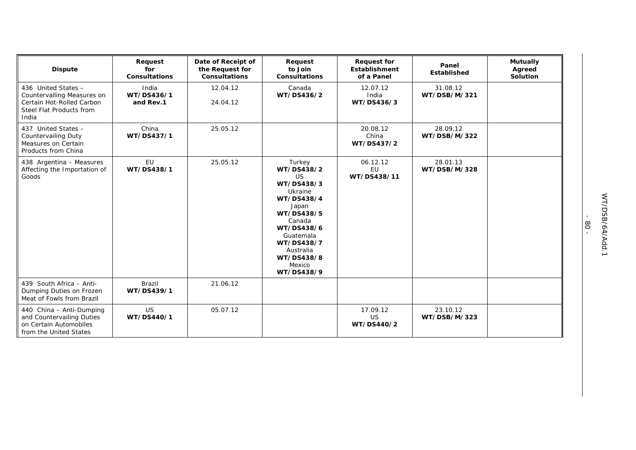| <b>Dispute</b>                                                                                                      | Request<br>for<br><b>Consultations</b> | Date of Receipt of<br>the Request for<br><b>Consultations</b> | Request<br>to Join<br><b>Consultations</b>                                                                                                                                                            | <b>Request for</b><br>Establishment<br>of a Panel | Panel<br><b>Established</b> | <b>Mutually</b><br>Agreed<br>Solution |
|---------------------------------------------------------------------------------------------------------------------|----------------------------------------|---------------------------------------------------------------|-------------------------------------------------------------------------------------------------------------------------------------------------------------------------------------------------------|---------------------------------------------------|-----------------------------|---------------------------------------|
| 436 United States -<br>Countervailing Measures on<br>Certain Hot-Rolled Carbon<br>Steel Flat Products from<br>India | India<br>WT/DS436/1<br>and Rev.1       | 12.04.12<br>24.04.12                                          | Canada<br>WT/DS436/2                                                                                                                                                                                  | 12.07.12<br>India<br>WT/DS436/3                   | 31.08.12<br>WT/DSB/M/321    |                                       |
| 437 United States -<br><b>Countervailing Duty</b><br>Measures on Certain<br>Products from China                     | China<br>WT/DS437/1                    | 25.05.12                                                      |                                                                                                                                                                                                       | 20.08.12<br>China<br>WT/DS437/2                   | 28.09.12<br>WT/DSB/M/322    |                                       |
| 438 Argentina - Measures<br>Affecting the Importation of<br>Goods                                                   | EU<br>WT/DS438/1                       | 25.05.12                                                      | Turkey<br>WT/DS438/2<br><b>US</b><br>WT/DS438/3<br>Ukraine<br>WT/DS438/4<br>Japan<br>WT/DS438/5<br>Canada<br>WT/DS438/6<br>Guatemala<br>WT/DS438/7<br>Australia<br>WT/DS438/8<br>Mexico<br>WT/DS438/9 | 06.12.12<br>EU<br>WT/DS438/11                     | 28.01.13<br>WT/DSB/M/328    |                                       |
| 439 South Africa - Anti-<br>Dumping Duties on Frozen<br>Meat of Fowls from Brazil                                   | Brazil<br>WT/DS439/1                   | 21.06.12                                                      |                                                                                                                                                                                                       |                                                   |                             |                                       |
| 440 China - Anti-Dumping<br>and Countervailing Duties<br>on Certain Automobiles<br>from the United States           | <b>US</b><br>WT/DS440/1                | 05.07.12                                                      |                                                                                                                                                                                                       | 17.09.12<br>US<br>WT/DS440/2                      | 23.10.12<br>WT/DSB/M/323    |                                       |

- 80 -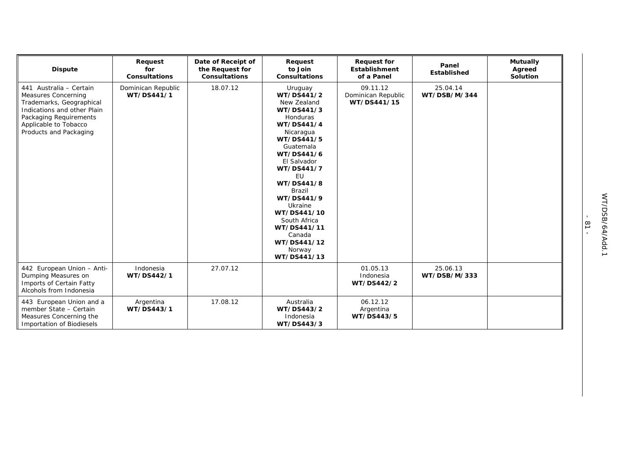| <b>Dispute</b>                                                                                                                                                                         | Request<br>for<br><b>Consultations</b> | Date of Receipt of<br>the Request for<br><b>Consultations</b> | Request<br>to Join<br><b>Consultations</b>                                                                                                                                                                                                                                                                                    | <b>Request for</b><br><b>Establishment</b><br>of a Panel | Panel<br><b>Established</b> | <b>Mutually</b><br>Agreed<br>Solution |
|----------------------------------------------------------------------------------------------------------------------------------------------------------------------------------------|----------------------------------------|---------------------------------------------------------------|-------------------------------------------------------------------------------------------------------------------------------------------------------------------------------------------------------------------------------------------------------------------------------------------------------------------------------|----------------------------------------------------------|-----------------------------|---------------------------------------|
| 441 Australia - Certain<br>Measures Concerning<br>Trademarks, Geographical<br>Indications and other Plain<br>Packaging Requirements<br>Applicable to Tobacco<br>Products and Packaging | Dominican Republic<br>WT/DS441/1       | 18.07.12                                                      | Uruguay<br>WT/DS441/2<br>New Zealand<br>WT/DS441/3<br>Honduras<br>WT/DS441/4<br>Nicaragua<br>WT/DS441/5<br>Guatemala<br>WT/DS441/6<br>El Salvador<br>WT/DS441/7<br>EU<br>WT/DS441/8<br><b>Brazil</b><br>WT/DS441/9<br>Ukraine<br>WT/DS441/10<br>South Africa<br>WT/DS441/11<br>Canada<br>WT/DS441/12<br>Norway<br>WT/DS441/13 | 09.11.12<br>Dominican Republic<br>WT/DS441/15            | 25.04.14<br>WT/DSB/M/344    |                                       |
| 442 European Union - Anti-<br>Dumping Measures on<br>Imports of Certain Fatty<br>Alcohols from Indonesia                                                                               | Indonesia<br>WT/DS442/1                | 27.07.12                                                      |                                                                                                                                                                                                                                                                                                                               | 01.05.13<br>Indonesia<br>WT/DS442/2                      | 25.06.13<br>WT/DSB/M/333    |                                       |
| 443 European Union and a<br>member State - Certain<br>Measures Concerning the<br><b>Importation of Biodiesels</b>                                                                      | Argentina<br>WT/DS443/1                | 17.08.12                                                      | Australia<br>WT/DS443/2<br>Indonesia<br>WT/DS443/3                                                                                                                                                                                                                                                                            | 06.12.12<br>Argentina<br>WT/DS443/5                      |                             |                                       |

- 81 -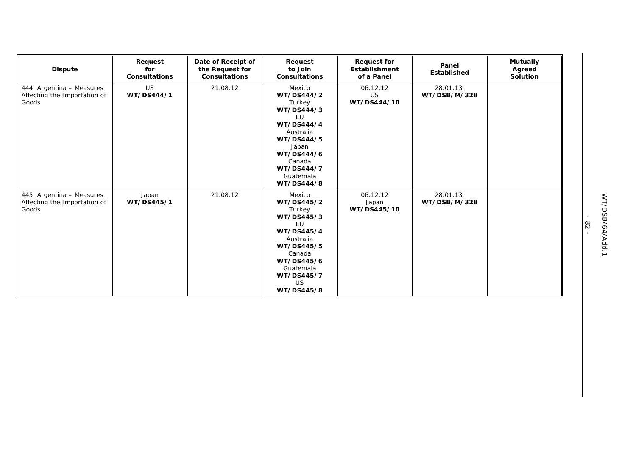| <b>Dispute</b>                                                    | Request<br>for<br><b>Consultations</b> | Date of Receipt of<br>the Request for<br><b>Consultations</b> | Request<br>to Join<br><b>Consultations</b>                                                                                                                                       | <b>Request for</b><br><b>Establishment</b><br>of a Panel | Panel<br><b>Established</b> | <b>Mutually</b><br>Agreed<br><b>Solution</b> |
|-------------------------------------------------------------------|----------------------------------------|---------------------------------------------------------------|----------------------------------------------------------------------------------------------------------------------------------------------------------------------------------|----------------------------------------------------------|-----------------------------|----------------------------------------------|
| 444 Argentina - Measures<br>Affecting the Importation of<br>Goods | <b>US</b><br>WT/DS444/1                | 21.08.12                                                      | Mexico<br>WT/DS444/2<br>Turkey<br>WT/DS444/3<br>EU<br>WT/DS444/4<br>Australia<br>WT/DS444/5<br>Japan<br>WT/DS444/6<br>Canada<br>WT/DS444/7<br>Guatemala<br>WT/DS444/8            | 06.12.12<br>US<br>WT/DS444/10                            | 28.01.13<br>WT/DSB/M/328    |                                              |
| 445 Argentina - Measures<br>Affecting the Importation of<br>Goods | Japan<br>WT/DS445/1                    | 21.08.12                                                      | Mexico<br>WT/DS445/2<br>Turkey<br>WT/DS445/3<br><b>EU</b><br>WT/DS445/4<br>Australia<br>WT/DS445/5<br>Canada<br>WT/DS445/6<br>Guatemala<br>WT/DS445/7<br><b>US</b><br>WT/DS445/8 | 06.12.12<br>Japan<br>WT/DS445/10                         | 28.01.13<br>WT/DSB/M/328    |                                              |

- 82 -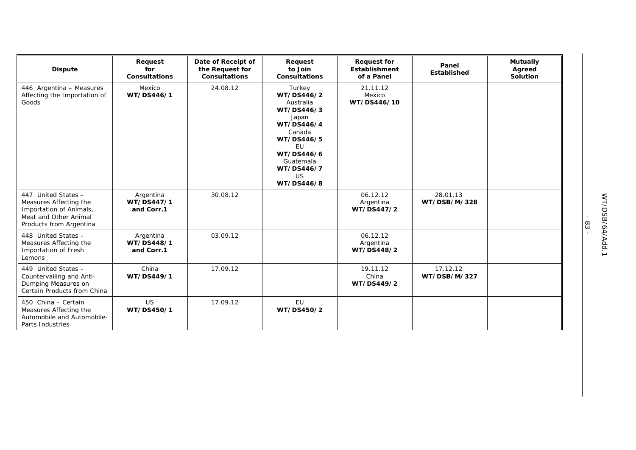| <b>Dispute</b>                                                                                                               | Request<br>for<br><b>Consultations</b> | Date of Receipt of<br>the Request for<br><b>Consultations</b> | Request<br>to Join<br><b>Consultations</b>                                                                                                                                      | <b>Request for</b><br><b>Establishment</b><br>of a Panel | Panel<br>Established     | <b>Mutually</b><br>Agreed<br>Solution |
|------------------------------------------------------------------------------------------------------------------------------|----------------------------------------|---------------------------------------------------------------|---------------------------------------------------------------------------------------------------------------------------------------------------------------------------------|----------------------------------------------------------|--------------------------|---------------------------------------|
| 446 Argentina - Measures<br>Affecting the Importation of<br>Goods                                                            | Mexico<br>WT/DS446/1                   | 24.08.12                                                      | Turkey<br>WT/DS446/2<br>Australia<br>WT/DS446/3<br>Japan<br>WT/DS446/4<br>Canada<br>WT/DS446/5<br><b>EU</b><br>WT/DS446/6<br>Guatemala<br>WT/DS446/7<br><b>US</b><br>WT/DS446/8 | 21.11.12<br>Mexico<br>WT/DS446/10                        |                          |                                       |
| 447 United States -<br>Measures Affecting the<br>Importation of Animals,<br>Meat and Other Animal<br>Products from Argentina | Argentina<br>WT/DS447/1<br>and Corr.1  | 30.08.12                                                      |                                                                                                                                                                                 | 06.12.12<br>Argentina<br>WT/DS447/2                      | 28.01.13<br>WT/DSB/M/328 |                                       |
| 448 United States -<br>Measures Affecting the<br>Importation of Fresh<br>Lemons                                              | Argentina<br>WT/DS448/1<br>and Corr.1  | 03.09.12                                                      |                                                                                                                                                                                 | 06.12.12<br>Argentina<br>WT/DS448/2                      |                          |                                       |
| 449 United States -<br>Countervailing and Anti-<br>Dumping Measures on<br>Certain Products from China                        | China<br>WT/DS449/1                    | 17.09.12                                                      |                                                                                                                                                                                 | 19.11.12<br>China<br>WT/DS449/2                          | 17.12.12<br>WT/DSB/M/327 |                                       |
| 450 China - Certain<br>Measures Affecting the<br>Automobile and Automobile-<br>Parts Industries                              | <b>US</b><br>WT/DS450/1                | 17.09.12                                                      | EU<br>WT/DS450/2                                                                                                                                                                |                                                          |                          |                                       |

- 83 -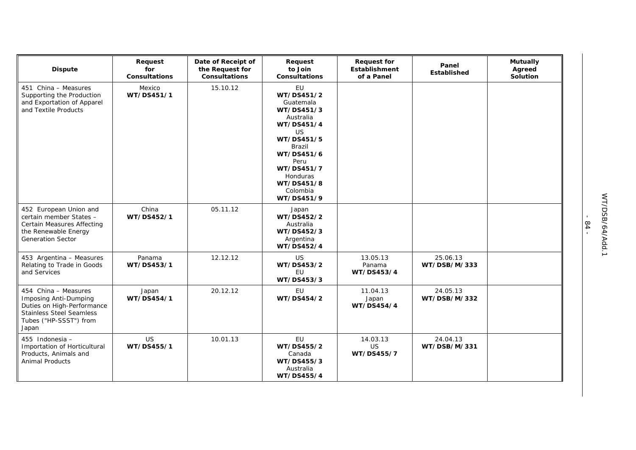| <b>Dispute</b>                                                                                                                                    | Request<br>for<br><b>Consultations</b> | Date of Receipt of<br>the Request for<br><b>Consultations</b> | Request<br>to Join<br>Consultations                                                                                                                                                                        | <b>Request for</b><br>Establishment<br>of a Panel | Panel<br>Established     | <b>Mutually</b><br>Agreed<br>Solution |
|---------------------------------------------------------------------------------------------------------------------------------------------------|----------------------------------------|---------------------------------------------------------------|------------------------------------------------------------------------------------------------------------------------------------------------------------------------------------------------------------|---------------------------------------------------|--------------------------|---------------------------------------|
| 451 China - Measures<br>Supporting the Production<br>and Exportation of Apparel<br>and Textile Products                                           | Mexico<br>WT/DS451/1                   | 15.10.12                                                      | EU<br>WT/DS451/2<br>Guatemala<br>WT/DS451/3<br>Australia<br>WT/DS451/4<br><b>US</b><br>WT/DS451/5<br><b>Brazil</b><br>WT/DS451/6<br>Peru<br>WT/DS451/7<br>Honduras<br>WT/DS451/8<br>Colombia<br>WT/DS451/9 |                                                   |                          |                                       |
| 452 European Union and<br>certain member States -<br><b>Certain Measures Affecting</b><br>the Renewable Energy<br><b>Generation Sector</b>        | China<br>WT/DS452/1                    | 05.11.12                                                      | Japan<br>WT/DS452/2<br>Australia<br>WT/DS452/3<br>Argentina<br>WT/DS452/4                                                                                                                                  |                                                   |                          |                                       |
| 453 Argentina - Measures<br>Relating to Trade in Goods<br>and Services                                                                            | Panama<br>WT/DS453/1                   | 12.12.12                                                      | <b>US</b><br>WT/DS453/2<br>EU<br>WT/DS453/3                                                                                                                                                                | 13.05.13<br>Panama<br>WT/DS453/4                  | 25.06.13<br>WT/DSB/M/333 |                                       |
| 454 China - Measures<br>Imposing Anti-Dumping<br>Duties on High-Performance<br><b>Stainless Steel Seamless</b><br>Tubes ("HP-SSST") from<br>Japan | Japan<br>WT/DS454/1                    | 20.12.12                                                      | EU<br>WT/DS454/2                                                                                                                                                                                           | 11.04.13<br>Japan<br>WT/DS454/4                   | 24.05.13<br>WT/DSB/M/332 |                                       |
| 455 Indonesia -<br>Importation of Horticultural<br>Products, Animals and<br><b>Animal Products</b>                                                | <b>US</b><br>WT/DS455/1                | 10.01.13                                                      | EU<br>WT/DS455/2<br>Canada<br>WT/DS455/3<br>Australia<br>WT/DS455/4                                                                                                                                        | 14.03.13<br>US<br>WT/DS455/7                      | 24.04.13<br>WT/DSB/M/331 |                                       |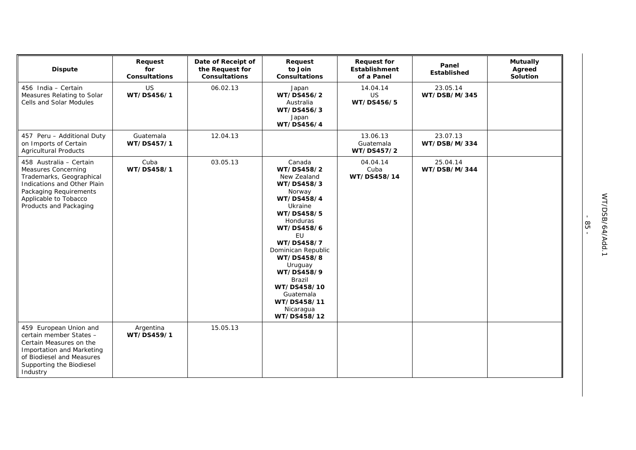| <b>Dispute</b>                                                                                                                                                                                | Request<br>for<br><b>Consultations</b> | Date of Receipt of<br>the Request for<br>Consultations | Request<br>to Join<br><b>Consultations</b>                                                                                                                                                                                                                                                     | <b>Request for</b><br><b>Establishment</b><br>of a Panel | Panel<br>Established     | <b>Mutually</b><br>Agreed<br>Solution |
|-----------------------------------------------------------------------------------------------------------------------------------------------------------------------------------------------|----------------------------------------|--------------------------------------------------------|------------------------------------------------------------------------------------------------------------------------------------------------------------------------------------------------------------------------------------------------------------------------------------------------|----------------------------------------------------------|--------------------------|---------------------------------------|
| 456 India - Certain<br>Measures Relating to Solar<br><b>Cells and Solar Modules</b>                                                                                                           | <b>US</b><br>WT/DS456/1                | 06.02.13                                               | Japan<br>WT/DS456/2<br>Australia<br>WT/DS456/3<br>Japan<br>WT/DS456/4                                                                                                                                                                                                                          | 14.04.14<br><b>US</b><br>WT/DS456/5                      | 23.05.14<br>WT/DSB/M/345 |                                       |
| 457 Peru - Additional Duty<br>on Imports of Certain<br><b>Agricultural Products</b>                                                                                                           | Guatemala<br>WT/DS457/1                | 12.04.13                                               |                                                                                                                                                                                                                                                                                                | 13.06.13<br>Guatemala<br>WT/DS457/2                      | 23.07.13<br>WT/DSB/M/334 |                                       |
| 458 Australia - Certain<br><b>Measures Concerning</b><br>Trademarks, Geographical<br>Indications and Other Plain<br>Packaging Requirements<br>Applicable to Tobacco<br>Products and Packaging | Cuba<br>WT/DS458/1                     | 03.05.13                                               | Canada<br>WT/DS458/2<br>New Zealand<br>WT/DS458/3<br>Norway<br>WT/DS458/4<br>Ukraine<br>WT/DS458/5<br>Honduras<br>WT/DS458/6<br>EU<br>WT/DS458/7<br>Dominican Republic<br>WT/DS458/8<br>Uruguay<br>WT/DS458/9<br>Brazil<br>WT/DS458/10<br>Guatemala<br>WT/DS458/11<br>Nicaragua<br>WT/DS458/12 | 04.04.14<br>Cuba<br>WT/DS458/14                          | 25.04.14<br>WT/DSB/M/344 |                                       |
| 459 European Union and<br>certain member States -<br>Certain Measures on the<br><b>Importation and Marketing</b><br>of Biodiesel and Measures<br>Supporting the Biodiesel<br>Industry         | Argentina<br>WT/DS459/1                | 15.05.13                                               |                                                                                                                                                                                                                                                                                                |                                                          |                          |                                       |

- 85 -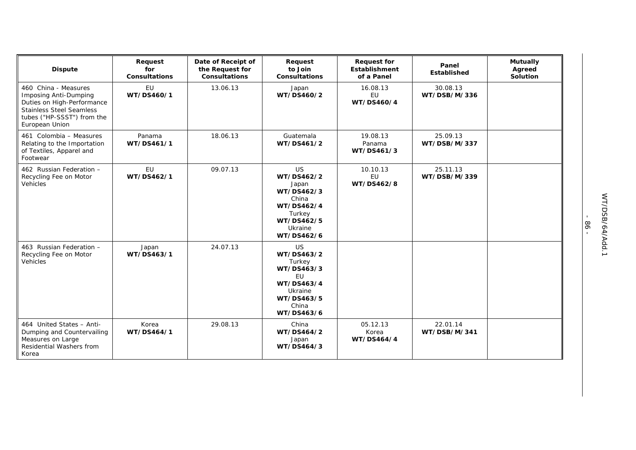| <b>Dispute</b>                                                                                                                                                        | Request<br>for<br><b>Consultations</b> | Date of Receipt of<br>the Request for<br><b>Consultations</b> | Request<br>to Join<br><b>Consultations</b>                                                                                 | <b>Request for</b><br>Establishment<br>of a Panel | Panel<br>Established     | <b>Mutually</b><br>Agreed<br>Solution |
|-----------------------------------------------------------------------------------------------------------------------------------------------------------------------|----------------------------------------|---------------------------------------------------------------|----------------------------------------------------------------------------------------------------------------------------|---------------------------------------------------|--------------------------|---------------------------------------|
| 460 China - Measures<br><b>Imposing Anti-Dumping</b><br>Duties on High-Performance<br><b>Stainless Steel Seamless</b><br>tubes ("HP-SSST") from the<br>European Union | EU<br>WT/DS460/1                       | 13.06.13                                                      | Japan<br>WT/DS460/2                                                                                                        | 16.08.13<br>EU<br>WT/DS460/4                      | 30.08.13<br>WT/DSB/M/336 |                                       |
| 461 Colombia - Measures<br>Relating to the Importation<br>of Textiles, Apparel and<br>Footwear                                                                        | Panama<br>WT/DS461/1                   | 18.06.13                                                      | Guatemala<br>WT/DS461/2                                                                                                    | 19.08.13<br>Panama<br>WT/DS461/3                  | 25.09.13<br>WT/DSB/M/337 |                                       |
| 462 Russian Federation -<br>Recycling Fee on Motor<br>Vehicles                                                                                                        | <b>EU</b><br>WT/DS462/1                | 09.07.13                                                      | <b>US</b><br>WT/DS462/2<br>Japan<br>WT/DS462/3<br>China<br>WT/DS462/4<br>Turkey<br>WT/DS462/5<br>Ukraine<br>WT/DS462/6     | 10.10.13<br>EU<br>WT/DS462/8                      | 25.11.13<br>WT/DSB/M/339 |                                       |
| 463 Russian Federation -<br>Recycling Fee on Motor<br>Vehicles                                                                                                        | Japan<br>WT/DS463/1                    | 24.07.13                                                      | <b>US</b><br>WT/DS463/2<br>Turkey<br>WT/DS463/3<br><b>EU</b><br>WT/DS463/4<br>Ukraine<br>WT/DS463/5<br>China<br>WT/DS463/6 |                                                   |                          |                                       |
| 464 United States - Anti-<br>Dumping and Countervailing<br>Measures on Large<br>Residential Washers from<br>Korea                                                     | Korea<br>WT/DS464/1                    | 29.08.13                                                      | China<br>WT/DS464/2<br>Japan<br>WT/DS464/3                                                                                 | 05.12.13<br>Korea<br>WT/DS464/4                   | 22.01.14<br>WT/DSB/M/341 |                                       |

- 86 -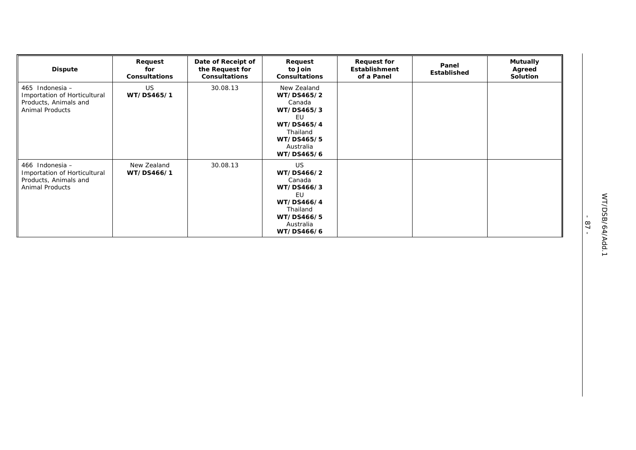| <b>Dispute</b>                                                                                     | Request<br>for<br><b>Consultations</b> | Date of Receipt of<br>the Request for<br><b>Consultations</b> | Request<br>to Join<br><b>Consultations</b>                                                                                 | <b>Request for</b><br>Establishment<br>of a Panel | Panel<br>Established | <b>Mutually</b><br>Agreed<br>Solution |
|----------------------------------------------------------------------------------------------------|----------------------------------------|---------------------------------------------------------------|----------------------------------------------------------------------------------------------------------------------------|---------------------------------------------------|----------------------|---------------------------------------|
| 465 Indonesia -<br>Importation of Horticultural<br>Products, Animals and<br><b>Animal Products</b> | US.<br>WT/DS465/1                      | 30.08.13                                                      | New Zealand<br>WT/DS465/2<br>Canada<br>WT/DS465/3<br>EU<br>WT/DS465/4<br>Thailand<br>WT/DS465/5<br>Australia<br>WT/DS465/6 |                                                   |                      |                                       |
| 466 Indonesia -<br>Importation of Horticultural<br>Products, Animals and<br><b>Animal Products</b> | New Zealand<br>WT/DS466/1              | 30.08.13                                                      | US.<br>WT/DS466/2<br>Canada<br>WT/DS466/3<br>EU<br>WT/DS466/4<br>Thailand<br>WT/DS466/5<br>Australia<br>WT/DS466/6         |                                                   |                      |                                       |

- 87 -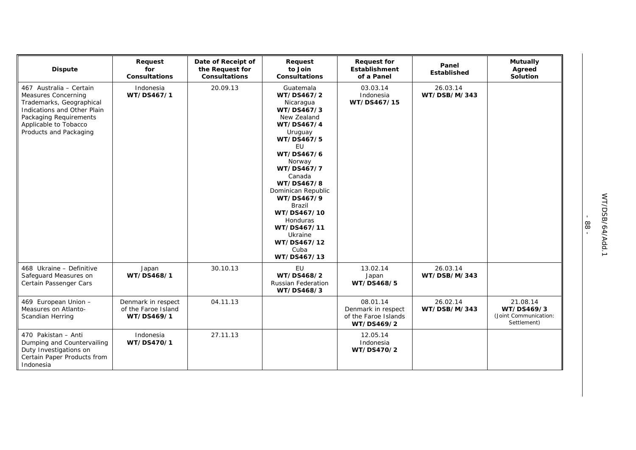| <b>Dispute</b>                                                                                                                                                                                | Request<br>for<br><b>Consultations</b>                  | Date of Receipt of<br>the Request for<br><b>Consultations</b> | Request<br>to Join<br><b>Consultations</b>                                                                                                                                                                                                                                                                            | <b>Request for</b><br><b>Establishment</b><br>of a Panel             | Panel<br><b>Established</b> | <b>Mutually</b><br>Agreed<br>Solution                          |
|-----------------------------------------------------------------------------------------------------------------------------------------------------------------------------------------------|---------------------------------------------------------|---------------------------------------------------------------|-----------------------------------------------------------------------------------------------------------------------------------------------------------------------------------------------------------------------------------------------------------------------------------------------------------------------|----------------------------------------------------------------------|-----------------------------|----------------------------------------------------------------|
| 467 Australia - Certain<br><b>Measures Concerning</b><br>Trademarks, Geographical<br>Indications and Other Plain<br>Packaging Requirements<br>Applicable to Tobacco<br>Products and Packaging | Indonesia<br>WT/DS467/1                                 | 20.09.13                                                      | Guatemala<br>WT/DS467/2<br>Nicaragua<br>WT/DS467/3<br>New Zealand<br>WT/DS467/4<br>Uruguay<br>WT/DS467/5<br>EU<br>WT/DS467/6<br>Norway<br>WT/DS467/7<br>Canada<br>WT/DS467/8<br>Dominican Republic<br>WT/DS467/9<br>Brazil<br>WT/DS467/10<br>Honduras<br>WT/DS467/11<br>Ukraine<br>WT/DS467/12<br>Cuba<br>WT/DS467/13 | 03.03.14<br>Indonesia<br>WT/DS467/15                                 | 26.03.14<br>WT/DSB/M/343    |                                                                |
| 468 Ukraine - Definitive<br>Safeguard Measures on<br>Certain Passenger Cars                                                                                                                   | Japan<br>WT/DS468/1                                     | 30.10.13                                                      | EU<br>WT/DS468/2<br><b>Russian Federation</b><br>WT/DS468/3                                                                                                                                                                                                                                                           | 13.02.14<br>Japan<br>WT/DS468/5                                      | 26.03.14<br>WT/DSB/M/343    |                                                                |
| 469 European Union -<br>Measures on Atlanto-<br>Scandian Herring                                                                                                                              | Denmark in respect<br>of the Faroe Island<br>WT/DS469/1 | 04.11.13                                                      |                                                                                                                                                                                                                                                                                                                       | 08.01.14<br>Denmark in respect<br>of the Faroe Islands<br>WT/DS469/2 | 26.02.14<br>WT/DSB/M/343    | 21.08.14<br>WT/DS469/3<br>(Joint Communication:<br>Settlement) |
| 470 Pakistan - Anti<br>Dumping and Countervailing<br>Duty Investigations on<br>Certain Paper Products from<br>Indonesia                                                                       | Indonesia<br>WT/DS470/1                                 | 27.11.13                                                      |                                                                                                                                                                                                                                                                                                                       | 12.05.14<br>Indonesia<br>WT/DS470/2                                  |                             |                                                                |

- 88 -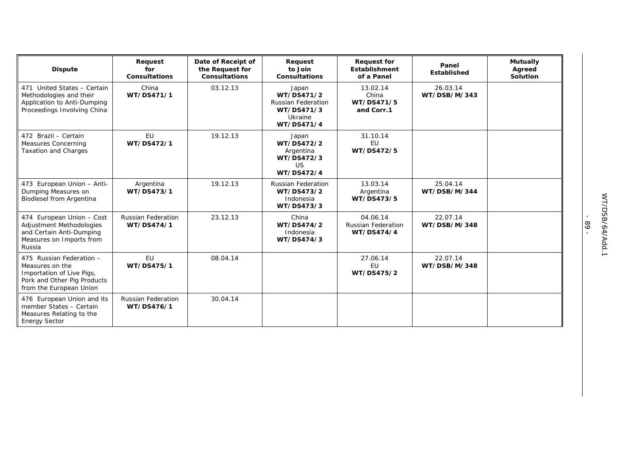| <b>Dispute</b>                                                                                                                     | Request<br>for<br><b>Consultations</b>  | Date of Receipt of<br>the Request for<br><b>Consultations</b> | Request<br>to Join<br><b>Consultations</b>                                              | <b>Request for</b><br>Establishment<br>of a Panel   | Panel<br><b>Established</b> | <b>Mutually</b><br>Agreed<br><b>Solution</b> |
|------------------------------------------------------------------------------------------------------------------------------------|-----------------------------------------|---------------------------------------------------------------|-----------------------------------------------------------------------------------------|-----------------------------------------------------|-----------------------------|----------------------------------------------|
| 471 United States - Certain<br>Methodologies and their<br>Application to Anti-Dumping<br>Proceedings Involving China               | China<br>WT/DS471/1                     | 03.12.13                                                      | Japan<br>WT/DS471/2<br><b>Russian Federation</b><br>WT/DS471/3<br>Ukraine<br>WT/DS471/4 | 13.02.14<br>China<br>WT/DS471/5<br>and Corr.1       | 26.03.14<br>WT/DSB/M/343    |                                              |
| 472 Brazil - Certain<br>Measures Concerning<br><b>Taxation and Charges</b>                                                         | EU<br>WT/DS472/1                        | 19.12.13                                                      | Japan<br>WT/DS472/2<br>Argentina<br>WT/DS472/3<br>US<br>WT/DS472/4                      | 31.10.14<br><b>EU</b><br>WT/DS472/5                 |                             |                                              |
| 473 European Union - Anti-<br>Dumping Measures on<br>Biodiesel from Argentina                                                      | Argentina<br>WT/DS473/1                 | 19.12.13                                                      | Russian Federation<br>WT/DS473/2<br>Indonesia<br>WT/DS473/3                             | 13.03.14<br>Argentina<br>WT/DS473/5                 | 25.04.14<br>WT/DSB/M/344    |                                              |
| 474 European Union - Cost<br>Adjustment Methodologies<br>and Certain Anti-Dumping<br>Measures on Imports from<br>Russia            | Russian Federation<br>WT/DS474/1        | 23.12.13                                                      | China<br>WT/DS474/2<br>Indonesia<br>WT/DS474/3                                          | 04.06.14<br><b>Russian Federation</b><br>WT/DS474/4 | 22.07.14<br>WT/DSB/M/348    |                                              |
| 475 Russian Federation -<br>Measures on the<br>Importation of Live Pigs,<br>Pork and Other Pig Products<br>from the European Union | <b>EU</b><br>WT/DS475/1                 | 08.04.14                                                      |                                                                                         | 27.06.14<br><b>EU</b><br>WT/DS475/2                 | 22.07.14<br>WT/DSB/M/348    |                                              |
| 476 European Union and its<br>member States - Certain<br>Measures Relating to the<br><b>Energy Sector</b>                          | <b>Russian Federation</b><br>WT/DS476/1 | 30.04.14                                                      |                                                                                         |                                                     |                             |                                              |

- 89 -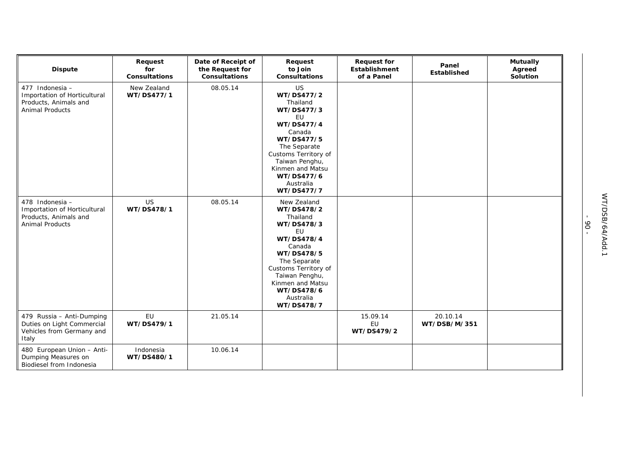| <b>Dispute</b>                                                                                     | Request<br>for<br><b>Consultations</b> | Date of Receipt of<br>the Request for<br><b>Consultations</b> | Request<br>to Join<br><b>Consultations</b>                                                                                                                                                                                    | <b>Request for</b><br><b>Establishment</b><br>of a Panel | Panel<br>Established     | <b>Mutually</b><br>Agreed<br>Solution |
|----------------------------------------------------------------------------------------------------|----------------------------------------|---------------------------------------------------------------|-------------------------------------------------------------------------------------------------------------------------------------------------------------------------------------------------------------------------------|----------------------------------------------------------|--------------------------|---------------------------------------|
| 477 Indonesia -<br>Importation of Horticultural<br>Products, Animals and<br><b>Animal Products</b> | New Zealand<br>WT/DS477/1              | 08.05.14                                                      | US<br>WT/DS477/2<br>Thailand<br>WT/DS477/3<br>EU<br>WT/DS477/4<br>Canada<br>WT/DS477/5<br>The Separate<br>Customs Territory of<br>Taiwan Penghu,<br>Kinmen and Matsu<br>WT/DS477/6<br>Australia<br>WT/DS477/7                 |                                                          |                          |                                       |
| 478 Indonesia -<br>Importation of Horticultural<br>Products, Animals and<br>Animal Products        | US<br>WT/DS478/1                       | 08.05.14                                                      | New Zealand<br>WT/DS478/2<br>Thailand<br>WT/DS478/3<br><b>EU</b><br>WT/DS478/4<br>Canada<br>WT/DS478/5<br>The Separate<br>Customs Territory of<br>Taiwan Penghu,<br>Kinmen and Matsu<br>WT/DS478/6<br>Australia<br>WT/DS478/7 |                                                          |                          |                                       |
| 479 Russia - Anti-Dumping<br>Duties on Light Commercial<br>Vehicles from Germany and<br>Italy      | <b>EU</b><br>WT/DS479/1                | 21.05.14                                                      |                                                                                                                                                                                                                               | 15.09.14<br>EU<br>WT/DS479/2                             | 20.10.14<br>WT/DSB/M/351 |                                       |
| 480 European Union - Anti-<br>Dumping Measures on<br>Biodiesel from Indonesia                      | Indonesia<br>WT/DS480/1                | 10.06.14                                                      |                                                                                                                                                                                                                               |                                                          |                          |                                       |

 $-96 -$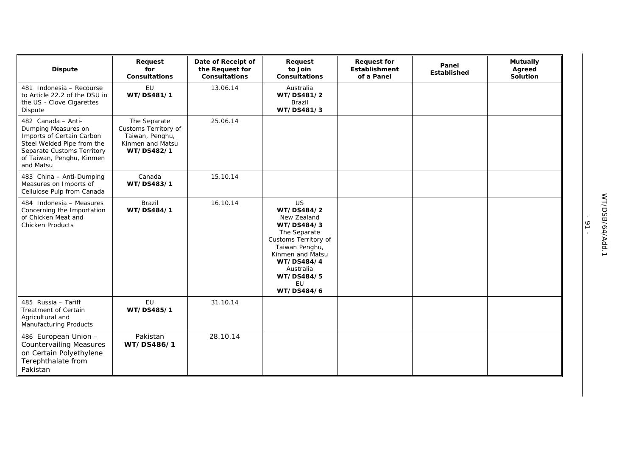| <b>Dispute</b>                                                                                                                                                               | Request<br>for<br><b>Consultations</b>                                                    | Date of Receipt of<br>the Request for<br><b>Consultations</b> | Request<br>to Join<br><b>Consultations</b>                                                                                                                                                      | <b>Request for</b><br>Establishment<br>of a Panel | Panel<br><b>Established</b> | <b>Mutually</b><br>Agreed<br>Solution |
|------------------------------------------------------------------------------------------------------------------------------------------------------------------------------|-------------------------------------------------------------------------------------------|---------------------------------------------------------------|-------------------------------------------------------------------------------------------------------------------------------------------------------------------------------------------------|---------------------------------------------------|-----------------------------|---------------------------------------|
| 481 Indonesia - Recourse<br>to Article 22.2 of the DSU in<br>the US - Clove Cigarettes<br>Dispute                                                                            | EU<br>WT/DS481/1                                                                          | 13.06.14                                                      | Australia<br>WT/DS481/2<br><b>Brazil</b><br>WT/DS481/3                                                                                                                                          |                                                   |                             |                                       |
| 482 Canada - Anti-<br>Dumping Measures on<br>Imports of Certain Carbon<br>Steel Welded Pipe from the<br>Separate Customs Territory<br>of Taiwan, Penghu, Kinmen<br>and Matsu | The Separate<br>Customs Territory of<br>Taiwan, Penghu,<br>Kinmen and Matsu<br>WT/DS482/1 | 25.06.14                                                      |                                                                                                                                                                                                 |                                                   |                             |                                       |
| 483 China - Anti-Dumping<br>Measures on Imports of<br>Cellulose Pulp from Canada                                                                                             | Canada<br>WT/DS483/1                                                                      | 15.10.14                                                      |                                                                                                                                                                                                 |                                                   |                             |                                       |
| 484 Indonesia - Measures<br>Concerning the Importation<br>of Chicken Meat and<br><b>Chicken Products</b>                                                                     | Brazil<br>WT/DS484/1                                                                      | 16.10.14                                                      | <b>US</b><br>WT/DS484/2<br>New Zealand<br>WT/DS484/3<br>The Separate<br>Customs Territory of<br>Taiwan Penghu,<br>Kinmen and Matsu<br>WT/DS484/4<br>Australia<br>WT/DS484/5<br>EU<br>WT/DS484/6 |                                                   |                             |                                       |
| 485 Russia - Tariff<br>Treatment of Certain<br>Agricultural and<br>Manufacturing Products                                                                                    | EU<br>WT/DS485/1                                                                          | 31.10.14                                                      |                                                                                                                                                                                                 |                                                   |                             |                                       |
| 486 European Union -<br><b>Countervailing Measures</b><br>on Certain Polyethylene<br>Terephthalate from<br>Pakistan                                                          | Pakistan<br>WT/DS486/1                                                                    | 28.10.14                                                      |                                                                                                                                                                                                 |                                                   |                             |                                       |

- 91 -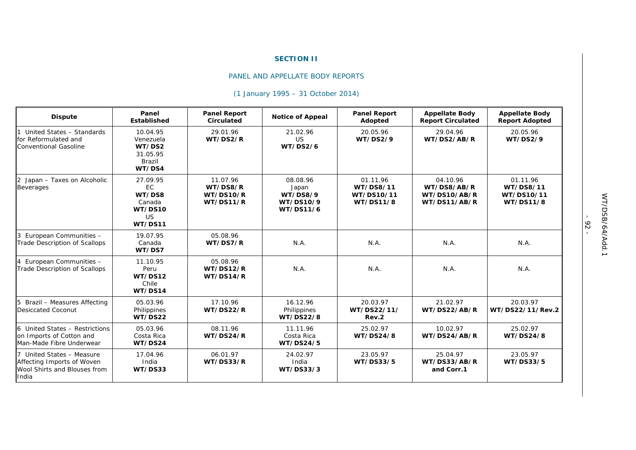## **SECTION II**

## PANEL AND APPELLATE BODY REPORTS

## *(1 January 1995 – 31 October 2014)*

| <b>Dispute</b>                                                                                   | Panel<br>Established                                            | <b>Panel Report</b><br>Circulated              | <b>Notice of Appeal</b>                                 | <b>Panel Report</b><br>Adopted                          | <b>Appellate Body</b><br><b>Report Circulated</b>       | <b>Appellate Body</b><br><b>Report Adopted</b>          |
|--------------------------------------------------------------------------------------------------|-----------------------------------------------------------------|------------------------------------------------|---------------------------------------------------------|---------------------------------------------------------|---------------------------------------------------------|---------------------------------------------------------|
| United States - Standards<br>for Reformulated and<br>Conventional Gasoline                       | 10.04.95<br>Venezuela<br>WT/DS2<br>31.05.95<br>Brazil<br>WT/DS4 | 29.01.96<br>WT/DS2/R                           | 21.02.96<br>US<br><b>WT/DS2/6</b>                       | 20.05.96<br>WT/DS2/9                                    | 29.04.96<br>WT/DS2/AB/R                                 | 20.05.96<br><b>WT/DS2/9</b>                             |
| 2 Japan - Taxes on Alcoholic<br><b>Beverages</b>                                                 | 27.09.95<br>EC.<br>WT/DS8<br>Canada<br>WT/DS10<br>US<br>WT/DS11 | 11.07.96<br>WT/DS8/R<br>WT/DS10/R<br>WT/DS11/R | 08.08.96<br>Japan<br>WT/DS8/9<br>WT/DS10/9<br>WT/DS11/6 | 01.11.96<br><b>WT/DS8/11</b><br>WT/DS10/11<br>WT/DS11/8 | 04.10.96<br>WT/DS8/AB/R<br>WT/DS10/AB/R<br>WT/DS11/AB/R | 01.11.96<br><b>WT/DS8/11</b><br>WT/DS10/11<br>WT/DS11/8 |
| European Communities -<br><b>Trade Description of Scallops</b>                                   | 19.07.95<br>Canada<br>WT/DS7                                    | 05.08.96<br>WT/DS7/R                           | N.A.                                                    | N.A.                                                    | N.A.                                                    | N.A.                                                    |
| European Communities -<br><b>Trade Description of Scallops</b>                                   | 11.10.95<br>Peru<br>WT/DS12<br>Chile<br>WT/DS14                 | 05.08.96<br>WT/DS12/R<br>WT/DS14/R             | N.A.                                                    | N.A.                                                    | N.A.                                                    | N.A.                                                    |
| 5 Brazil - Measures Affecting<br>Desiccated Coconut                                              | 05.03.96<br>Philippines<br>WT/DS22                              | 17.10.96<br>WT/DS22/R                          | 16.12.96<br>Philippines<br><b>WT/DS22/8</b>             | 20.03.97<br>WT/DS22/11/<br>Rev.2                        | 21.02.97<br>WT/DS22/AB/R                                | 20.03.97<br>WT/DS22/11/Rev.2                            |
| 6 United States - Restrictions<br>on Imports of Cotton and<br>Man-Made Fibre Underwear           | 05.03.96<br>Costa Rica<br>WT/DS24                               | 08.11.96<br>WT/DS24/R                          | 11.11.96<br>Costa Rica<br><b>WT/DS24/5</b>              | 25.02.97<br>WT/DS24/8                                   | 10.02.97<br>WT/DS24/AB/R                                | 25.02.97<br>WT/DS24/8                                   |
| 7 United States - Measure<br>Affecting Imports of Woven<br>Wool Shirts and Blouses from<br>India | 17.04.96<br>India<br>WT/DS33                                    | 06.01.97<br>WT/DS33/R                          | 24.02.97<br>India<br>WT/DS33/3                          | 23.05.97<br>WT/DS33/5                                   | 25.04.97<br>WT/DS33/AB/R<br>and Corr.1                  | 23.05.97<br>WT/DS33/5                                   |

- 92 -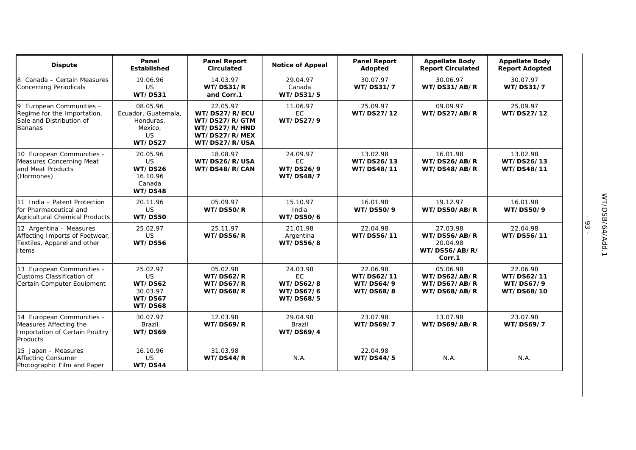| <b>Dispute</b>                                                                                    | Panel<br><b>Established</b>                                              | <b>Panel Report</b><br><b>Circulated</b>                                                      | <b>Notice of Appeal</b>                                      | <b>Panel Report</b><br>Adopted                   | <b>Appellate Body</b><br><b>Report Circulated</b>               | <b>Appellate Body</b><br><b>Report Adopted</b>    |
|---------------------------------------------------------------------------------------------------|--------------------------------------------------------------------------|-----------------------------------------------------------------------------------------------|--------------------------------------------------------------|--------------------------------------------------|-----------------------------------------------------------------|---------------------------------------------------|
| 8 Canada - Certain Measures<br><b>Concerning Periodicals</b>                                      | 19.06.96<br>US<br>WT/DS31                                                | 14.03.97<br>WT/DS31/R<br>and Corr.1                                                           | 29.04.97<br>Canada<br>WT/DS31/5                              | 30.07.97<br>WT/DS31/7                            | 30.06.97<br>WT/DS31/AB/R                                        | 30.07.97<br>WT/DS31/7                             |
| 9 European Communities -<br>Regime for the Importation,<br>Sale and Distribution of<br>Bananas    | 08.05.96<br>Ecuador, Guatemala,<br>Honduras.<br>Mexico.<br>US<br>WT/DS27 | 22.05.97<br>WT/DS27/R/ECU<br>WT/DS27/R/GTM<br>WT/DS27/R/HND<br>WT/DS27/R/MEX<br>WT/DS27/R/USA | 11.06.97<br>EC<br>WT/DS27/9                                  | 25.09.97<br>WT/DS27/12                           | 09.09.97<br>WT/DS27/AB/R                                        | 25.09.97<br>WT/DS27/12                            |
| 10 European Communities -<br>Measures Concerning Meat<br>and Meat Products<br>(Hormones)          | 20.05.96<br>US<br>WT/DS26<br>16.10.96<br>Canada<br>WT/DS48               | 18.08.97<br>WT/DS26/R/USA<br>WT/DS48/R/CAN                                                    | 24.09.97<br>EC<br>WT/DS26/9<br><b>WT/DS48/7</b>              | 13.02.98<br>WT/DS26/13<br>WT/DS48/11             | 16.01.98<br>WT/DS26/AB/R<br>WT/DS48/AB/R                        | 13.02.98<br>WT/DS26/13<br>WT/DS48/11              |
| 11 India - Patent Protection<br>for Pharmaceutical and<br>Agricultural Chemical Products          | 20.11.96<br>US<br>WT/DS50                                                | 05.09.97<br>WT/DS50/R                                                                         | 15.10.97<br>India<br>WT/DS50/6                               | 16.01.98<br>WT/DS50/9                            | 19.12.97<br>WT/DS50/AB/R                                        | 16.01.98<br>WT/DS50/9                             |
| 12 Argentina - Measures<br>Affecting Imports of Footwear,<br>Textiles, Apparel and other<br>Items | 25.02.97<br><b>US</b><br>WT/DS56                                         | 25.11.97<br>WT/DS56/R                                                                         | 21.01.98<br>Argentina<br><b>WT/DS56/8</b>                    | 22.04.98<br>WT/DS56/11                           | 27.03.98<br>WT/DS56/AB/R<br>20.04.98<br>WT/DS56/AB/R/<br>Corr.1 | 22.04.98<br>WT/DS56/11                            |
| 13 European Communities -<br>Customs Classification of<br>Certain Computer Equipment              | 25.02.97<br><b>US</b><br>WT/DS62<br>30.03.97<br>WT/DS67<br>WT/DS68       | 05.02.98<br>WT/DS62/R<br>WT/DS67/R<br>WT/DS68/R                                               | 24.03.98<br><b>EC</b><br>WT/DS62/8<br>WT/DS67/6<br>WT/DS68/5 | 22.06.98<br>WT/DS62/11<br>WT/DS64/9<br>WT/DS68/8 | 05.06.98<br>WT/DS62/AB/R<br>WT/DS67/AB/R<br>WT/DS68/AB/R        | 22.06.98<br>WT/DS62/11<br>WT/DS67/9<br>WT/DS68/10 |
| 14 European Communities -<br>Measures Affecting the<br>Importation of Certain Poultry<br>Products | 30.07.97<br>Brazil<br>WT/DS69                                            | 12.03.98<br>WT/DS69/R                                                                         | 29.04.98<br>Brazil<br>WT/DS69/4                              | 23.07.98<br><b>WT/DS69/7</b>                     | 13.07.98<br>WT/DS69/AB/R                                        | 23.07.98<br>WT/DS69/7                             |
| 15 Japan - Measures<br><b>Affecting Consumer</b><br>Photographic Film and Paper                   | 16.10.96<br>US<br>WT/DS44                                                | 31.03.98<br>WT/DS44/R                                                                         | N.A.                                                         | 22.04.98<br>WT/DS44/5                            | N.A.                                                            | N.A.                                              |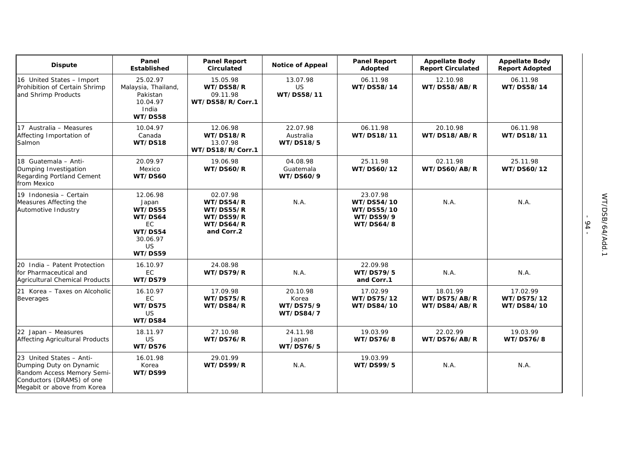| <b>Dispute</b>                                                                                                                                | Panel<br><b>Established</b>                                                                  | <b>Panel Report</b><br><b>Circulated</b>                                   | <b>Notice of Appeal</b>                            | <b>Panel Report</b><br>Adopted                                        | <b>Appellate Body</b><br><b>Report Circulated</b> | <b>Appellate Body</b><br><b>Report Adopted</b> |
|-----------------------------------------------------------------------------------------------------------------------------------------------|----------------------------------------------------------------------------------------------|----------------------------------------------------------------------------|----------------------------------------------------|-----------------------------------------------------------------------|---------------------------------------------------|------------------------------------------------|
| 16 United States - Import<br>Prohibition of Certain Shrimp<br>and Shrimp Products                                                             | 25.02.97<br>Malaysia, Thailand,<br>Pakistan<br>10.04.97<br>India<br>WT/DS58                  | 15.05.98<br>WT/DS58/R<br>09.11.98<br>WT/DS58/R/Corr.1                      | 13.07.98<br>US<br>WT/DS58/11                       | 06.11.98<br>WT/DS58/14                                                | 12.10.98<br>WT/DS58/AB/R                          | 06.11.98<br>WT/DS58/14                         |
| 17 Australia - Measures<br>Affecting Importation of<br>Salmon                                                                                 | 10.04.97<br>Canada<br>WT/DS18                                                                | 12.06.98<br>WT/DS18/R<br>13.07.98<br>WT/DS18/R/Corr.1                      | 22.07.98<br>Australia<br>WT/DS18/5                 | 06.11.98<br>WT/DS18/11                                                | 20.10.98<br>WT/DS18/AB/R                          | 06.11.98<br>WT/DS18/11                         |
| 18 Guatemala - Anti-<br>Dumping Investigation<br>Regarding Portland Cement<br>from Mexico                                                     | 20.09.97<br>Mexico<br>WT/DS60                                                                | 19.06.98<br>WT/DS60/R                                                      | 04.08.98<br>Guatemala<br>WT/DS60/9                 | 25.11.98<br>WT/DS60/12                                                | 02.11.98<br>WT/DS60/AB/R                          | 25.11.98<br>WT/DS60/12                         |
| 19 Indonesia - Certain<br>Measures Affecting the<br>Automotive Industry                                                                       | 12.06.98<br>Japan<br>WT/DS55<br>WT/DS64<br>EC<br>WT/DS54<br>30.06.97<br><b>US</b><br>WT/DS59 | 02.07.98<br>WT/DS54/R<br>WT/DS55/R<br>WT/DS59/R<br>WT/DS64/R<br>and Corr.2 | N.A.                                               | 23.07.98<br>WT/DS54/10<br>WT/DS55/10<br>WT/DS59/9<br><b>WT/DS64/8</b> | N.A.                                              | N.A.                                           |
| 20 India - Patent Protection<br>for Pharmaceutical and<br>Agricultural Chemical Products                                                      | 16.10.97<br><b>EC</b><br>WT/DS79                                                             | 24.08.98<br>WT/DS79/R                                                      | N.A.                                               | 22.09.98<br>WT/DS79/5<br>and Corr.1                                   | N.A.                                              | N.A.                                           |
| 21 Korea - Taxes on Alcoholic<br>Beverages                                                                                                    | 16.10.97<br>EC.<br>WT/DS75<br><b>US</b><br>WT/DS84                                           | 17.09.98<br>WT/DS75/R<br>WT/DS84/R                                         | 20.10.98<br>Korea<br>WT/DS75/9<br><b>WT/DS84/7</b> | 17.02.99<br>WT/DS75/12<br>WT/DS84/10                                  | 18.01.99<br>WT/DS75/AB/R<br>WT/DS84/AB/R          | 17.02.99<br>WT/DS75/12<br>WT/DS84/10           |
| 22 Japan - Measures<br>Affecting Agricultural Products                                                                                        | 18.11.97<br>US<br>WT/DS76                                                                    | 27.10.98<br>WT/DS76/R                                                      | 24.11.98<br>Japan<br>WT/DS76/5                     | 19.03.99<br>WT/DS76/8                                                 | 22.02.99<br>WT/DS76/AB/R                          | 19.03.99<br><b>WT/DS76/8</b>                   |
| 23 United States - Anti-<br>Dumping Duty on Dynamic<br>Random Access Memory Semi-<br>Conductors (DRAMS) of one<br>Megabit or above from Korea | 16.01.98<br>Korea<br>WT/DS99                                                                 | 29.01.99<br>WT/DS99/R                                                      | N.A.                                               | 19.03.99<br>WT/DS99/5                                                 | N.A.                                              | N.A.                                           |

<sup>- 94 -</sup>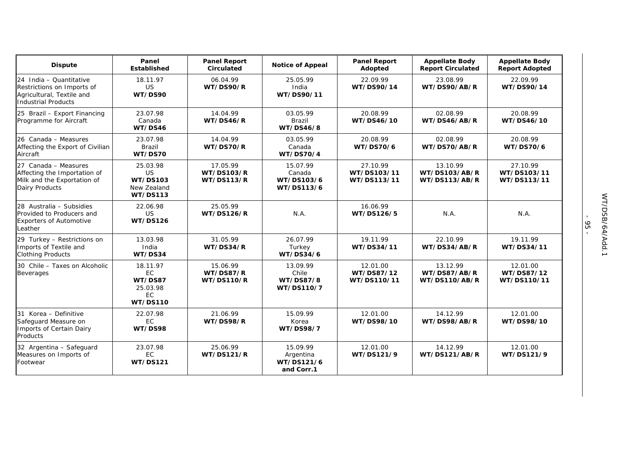| <b>Dispute</b>                                                                                                   | Panel<br><b>Established</b>                                                | <b>Panel Report</b><br>Circulated           | <b>Notice of Appeal</b>                           | <b>Panel Report</b><br>Adopted         | <b>Appellate Body</b><br><b>Report Circulated</b> | <b>Appellate Body</b><br><b>Report Adopted</b> |
|------------------------------------------------------------------------------------------------------------------|----------------------------------------------------------------------------|---------------------------------------------|---------------------------------------------------|----------------------------------------|---------------------------------------------------|------------------------------------------------|
| 24 India - Quantitative<br>Restrictions on Imports of<br>Agricultural, Textile and<br><b>Industrial Products</b> | 18.11.97<br><b>US</b><br>WT/DS90                                           | 06.04.99<br>WT/DS90/R                       | 25.05.99<br>India<br>WT/DS90/11                   | 22.09.99<br>WT/DS90/14                 | 23.08.99<br>WT/DS90/AB/R                          | 22.09.99<br>WT/DS90/14                         |
| 25 Brazil - Export Financing<br>Programme for Aircraft                                                           | 23.07.98<br>Canada<br>WT/DS46                                              | 14.04.99<br>WT/DS46/R                       | 03.05.99<br><b>Brazil</b><br>WT/DS46/8            | 20.08.99<br>WT/DS46/10                 | 02.08.99<br>WT/DS46/AB/R                          | 20.08.99<br>WT/DS46/10                         |
| 26 Canada - Measures<br>Affecting the Export of Civilian<br>Aircraft                                             | 23.07.98<br>Brazil<br>WT/DS70                                              | 14.04.99<br>WT/DS70/R                       | 03.05.99<br>Canada<br>WT/DS70/4                   | 20.08.99<br>WT/DS70/6                  | 02.08.99<br>WT/DS70/AB/R                          | 20.08.99<br>WT/DS70/6                          |
| 27 Canada - Measures<br>Affecting the Importation of<br>Milk and the Exportation of<br>Dairy Products            | 25.03.98<br><b>US</b><br><b>WT/DS103</b><br>New Zealand<br><b>WT/DS113</b> | 17.05.99<br><b>WT/DS103/R</b><br>WT/DS113/R | 15.07.99<br>Canada<br>WT/DS103/6<br>WT/DS113/6    | 27.10.99<br>WT/DS103/11<br>WT/DS113/11 | 13.10.99<br>WT/DS103/AB/R<br>WT/DS113/AB/R        | 27.10.99<br>WT/DS103/11<br>WT/DS113/11         |
| 28 Australia - Subsidies<br>Provided to Producers and<br><b>Exporters of Automotive</b><br>Leather               | 22.06.98<br><b>US</b><br><b>WT/DS126</b>                                   | 25.05.99<br><b>WT/DS126/R</b>               | N.A.                                              | 16.06.99<br>WT/DS126/5                 | N.A.                                              | N.A.                                           |
| 29 Turkey - Restrictions on<br>Imports of Textile and<br><b>Clothing Products</b>                                | 13.03.98<br>India<br>WT/DS34                                               | 31.05.99<br>WT/DS34/R                       | 26.07.99<br>Turkey<br>WT/DS34/6                   | 19.11.99<br>WT/DS34/11                 | 22.10.99<br>WT/DS34/AB/R                          | 19.11.99<br>WT/DS34/11                         |
| 30 Chile - Taxes on Alcoholic<br><b>Beverages</b>                                                                | 18.11.97<br>EC<br>WT/DS87<br>25.03.98<br><b>EC</b><br><b>WT/DS110</b>      | 15.06.99<br>WT/DS87/R<br><b>WT/DS110/R</b>  | 13.09.99<br>Chile<br>WT/DS87/8<br>WT/DS110/7      | 12.01.00<br>WT/DS87/12<br>WT/DS110/11  | 13.12.99<br>WT/DS87/AB/R<br>WT/DS110/AB/R         | 12.01.00<br>WT/DS87/12<br>WT/DS110/11          |
| 31 Korea - Definitive<br>Safeguard Measure on<br>Imports of Certain Dairy<br>Products                            | 22.07.98<br><b>EC</b><br>WT/DS98                                           | 21.06.99<br>WT/DS98/R                       | 15.09.99<br>Korea<br>WT/DS98/7                    | 12.01.00<br>WT/DS98/10                 | 14.12.99<br>WT/DS98/AB/R                          | 12.01.00<br>WT/DS98/10                         |
| 32 Argentina - Safeguard<br>Measures on Imports of<br>Footwear                                                   | 23.07.98<br><b>EC</b><br><b>WT/DS121</b>                                   | 25.06.99<br><b>WT/DS121/R</b>               | 15.09.99<br>Argentina<br>WT/DS121/6<br>and Corr.1 | 12.01.00<br>WT/DS121/9                 | 14.12.99<br>WT/DS121/AB/R                         | 12.01.00<br>WT/DS121/9                         |

- 95 -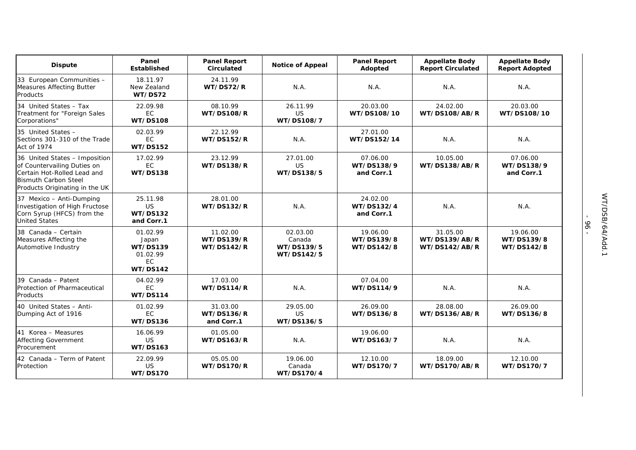| <b>Dispute</b>                                                                                                                                               | Panel<br>Established                                                             | <b>Panel Report</b><br><b>Circulated</b>           | <b>Notice of Appeal</b>                        | <b>Panel Report</b><br>Adopted       | <b>Appellate Body</b><br><b>Report Circulated</b> | <b>Appellate Body</b><br><b>Report Adopted</b> |
|--------------------------------------------------------------------------------------------------------------------------------------------------------------|----------------------------------------------------------------------------------|----------------------------------------------------|------------------------------------------------|--------------------------------------|---------------------------------------------------|------------------------------------------------|
| 33 European Communities -<br><b>Measures Affecting Butter</b><br>Products                                                                                    | 18.11.97<br>New Zealand<br>WT/DS72                                               | 24.11.99<br>WT/DS72/R                              | N.A.                                           | N.A.                                 | N.A.                                              | N.A.                                           |
| 34 United States - Tax<br>Treatment for "Foreign Sales<br>Corporations"                                                                                      | 22.09.98<br><b>EC</b><br><b>WT/DS108</b>                                         | 08.10.99<br><b>WT/DS108/R</b>                      | 26.11.99<br>US<br>WT/DS108/7                   | 20.03.00<br>WT/DS108/10              | 24.02.00<br><b>WT/DS108/AB/R</b>                  | 20.03.00<br>WT/DS108/10                        |
| 35 United States -<br>Sections 301-310 of the Trade<br>Act of 1974                                                                                           | 02.03.99<br><b>EC</b><br><b>WT/DS152</b>                                         | 22.12.99<br><b>WT/DS152/R</b>                      | N.A.                                           | 27.01.00<br>WT/DS152/14              | N.A.                                              | N.A.                                           |
| 36 United States - Imposition<br>of Countervailing Duties on<br>Certain Hot-Rolled Lead and<br><b>Bismuth Carbon Steel</b><br>Products Originating in the UK | 17.02.99<br><b>EC</b><br><b>WT/DS138</b>                                         | 23.12.99<br><b>WT/DS138/R</b>                      | 27.01.00<br><b>US</b><br>WT/DS138/5            | 07.06.00<br>WT/DS138/9<br>and Corr.1 | 10.05.00<br>WT/DS138/AB/R                         | 07.06.00<br>WT/DS138/9<br>and Corr.1           |
| 37 Mexico - Anti-Dumping<br>Investigation of High Fructose<br>Corn Syrup (HFCS) from the<br><b>United States</b>                                             | 25.11.98<br>US<br><b>WT/DS132</b><br>and Corr.1                                  | 28.01.00<br><b>WT/DS132/R</b>                      | N.A.                                           | 24.02.00<br>WT/DS132/4<br>and Corr.1 | N.A.                                              | N.A.                                           |
| 38 Canada - Certain<br>Measures Affecting the<br>Automotive Industry                                                                                         | 01.02.99<br>Japan<br><b>WT/DS139</b><br>01.02.99<br><b>EC</b><br><b>WT/DS142</b> | 11.02.00<br><b>WT/DS139/R</b><br><b>WT/DS142/R</b> | 02.03.00<br>Canada<br>WT/DS139/5<br>WT/DS142/5 | 19.06.00<br>WT/DS139/8<br>WT/DS142/8 | 31.05.00<br>WT/DS139/AB/R<br>WT/DS142/AB/R        | 19.06.00<br>WT/DS139/8<br>WT/DS142/8           |
| 39 Canada - Patent<br>Protection of Pharmaceutical<br>Products                                                                                               | 04.02.99<br>EC<br><b>WT/DS114</b>                                                | 17.03.00<br><b>WT/DS114/R</b>                      | N.A.                                           | 07.04.00<br>WT/DS114/9               | N.A.                                              | N.A.                                           |
| 40 United States - Anti-<br>Dumping Act of 1916                                                                                                              | 01.02.99<br>EC<br><b>WT/DS136</b>                                                | 31.03.00<br><b>WT/DS136/R</b><br>and Corr.1        | 29.05.00<br>US<br>WT/DS136/5                   | 26.09.00<br>WT/DS136/8               | 28.08.00<br>WT/DS136/AB/R                         | 26.09.00<br>WT/DS136/8                         |
| 41 Korea - Measures<br><b>Affecting Government</b><br>Procurement                                                                                            | 16.06.99<br>US<br><b>WT/DS163</b>                                                | 01.05.00<br><b>WT/DS163/R</b>                      | N.A.                                           | 19.06.00<br>WT/DS163/7               | N.A.                                              | N.A.                                           |
| 42 Canada - Term of Patent<br>Protection                                                                                                                     | 22.09.99<br><b>US</b><br><b>WT/DS170</b>                                         | 05.05.00<br><b>WT/DS170/R</b>                      | 19.06.00<br>Canada<br>WT/DS170/4               | 12.10.00<br>WT/DS170/7               | 18.09.00<br>WT/DS170/AB/R                         | 12.10.00<br>WT/DS170/7                         |

- 96 -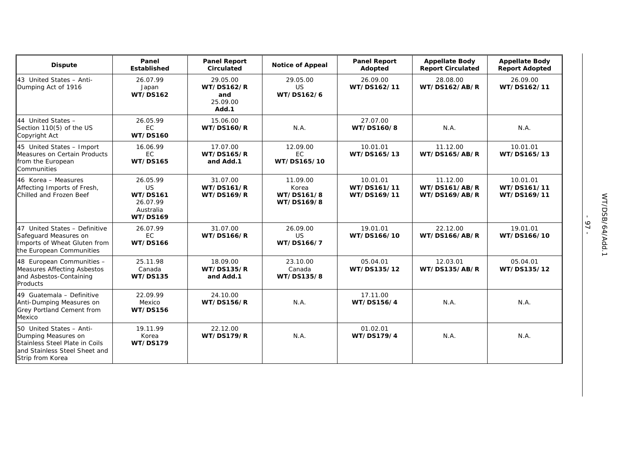| <b>Dispute</b>                                                                                                                         | Panel<br><b>Established</b>                                                          | <b>Panel Report</b><br><b>Circulated</b>                  | <b>Notice of Appeal</b>                       | <b>Panel Report</b><br>Adopted         | <b>Appellate Body</b><br><b>Report Circulated</b> | <b>Appellate Body</b><br><b>Report Adopted</b> |
|----------------------------------------------------------------------------------------------------------------------------------------|--------------------------------------------------------------------------------------|-----------------------------------------------------------|-----------------------------------------------|----------------------------------------|---------------------------------------------------|------------------------------------------------|
| 43 United States - Anti-<br>Dumping Act of 1916                                                                                        | 26.07.99<br>Japan<br><b>WT/DS162</b>                                                 | 29.05.00<br><b>WT/DS162/R</b><br>and<br>25.09.00<br>Add.1 | 29.05.00<br>US<br>WT/DS162/6                  | 26.09.00<br>WT/DS162/11                | 28.08.00<br><b>WT/DS162/AB/R</b>                  | 26.09.00<br>WT/DS162/11                        |
| 44 United States -<br>Section 110(5) of the US<br>Copyright Act                                                                        | 26.05.99<br><b>EC</b><br><b>WT/DS160</b>                                             | 15.06.00<br><b>WT/DS160/R</b>                             | N.A.                                          | 27.07.00<br>WT/DS160/8                 | N.A.                                              | N.A.                                           |
| 45 United States - Import<br>Measures on Certain Products<br>from the European<br>Communities                                          | 16.06.99<br>EC<br><b>WT/DS165</b>                                                    | 17.07.00<br><b>WT/DS165/R</b><br>and Add.1                | 12.09.00<br><b>EC</b><br>WT/DS165/10          | 10.01.01<br>WT/DS165/13                | 11.12.00<br><b>WT/DS165/AB/R</b>                  | 10.01.01<br>WT/DS165/13                        |
| 46 Korea - Measures<br>Affecting Imports of Fresh,<br>Chilled and Frozen Beef                                                          | 26.05.99<br><b>US</b><br><b>WT/DS161</b><br>26.07.99<br>Australia<br><b>WT/DS169</b> | 31.07.00<br><b>WT/DS161/R</b><br><b>WT/DS169/R</b>        | 11.09.00<br>Korea<br>WT/DS161/8<br>WT/DS169/8 | 10.01.01<br>WT/DS161/11<br>WT/DS169/11 | 11.12.00<br><b>WT/DS161/AB/R</b><br>WT/DS169/AB/R | 10.01.01<br>WT/DS161/11<br>WT/DS169/11         |
| 47 United States - Definitive<br>Safeguard Measures on<br>Imports of Wheat Gluten from<br>the European Communities                     | 26.07.99<br>EC<br><b>WT/DS166</b>                                                    | 31.07.00<br><b>WT/DS166/R</b>                             | 26.09.00<br>US<br>WT/DS166/7                  | 19.01.01<br>WT/DS166/10                | 22.12.00<br><b>WT/DS166/AB/R</b>                  | 19.01.01<br>WT/DS166/10                        |
| 48 European Communities -<br><b>Measures Affecting Asbestos</b><br>and Asbestos-Containing<br>Products                                 | 25.11.98<br>Canada<br><b>WT/DS135</b>                                                | 18.09.00<br><b>WT/DS135/R</b><br>and Add.1                | 23.10.00<br>Canada<br>WT/DS135/8              | 05.04.01<br>WT/DS135/12                | 12.03.01<br><b>WT/DS135/AB/R</b>                  | 05.04.01<br>WT/DS135/12                        |
| 49 Guatemala - Definitive<br>Anti-Dumping Measures on<br>Grey Portland Cement from<br>Mexico                                           | 22.09.99<br>Mexico<br><b>WT/DS156</b>                                                | 24.10.00<br><b>WT/DS156/R</b>                             | N.A.                                          | 17.11.00<br>WT/DS156/4                 | N.A.                                              | N.A.                                           |
| 50 United States - Anti-<br>Dumping Measures on<br>Stainless Steel Plate in Coils<br>and Stainless Steel Sheet and<br>Strip from Korea | 19.11.99<br>Korea<br><b>WT/DS179</b>                                                 | 22.12.00<br><b>WT/DS179/R</b>                             | N.A.                                          | 01.02.01<br>WT/DS179/4                 | N.A.                                              | N.A.                                           |

- 97 -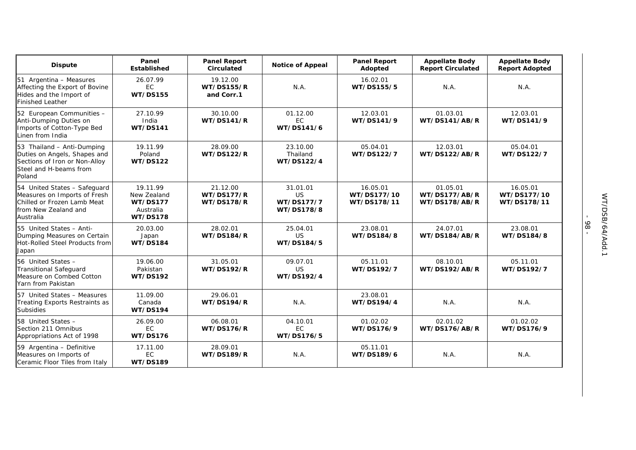| <b>Dispute</b>                                                                                                                   | Panel<br><b>Established</b>                                                | <b>Panel Report</b><br>Circulated                  | <b>Notice of Appeal</b>                    | <b>Panel Report</b><br>Adopted         | <b>Appellate Body</b><br><b>Report Circulated</b> | <b>Appellate Body</b><br><b>Report Adopted</b> |
|----------------------------------------------------------------------------------------------------------------------------------|----------------------------------------------------------------------------|----------------------------------------------------|--------------------------------------------|----------------------------------------|---------------------------------------------------|------------------------------------------------|
| 51 Argentina - Measures<br>Affecting the Export of Bovine<br>Hides and the Import of<br><b>Finished Leather</b>                  | 26.07.99<br>EC<br><b>WT/DS155</b>                                          | 19.12.00<br><b>WT/DS155/R</b><br>and Corr.1        | N.A.                                       | 16.02.01<br>WT/DS155/5                 | N.A.                                              | N.A.                                           |
| 52 European Communities -<br>Anti-Dumping Duties on<br>Imports of Cotton-Type Bed<br>Linen from India                            | 27.10.99<br>India<br><b>WT/DS141</b>                                       | 30.10.00<br><b>WT/DS141/R</b>                      | 01.12.00<br>EC<br>WT/DS141/6               | 12.03.01<br>WT/DS141/9                 | 01.03.01<br>WT/DS141/AB/R                         | 12.03.01<br>WT/DS141/9                         |
| 53 Thailand - Anti-Dumping<br>Duties on Angels, Shapes and<br>Sections of Iron or Non-Alloy<br>Steel and H-beams from<br>Poland  | 19.11.99<br>Poland<br><b>WT/DS122</b>                                      | 28.09.00<br><b>WT/DS122/R</b>                      | 23.10.00<br>Thailand<br>WT/DS122/4         | 05.04.01<br>WT/DS122/7                 | 12.03.01<br><b>WT/DS122/AB/R</b>                  | 05.04.01<br>WT/DS122/7                         |
| 54 United States - Safeguard<br>Measures on Imports of Fresh<br>Chilled or Frozen Lamb Meat<br>from New Zealand and<br>Australia | 19.11.99<br>New Zealand<br><b>WT/DS177</b><br>Australia<br><b>WT/DS178</b> | 21.12.00<br><b>WT/DS177/R</b><br><b>WT/DS178/R</b> | 31.01.01<br>US<br>WT/DS177/7<br>WT/DS178/8 | 16.05.01<br>WT/DS177/10<br>WT/DS178/11 | 01.05.01<br>WT/DS177/AB/R<br>WT/DS178/AB/R        | 16.05.01<br>WT/DS177/10<br>WT/DS178/11         |
| 55 United States - Anti-<br>Dumping Measures on Certain<br>Hot-Rolled Steel Products from<br>Japan                               | 20.03.00<br>Japan<br><b>WT/DS184</b>                                       | 28.02.01<br><b>WT/DS184/R</b>                      | 25.04.01<br><b>US</b><br>WT/DS184/5        | 23.08.01<br>WT/DS184/8                 | 24.07.01<br>WT/DS184/AB/R                         | 23.08.01<br>WT/DS184/8                         |
| 56 United States -<br><b>Transitional Safeguard</b><br>Measure on Combed Cotton<br>Yarn from Pakistan                            | 19.06.00<br>Pakistan<br><b>WT/DS192</b>                                    | 31.05.01<br>WT/DS192/R                             | 09.07.01<br>US<br>WT/DS192/4               | 05.11.01<br>WT/DS192/7                 | 08.10.01<br>WT/DS192/AB/R                         | 05.11.01<br>WT/DS192/7                         |
| 57 United States - Measures<br>Treating Exports Restraints as<br><b>Subsidies</b>                                                | 11.09.00<br>Canada<br><b>WT/DS194</b>                                      | 29.06.01<br><b>WT/DS194/R</b>                      | N.A.                                       | 23.08.01<br>WT/DS194/4                 | N.A.                                              | N.A.                                           |
| 58 United States -<br>Section 211 Omnibus<br>Appropriations Act of 1998                                                          | 26.09.00<br>EC<br><b>WT/DS176</b>                                          | 06.08.01<br><b>WT/DS176/R</b>                      | 04.10.01<br>EC<br>WT/DS176/5               | 01.02.02<br>WT/DS176/9                 | 02.01.02<br>WT/DS176/AB/R                         | 01.02.02<br>WT/DS176/9                         |
| 59 Argentina - Definitive<br>Measures on Imports of<br>Ceramic Floor Tiles from Italy                                            | 17.11.00<br>EC<br><b>WT/DS189</b>                                          | 28.09.01<br><b>WT/DS189/R</b>                      | N.A.                                       | 05.11.01<br>WT/DS189/6                 | N.A.                                              | N.A.                                           |

- 98 -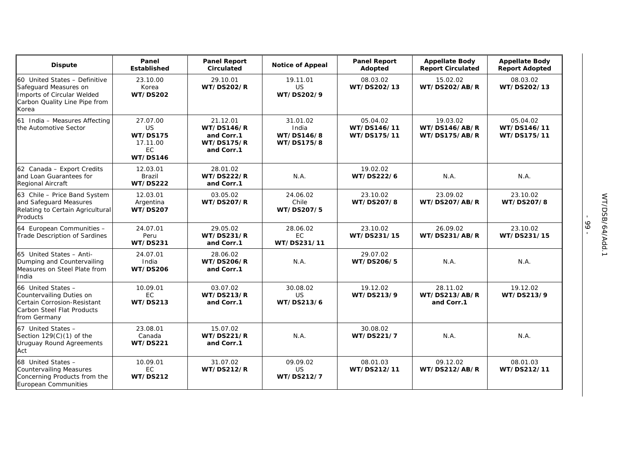| <b>Dispute</b>                                                                                                                 | Panel<br>Established                                                          | <b>Panel Report</b><br>Circulated                                              | <b>Notice of Appeal</b>                       | <b>Panel Report</b><br>Adopted         | <b>Appellate Body</b><br><b>Report Circulated</b> | <b>Appellate Body</b><br><b>Report Adopted</b> |
|--------------------------------------------------------------------------------------------------------------------------------|-------------------------------------------------------------------------------|--------------------------------------------------------------------------------|-----------------------------------------------|----------------------------------------|---------------------------------------------------|------------------------------------------------|
| 60 United States - Definitive<br>Safeguard Measures on<br>Imports of Circular Welded<br>Carbon Quality Line Pipe from<br>Korea | 23.10.00<br>Korea<br><b>WT/DS202</b>                                          | 29.10.01<br><b>WT/DS202/R</b>                                                  | 19.11.01<br>US<br>WT/DS202/9                  | 08.03.02<br>WT/DS202/13                | 15.02.02<br><b>WT/DS202/AB/R</b>                  | 08.03.02<br>WT/DS202/13                        |
| 61 India - Measures Affecting<br>the Automotive Sector                                                                         | 27.07.00<br><b>US</b><br><b>WT/DS175</b><br>17.11.00<br>EC<br><b>WT/DS146</b> | 21.12.01<br><b>WT/DS146/R</b><br>and Corr.1<br><b>WT/DS175/R</b><br>and Corr.1 | 31.01.02<br>India<br>WT/DS146/8<br>WT/DS175/8 | 05.04.02<br>WT/DS146/11<br>WT/DS175/11 | 19.03.02<br>WT/DS146/AB/R<br>WT/DS175/AB/R        | 05.04.02<br>WT/DS146/11<br>WT/DS175/11         |
| 62 Canada - Export Credits<br>and Loan Guarantees for<br><b>Regional Aircraft</b>                                              | 12.03.01<br><b>Brazil</b><br><b>WT/DS222</b>                                  | 28.01.02<br><b>WT/DS222/R</b><br>and Corr.1                                    | N.A.                                          | 19.02.02<br>WT/DS222/6                 | N.A.                                              | N.A.                                           |
| 63 Chile - Price Band System<br>and Safeguard Measures<br>Relating to Certain Agricultural<br>Products                         | 12.03.01<br>Argentina<br><b>WT/DS207</b>                                      | 03.05.02<br><b>WT/DS207/R</b>                                                  | 24.06.02<br>Chile<br>WT/DS207/5               | 23.10.02<br>WT/DS207/8                 | 23.09.02<br><b>WT/DS207/AB/R</b>                  | 23.10.02<br>WT/DS207/8                         |
| 64 European Communities -<br>Trade Description of Sardines                                                                     | 24.07.01<br>Peru<br><b>WT/DS231</b>                                           | 29.05.02<br><b>WT/DS231/R</b><br>and Corr.1                                    | 28.06.02<br><b>EC</b><br>WT/DS231/11          | 23.10.02<br>WT/DS231/15                | 26.09.02<br>WT/DS231/AB/R                         | 23.10.02<br>WT/DS231/15                        |
| 65 United States - Anti-<br>Dumping and Countervailing<br>Measures on Steel Plate from<br>India                                | 24.07.01<br>India<br><b>WT/DS206</b>                                          | 28.06.02<br><b>WT/DS206/R</b><br>and Corr.1                                    | N.A.                                          | 29.07.02<br>WT/DS206/5                 | N.A.                                              | N.A.                                           |
| 66 United States -<br>Countervailing Duties on<br>Certain Corrosion-Resistant<br>Carbon Steel Flat Products<br>from Germany    | 10.09.01<br>EC<br><b>WT/DS213</b>                                             | 03.07.02<br><b>WT/DS213/R</b><br>and Corr.1                                    | 30.08.02<br>US<br>WT/DS213/6                  | 19.12.02<br>WT/DS213/9                 | 28.11.02<br>WT/DS213/AB/R<br>and Corr.1           | 19.12.02<br>WT/DS213/9                         |
| 67 United States -<br>Section $129(C)(1)$ of the<br><b>Uruguay Round Agreements</b><br>Act                                     | 23.08.01<br>Canada<br><b>WT/DS221</b>                                         | 15.07.02<br><b>WT/DS221/R</b><br>and Corr.1                                    | N.A.                                          | 30.08.02<br>WT/DS221/7                 | N.A.                                              | N.A.                                           |
| 68 United States -<br><b>Countervailing Measures</b><br>Concerning Products from the<br>European Communities                   | 10.09.01<br>EC.<br><b>WT/DS212</b>                                            | 31.07.02<br>WT/DS212/R                                                         | 09.09.02<br>US<br>WT/DS212/7                  | 08.01.03<br>WT/DS212/11                | 09.12.02<br>WT/DS212/AB/R                         | 08.01.03<br>WT/DS212/11                        |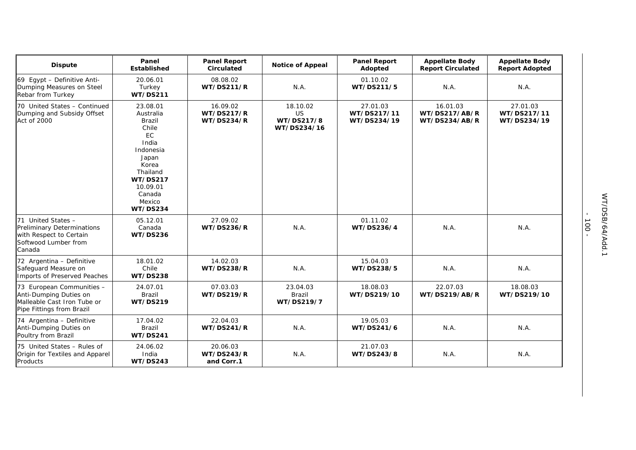| <b>Dispute</b>                                                                                                  | Panel<br><b>Established</b>                                                                                                                                                     | <b>Panel Report</b><br>Circulated                  | <b>Notice of Appeal</b>                     | <b>Panel Report</b><br>Adopted         | <b>Appellate Body</b><br><b>Report Circulated</b> | <b>Appellate Body</b><br><b>Report Adopted</b> |
|-----------------------------------------------------------------------------------------------------------------|---------------------------------------------------------------------------------------------------------------------------------------------------------------------------------|----------------------------------------------------|---------------------------------------------|----------------------------------------|---------------------------------------------------|------------------------------------------------|
| 69 Egypt - Definitive Anti-<br>Dumping Measures on Steel<br>Rebar from Turkey                                   | 20.06.01<br>Turkey<br><b>WT/DS211</b>                                                                                                                                           | 08.08.02<br><b>WT/DS211/R</b>                      | N.A.                                        | 01.10.02<br>WT/DS211/5                 | N.A.                                              | N.A.                                           |
| 70 United States - Continued<br>Dumping and Subsidy Offset<br>Act of 2000                                       | 23.08.01<br>Australia<br>Brazil<br>Chile<br><b>EC</b><br>India<br>Indonesia<br>Japan<br>Korea<br>Thailand<br><b>WT/DS217</b><br>10.09.01<br>Canada<br>Mexico<br><b>WT/DS234</b> | 16.09.02<br><b>WT/DS217/R</b><br><b>WT/DS234/R</b> | 18.10.02<br>US<br>WT/DS217/8<br>WT/DS234/16 | 27.01.03<br>WT/DS217/11<br>WT/DS234/19 | 16.01.03<br>WT/DS217/AB/R<br>WT/DS234/AB/R        | 27.01.03<br>WT/DS217/11<br>WT/DS234/19         |
| 71 United States -<br>Preliminary Determinations<br>with Respect to Certain<br>Softwood Lumber from<br>Canada   | 05.12.01<br>Canada<br><b>WT/DS236</b>                                                                                                                                           | 27.09.02<br><b>WT/DS236/R</b>                      | N.A.                                        | 01.11.02<br>WT/DS236/4                 | N.A.                                              | N.A.                                           |
| 72 Argentina - Definitive<br>Safeguard Measure on<br>Imports of Preserved Peaches                               | 18.01.02<br>Chile<br><b>WT/DS238</b>                                                                                                                                            | 14.02.03<br><b>WT/DS238/R</b>                      | N.A.                                        | 15.04.03<br>WT/DS238/5                 | N.A.                                              | N.A.                                           |
| 73 European Communities -<br>Anti-Dumping Duties on<br>Malleable Cast Iron Tube or<br>Pipe Fittings from Brazil | 24.07.01<br><b>Brazil</b><br>WT/DS219                                                                                                                                           | 07.03.03<br><b>WT/DS219/R</b>                      | 23.04.03<br>Brazil<br>WT/DS219/7            | 18.08.03<br>WT/DS219/10                | 22.07.03<br>WT/DS219/AB/R                         | 18.08.03<br>WT/DS219/10                        |
| 74 Argentina - Definitive<br>Anti-Dumping Duties on<br>Poultry from Brazil                                      | 17.04.02<br>Brazil<br><b>WT/DS241</b>                                                                                                                                           | 22.04.03<br>WT/DS241/R                             | N.A.                                        | 19.05.03<br>WT/DS241/6                 | N.A.                                              | N.A.                                           |
| 75 United States - Rules of<br>Origin for Textiles and Apparel<br>Products                                      | 24.06.02<br>India<br>WT/DS243                                                                                                                                                   | 20.06.03<br>WT/DS243/R<br>and Corr.1               | N.A.                                        | 21.07.03<br>WT/DS243/8                 | N.A.                                              | N.A.                                           |

- 100 -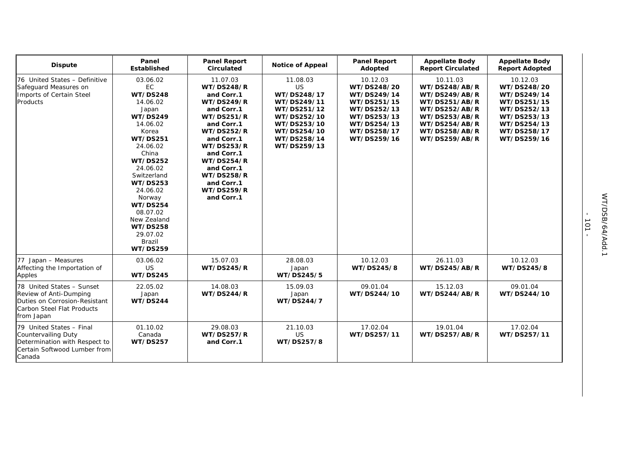| <b>Dispute</b>                                                                                                                    | Panel<br><b>Established</b>                                                                                                                                                                                                                                                                                                                    | <b>Panel Report</b><br><b>Circulated</b>                                                                                                                                                                                                                                                         | <b>Notice of Appeal</b>                                                                                                                | <b>Panel Report</b><br>Adopted                                                                                                   | <b>Appellate Body</b><br><b>Report Circulated</b>                                                                                                | <b>Appellate Body</b><br><b>Report Adopted</b>                                                                                   |
|-----------------------------------------------------------------------------------------------------------------------------------|------------------------------------------------------------------------------------------------------------------------------------------------------------------------------------------------------------------------------------------------------------------------------------------------------------------------------------------------|--------------------------------------------------------------------------------------------------------------------------------------------------------------------------------------------------------------------------------------------------------------------------------------------------|----------------------------------------------------------------------------------------------------------------------------------------|----------------------------------------------------------------------------------------------------------------------------------|--------------------------------------------------------------------------------------------------------------------------------------------------|----------------------------------------------------------------------------------------------------------------------------------|
| 76 United States - Definitive<br>Safeguard Measures on<br>Imports of Certain Steel<br>Products                                    | 03.06.02<br>EC<br><b>WT/DS248</b><br>14.06.02<br>Japan<br><b>WT/DS249</b><br>14.06.02<br>Korea<br><b>WT/DS251</b><br>24.06.02<br>China<br><b>WT/DS252</b><br>24.06.02<br>Switzerland<br><b>WT/DS253</b><br>24.06.02<br>Norway<br><b>WT/DS254</b><br>08.07.02<br>New Zealand<br><b>WT/DS258</b><br>29.07.02<br><b>Brazil</b><br><b>WT/DS259</b> | 11.07.03<br><b>WT/DS248/R</b><br>and Corr.1<br><b>WT/DS249/R</b><br>and Corr.1<br><b>WT/DS251/R</b><br>and Corr.1<br><b>WT/DS252/R</b><br>and Corr.1<br><b>WT/DS253/R</b><br>and Corr.1<br><b>WT/DS254/R</b><br>and Corr.1<br><b>WT/DS258/R</b><br>and Corr.1<br><b>WT/DS259/R</b><br>and Corr.1 | 11.08.03<br>US<br>WT/DS248/17<br>WT/DS249/11<br>WT/DS251/12<br>WT/DS252/10<br>WT/DS253/10<br>WT/DS254/10<br>WT/DS258/14<br>WT/DS259/13 | 10.12.03<br>WT/DS248/20<br>WT/DS249/14<br>WT/DS251/15<br>WT/DS252/13<br>WT/DS253/13<br>WT/DS254/13<br>WT/DS258/17<br>WT/DS259/16 | 10.11.03<br>WT/DS248/AB/R<br>WT/DS249/AB/R<br>WT/DS251/AB/R<br>WT/DS252/AB/R<br>WT/DS253/AB/R<br>WT/DS254/AB/R<br>WT/DS258/AB/R<br>WT/DS259/AB/R | 10.12.03<br>WT/DS248/20<br>WT/DS249/14<br>WT/DS251/15<br>WT/DS252/13<br>WT/DS253/13<br>WT/DS254/13<br>WT/DS258/17<br>WT/DS259/16 |
| 77 Japan - Measures<br>Affecting the Importation of<br>Apples                                                                     | 03.06.02<br>US<br><b>WT/DS245</b>                                                                                                                                                                                                                                                                                                              | 15.07.03<br><b>WT/DS245/R</b>                                                                                                                                                                                                                                                                    | 28.08.03<br>Japan<br>WT/DS245/5                                                                                                        | 10.12.03<br>WT/DS245/8                                                                                                           | 26.11.03<br>WT/DS245/AB/R                                                                                                                        | 10.12.03<br>WT/DS245/8                                                                                                           |
| 78 United States - Sunset<br>Review of Anti-Dumping<br>Duties on Corrosion-Resistant<br>Carbon Steel Flat Products<br>from Japan  | 22.05.02<br>Japan<br>WT/DS244                                                                                                                                                                                                                                                                                                                  | 14.08.03<br><b>WT/DS244/R</b>                                                                                                                                                                                                                                                                    | 15.09.03<br>Japan<br>WT/DS244/7                                                                                                        | 09.01.04<br>WT/DS244/10                                                                                                          | 15.12.03<br>WT/DS244/AB/R                                                                                                                        | 09.01.04<br>WT/DS244/10                                                                                                          |
| 79 United States - Final<br><b>Countervailing Duty</b><br>Determination with Respect to<br>Certain Softwood Lumber from<br>Canada | 01.10.02<br>Canada<br><b>WT/DS257</b>                                                                                                                                                                                                                                                                                                          | 29.08.03<br><b>WT/DS257/R</b><br>and Corr.1                                                                                                                                                                                                                                                      | 21.10.03<br>US<br>WT/DS257/8                                                                                                           | 17.02.04<br>WT/DS257/11                                                                                                          | 19.01.04<br>WT/DS257/AB/R                                                                                                                        | 17.02.04<br>WT/DS257/11                                                                                                          |

- 101 -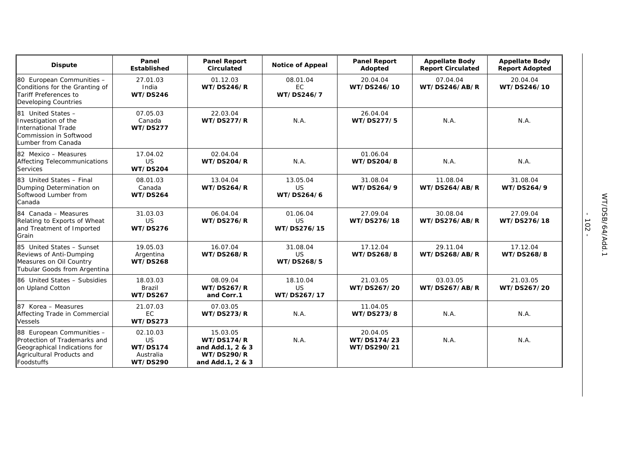| <b>Dispute</b>                                                                                                                       | Panel<br>Established                                                     | <b>Panel Report</b><br>Circulated                                                          | <b>Notice of Appeal</b>              | <b>Panel Report</b><br>Adopted         | <b>Appellate Body</b><br><b>Report Circulated</b> | <b>Appellate Body</b><br><b>Report Adopted</b> |
|--------------------------------------------------------------------------------------------------------------------------------------|--------------------------------------------------------------------------|--------------------------------------------------------------------------------------------|--------------------------------------|----------------------------------------|---------------------------------------------------|------------------------------------------------|
| 80 European Communities -<br>Conditions for the Granting of<br>Tariff Preferences to<br><b>Developing Countries</b>                  | 27.01.03<br>India<br>WT/DS246                                            | 01.12.03<br><b>WT/DS246/R</b>                                                              | 08.01.04<br><b>EC</b><br>WT/DS246/7  | 20.04.04<br>WT/DS246/10                | 07.04.04<br>WT/DS246/AB/R                         | 20.04.04<br>WT/DS246/10                        |
| 81 United States -<br>Investigation of the<br><b>International Trade</b><br>Commission in Softwood<br>Lumber from Canada             | 07.05.03<br>Canada<br><b>WT/DS277</b>                                    | 22.03.04<br><b>WT/DS277/R</b>                                                              | N.A.                                 | 26.04.04<br>WT/DS277/5                 | N.A.                                              | N.A.                                           |
| 82 Mexico - Measures<br>Affecting Telecommunications<br><b>Services</b>                                                              | 17.04.02<br><b>US</b><br><b>WT/DS204</b>                                 | 02.04.04<br><b>WT/DS204/R</b>                                                              | N.A.                                 | 01.06.04<br>WT/DS204/8                 | N.A.                                              | N.A.                                           |
| 83 United States - Final<br>Dumping Determination on<br>Softwood Lumber from<br>Canada                                               | 08.01.03<br>Canada<br><b>WT/DS264</b>                                    | 13.04.04<br><b>WT/DS264/R</b>                                                              | 13.05.04<br><b>US</b><br>WT/DS264/6  | 31.08.04<br>WT/DS264/9                 | 11.08.04<br>WT/DS264/AB/R                         | 31.08.04<br>WT/DS264/9                         |
| 84 Canada - Measures<br>Relating to Exports of Wheat<br>and Treatment of Imported<br>Grain                                           | 31.03.03<br><b>US</b><br><b>WT/DS276</b>                                 | 06.04.04<br><b>WT/DS276/R</b>                                                              | 01.06.04<br>US<br>WT/DS276/15        | 27.09.04<br>WT/DS276/18                | 30.08.04<br>WT/DS276/AB/R                         | 27.09.04<br>WT/DS276/18                        |
| 85 United States - Sunset<br>Reviews of Anti-Dumping<br>Measures on Oil Country<br>Tubular Goods from Argentina                      | 19.05.03<br>Argentina<br><b>WT/DS268</b>                                 | 16.07.04<br><b>WT/DS268/R</b>                                                              | 31.08.04<br><b>US</b><br>WT/DS268/5  | 17.12.04<br>WT/DS268/8                 | 29.11.04<br>WT/DS268/AB/R                         | 17.12.04<br>WT/DS268/8                         |
| 86 United States - Subsidies<br>on Upland Cotton                                                                                     | 18.03.03<br><b>Brazil</b><br><b>WT/DS267</b>                             | 08.09.04<br><b>WT/DS267/R</b><br>and Corr.1                                                | 18.10.04<br><b>US</b><br>WT/DS267/17 | 21.03.05<br>WT/DS267/20                | 03.03.05<br>WT/DS267/AB/R                         | 21.03.05<br>WT/DS267/20                        |
| 87 Korea – Measures<br>Affecting Trade in Commercial<br><b>Vessels</b>                                                               | 21.07.03<br>EC<br><b>WT/DS273</b>                                        | 07.03.05<br><b>WT/DS273/R</b>                                                              | N.A.                                 | 11.04.05<br>WT/DS273/8                 | N.A.                                              | N.A.                                           |
| 88 European Communities -<br>Protection of Trademarks and<br>Geographical Indications for<br>Agricultural Products and<br>Foodstuffs | 02.10.03<br><b>US</b><br><b>WT/DS174</b><br>Australia<br><b>WT/DS290</b> | 15.03.05<br><b>WT/DS174/R</b><br>and Add.1, 2 & 3<br><b>WT/DS290/R</b><br>and Add.1, 2 & 3 | N.A.                                 | 20.04.05<br>WT/DS174/23<br>WT/DS290/21 | N.A.                                              | N.A.                                           |

- 102 -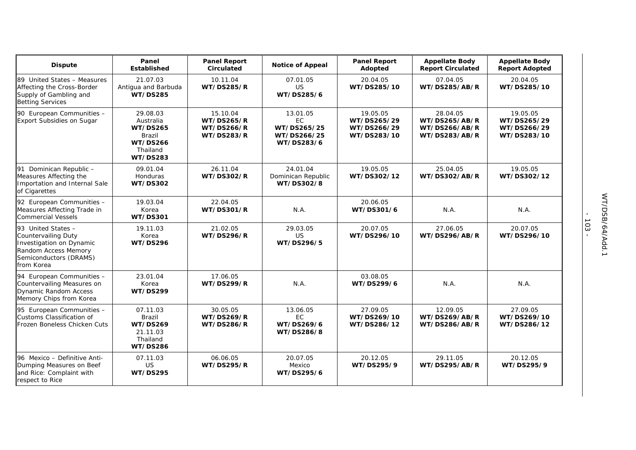| <b>Dispute</b>                                                                                                                               | Panel<br>Established                                                                                        | <b>Panel Report</b><br><b>Circulated</b>                                | <b>Notice of Appeal</b>                                           | <b>Panel Report</b><br>Adopted                        | <b>Appellate Body</b><br><b>Report Circulated</b>           | <b>Appellate Body</b><br><b>Report Adopted</b>        |
|----------------------------------------------------------------------------------------------------------------------------------------------|-------------------------------------------------------------------------------------------------------------|-------------------------------------------------------------------------|-------------------------------------------------------------------|-------------------------------------------------------|-------------------------------------------------------------|-------------------------------------------------------|
| 89 United States - Measures<br>Affecting the Cross-Border<br>Supply of Gambling and<br><b>Betting Services</b>                               | 21.07.03<br>Antigua and Barbuda<br><b>WT/DS285</b>                                                          | 10.11.04<br><b>WT/DS285/R</b>                                           | 07.01.05<br>US<br>WT/DS285/6                                      | 20.04.05<br>WT/DS285/10                               | 07.04.05<br>WT/DS285/AB/R                                   | 20.04.05<br>WT/DS285/10                               |
| 90 European Communities -<br><b>Export Subsidies on Sugar</b>                                                                                | 29.08.03<br>Australia<br><b>WT/DS265</b><br><b>Brazil</b><br><b>WT/DS266</b><br>Thailand<br><b>WT/DS283</b> | 15.10.04<br><b>WT/DS265/R</b><br><b>WT/DS266/R</b><br><b>WT/DS283/R</b> | 13.01.05<br><b>EC</b><br>WT/DS265/25<br>WT/DS266/25<br>WT/DS283/6 | 19.05.05<br>WT/DS265/29<br>WT/DS266/29<br>WT/DS283/10 | 28.04.05<br>WT/DS265/AB/R<br>WT/DS266/AB/R<br>WT/DS283/AB/R | 19.05.05<br>WT/DS265/29<br>WT/DS266/29<br>WT/DS283/10 |
| 91 Dominican Republic -<br>Measures Affecting the<br>Importation and Internal Sale<br>of Cigarettes                                          | 09.01.04<br><b>Honduras</b><br><b>WT/DS302</b>                                                              | 26.11.04<br>WT/DS302/R                                                  | 24.01.04<br>Dominican Republic<br>WT/DS302/8                      | 19.05.05<br>WT/DS302/12                               | 25.04.05<br>WT/DS302/AB/R                                   | 19.05.05<br>WT/DS302/12                               |
| 92 European Communities -<br>Measures Affecting Trade in<br><b>Commercial Vessels</b>                                                        | 19.03.04<br>Korea<br><b>WT/DS301</b>                                                                        | 22.04.05<br><b>WT/DS301/R</b>                                           | N.A.                                                              | 20.06.05<br>WT/DS301/6                                | N.A.                                                        | N.A.                                                  |
| 93 United States -<br><b>Countervailing Duty</b><br>Investigation on Dynamic<br>Random Access Memory<br>Semiconductors (DRAMS)<br>from Korea | 19.11.03<br>Korea<br><b>WT/DS296</b>                                                                        | 21.02.05<br><b>WT/DS296/R</b>                                           | 29.03.05<br>US<br>WT/DS296/5                                      | 20.07.05<br>WT/DS296/10                               | 27.06.05<br>WT/DS296/AB/R                                   | 20.07.05<br>WT/DS296/10                               |
| 94 European Communities -<br>Countervailing Measures on<br><b>Dynamic Random Access</b><br>Memory Chips from Korea                           | 23.01.04<br>Korea<br><b>WT/DS299</b>                                                                        | 17.06.05<br><b>WT/DS299/R</b>                                           | N.A.                                                              | 03.08.05<br>WT/DS299/6                                | N.A.                                                        | N.A.                                                  |
| 95 European Communities -<br>Customs Classification of<br>Frozen Boneless Chicken Cuts                                                       | 07.11.03<br><b>Brazil</b><br><b>WT/DS269</b><br>21.11.03<br>Thailand<br><b>WT/DS286</b>                     | 30.05.05<br><b>WT/DS269/R</b><br><b>WT/DS286/R</b>                      | 13.06.05<br><b>EC</b><br>WT/DS269/6<br>WT/DS286/8                 | 27.09.05<br>WT/DS269/10<br>WT/DS286/12                | 12.09.05<br>WT/DS269/AB/R<br>WT/DS286/AB/R                  | 27.09.05<br>WT/DS269/10<br>WT/DS286/12                |
| 96 Mexico - Definitive Anti-<br>Dumping Measures on Beef<br>and Rice: Complaint with<br>respect to Rice                                      | 07.11.03<br>US<br><b>WT/DS295</b>                                                                           | 06.06.05<br><b>WT/DS295/R</b>                                           | 20.07.05<br>Mexico<br>WT/DS295/6                                  | 20.12.05<br>WT/DS295/9                                | 29.11.05<br>WT/DS295/AB/R                                   | 20.12.05<br>WT/DS295/9                                |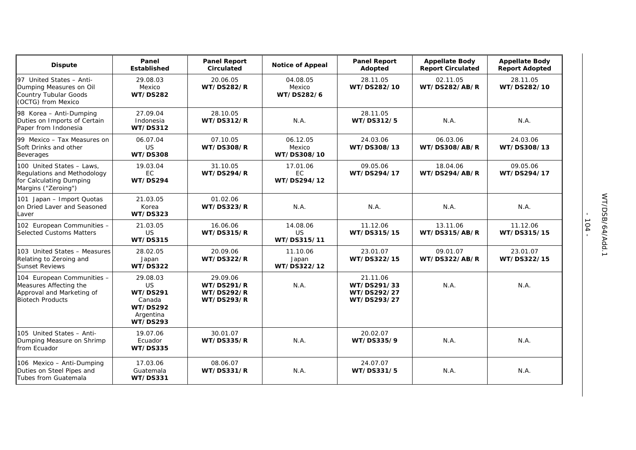| <b>Dispute</b>                                                                                               | Panel<br><b>Established</b>                                                                           | <b>Panel Report</b><br><b>Circulated</b>                                | <b>Notice of Appeal</b>           | <b>Panel Report</b><br>Adopted                        | <b>Appellate Body</b><br><b>Report Circulated</b> | <b>Appellate Body</b><br><b>Report Adopted</b> |
|--------------------------------------------------------------------------------------------------------------|-------------------------------------------------------------------------------------------------------|-------------------------------------------------------------------------|-----------------------------------|-------------------------------------------------------|---------------------------------------------------|------------------------------------------------|
| 97 United States - Anti-<br>Dumping Measures on Oil<br><b>Country Tubular Goods</b><br>(OCTG) from Mexico    | 29.08.03<br>Mexico<br><b>WT/DS282</b>                                                                 | 20.06.05<br><b>WT/DS282/R</b>                                           | 04.08.05<br>Mexico<br>WT/DS282/6  | 28.11.05<br>WT/DS282/10                               | 02.11.05<br>WT/DS282/AB/R                         | 28.11.05<br>WT/DS282/10                        |
| 98 Korea - Anti-Dumping<br>Duties on Imports of Certain<br>Paper from Indonesia                              | 27.09.04<br>Indonesia<br><b>WT/DS312</b>                                                              | 28.10.05<br><b>WT/DS312/R</b>                                           | N.A.                              | 28.11.05<br>WT/DS312/5                                | N.A.                                              | N.A.                                           |
| 99 Mexico - Tax Measures on<br>Soft Drinks and other<br>Beverages                                            | 06.07.04<br><b>US</b><br><b>WT/DS308</b>                                                              | 07.10.05<br><b>WT/DS308/R</b>                                           | 06.12.05<br>Mexico<br>WT/DS308/10 | 24.03.06<br>WT/DS308/13                               | 06.03.06<br><b>WT/DS308/AB/R</b>                  | 24.03.06<br>WT/DS308/13                        |
| 100 United States - Laws,<br>Regulations and Methodology<br>for Calculating Dumping<br>Margins ("Zeroing")   | 19.03.04<br>EC<br>WT/DS294                                                                            | 31.10.05<br><b>WT/DS294/R</b>                                           | 17.01.06<br>EC<br>WT/DS294/12     | 09.05.06<br>WT/DS294/17                               | 18.04.06<br>WT/DS294/AB/R                         | 09.05.06<br>WT/DS294/17                        |
| 101 Japan - Import Quotas<br>on Dried Laver and Seasoned<br>Laver                                            | 21.03.05<br>Korea<br><b>WT/DS323</b>                                                                  | 01.02.06<br><b>WT/DS323/R</b>                                           | N.A.                              | N.A.                                                  | N.A.                                              | N.A.                                           |
| 102 European Communities -<br><b>Selected Customs Matters</b>                                                | 21.03.05<br><b>US</b><br><b>WT/DS315</b>                                                              | 16.06.06<br><b>WT/DS315/R</b>                                           | 14.08.06<br>US<br>WT/DS315/11     | 11.12.06<br>WT/DS315/15                               | 13.11.06<br>WT/DS315/AB/R                         | 11.12.06<br>WT/DS315/15                        |
| 103 United States - Measures<br>Relating to Zeroing and<br><b>Sunset Reviews</b>                             | 28.02.05<br>Japan<br><b>WT/DS322</b>                                                                  | 20.09.06<br><b>WT/DS322/R</b>                                           | 11.10.06<br>Japan<br>WT/DS322/12  | 23.01.07<br>WT/DS322/15                               | 09.01.07<br>WT/DS322/AB/R                         | 23.01.07<br>WT/DS322/15                        |
| 104 European Communities -<br>Measures Affecting the<br>Approval and Marketing of<br><b>Biotech Products</b> | 29.08.03<br><b>US</b><br><b>WT/DS291</b><br>Canada<br><b>WT/DS292</b><br>Argentina<br><b>WT/DS293</b> | 29.09.06<br><b>WT/DS291/R</b><br><b>WT/DS292/R</b><br><b>WT/DS293/R</b> | N.A.                              | 21.11.06<br>WT/DS291/33<br>WT/DS292/27<br>WT/DS293/27 | N.A.                                              | N.A.                                           |
| 105 United States - Anti-<br>Dumping Measure on Shrimp<br>from Ecuador                                       | 19.07.06<br>Ecuador<br>WT/DS335                                                                       | 30.01.07<br><b>WT/DS335/R</b>                                           | N.A.                              | 20.02.07<br>WT/DS335/9                                | N.A.                                              | N.A.                                           |
| 106 Mexico - Anti-Dumping<br>Duties on Steel Pipes and<br>Tubes from Guatemala                               | 17.03.06<br>Guatemala<br><b>WT/DS331</b>                                                              | 08.06.07<br>WT/DS331/R                                                  | N.A.                              | 24.07.07<br>WT/DS331/5                                | N.A.                                              | N.A.                                           |

- 104 -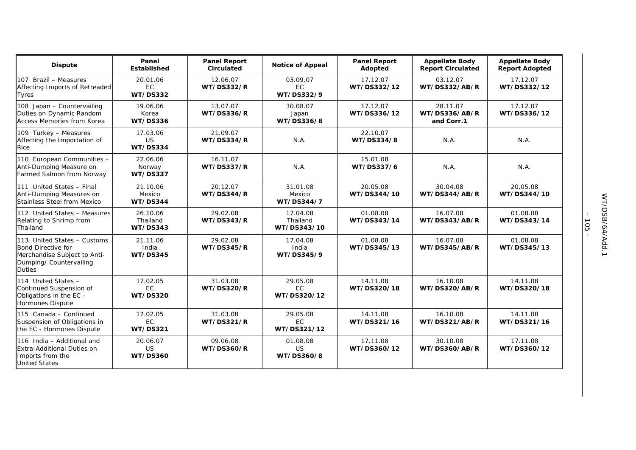| <b>Dispute</b>                                                                                                                       | Panel<br><b>Established</b>              | <b>Panel Report</b><br><b>Circulated</b> | <b>Notice of Appeal</b>              | <b>Panel Report</b><br>Adopted | <b>Appellate Body</b><br><b>Report Circulated</b> | <b>Appellate Body</b><br><b>Report Adopted</b> |
|--------------------------------------------------------------------------------------------------------------------------------------|------------------------------------------|------------------------------------------|--------------------------------------|--------------------------------|---------------------------------------------------|------------------------------------------------|
| 107 Brazil - Measures<br>Affecting Imports of Retreaded<br>Tyres                                                                     | 20.01.06<br><b>EC</b><br><b>WT/DS332</b> | 12.06.07<br><b>WT/DS332/R</b>            | 03.09.07<br>EC<br>WT/DS332/9         | 17.12.07<br>WT/DS332/12        | 03.12.07<br>WT/DS332/AB/R                         | 17.12.07<br>WT/DS332/12                        |
| 108 Japan - Countervailing<br>Duties on Dynamic Random<br><b>Access Memories from Korea</b>                                          | 19.06.06<br>Korea<br><b>WT/DS336</b>     | 13.07.07<br><b>WT/DS336/R</b>            | 30.08.07<br>Japan<br>WT/DS336/8      | 17.12.07<br>WT/DS336/12        | 28.11.07<br>WT/DS336/AB/R<br>and Corr.1           | 17.12.07<br>WT/DS336/12                        |
| 109 Turkey - Measures<br>Affecting the Importation of<br>Rice                                                                        | 17.03.06<br><b>US</b><br><b>WT/DS334</b> | 21.09.07<br><b>WT/DS334/R</b>            | N.A.                                 | 22.10.07<br>WT/DS334/8         | N.A.                                              | N.A.                                           |
| 110 European Communities -<br>Anti-Dumping Measure on<br>Farmed Salmon from Norway                                                   | 22.06.06<br>Norway<br><b>WT/DS337</b>    | 16.11.07<br><b>WT/DS337/R</b>            | N.A.                                 | 15.01.08<br>WT/DS337/6         | N.A.                                              | N.A.                                           |
| 111 United States - Final<br>Anti-Dumping Measures on<br><b>Stainless Steel from Mexico</b>                                          | 21.10.06<br>Mexico<br>WT/DS344           | 20.12.07<br>WT/DS344/R                   | 31.01.08<br>Mexico<br>WT/DS344/7     | 20.05.08<br>WT/DS344/10        | 30.04.08<br>WT/DS344/AB/R                         | 20.05.08<br>WT/DS344/10                        |
| 112 United States - Measures<br>Relating to Shrimp from<br>Thailand                                                                  | 26.10.06<br>Thailand<br><b>WT/DS343</b>  | 29.02.08<br>WT/DS343/R                   | 17.04.08<br>Thailand<br>WT/DS343/10  | 01.08.08<br>WT/DS343/14        | 16.07.08<br>WT/DS343/AB/R                         | 01.08.08<br>WT/DS343/14                        |
| 113 United States - Customs<br><b>Bond Directive for</b><br>Merchandise Subject to Anti-<br>Dumping/ Countervailing<br><b>Duties</b> | 21.11.06<br>India<br><b>WT/DS345</b>     | 29.02.08<br><b>WT/DS345/R</b>            | 17.04.08<br>India<br>WT/DS345/9      | 01.08.08<br>WT/DS345/13        | 16.07.08<br>WT/DS345/AB/R                         | 01.08.08<br>WT/DS345/13                        |
| 114 United States -<br>Continued Suspension of<br>Obligations in the EC -<br>Hormones Dispute                                        | 17.02.05<br>EC<br><b>WT/DS320</b>        | 31.03.08<br><b>WT/DS320/R</b>            | 29.05.08<br>EC<br>WT/DS320/12        | 14.11.08<br>WT/DS320/18        | 16.10.08<br>WT/DS320/AB/R                         | 14.11.08<br>WT/DS320/18                        |
| 115 Canada - Continued<br>Suspension of Obligations in<br>the EC - Hormones Dispute                                                  | 17.02.05<br><b>EC</b><br><b>WT/DS321</b> | 31.03.08<br><b>WT/DS321/R</b>            | 29.05.08<br><b>EC</b><br>WT/DS321/12 | 14.11.08<br>WT/DS321/16        | 16.10.08<br>WT/DS321/AB/R                         | 14.11.08<br>WT/DS321/16                        |
| 116 India - Additional and<br><b>Extra-Additional Duties on</b><br>Imports from the<br><b>United States</b>                          | 20.06.07<br><b>US</b><br><b>WT/DS360</b> | 09.06.08<br><b>WT/DS360/R</b>            | 01.08.08<br><b>US</b><br>WT/DS360/8  | 17.11.08<br>WT/DS360/12        | 30.10.08<br>WT/DS360/AB/R                         | 17.11.08<br>WT/DS360/12                        |

- 105 -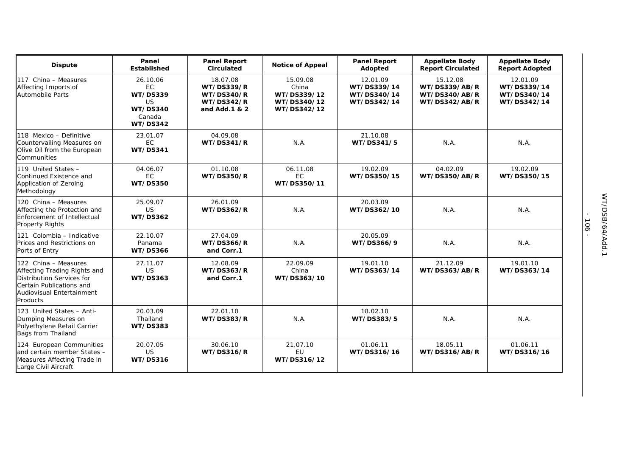| <b>Dispute</b>                                                                                                                                         | Panel<br>Established                                                                     | <b>Panel Report</b><br>Circulated                                                        | <b>Notice of Appeal</b>                                        | <b>Panel Report</b><br>Adopted                        | <b>Appellate Body</b><br><b>Report Circulated</b>           | <b>Appellate Body</b><br><b>Report Adopted</b>        |
|--------------------------------------------------------------------------------------------------------------------------------------------------------|------------------------------------------------------------------------------------------|------------------------------------------------------------------------------------------|----------------------------------------------------------------|-------------------------------------------------------|-------------------------------------------------------------|-------------------------------------------------------|
| 117 China - Measures<br>Affecting Imports of<br><b>Automobile Parts</b>                                                                                | 26.10.06<br>EC<br><b>WT/DS339</b><br>US.<br><b>WT/DS340</b><br>Canada<br><b>WT/DS342</b> | 18.07.08<br><b>WT/DS339/R</b><br><b>WT/DS340/R</b><br><b>WT/DS342/R</b><br>and Add.1 & 2 | 15.09.08<br>China<br>WT/DS339/12<br>WT/DS340/12<br>WT/DS342/12 | 12.01.09<br>WT/DS339/14<br>WT/DS340/14<br>WT/DS342/14 | 15.12.08<br>WT/DS339/AB/R<br>WT/DS340/AB/R<br>WT/DS342/AB/R | 12.01.09<br>WT/DS339/14<br>WT/DS340/14<br>WT/DS342/14 |
| 118 Mexico - Definitive<br>Countervailing Measures on<br>Olive Oil from the European<br>Communities                                                    | 23.01.07<br><b>EC</b><br><b>WT/DS341</b>                                                 | 04.09.08<br>WT/DS341/R                                                                   | N.A.                                                           | 21.10.08<br>WT/DS341/5                                | N.A.                                                        | N.A.                                                  |
| 119 United States -<br>Continued Existence and<br>Application of Zeroing<br>Methodology                                                                | 04.06.07<br><b>EC</b><br><b>WT/DS350</b>                                                 | 01.10.08<br><b>WT/DS350/R</b>                                                            | 06.11.08<br>EC<br>WT/DS350/11                                  | 19.02.09<br>WT/DS350/15                               | 04.02.09<br>WT/DS350/AB/R                                   | 19.02.09<br>WT/DS350/15                               |
| 120 China - Measures<br>Affecting the Protection and<br><b>Enforcement of Intellectual</b><br>Property Rights                                          | 25.09.07<br><b>US</b><br><b>WT/DS362</b>                                                 | 26.01.09<br><b>WT/DS362/R</b>                                                            | N.A.                                                           | 20.03.09<br>WT/DS362/10                               | N.A.                                                        | N.A.                                                  |
| 121 Colombia - Indicative<br>Prices and Restrictions on<br>Ports of Entry                                                                              | 22.10.07<br>Panama<br><b>WT/DS366</b>                                                    | 27.04.09<br><b>WT/DS366/R</b><br>and Corr.1                                              | N.A.                                                           | 20.05.09<br>WT/DS366/9                                | N.A.                                                        | N.A.                                                  |
| 122 China - Measures<br>Affecting Trading Rights and<br>Distribution Services for<br>Certain Publications and<br>Audiovisual Entertainment<br>Products | 27.11.07<br><b>US</b><br><b>WT/DS363</b>                                                 | 12.08.09<br><b>WT/DS363/R</b><br>and Corr.1                                              | 22.09.09<br>China<br>WT/DS363/10                               | 19.01.10<br>WT/DS363/14                               | 21.12.09<br>WT/DS363/AB/R                                   | 19.01.10<br>WT/DS363/14                               |
| 123 United States - Anti-<br>Dumping Measures on<br>Polyethylene Retail Carrier<br>Bags from Thailand                                                  | 20.03.09<br>Thailand<br><b>WT/DS383</b>                                                  | 22.01.10<br><b>WT/DS383/R</b>                                                            | N.A.                                                           | 18.02.10<br>WT/DS383/5                                | N.A.                                                        | N.A.                                                  |
| 124 European Communities<br>and certain member States -<br>Measures Affecting Trade in<br>Large Civil Aircraft                                         | 20.07.05<br><b>US</b><br><b>WT/DS316</b>                                                 | 30.06.10<br><b>WT/DS316/R</b>                                                            | 21.07.10<br>EU<br>WT/DS316/12                                  | 01.06.11<br>WT/DS316/16                               | 18.05.11<br>WT/DS316/AB/R                                   | 01.06.11<br>WT/DS316/16                               |

- 106 -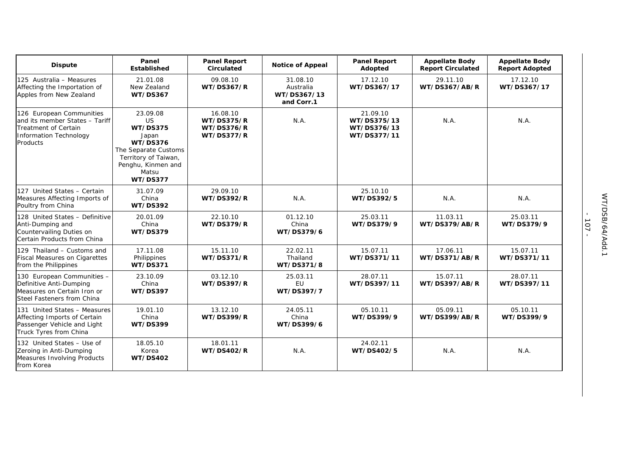| <b>Dispute</b>                                                                                                                         | Panel<br><b>Established</b>                                                                                                                                     | <b>Panel Report</b><br><b>Circulated</b>                                | <b>Notice of Appeal</b>                            | <b>Panel Report</b><br>Adopted                        | <b>Appellate Body</b><br><b>Report Circulated</b> | <b>Appellate Body</b><br><b>Report Adopted</b> |
|----------------------------------------------------------------------------------------------------------------------------------------|-----------------------------------------------------------------------------------------------------------------------------------------------------------------|-------------------------------------------------------------------------|----------------------------------------------------|-------------------------------------------------------|---------------------------------------------------|------------------------------------------------|
| 125 Australia - Measures<br>Affecting the Importation of<br>Apples from New Zealand                                                    | 21.01.08<br>New Zealand<br><b>WT/DS367</b>                                                                                                                      | 09.08.10<br><b>WT/DS367/R</b>                                           | 31.08.10<br>Australia<br>WT/DS367/13<br>and Corr.1 | 17.12.10<br>WT/DS367/17                               | 29.11.10<br>WT/DS367/AB/R                         | 17.12.10<br>WT/DS367/17                        |
| 126 European Communities<br>and its member States - Tariff<br><b>Treatment of Certain</b><br><b>Information Technology</b><br>Products | 23.09.08<br><b>US</b><br><b>WT/DS375</b><br>Japan<br>WT/DS376<br>The Separate Customs<br>Territory of Taiwan,<br>Penghu, Kinmen and<br>Matsu<br><b>WT/DS377</b> | 16.08.10<br><b>WT/DS375/R</b><br><b>WT/DS376/R</b><br><b>WT/DS377/R</b> | N.A.                                               | 21.09.10<br>WT/DS375/13<br>WT/DS376/13<br>WT/DS377/11 | N.A.                                              | N.A.                                           |
| 127 United States - Certain<br>Measures Affecting Imports of<br>Poultry from China                                                     | 31.07.09<br>China<br><b>WT/DS392</b>                                                                                                                            | 29.09.10<br><b>WT/DS392/R</b>                                           | N.A.                                               | 25.10.10<br>WT/DS392/5                                | N.A.                                              | N.A.                                           |
| 128 United States - Definitive<br>Anti-Dumping and<br>Countervailing Duties on<br>Certain Products from China                          | 20.01.09<br>China<br><b>WT/DS379</b>                                                                                                                            | 22.10.10<br><b>WT/DS379/R</b>                                           | 01.12.10<br>China<br>WT/DS379/6                    | 25.03.11<br>WT/DS379/9                                | 11.03.11<br>WT/DS379/AB/R                         | 25.03.11<br>WT/DS379/9                         |
| 129 Thailand - Customs and<br><b>Fiscal Measures on Cigarettes</b><br>from the Philippines                                             | 17.11.08<br>Philippines<br><b>WT/DS371</b>                                                                                                                      | 15.11.10<br><b>WT/DS371/R</b>                                           | 22.02.11<br>Thailand<br>WT/DS371/8                 | 15.07.11<br>WT/DS371/11                               | 17.06.11<br>WT/DS371/AB/R                         | 15.07.11<br>WT/DS371/11                        |
| 130 European Communities -<br>Definitive Anti-Dumping<br>Measures on Certain Iron or<br>Steel Fasteners from China                     | 23.10.09<br>China<br><b>WT/DS397</b>                                                                                                                            | 03.12.10<br><b>WT/DS397/R</b>                                           | 25.03.11<br><b>EU</b><br>WT/DS397/7                | 28.07.11<br>WT/DS397/11                               | 15.07.11<br>WT/DS397/AB/R                         | 28.07.11<br>WT/DS397/11                        |
| 131 United States - Measures<br>Affecting Imports of Certain<br>Passenger Vehicle and Light<br>Truck Tyres from China                  | 19.01.10<br>China<br><b>WT/DS399</b>                                                                                                                            | 13.12.10<br><b>WT/DS399/R</b>                                           | 24.05.11<br>China<br>WT/DS399/6                    | 05.10.11<br>WT/DS399/9                                | 05.09.11<br>WT/DS399/AB/R                         | 05.10.11<br>WT/DS399/9                         |
| 132 United States - Use of<br>Zeroing in Anti-Dumping<br>Measures Involving Products<br>from Korea                                     | 18.05.10<br>Korea<br><b>WT/DS402</b>                                                                                                                            | 18.01.11<br><b>WT/DS402/R</b>                                           | N.A.                                               | 24.02.11<br>WT/DS402/5                                | N.A.                                              | N.A.                                           |

- 107 -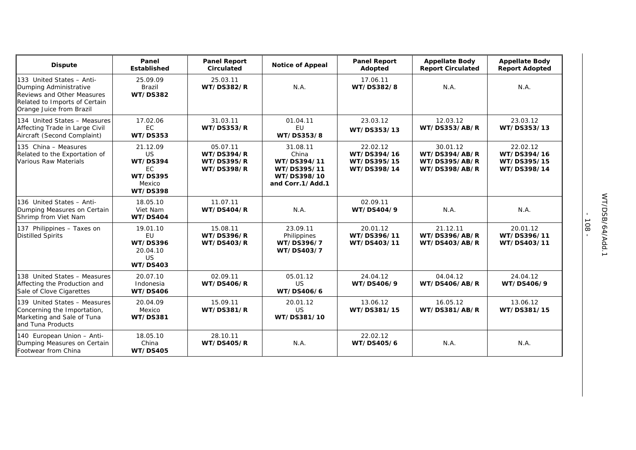| <b>Dispute</b>                                                                                                                                        | Panel<br>Established                                                                           | <b>Panel Report</b><br><b>Circulated</b>                                | <b>Notice of Appeal</b>                                                            | <b>Panel Report</b><br>Adopted                        | <b>Appellate Body</b><br><b>Report Circulated</b>           | <b>Appellate Body</b><br><b>Report Adopted</b>        |
|-------------------------------------------------------------------------------------------------------------------------------------------------------|------------------------------------------------------------------------------------------------|-------------------------------------------------------------------------|------------------------------------------------------------------------------------|-------------------------------------------------------|-------------------------------------------------------------|-------------------------------------------------------|
| 133 United States - Anti-<br>Dumping Administrative<br><b>Reviews and Other Measures</b><br>Related to Imports of Certain<br>Orange Juice from Brazil | 25.09.09<br><b>Brazil</b><br><b>WT/DS382</b>                                                   | 25.03.11<br><b>WT/DS382/R</b>                                           | N.A.                                                                               | 17.06.11<br>WT/DS382/8                                | N.A.                                                        | N.A.                                                  |
| 134 United States - Measures<br>Affecting Trade in Large Civil<br>Aircraft (Second Complaint)                                                         | 17.02.06<br>EC<br><b>WT/DS353</b>                                                              | 31.03.11<br><b>WT/DS353/R</b>                                           | 01.04.11<br><b>EU</b><br>WT/DS353/8                                                | 23.03.12<br>WT/DS353/13                               | 12.03.12<br>WT/DS353/AB/R                                   | 23.03.12<br>WT/DS353/13                               |
| 135 China - Measures<br>Related to the Exportation of<br><b>Various Raw Materials</b>                                                                 | 21.12.09<br><b>US</b><br><b>WT/DS394</b><br>EC<br><b>WT/DS395</b><br>Mexico<br><b>WT/DS398</b> | 05.07.11<br><b>WT/DS394/R</b><br><b>WT/DS395/R</b><br><b>WT/DS398/R</b> | 31.08.11<br>China<br>WT/DS394/11<br>WT/DS395/11<br>WT/DS398/10<br>and Corr.1/Add.1 | 22.02.12<br>WT/DS394/16<br>WT/DS395/15<br>WT/DS398/14 | 30.01.12<br>WT/DS394/AB/R<br>WT/DS395/AB/R<br>WT/DS398/AB/R | 22.02.12<br>WT/DS394/16<br>WT/DS395/15<br>WT/DS398/14 |
| 136 United States - Anti-<br>Dumping Measures on Certain<br>Shrimp from Viet Nam                                                                      | 18.05.10<br>Viet Nam<br>WT/DS404                                                               | 11.07.11<br><b>WT/DS404/R</b>                                           | N.A.                                                                               | 02.09.11<br>WT/DS404/9                                | N.A.                                                        | N.A.                                                  |
| 137 Philippines - Taxes on<br><b>Distilled Spirits</b>                                                                                                | 19.01.10<br><b>EU</b><br><b>WT/DS396</b><br>20.04.10<br><b>US</b><br><b>WT/DS403</b>           | 15.08.11<br><b>WT/DS396/R</b><br><b>WT/DS403/R</b>                      | 23.09.11<br>Philippines<br>WT/DS396/7<br>WT/DS403/7                                | 20.01.12<br>WT/DS396/11<br>WT/DS403/11                | 21.12.11<br>WT/DS396/AB/R<br>WT/DS403/AB/R                  | 20.01.12<br>WT/DS396/11<br>WT/DS403/11                |
| 138 United States - Measures<br>Affecting the Production and<br>Sale of Clove Cigarettes                                                              | 20.07.10<br>Indonesia<br><b>WT/DS406</b>                                                       | 02.09.11<br><b>WT/DS406/R</b>                                           | 05.01.12<br><b>US</b><br>WT/DS406/6                                                | 24.04.12<br>WT/DS406/9                                | 04.04.12<br>WT/DS406/AB/R                                   | 24.04.12<br>WT/DS406/9                                |
| 139 United States - Measures<br>Concerning the Importation,<br>Marketing and Sale of Tuna<br>and Tuna Products                                        | 20.04.09<br>Mexico<br><b>WT/DS381</b>                                                          | 15.09.11<br><b>WT/DS381/R</b>                                           | 20.01.12<br><b>US</b><br>WT/DS381/10                                               | 13.06.12<br>WT/DS381/15                               | 16.05.12<br>WT/DS381/AB/R                                   | 13.06.12<br>WT/DS381/15                               |
| 140 European Union - Anti-<br>Dumping Measures on Certain<br>Footwear from China                                                                      | 18.05.10<br>China<br><b>WT/DS405</b>                                                           | 28.10.11<br><b>WT/DS405/R</b>                                           | N.A.                                                                               | 22.02.12<br>WT/DS405/6                                | N.A.                                                        | N.A.                                                  |

- 108 -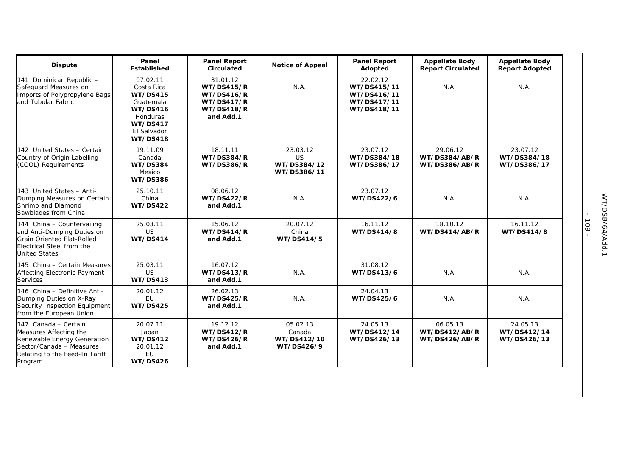| <b>Dispute</b>                                                                                                                                         | Panel<br><b>Established</b>                                                                                                         | <b>Panel Report</b><br><b>Circulated</b>                                                                  | <b>Notice of Appeal</b>                         | <b>Panel Report</b><br>Adopted                                       | <b>Appellate Body</b><br><b>Report Circulated</b> | <b>Appellate Body</b><br><b>Report Adopted</b> |
|--------------------------------------------------------------------------------------------------------------------------------------------------------|-------------------------------------------------------------------------------------------------------------------------------------|-----------------------------------------------------------------------------------------------------------|-------------------------------------------------|----------------------------------------------------------------------|---------------------------------------------------|------------------------------------------------|
| 141 Dominican Republic -<br>Safeguard Measures on<br>Imports of Polypropylene Bags<br>and Tubular Fabric                                               | 07.02.11<br>Costa Rica<br><b>WT/DS415</b><br>Guatemala<br><b>WT/DS416</b><br>Honduras<br><b>WT/DS417</b><br>El Salvador<br>WT/DS418 | 31.01.12<br><b>WT/DS415/R</b><br><b>WT/DS416/R</b><br><b>WT/DS417/R</b><br><b>WT/DS418/R</b><br>and Add.1 | N.A.                                            | 22.02.12<br>WT/DS415/11<br>WT/DS416/11<br>WT/DS417/11<br>WT/DS418/11 | N.A.                                              | N.A.                                           |
| 142 United States - Certain<br>Country of Origin Labelling<br>(COOL) Requirements                                                                      | 19.11.09<br>Canada<br><b>WT/DS384</b><br>Mexico<br><b>WT/DS386</b>                                                                  | 18.11.11<br><b>WT/DS384/R</b><br><b>WT/DS386/R</b>                                                        | 23.03.12<br>US<br>WT/DS384/12<br>WT/DS386/11    | 23.07.12<br>WT/DS384/18<br>WT/DS386/17                               | 29.06.12<br>WT/DS384/AB/R<br>WT/DS386/AB/R        | 23.07.12<br>WT/DS384/18<br>WT/DS386/17         |
| 143 United States - Anti-<br>Dumping Measures on Certain<br>Shrimp and Diamond<br>Sawblades from China                                                 | 25.10.11<br>China<br><b>WT/DS422</b>                                                                                                | 08.06.12<br><b>WT/DS422/R</b><br>and Add.1                                                                | N.A.                                            | 23.07.12<br>WT/DS422/6                                               | N.A.                                              | N.A.                                           |
| 144 China - Countervailing<br>and Anti-Dumping Duties on<br><b>Grain Oriented Flat-Rolled</b><br>Electrical Steel from the<br><b>United States</b>     | 25.03.11<br><b>US</b><br>WT/DS414                                                                                                   | 15.06.12<br><b>WT/DS414/R</b><br>and Add.1                                                                | 20.07.12<br>China<br>WT/DS414/5                 | 16.11.12<br>WT/DS414/8                                               | 18.10.12<br>WT/DS414/AB/R                         | 16.11.12<br>WT/DS414/8                         |
| 145 China - Certain Measures<br>Affecting Electronic Payment<br><b>Services</b>                                                                        | 25.03.11<br><b>US</b><br><b>WT/DS413</b>                                                                                            | 16.07.12<br><b>WT/DS413/R</b><br>and Add.1                                                                | N.A.                                            | 31.08.12<br>WT/DS413/6                                               | N.A.                                              | N.A.                                           |
| 146 China - Definitive Anti-<br>Dumping Duties on X-Ray<br>Security Inspection Equipment<br>from the European Union                                    | 20.01.12<br>EU<br><b>WT/DS425</b>                                                                                                   | 26.02.13<br><b>WT/DS425/R</b><br>and Add.1                                                                | N.A.                                            | 24.04.13<br>WT/DS425/6                                               | N.A.                                              | N.A.                                           |
| 147 Canada - Certain<br>Measures Affecting the<br>Renewable Energy Generation<br>Sector/Canada - Measures<br>Relating to the Feed-In Tariff<br>Program | 20.07.11<br>Japan<br><b>WT/DS412</b><br>20.01.12<br><b>EU</b><br><b>WT/DS426</b>                                                    | 19.12.12<br><b>WT/DS412/R</b><br><b>WT/DS426/R</b><br>and Add.1                                           | 05.02.13<br>Canada<br>WT/DS412/10<br>WT/DS426/9 | 24.05.13<br>WT/DS412/14<br>WT/DS426/13                               | 06.05.13<br>WT/DS412/AB/R<br>WT/DS426/AB/R        | 24.05.13<br>WT/DS412/14<br>WT/DS426/13         |

- 109 -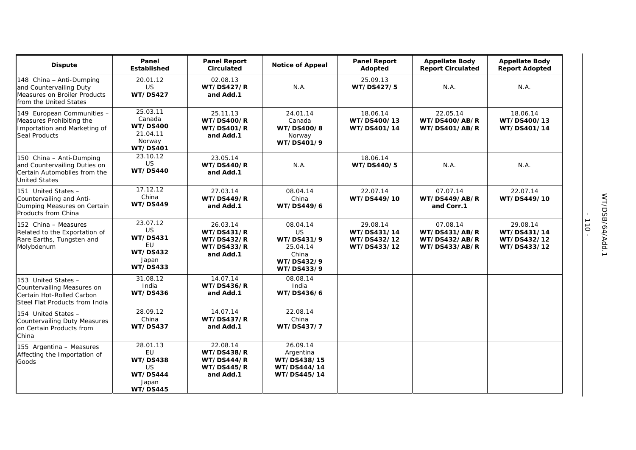| <b>Dispute</b>                                                                                                   | Panel<br><b>Established</b>                                                     | <b>Panel Report</b><br>Circulated                                                    | <b>Notice of Appeal</b>                                                              | <b>Panel Report</b><br>Adopted                        | <b>Appellate Body</b><br><b>Report Circulated</b>           | <b>Appellate Body</b><br><b>Report Adopted</b>        |
|------------------------------------------------------------------------------------------------------------------|---------------------------------------------------------------------------------|--------------------------------------------------------------------------------------|--------------------------------------------------------------------------------------|-------------------------------------------------------|-------------------------------------------------------------|-------------------------------------------------------|
| 148 China - Anti-Dumping<br>and Countervailing Duty<br>Measures on Broiler Products<br>from the United States    | 20.01.12<br><b>US</b><br><b>WT/DS427</b>                                        | 02.08.13<br><b>WT/DS427/R</b><br>and Add.1                                           | N.A.                                                                                 | 25.09.13<br>WT/DS427/5                                | N.A.                                                        | N.A.                                                  |
| 149 European Communities -<br>Measures Prohibiting the<br>Importation and Marketing of<br>Seal Products          | 25.03.11<br>Canada<br><b>WT/DS400</b><br>21.04.11<br>Norway<br><b>WT/DS401</b>  | 25.11.13<br><b>WT/DS400/R</b><br><b>WT/DS401/R</b><br>and Add.1                      | 24.01.14<br>Canada<br>WT/DS400/8<br>Norway<br>WT/DS401/9                             | 18.06.14<br>WT/DS400/13<br>WT/DS401/14                | 22.05.14<br><b>WT/DS400/AB/R</b><br>WT/DS401/AB/R           | 18.06.14<br>WT/DS400/13<br>WT/DS401/14                |
| 150 China - Anti-Dumping<br>and Countervailing Duties on<br>Certain Automobiles from the<br><b>United States</b> | 23.10.12<br><b>US</b><br><b>WT/DS440</b>                                        | 23.05.14<br><b>WT/DS440/R</b><br>and Add.1                                           | N.A.                                                                                 | 18.06.14<br>WT/DS440/5                                | N.A.                                                        | N.A.                                                  |
| 151 United States -<br>Countervailing and Anti-<br>Dumping Measures on Certain<br>Products from China            | 17.12.12<br>China<br>WT/DS449                                                   | 27.03.14<br><b>WT/DS449/R</b><br>and Add.1                                           | 08.04.14<br>China<br>WT/DS449/6                                                      | 22.07.14<br>WT/DS449/10                               | 07.07.14<br>WT/DS449/AB/R<br>and Corr.1                     | 22.07.14<br>WT/DS449/10                               |
| 152 China – Measures<br>Related to the Exportation of<br>Rare Earths, Tungsten and<br>Molybdenum                 | 23.07.12<br>US<br><b>WT/DS431</b><br>EU<br><b>WT/DS432</b><br>Japan<br>WT/DS433 | 26.03.14<br><b>WT/DS431/R</b><br><b>WT/DS432/R</b><br><b>WT/DS433/R</b><br>and Add.1 | 08.04.14<br><b>US</b><br>WT/DS431/9<br>25.04.14<br>China<br>WT/DS432/9<br>WT/DS433/9 | 29.08.14<br>WT/DS431/14<br>WT/DS432/12<br>WT/DS433/12 | 07.08.14<br>WT/DS431/AB/R<br>WT/DS432/AB/R<br>WT/DS433/AB/R | 29.08.14<br>WT/DS431/14<br>WT/DS432/12<br>WT/DS433/12 |
| 153 United States -<br>Countervailing Measures on<br>Certain Hot-Rolled Carbon<br>Steel Flat Products from India | 31.08.12<br>India<br>WT/DS436                                                   | 14.07.14<br><b>WT/DS436/R</b><br>and Add.1                                           | 08.08.14<br>India<br>WT/DS436/6                                                      |                                                       |                                                             |                                                       |
| 154 United States -<br><b>Countervailing Duty Measures</b><br>on Certain Products from<br>China                  | 28.09.12<br>China<br><b>WT/DS437</b>                                            | 14.07.14<br><b>WT/DS437/R</b><br>and Add.1                                           | 22.08.14<br>China<br>WT/DS437/7                                                      |                                                       |                                                             |                                                       |
| 155 Argentina - Measures<br>Affecting the Importation of<br>Goods                                                | 28.01.13<br>EU<br>WT/DS438<br>US<br>WT/DS444<br>Japan<br>WT/DS445               | 22.08.14<br><b>WT/DS438/R</b><br>WT/DS444/R<br><b>WT/DS445/R</b><br>and Add.1        | 26.09.14<br>Argentina<br>WT/DS438/15<br>WT/DS444/14<br>WT/DS445/14                   |                                                       |                                                             |                                                       |

- 110 -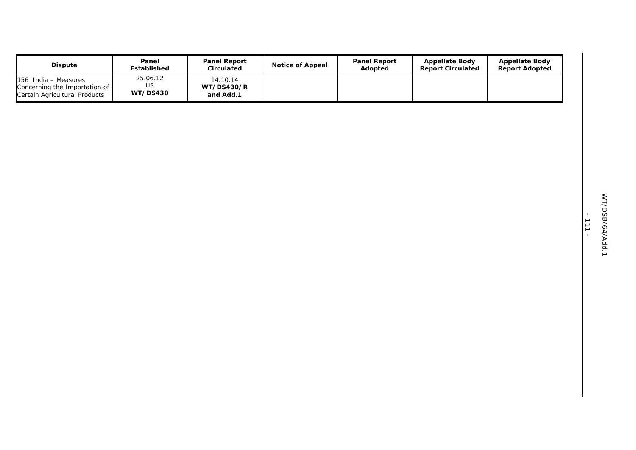| <b>Dispute</b>                                                                           | Panel<br>Established              | <b>Panel Report</b><br>Circulated          | <b>Notice of Appeal</b> | <b>Panel Report</b><br>Adopted | <b>Appellate Body</b><br><b>Report Circulated</b> | <b>Appellate Body</b><br><b>Report Adopted</b> |
|------------------------------------------------------------------------------------------|-----------------------------------|--------------------------------------------|-------------------------|--------------------------------|---------------------------------------------------|------------------------------------------------|
| $156$ India – Measures<br>Concerning the Importation of<br>Certain Agricultural Products | 25.06.12<br>US<br><b>WT/DS430</b> | 14.10.14<br><b>WT/DS430/R</b><br>and Add.1 |                         |                                |                                                   |                                                |

- 111 -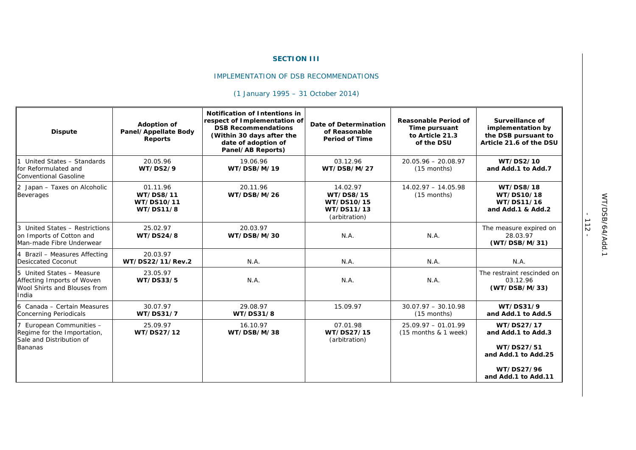#### **SECTION III**

#### IMPLEMENTATION OF DSB RECOMMENDATIONS

# *(1 January 1995 – 31 October 2014)*

| <b>Dispute</b>                                                                                      | Adoption of<br>Panel/Appellate Body<br><b>Reports</b> | Notification of Intentions in<br>respect of Implementation of<br><b>DSB Recommendations</b><br>(Within 30 days after the<br>date of adoption of<br>Panel/AB Reports) | Date of Determination<br>of Reasonable<br><b>Period of Time</b>    | <b>Reasonable Period of</b><br>Time pursuant<br>to Article 21.3<br>of the DSU | Surveillance of<br>implementation by<br>the DSB pursuant to<br>Article 21.6 of the DSU                     |
|-----------------------------------------------------------------------------------------------------|-------------------------------------------------------|----------------------------------------------------------------------------------------------------------------------------------------------------------------------|--------------------------------------------------------------------|-------------------------------------------------------------------------------|------------------------------------------------------------------------------------------------------------|
| United States - Standards<br>for Reformulated and<br><b>Conventional Gasoline</b>                   | 20.05.96<br><b>WT/DS2/9</b>                           | 19.06.96<br>WT/DSB/M/19                                                                                                                                              | 03.12.96<br>WT/DSB/M/27                                            | $20.05.96 - 20.08.97$<br>$(15$ months)                                        | WT/DS2/10<br>and Add.1 to Add.7                                                                            |
| 2 Japan - Taxes on Alcoholic<br><b>Beverages</b>                                                    | 01.11.96<br>WT/DS8/11<br>WT/DS10/11<br>WT/DS11/8      | 20.11.96<br>WT/DSB/M/26                                                                                                                                              | 14.02.97<br>WT/DS8/15<br>WT/DS10/15<br>WT/DS11/13<br>(arbitration) | $14.02.97 - 14.05.98$<br>$(15$ months)                                        | WT/DS8/18<br>WT/DS10/18<br>WT/DS11/16<br>and Add.1 & Add.2                                                 |
| 3 United States - Restrictions<br>on Imports of Cotton and<br>Man-made Fibre Underwear              | 25.02.97<br><b>WT/DS24/8</b>                          | 20.03.97<br>WT/DSB/M/30                                                                                                                                              | N.A.                                                               | N.A.                                                                          | The measure expired on<br>28.03.97<br>(WT/DSB/M/31)                                                        |
| 4 Brazil - Measures Affecting<br>Desiccated Coconut                                                 | 20.03.97<br>WT/DS22/11/Rev.2                          | N.A.                                                                                                                                                                 | N.A.                                                               | N.A.                                                                          | N.A.                                                                                                       |
| 5 United States - Measure<br>Affecting Imports of Woven<br>Wool Shirts and Blouses from<br>India    | 23.05.97<br>WT/DS33/5                                 | N.A.                                                                                                                                                                 | N.A.                                                               | N.A.                                                                          | The restraint rescinded on<br>03.12.96<br>(WT/DSB/M/33)                                                    |
| 6 Canada – Certain Measures<br><b>Concerning Periodicals</b>                                        | 30.07.97<br><b>WT/DS31/7</b>                          | 29.08.97<br>WT/DS31/8                                                                                                                                                | 15.09.97                                                           | $30.07.97 - 30.10.98$<br>$(15$ months)                                        | WT/DS31/9<br>and Add.1 to Add.5                                                                            |
| European Communities -<br>Regime for the Importation,<br>Sale and Distribution of<br><b>Bananas</b> | 25.09.97<br>WT/DS27/12                                | 16.10.97<br>WT/DSB/M/38                                                                                                                                              | 07.01.98<br>WT/DS27/15<br>(arbitration)                            | $25.09.97 - 01.01.99$<br>$(15$ months & 1 week)                               | WT/DS27/17<br>and Add.1 to Add.3<br>WT/DS27/51<br>and Add.1 to Add.25<br>WT/DS27/96<br>and Add.1 to Add.11 |

- 112 -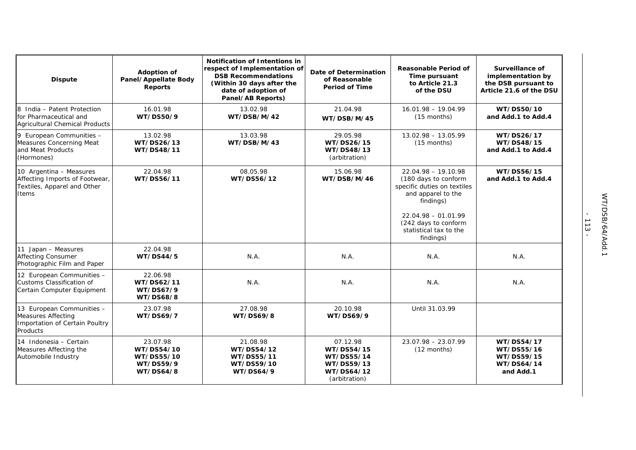| <b>Dispute</b>                                                                                       | Adoption of<br>Panel/Appellate Body<br><b>Reports</b>                 | <b>Notification of Intentions in</b><br>respect of Implementation of<br><b>DSB Recommendations</b><br>(Within 30 days after the<br>date of adoption of<br>Panel/AB Reports) | Date of Determination<br>of Reasonable<br><b>Period of Time</b>                   | <b>Reasonable Period of</b><br>Time pursuant<br>to Article 21.3<br>of the DSU                                                                                                                           | Surveillance of<br>implementation by<br>the DSB pursuant to<br>Article 21.6 of the DSU |
|------------------------------------------------------------------------------------------------------|-----------------------------------------------------------------------|-----------------------------------------------------------------------------------------------------------------------------------------------------------------------------|-----------------------------------------------------------------------------------|---------------------------------------------------------------------------------------------------------------------------------------------------------------------------------------------------------|----------------------------------------------------------------------------------------|
| 8 India - Patent Protection<br>for Pharmaceutical and<br><b>Agricultural Chemical Products</b>       | 16.01.98<br>WT/DS50/9                                                 | 13.02.98<br>WT/DSB/M/42                                                                                                                                                     | 21.04.98<br>WT/DSB/M/45                                                           | $16.01.98 - 19.04.99$<br>$(15$ months)                                                                                                                                                                  | WT/DS50/10<br>and Add.1 to Add.4                                                       |
| 9 European Communities -<br>Measures Concerning Meat<br>and Meat Products<br>(Hormones)              | 13.02.98<br>WT/DS26/13<br>WT/DS48/11                                  | 13.03.98<br>WT/DSB/M/43                                                                                                                                                     | 29.05.98<br>WT/DS26/15<br>WT/DS48/13<br>(arbitration)                             | $13.02.98 - 13.05.99$<br>$(15$ months)                                                                                                                                                                  | WT/DS26/17<br>WT/DS48/15<br>and Add.1 to Add.4                                         |
| 10 Argentina - Measures<br>Affecting Imports of Footwear,<br>Textiles, Apparel and Other<br>Items    | 22.04.98<br>WT/DS56/11                                                | 08.05.98<br>WT/DS56/12                                                                                                                                                      | 15.06.98<br>WT/DSB/M/46                                                           | $22.04.98 - 19.10.98$<br>(180 days to conform<br>specific duties on textiles<br>and apparel to the<br>findings)<br>$22.04.98 - 01.01.99$<br>(242 days to conform<br>statistical tax to the<br>findings) | WT/DS56/15<br>and Add.1 to Add.4                                                       |
| 11 Japan - Measures<br><b>Affecting Consumer</b><br>Photographic Film and Paper                      | 22.04.98<br>WT/DS44/5                                                 | N.A.                                                                                                                                                                        | N.A.                                                                              | N.A.                                                                                                                                                                                                    | N.A.                                                                                   |
| 12 European Communities -<br>Customs Classification of<br>Certain Computer Equipment                 | 22.06.98<br>WT/DS62/11<br><b>WT/DS67/9</b><br>WT/DS68/8               | N.A.                                                                                                                                                                        | N.A.                                                                              | N.A.                                                                                                                                                                                                    | N.A.                                                                                   |
| 13 European Communities -<br><b>Measures Affecting</b><br>Importation of Certain Poultry<br>Products | 23.07.98<br><b>WT/DS69/7</b>                                          | 27.08.98<br><b>WT/DS69/8</b>                                                                                                                                                | 20.10.98<br><b>WT/DS69/9</b>                                                      | Until 31.03.99                                                                                                                                                                                          |                                                                                        |
| 14 Indonesia - Certain<br>Measures Affecting the<br>Automobile Industry                              | 23.07.98<br>WT/DS54/10<br>WT/DS55/10<br>WT/DS59/9<br><b>WT/DS64/8</b> | 21.08.98<br>WT/DS54/12<br>WT/DS55/11<br>WT/DS59/10<br>WT/DS64/9                                                                                                             | 07.12.98<br>WT/DS54/15<br>WT/DS55/14<br>WT/DS59/13<br>WT/DS64/12<br>(arbitration) | $23.07.98 - 23.07.99$<br>$(12$ months)                                                                                                                                                                  | WT/DS54/17<br>WT/DS55/16<br>WT/DS59/15<br>WT/DS64/14<br>and Add.1                      |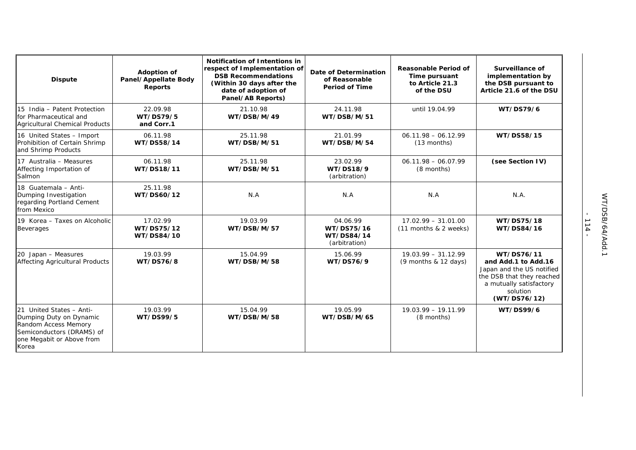| <b>Dispute</b>                                                                                                                                 | Adoption of<br>Panel/Appellate Body<br><b>Reports</b> | <b>Notification of Intentions in</b><br>respect of Implementation of<br><b>DSB Recommendations</b><br>(Within 30 days after the<br>date of adoption of<br>Panel/AB Reports) | Date of Determination<br>of Reasonable<br><b>Period of Time</b> | Reasonable Period of<br>Time pursuant<br>to Article 21.3<br>of the DSU | Surveillance of<br>implementation by<br>the DSB pursuant to<br>Article 21.6 of the DSU                                                             |
|------------------------------------------------------------------------------------------------------------------------------------------------|-------------------------------------------------------|-----------------------------------------------------------------------------------------------------------------------------------------------------------------------------|-----------------------------------------------------------------|------------------------------------------------------------------------|----------------------------------------------------------------------------------------------------------------------------------------------------|
| 15 India - Patent Protection<br>for Pharmaceutical and<br>Agricultural Chemical Products                                                       | 22.09.98<br>WT/DS79/5<br>and Corr.1                   | 21.10.98<br>WT/DSB/M/49                                                                                                                                                     | 24.11.98<br>WT/DSB/M/51                                         | until 19.04.99                                                         | <b>WT/DS79/6</b>                                                                                                                                   |
| 16 United States - Import<br>Prohibition of Certain Shrimp<br>and Shrimp Products                                                              | 06.11.98<br>WT/DS58/14                                | 25.11.98<br>WT/DSB/M/51                                                                                                                                                     | 21.01.99<br>WT/DSB/M/54                                         | $06.11.98 - 06.12.99$<br>$(13$ months)                                 | WT/DS58/15                                                                                                                                         |
| 17 Australia - Measures<br>Affecting Importation of<br>Salmon                                                                                  | 06.11.98<br>WT/DS18/11                                | 25.11.98<br>WT/DSB/M/51                                                                                                                                                     | 23.02.99<br>WT/DS18/9<br>(arbitration)                          | $06.11.98 - 06.07.99$<br>(8 months)                                    | (see Section IV)                                                                                                                                   |
| 18 Guatemala - Anti-<br>Dumping Investigation<br>regarding Portland Cement<br>from Mexico                                                      | 25.11.98<br>WT/DS60/12                                | N.A                                                                                                                                                                         | N.A                                                             | N.A                                                                    | N.A.                                                                                                                                               |
| 19 Korea - Taxes on Alcoholic<br><b>Beverages</b>                                                                                              | 17.02.99<br>WT/DS75/12<br>WT/DS84/10                  | 19.03.99<br>WT/DSB/M/57                                                                                                                                                     | 04.06.99<br>WT/DS75/16<br>WT/DS84/14<br>(arbitration)           | $17.02.99 - 31.01.00$<br>(11 months & 2 weeks)                         | WT/DS75/18<br>WT/DS84/16                                                                                                                           |
| 20 Japan - Measures<br>Affecting Agricultural Products                                                                                         | 19.03.99<br><b>WT/DS76/8</b>                          | 15.04.99<br>WT/DSB/M/58                                                                                                                                                     | 15.06.99<br>WT/DS76/9                                           | $19.03.99 - 31.12.99$<br>$(9$ months & 12 days)                        | WT/DS76/11<br>and Add.1 to Add.16<br>Japan and the US notified<br>the DSB that they reached<br>a mutually satisfactory<br>solution<br>(WT/DS76/12) |
| 21 United States - Anti-<br>Dumping Duty on Dynamic<br>Random Access Memory<br>Semiconductors (DRAMS) of<br>one Megabit or Above from<br>Korea | 19.03.99<br>WT/DS99/5                                 | 15.04.99<br>WT/DSB/M/58                                                                                                                                                     | 19.05.99<br>WT/DSB/M/65                                         | $19.03.99 - 19.11.99$<br>(8 months)                                    | WT/DS99/6                                                                                                                                          |

- 114 -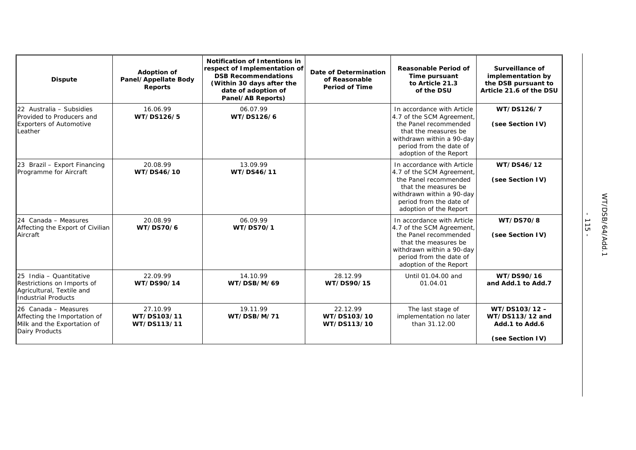| <b>Dispute</b>                                                                                                   | <b>Adoption of</b><br>Panel/Appellate Body<br><b>Reports</b> | <b>Notification of Intentions in</b><br>respect of Implementation of<br><b>DSB Recommendations</b><br>(Within 30 days after the<br>date of adoption of<br>Panel/AB Reports) | Date of Determination<br>of Reasonable<br><b>Period of Time</b> | <b>Reasonable Period of</b><br>Time pursuant<br>to Article 21.3<br>of the DSU                                                                                                              | Surveillance of<br>implementation by<br>the DSB pursuant to<br>Article 21.6 of the DSU |
|------------------------------------------------------------------------------------------------------------------|--------------------------------------------------------------|-----------------------------------------------------------------------------------------------------------------------------------------------------------------------------|-----------------------------------------------------------------|--------------------------------------------------------------------------------------------------------------------------------------------------------------------------------------------|----------------------------------------------------------------------------------------|
| 22 Australia - Subsidies<br>Provided to Producers and<br><b>Exporters of Automotive</b><br>Leather               | 16.06.99<br>WT/DS126/5                                       | 06.07.99<br>WT/DS126/6                                                                                                                                                      |                                                                 | In accordance with Article<br>4.7 of the SCM Agreement,<br>the Panel recommended<br>that the measures be<br>withdrawn within a 90-day<br>period from the date of<br>adoption of the Report | WT/DS126/7<br>(see Section IV)                                                         |
| 23 Brazil - Export Financing<br>Programme for Aircraft                                                           | 20.08.99<br>WT/DS46/10                                       | 13.09.99<br>WT/DS46/11                                                                                                                                                      |                                                                 | In accordance with Article<br>4.7 of the SCM Agreement,<br>the Panel recommended<br>that the measures be<br>withdrawn within a 90-day<br>period from the date of<br>adoption of the Report | WT/DS46/12<br>(see Section IV)                                                         |
| 24 Canada - Measures<br>Affecting the Export of Civilian<br>Aircraft                                             | 20.08.99<br>WT/DS70/6                                        | 06.09.99<br>WT/DS70/1                                                                                                                                                       |                                                                 | In accordance with Article<br>4.7 of the SCM Agreement,<br>the Panel recommended<br>that the measures be<br>withdrawn within a 90-day<br>period from the date of<br>adoption of the Report | WT/DS70/8<br>(see Section IV)                                                          |
| 25 India - Quantitative<br>Restrictions on Imports of<br>Agricultural, Textile and<br><b>Industrial Products</b> | 22.09.99<br>WT/DS90/14                                       | 14.10.99<br>WT/DSB/M/69                                                                                                                                                     | 28.12.99<br>WT/DS90/15                                          | Until 01.04.00 and<br>01.04.01                                                                                                                                                             | WT/DS90/16<br>and Add.1 to Add.7                                                       |
| 26 Canada - Measures<br>Affecting the Importation of<br>Milk and the Exportation of<br><b>Dairy Products</b>     | 27.10.99<br>WT/DS103/11<br>WT/DS113/11                       | 19.11.99<br>WT/DSB/M/71                                                                                                                                                     | 22.12.99<br>WT/DS103/10<br>WT/DS113/10                          | The last stage of<br>implementation no later<br>than 31.12.00                                                                                                                              | WT/DS103/12-<br>WT/DS113/12 and<br>Add.1 to Add.6<br>(see Section IV)                  |

- 115 -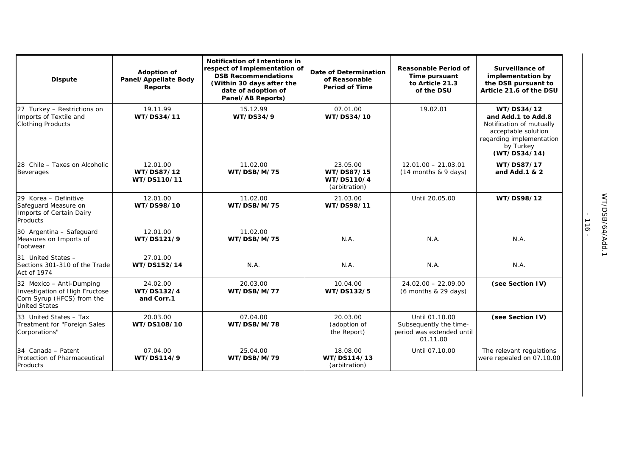| <b>Dispute</b>                                                                                                   | <b>Adoption of</b><br>Panel/Appellate Body<br>Reports | <b>Notification of Intentions in</b><br>respect of Implementation of<br><b>DSB Recommendations</b><br>(Within 30 days after the<br>date of adoption of<br>Panel/AB Reports) | <b>Date of Determination</b><br>of Reasonable<br><b>Period of Time</b> | <b>Reasonable Period of</b><br>Time pursuant<br>to Article 21.3<br>of the DSU     | Surveillance of<br>implementation by<br>the DSB pursuant to<br>Article 21.6 of the DSU                                                       |
|------------------------------------------------------------------------------------------------------------------|-------------------------------------------------------|-----------------------------------------------------------------------------------------------------------------------------------------------------------------------------|------------------------------------------------------------------------|-----------------------------------------------------------------------------------|----------------------------------------------------------------------------------------------------------------------------------------------|
| 27 Turkey - Restrictions on<br>Imports of Textile and<br><b>Clothing Products</b>                                | 19.11.99<br>WT/DS34/11                                | 15.12.99<br><b>WT/DS34/9</b>                                                                                                                                                | 07.01.00<br>WT/DS34/10                                                 | 19.02.01                                                                          | WT/DS34/12<br>and Add.1 to Add.8<br>Notification of mutually<br>acceptable solution<br>regarding implementation<br>by Turkey<br>(WT/DS34/14) |
| 28 Chile - Taxes on Alcoholic<br><b>Beverages</b>                                                                | 12.01.00<br>WT/DS87/12<br>WT/DS110/11                 | 11.02.00<br>WT/DSB/M/75                                                                                                                                                     | 23.05.00<br>WT/DS87/15<br>WT/DS110/4<br>(arbitration)                  | $12.01.00 - 21.03.01$<br>(14 months & 9 days)                                     | WT/DS87/17<br>and Add.1 & 2                                                                                                                  |
| 29 Korea - Definitive<br>Safeguard Measure on<br>Imports of Certain Dairy<br><b>Products</b>                     | 12.01.00<br>WT/DS98/10                                | 11.02.00<br>WT/DSB/M/75                                                                                                                                                     | 21.03.00<br>WT/DS98/11                                                 | Until 20.05.00                                                                    | WT/DS98/12                                                                                                                                   |
| 30 Argentina - Safeguard<br>Measures on Imports of<br>Footwear                                                   | 12.01.00<br>WT/DS121/9                                | 11.02.00<br>WT/DSB/M/75                                                                                                                                                     | N.A.                                                                   | N.A.                                                                              | N.A.                                                                                                                                         |
| 31 United States -<br>Sections 301-310 of the Trade<br>Act of 1974                                               | 27.01.00<br>WT/DS152/14                               | N.A.                                                                                                                                                                        | N.A.                                                                   | N.A.                                                                              | N.A.                                                                                                                                         |
| 32 Mexico - Anti-Dumping<br>Investigation of High Fructose<br>Corn Syrup (HFCS) from the<br><b>United States</b> | 24.02.00<br>WT/DS132/4<br>and Corr.1                  | 20.03.00<br>WT/DSB/M/77                                                                                                                                                     | 10.04.00<br>WT/DS132/5                                                 | $24.02.00 - 22.09.00$<br>(6 months & 29 days)                                     | (see Section IV)                                                                                                                             |
| 33 United States - Tax<br>Treatment for "Foreign Sales<br>Corporations"                                          | 20.03.00<br>WT/DS108/10                               | 07.04.00<br>WT/DSB/M/78                                                                                                                                                     | 20.03.00<br>(adoption of<br>the Report)                                | Until 01.10.00<br>Subsequently the time-<br>period was extended until<br>01.11.00 | (see Section IV)                                                                                                                             |
| 34 Canada - Patent<br>Protection of Pharmaceutical<br>Products                                                   | 07.04.00<br>WT/DS114/9                                | 25.04.00<br>WT/DSB/M/79                                                                                                                                                     | 18.08.00<br>WT/DS114/13<br>(arbitration)                               | Until 07.10.00                                                                    | The relevant regulations<br>were repealed on 07.10.00                                                                                        |

- 116 -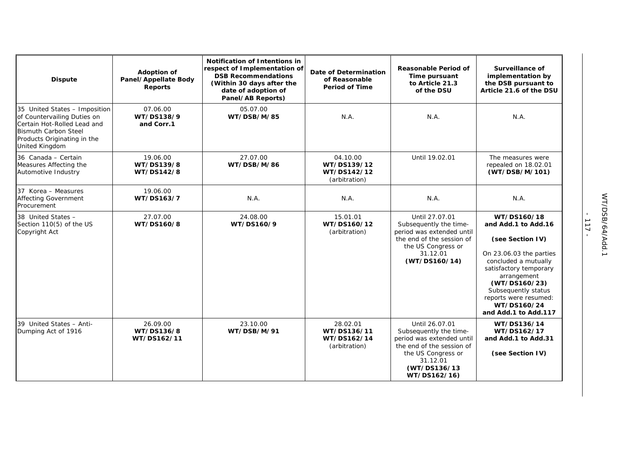| <b>Dispute</b>                                                                                                                                                              | <b>Adoption of</b><br>Panel/Appellate Body<br><b>Reports</b> | <b>Notification of Intentions in</b><br>respect of Implementation of<br><b>DSB Recommendations</b><br>(Within 30 days after the<br>date of adoption of<br>Panel/AB Reports) | Date of Determination<br>of Reasonable<br><b>Period of Time</b> | <b>Reasonable Period of</b><br>Time pursuant<br>to Article 21.3<br>of the DSU                                                                                        | Surveillance of<br>implementation by<br>the DSB pursuant to<br>Article 21.6 of the DSU                                                                                                                                                                     |
|-----------------------------------------------------------------------------------------------------------------------------------------------------------------------------|--------------------------------------------------------------|-----------------------------------------------------------------------------------------------------------------------------------------------------------------------------|-----------------------------------------------------------------|----------------------------------------------------------------------------------------------------------------------------------------------------------------------|------------------------------------------------------------------------------------------------------------------------------------------------------------------------------------------------------------------------------------------------------------|
| 35 United States - Imposition<br>of Countervailing Duties on<br>Certain Hot-Rolled Lead and<br><b>Bismuth Carbon Steel</b><br>Products Originating in the<br>United Kingdom | 07.06.00<br>WT/DS138/9<br>and Corr.1                         | 05.07.00<br>WT/DSB/M/85                                                                                                                                                     | N.A.                                                            | N.A.                                                                                                                                                                 | N.A.                                                                                                                                                                                                                                                       |
| 36 Canada - Certain<br>Measures Affecting the<br>Automotive Industry                                                                                                        | 19.06.00<br>WT/DS139/8<br>WT/DS142/8                         | 27.07.00<br>WT/DSB/M/86                                                                                                                                                     | 04.10.00<br>WT/DS139/12<br>WT/DS142/12<br>(arbitration)         | Until 19.02.01                                                                                                                                                       | The measures were<br>repealed on 18.02.01<br>(WT/DSB/M/101)                                                                                                                                                                                                |
| 37 Korea - Measures<br><b>Affecting Government</b><br>Procurement                                                                                                           | 19.06.00<br>WT/DS163/7                                       | N.A.                                                                                                                                                                        | N.A.                                                            | N.A.                                                                                                                                                                 | N.A.                                                                                                                                                                                                                                                       |
| 38 United States -<br>Section 110(5) of the US<br>Copyright Act                                                                                                             | 27.07.00<br>WT/DS160/8                                       | 24.08.00<br>WT/DS160/9                                                                                                                                                      | 15.01.01<br>WT/DS160/12<br>(arbitration)                        | Until 27.07.01<br>Subsequently the time-<br>period was extended until<br>the end of the session of<br>the US Congress or<br>31.12.01<br>(WT/DS160/14)                | WT/DS160/18<br>and Add.1 to Add.16<br>(see Section IV)<br>On 23.06.03 the parties<br>concluded a mutually<br>satisfactory temporary<br>arrangement<br>(WT/DS160/23)<br>Subsequently status<br>reports were resumed:<br>WT/DS160/24<br>and Add.1 to Add.117 |
| 39 United States - Anti-<br>Dumping Act of 1916                                                                                                                             | 26.09.00<br>WT/DS136/8<br>WT/DS162/11                        | 23.10.00<br>WT/DSB/M/91                                                                                                                                                     | 28.02.01<br>WT/DS136/11<br>WT/DS162/14<br>(arbitration)         | Until 26.07.01<br>Subsequently the time-<br>period was extended until<br>the end of the session of<br>the US Congress or<br>31.12.01<br>(WT/DS136/13<br>WT/DS162/16) | WT/DS136/14<br>WT/DS162/17<br>and Add.1 to Add.31<br>(see Section IV)                                                                                                                                                                                      |

- 117 -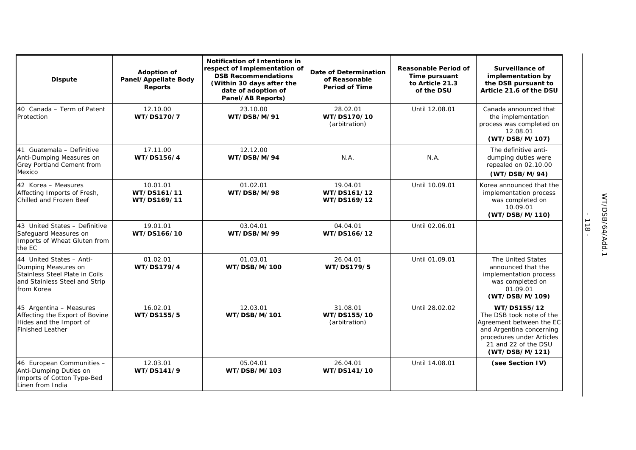| <b>Dispute</b>                                                                                                                   | <b>Adoption of</b><br>Panel/Appellate Body<br><b>Reports</b> | <b>Notification of Intentions in</b><br>respect of Implementation of<br><b>DSB Recommendations</b><br>(Within 30 days after the<br>date of adoption of<br>Panel/AB Reports) | Date of Determination<br>of Reasonable<br><b>Period of Time</b> | <b>Reasonable Period of</b><br>Time pursuant<br>to Article 21.3<br>of the DSU | Surveillance of<br>implementation by<br>the DSB pursuant to<br>Article 21.6 of the DSU                                                                                 |
|----------------------------------------------------------------------------------------------------------------------------------|--------------------------------------------------------------|-----------------------------------------------------------------------------------------------------------------------------------------------------------------------------|-----------------------------------------------------------------|-------------------------------------------------------------------------------|------------------------------------------------------------------------------------------------------------------------------------------------------------------------|
| 40 Canada – Term of Patent<br>Protection                                                                                         | 12.10.00<br>WT/DS170/7                                       | 23.10.00<br>WT/DSB/M/91                                                                                                                                                     | 28.02.01<br>WT/DS170/10<br>(arbitration)                        | Until 12.08.01                                                                | Canada announced that<br>the implementation<br>process was completed on<br>12.08.01<br>(WT/DSB/M/107)                                                                  |
| 41 Guatemala - Definitive<br>Anti-Dumping Measures on<br>Grey Portland Cement from<br>Mexico                                     | 17.11.00<br>WT/DS156/4                                       | 12.12.00<br>WT/DSB/M/94                                                                                                                                                     | N.A.                                                            | N.A.                                                                          | The definitive anti-<br>dumping duties were<br>repealed on 02.10.00<br>(WT/DSB/M/94)                                                                                   |
| 42 Korea - Measures<br>Affecting Imports of Fresh,<br>Chilled and Frozen Beef                                                    | 10.01.01<br>WT/DS161/11<br>WT/DS169/11                       | 01.02.01<br>WT/DSB/M/98                                                                                                                                                     | 19.04.01<br>WT/DS161/12<br>WT/DS169/12                          | Until 10.09.01                                                                | Korea announced that the<br>implementation process<br>was completed on<br>10.09.01<br>(WT/DSB/M/110)                                                                   |
| 43 United States - Definitive<br>Safeguard Measures on<br>Imports of Wheat Gluten from<br>the EC                                 | 19.01.01<br>WT/DS166/10                                      | 03.04.01<br>WT/DSB/M/99                                                                                                                                                     | 04.04.01<br>WT/DS166/12                                         | Until 02.06.01                                                                |                                                                                                                                                                        |
| 44 United States - Anti-<br>Dumping Measures on<br>Stainless Steel Plate in Coils<br>and Stainless Steel and Strip<br>from Korea | 01.02.01<br>WT/DS179/4                                       | 01.03.01<br>WT/DSB/M/100                                                                                                                                                    | 26.04.01<br>WT/DS179/5                                          | Until 01.09.01                                                                | The United States<br>announced that the<br>implementation process<br>was completed on<br>01.09.01<br>(WT/DSB/M/109)                                                    |
| 45 Argentina - Measures<br>Affecting the Export of Bovine<br>Hides and the Import of<br><b>Finished Leather</b>                  | 16.02.01<br>WT/DS155/5                                       | 12.03.01<br>WT/DSB/M/101                                                                                                                                                    | 31.08.01<br>WT/DS155/10<br>(arbitration)                        | Until 28.02.02                                                                | WT/DS155/12<br>The DSB took note of the<br>Agreement between the EC<br>and Argentina concerning<br>procedures under Articles<br>21 and 22 of the DSU<br>(WT/DSB/M/121) |
| 46 European Communities -<br>Anti-Dumping Duties on<br>Imports of Cotton Type-Bed<br>Linen from India                            | 12.03.01<br>WT/DS141/9                                       | 05.04.01<br>WT/DSB/M/103                                                                                                                                                    | 26.04.01<br>WT/DS141/10                                         | Until 14.08.01                                                                | (see Section IV)                                                                                                                                                       |

- 118 -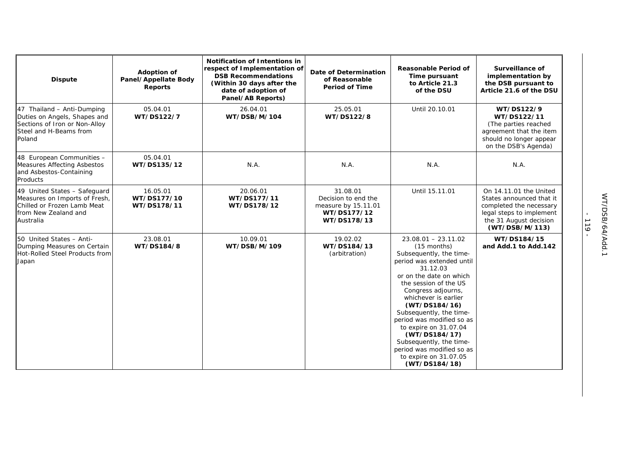| <b>Dispute</b>                                                                                                                    | <b>Adoption of</b><br>Panel/Appellate Body<br><b>Reports</b> | <b>Notification of Intentions in</b><br>respect of Implementation of<br><b>DSB Recommendations</b><br>(Within 30 days after the<br>date of adoption of<br>Panel/AB Reports) | <b>Date of Determination</b><br>of Reasonable<br><b>Period of Time</b>               | <b>Reasonable Period of</b><br>Time pursuant<br>to Article 21.3<br>of the DSU                                                                                                                                                                                                                                                                                                                                                   | Surveillance of<br>implementation by<br>the DSB pursuant to<br>Article 21.6 of the DSU                                                                |
|-----------------------------------------------------------------------------------------------------------------------------------|--------------------------------------------------------------|-----------------------------------------------------------------------------------------------------------------------------------------------------------------------------|--------------------------------------------------------------------------------------|---------------------------------------------------------------------------------------------------------------------------------------------------------------------------------------------------------------------------------------------------------------------------------------------------------------------------------------------------------------------------------------------------------------------------------|-------------------------------------------------------------------------------------------------------------------------------------------------------|
| 47 Thailand - Anti-Dumping<br>Duties on Angels, Shapes and<br>Sections of Iron or Non-Alloy<br>Steel and H-Beams from<br>Poland   | 05.04.01<br>WT/DS122/7                                       | 26.04.01<br>WT/DSB/M/104                                                                                                                                                    | 25.05.01<br>WT/DS122/8                                                               | Until 20.10.01                                                                                                                                                                                                                                                                                                                                                                                                                  | WT/DS122/9<br>WT/DS122/11<br>(The parties reached<br>agreement that the item<br>should no longer appear<br>on the DSB's Agenda)                       |
| 48 European Communities -<br><b>Measures Affecting Asbestos</b><br>and Asbestos-Containing<br>Products                            | 05.04.01<br>WT/DS135/12                                      | N.A.                                                                                                                                                                        | N.A.                                                                                 | N.A.                                                                                                                                                                                                                                                                                                                                                                                                                            | N.A.                                                                                                                                                  |
| 49 United States - Safeguard<br>Measures on Imports of Fresh,<br>Chilled or Frozen Lamb Meat<br>from New Zealand and<br>Australia | 16.05.01<br>WT/DS177/10<br>WT/DS178/11                       | 20.06.01<br>WT/DS177/11<br>WT/DS178/12                                                                                                                                      | 31.08.01<br>Decision to end the<br>measure by 15.11.01<br>WT/DS177/12<br>WT/DS178/13 | Until 15.11.01                                                                                                                                                                                                                                                                                                                                                                                                                  | On 14.11.01 the United<br>States announced that it<br>completed the necessary<br>legal steps to implement<br>the 31 August decision<br>(WT/DSB/M/113) |
| 50 United States - Anti-<br>Dumping Measures on Certain<br>Hot-Rolled Steel Products from<br>Japan                                | 23.08.01<br>WT/DS184/8                                       | 10.09.01<br>WT/DSB/M/109                                                                                                                                                    | 19.02.02<br>WT/DS184/13<br>(arbitration)                                             | $23.08.01 - 23.11.02$<br>(15 months)<br>Subsequently, the time-<br>period was extended until<br>31.12.03<br>or on the date on which<br>the session of the US<br>Congress adjourns,<br>whichever is earlier<br>(WT/DS184/16)<br>Subsequently, the time-<br>period was modified so as<br>to expire on 31.07.04<br>(WT/DS184/17)<br>Subsequently, the time-<br>period was modified so as<br>to expire on 31.07.05<br>(WT/DS184/18) | WT/DS184/15<br>and Add.1 to Add.142                                                                                                                   |

- 119 -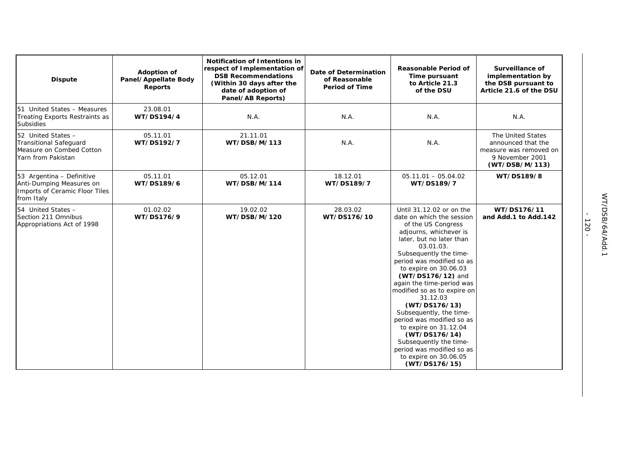| <b>Dispute</b>                                                                                        | <b>Adoption of</b><br>Panel/Appellate Body<br><b>Reports</b> | Notification of Intentions in<br>respect of Implementation of<br><b>DSB Recommendations</b><br>(Within 30 days after the<br>date of adoption of<br>Panel/AB Reports) | Date of Determination<br>of Reasonable<br><b>Period of Time</b> | <b>Reasonable Period of</b><br>Time pursuant<br>to Article 21.3<br>of the DSU                                                                                                                                                                                                                                                                                                                                                                                                                                                                   | <b>Surveillance of</b><br>implementation by<br>the DSB pursuant to<br>Article 21.6 of the DSU          |
|-------------------------------------------------------------------------------------------------------|--------------------------------------------------------------|----------------------------------------------------------------------------------------------------------------------------------------------------------------------|-----------------------------------------------------------------|-------------------------------------------------------------------------------------------------------------------------------------------------------------------------------------------------------------------------------------------------------------------------------------------------------------------------------------------------------------------------------------------------------------------------------------------------------------------------------------------------------------------------------------------------|--------------------------------------------------------------------------------------------------------|
| 51 United States - Measures<br>Treating Exports Restraints as<br><b>Subsidies</b>                     | 23.08.01<br>WT/DS194/4                                       | N.A.                                                                                                                                                                 | N.A.                                                            | N.A.                                                                                                                                                                                                                                                                                                                                                                                                                                                                                                                                            | N.A.                                                                                                   |
| 52 United States -<br><b>Transitional Safeguard</b><br>Measure on Combed Cotton<br>Yarn from Pakistan | 05.11.01<br>WT/DS192/7                                       | 21.11.01<br>WT/DSB/M/113                                                                                                                                             | N.A.                                                            | N.A.                                                                                                                                                                                                                                                                                                                                                                                                                                                                                                                                            | The United States<br>announced that the<br>measure was removed on<br>9 November 2001<br>(WT/DSB/M/113) |
| 53 Argentina - Definitive<br>Anti-Dumping Measures on<br>Imports of Ceramic Floor Tiles<br>from Italy | 05.11.01<br>WT/DS189/6                                       | 05.12.01<br>WT/DSB/M/114                                                                                                                                             | 18.12.01<br>WT/DS189/7                                          | $05.11.01 - 05.04.02$<br>WT/DS189/7                                                                                                                                                                                                                                                                                                                                                                                                                                                                                                             | WT/DS189/8                                                                                             |
| 54 United States -<br>Section 211 Omnibus<br>Appropriations Act of 1998                               | 01.02.02<br>WT/DS176/9                                       | 19.02.02<br>WT/DSB/M/120                                                                                                                                             | 28.03.02<br>WT/DS176/10                                         | Until 31.12.02 or on the<br>date on which the session<br>of the US Congress<br>adjourns, whichever is<br>later, but no later than<br>03.01.03.<br>Subsequently the time-<br>period was modified so as<br>to expire on 30.06.03<br>(WT/DS176/12) and<br>again the time-period was<br>modified so as to expire on<br>31.12.03<br>(WT/DS176/13)<br>Subsequently, the time-<br>period was modified so as<br>to expire on 31.12.04<br>(WT/DS176/14)<br>Subsequently the time-<br>period was modified so as<br>to expire on 30.06.05<br>(WT/DS176/15) | WT/DS176/11<br>and Add.1 to Add.142                                                                    |

- 120 -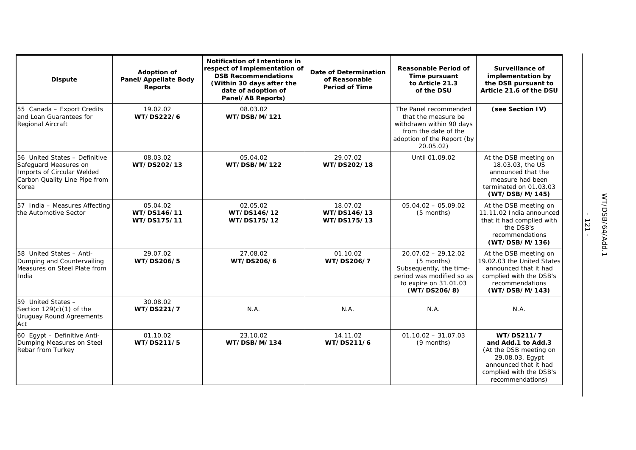| <b>Dispute</b>                                                                                                                 | <b>Adoption of</b><br>Panel/Appellate Body<br><b>Reports</b> | <b>Notification of Intentions in</b><br>respect of Implementation of<br><b>DSB Recommendations</b><br>(Within 30 days after the<br>date of adoption of<br>Panel/AB Reports) | Date of Determination<br>of Reasonable<br><b>Period of Time</b> | <b>Reasonable Period of</b><br>Time pursuant<br>to Article 21.3<br>of the DSU                                                               | <b>Surveillance of</b><br>implementation by<br>the DSB pursuant to<br>Article 21.6 of the DSU                                                         |
|--------------------------------------------------------------------------------------------------------------------------------|--------------------------------------------------------------|-----------------------------------------------------------------------------------------------------------------------------------------------------------------------------|-----------------------------------------------------------------|---------------------------------------------------------------------------------------------------------------------------------------------|-------------------------------------------------------------------------------------------------------------------------------------------------------|
| 55 Canada - Export Credits<br>and Loan Guarantees for<br>Regional Aircraft                                                     | 19.02.02<br>WT/DS222/6                                       | 08.03.02<br>WT/DSB/M/121                                                                                                                                                    |                                                                 | The Panel recommended<br>that the measure be<br>withdrawn within 90 days<br>from the date of the<br>adoption of the Report (by<br>20.05.02) | (see Section IV)                                                                                                                                      |
| 56 United States - Definitive<br>Safeguard Measures on<br>Imports of Circular Welded<br>Carbon Quality Line Pipe from<br>Korea | 08.03.02<br>WT/DS202/13                                      | 05.04.02<br>WT/DSB/M/122                                                                                                                                                    | 29.07.02<br>WT/DS202/18                                         | Until 01.09.02                                                                                                                              | At the DSB meeting on<br>18.03.03, the US<br>announced that the<br>measure had been<br>terminated on 01.03.03<br>(WT/DSB/M/145)                       |
| 57 India - Measures Affecting<br>the Automotive Sector                                                                         | 05.04.02<br>WT/DS146/11<br>WT/DS175/11                       | 02.05.02<br>WT/DS146/12<br>WT/DS175/12                                                                                                                                      | 18.07.02<br>WT/DS146/13<br>WT/DS175/13                          | $05.04.02 - 05.09.02$<br>(5 months)                                                                                                         | At the DSB meeting on<br>11.11.02 India announced<br>that it had complied with<br>the DSB's<br>recommendations<br>(WT/DSB/M/136)                      |
| 58 United States - Anti-<br>Dumping and Countervailing<br>Measures on Steel Plate from<br>India                                | 29.07.02<br>WT/DS206/5                                       | 27.08.02<br>WT/DS206/6                                                                                                                                                      | 01.10.02<br>WT/DS206/7                                          | $20.07.02 - 29.12.02$<br>$(5$ months)<br>Subsequently, the time-<br>period was modified so as<br>to expire on 31.01.03<br>(WT/DS206/8)      | At the DSB meeting on<br>19.02.03 the United States<br>announced that it had<br>complied with the DSB's<br>recommendations<br>(WT/DSB/M/143)          |
| 59 United States -<br>Section $129(c)(1)$ of the<br><b>Uruguay Round Agreements</b><br>Act                                     | 30.08.02<br>WT/DS221/7                                       | N.A.                                                                                                                                                                        | N.A.                                                            | N.A.                                                                                                                                        | N.A.                                                                                                                                                  |
| 60 Egypt - Definitive Anti-<br>Dumping Measures on Steel<br>Rebar from Turkey                                                  | 01.10.02<br>WT/DS211/5                                       | 23.10.02<br>WT/DSB/M/134                                                                                                                                                    | 14.11.02<br>WT/DS211/6                                          | $01.10.02 - 31.07.03$<br>(9 months)                                                                                                         | WT/DS211/7<br>and Add.1 to Add.3<br>(At the DSB meeting on<br>29.08.03, Egypt<br>announced that it had<br>complied with the DSB's<br>recommendations) |

- 121 -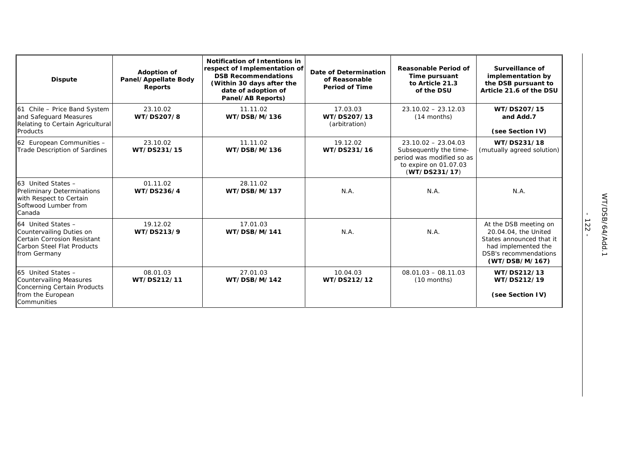| <b>Dispute</b>                                                                                                              | <b>Adoption of</b><br>Panel/Appellate Body<br><b>Reports</b> | Notification of Intentions in<br>respect of Implementation of<br><b>DSB Recommendations</b><br>(Within 30 days after the<br>date of adoption of<br>Panel/AB Reports) | <b>Date of Determination</b><br>of Reasonable<br><b>Period of Time</b> | Reasonable Period of<br>Time pursuant<br>to Article 21.3<br>of the DSU                                                 | Surveillance of<br>implementation by<br>the DSB pursuant to<br>Article 21.6 of the DSU                                                             |
|-----------------------------------------------------------------------------------------------------------------------------|--------------------------------------------------------------|----------------------------------------------------------------------------------------------------------------------------------------------------------------------|------------------------------------------------------------------------|------------------------------------------------------------------------------------------------------------------------|----------------------------------------------------------------------------------------------------------------------------------------------------|
| 61 Chile - Price Band System<br>and Safeguard Measures<br>Relating to Certain Agricultural<br>Products                      | 23.10.02<br>WT/DS207/8                                       | 11.11.02<br>WT/DSB/M/136                                                                                                                                             | 17.03.03<br>WT/DS207/13<br>(arbitration)                               | $23.10.02 - 23.12.03$<br>$(14$ months)                                                                                 | WT/DS207/15<br>and Add.7<br>(see Section IV)                                                                                                       |
| 62 European Communities -<br><b>Trade Description of Sardines</b>                                                           | 23.10.02<br>WT/DS231/15                                      | 11.11.02<br>WT/DSB/M/136                                                                                                                                             | 19.12.02<br>WT/DS231/16                                                | $23.10.02 - 23.04.03$<br>Subsequently the time-<br>period was modified so as<br>to expire on 01.07.03<br>(WT/DS231/17) | WT/DS231/18<br>(mutually agreed solution)                                                                                                          |
| 63 United States -<br><b>Preliminary Determinations</b><br>with Respect to Certain<br>Softwood Lumber from<br>Canada        | 01.11.02<br>WT/DS236/4                                       | 28.11.02<br>WT/DSB/M/137                                                                                                                                             | N.A.                                                                   | N.A.                                                                                                                   | N.A.                                                                                                                                               |
| 64 United States -<br>Countervailing Duties on<br>Certain Corrosion Resistant<br>Carbon Steel Flat Products<br>from Germany | 19.12.02<br>WT/DS213/9                                       | 17.01.03<br>WT/DSB/M/141                                                                                                                                             | N.A.                                                                   | N.A.                                                                                                                   | At the DSB meeting on<br>20.04.04, the United<br>States announced that it<br>had implemented the<br><b>DSB's recommendations</b><br>(WT/DSB/M/167) |
| 65 United States -<br><b>Countervailing Measures</b><br>Concerning Certain Products<br>from the European<br>Communities     | 08.01.03<br>WT/DS212/11                                      | 27.01.03<br>WT/DSB/M/142                                                                                                                                             | 10.04.03<br>WT/DS212/12                                                | $08.01.03 - 08.11.03$<br>$(10$ months)                                                                                 | WT/DS212/13<br>WT/DS212/19<br>(see Section IV)                                                                                                     |

- 122 -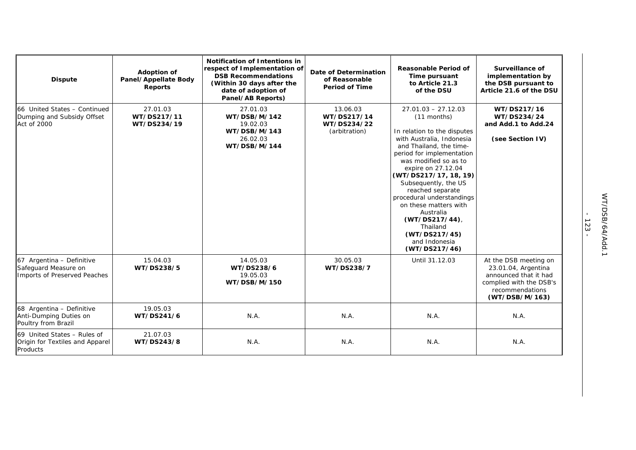| <b>Dispute</b>                                                                    | <b>Adoption of</b><br>Panel/Appellate Body<br><b>Reports</b> | <b>Notification of Intentions in</b><br>respect of Implementation of<br><b>DSB Recommendations</b><br>(Within 30 days after the<br>date of adoption of<br>Panel/AB Reports) | Date of Determination<br>of Reasonable<br><b>Period of Time</b> | <b>Reasonable Period of</b><br>Time pursuant<br>to Article 21.3<br>of the DSU                                                                                                                                                                                                                                                                                                                                                   | Surveillance of<br>implementation by<br>the DSB pursuant to<br>Article 21.6 of the DSU                                                |
|-----------------------------------------------------------------------------------|--------------------------------------------------------------|-----------------------------------------------------------------------------------------------------------------------------------------------------------------------------|-----------------------------------------------------------------|---------------------------------------------------------------------------------------------------------------------------------------------------------------------------------------------------------------------------------------------------------------------------------------------------------------------------------------------------------------------------------------------------------------------------------|---------------------------------------------------------------------------------------------------------------------------------------|
| 66 United States - Continued<br>Dumping and Subsidy Offset<br>Act of 2000         | 27.01.03<br>WT/DS217/11<br>WT/DS234/19                       | 27.01.03<br>WT/DSB/M/142<br>19.02.03<br>WT/DSB/M/143<br>26.02.03<br>WT/DSB/M/144                                                                                            | 13.06.03<br>WT/DS217/14<br>WT/DS234/22<br>(arbitration)         | $27.01.03 - 27.12.03$<br>(11 months)<br>In relation to the disputes<br>with Australia, Indonesia<br>and Thailand, the time-<br>period for implementation<br>was modified so as to<br>expire on 27.12.04<br>(WT/DS217/17, 18, 19)<br>Subsequently, the US<br>reached separate<br>procedural understandings<br>on these matters with<br>Australia<br>(WT/DS217/44)<br>Thailand<br>(WT/DS217/45)<br>and Indonesia<br>(WT/DS217/46) | WT/DS217/16<br>WT/DS234/24<br>and Add.1 to Add.24<br>(see Section IV)                                                                 |
| 67 Argentina - Definitive<br>Safeguard Measure on<br>Imports of Preserved Peaches | 15.04.03<br>WT/DS238/5                                       | 14.05.03<br>WT/DS238/6<br>19.05.03<br>WT/DSB/M/150                                                                                                                          | 30.05.03<br>WT/DS238/7                                          | Until 31.12.03                                                                                                                                                                                                                                                                                                                                                                                                                  | At the DSB meeting on<br>23.01.04, Argentina<br>announced that it had<br>complied with the DSB's<br>recommendations<br>(WT/DSB/M/163) |
| 68 Argentina - Definitive<br>Anti-Dumping Duties on<br>Poultry from Brazil        | 19.05.03<br>WT/DS241/6                                       | N.A.                                                                                                                                                                        | N.A.                                                            | N.A.                                                                                                                                                                                                                                                                                                                                                                                                                            | N.A.                                                                                                                                  |
| 69 United States - Rules of<br>Origin for Textiles and Apparel<br>Products        | 21.07.03<br>WT/DS243/8                                       | N.A.                                                                                                                                                                        | N.A.                                                            | N.A.                                                                                                                                                                                                                                                                                                                                                                                                                            | N.A.                                                                                                                                  |

- 123 -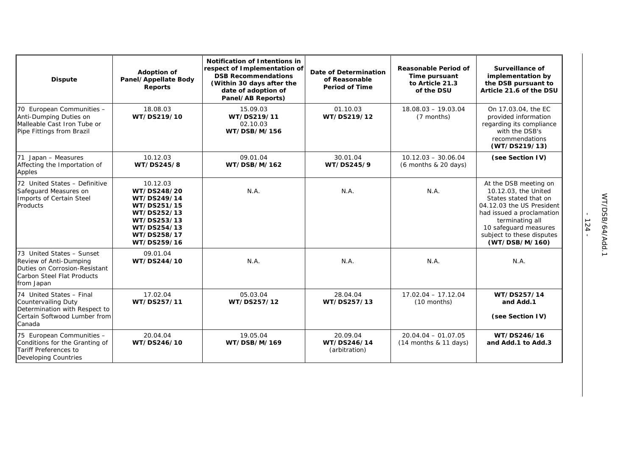| <b>Dispute</b>                                                                                                                    | <b>Adoption of</b><br>Panel/Appellate Body<br><b>Reports</b>                                                                     | <b>Notification of Intentions in</b><br>respect of Implementation of<br><b>DSB Recommendations</b><br>(Within 30 days after the<br>date of adoption of<br>Panel/AB Reports) | Date of Determination<br>of Reasonable<br><b>Period of Time</b> | <b>Reasonable Period of</b><br>Time pursuant<br>to Article 21.3<br>of the DSU | <b>Surveillance of</b><br>implementation by<br>the DSB pursuant to<br>Article 21.6 of the DSU                                                                                                                               |
|-----------------------------------------------------------------------------------------------------------------------------------|----------------------------------------------------------------------------------------------------------------------------------|-----------------------------------------------------------------------------------------------------------------------------------------------------------------------------|-----------------------------------------------------------------|-------------------------------------------------------------------------------|-----------------------------------------------------------------------------------------------------------------------------------------------------------------------------------------------------------------------------|
| 70 European Communities -<br>Anti-Dumping Duties on<br>Malleable Cast Iron Tube or<br>Pipe Fittings from Brazil                   | 18.08.03<br>WT/DS219/10                                                                                                          | 15.09.03<br>WT/DS219/11<br>02.10.03<br>WT/DSB/M/156                                                                                                                         | 01.10.03<br>WT/DS219/12                                         | $18.08.03 - 19.03.04$<br>(7 months)                                           | On 17.03.04, the EC<br>provided information<br>regarding its compliance<br>with the DSB's<br>recommendations<br>(WT/DS219/13)                                                                                               |
| 71 Japan - Measures<br>Affecting the Importation of<br>Apples                                                                     | 10.12.03<br>WT/DS245/8                                                                                                           | 09.01.04<br>WT/DSB/M/162                                                                                                                                                    | 30.01.04<br>WT/DS245/9                                          | $10.12.03 - 30.06.04$<br>$(6$ months & 20 days)                               | (see Section IV)                                                                                                                                                                                                            |
| 72 United States - Definitive<br>Safeguard Measures on<br>Imports of Certain Steel<br>Products                                    | 10.12.03<br>WT/DS248/20<br>WT/DS249/14<br>WT/DS251/15<br>WT/DS252/13<br>WT/DS253/13<br>WT/DS254/13<br>WT/DS258/17<br>WT/DS259/16 | N.A.                                                                                                                                                                        | N.A.                                                            | N.A.                                                                          | At the DSB meeting on<br>10.12.03, the United<br>States stated that on<br>04.12.03 the US President<br>had issued a proclamation<br>terminating all<br>10 safeguard measures<br>subject to these disputes<br>(WT/DSB/M/160) |
| 73 United States - Sunset<br>Review of Anti-Dumping<br>Duties on Corrosion-Resistant<br>Carbon Steel Flat Products<br>from Japan  | 09.01.04<br>WT/DS244/10                                                                                                          | N.A.                                                                                                                                                                        | N.A.                                                            | N.A.                                                                          | N.A.                                                                                                                                                                                                                        |
| 74 United States - Final<br><b>Countervailing Duty</b><br>Determination with Respect to<br>Certain Softwood Lumber from<br>Canada | 17.02.04<br>WT/DS257/11                                                                                                          | 05.03.04<br>WT/DS257/12                                                                                                                                                     | 28.04.04<br>WT/DS257/13                                         | $17.02.04 - 17.12.04$<br>$(10$ months)                                        | WT/DS257/14<br>and Add.1<br>(see Section IV)                                                                                                                                                                                |
| 75 European Communities -<br>Conditions for the Granting of<br>Tariff Preferences to<br><b>Developing Countries</b>               | 20.04.04<br>WT/DS246/10                                                                                                          | 19.05.04<br>WT/DSB/M/169                                                                                                                                                    | 20.09.04<br>WT/DS246/14<br>(arbitration)                        | $20.04.04 - 01.07.05$<br>$(14$ months & 11 days)                              | WT/DS246/16<br>and Add.1 to Add.3                                                                                                                                                                                           |

- 124 -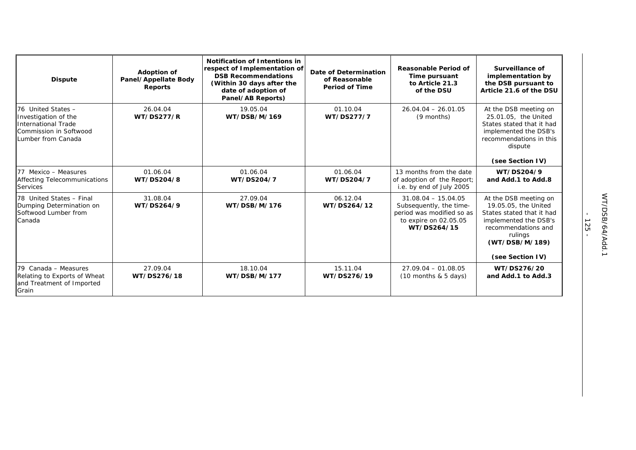| <b>Dispute</b>                                                                                                    | Adoption of<br>Panel/Appellate Body<br><b>Reports</b> | Notification of Intentions in<br>respect of Implementation of<br><b>DSB Recommendations</b><br>(Within 30 days after the<br>date of adoption of<br>Panel/AB Reports) | Date of Determination<br>of Reasonable<br><b>Period of Time</b> | Reasonable Period of<br>Time pursuant<br>to Article 21.3<br>of the DSU                                                | Surveillance of<br>implementation by<br>the DSB pursuant to<br>Article 21.6 of the DSU                                                                        |
|-------------------------------------------------------------------------------------------------------------------|-------------------------------------------------------|----------------------------------------------------------------------------------------------------------------------------------------------------------------------|-----------------------------------------------------------------|-----------------------------------------------------------------------------------------------------------------------|---------------------------------------------------------------------------------------------------------------------------------------------------------------|
| 76 United States -<br>Investigation of the<br>International Trade<br>Commission in Softwood<br>Lumber from Canada | 26.04.04<br><b>WT/DS277/R</b>                         | 19.05.04<br>WT/DSB/M/169                                                                                                                                             | 01.10.04<br>WT/DS277/7                                          | $26.04.04 - 26.01.05$<br>(9 months)                                                                                   | At the DSB meeting on<br>25.01.05, the United<br>States stated that it had<br>implemented the DSB's<br>recommendations in this<br>dispute<br>(see Section IV) |
| 77 Mexico - Measures<br><b>Affecting Telecommunications</b><br><b>Services</b>                                    | 01.06.04<br>WT/DS204/8                                | 01.06.04<br>WT/DS204/7                                                                                                                                               | 01.06.04<br>WT/DS204/7                                          | 13 months from the date<br>of adoption of the Report;<br>i.e. by end of July 2005                                     | WT/DS204/9<br>and Add.1 to Add.8                                                                                                                              |
| 78 United States - Final<br>Dumping Determination on<br>Softwood Lumber from<br>Canada                            | 31.08.04<br>WT/DS264/9                                | 27.09.04<br>WT/DSB/M/176                                                                                                                                             | 06.12.04<br>WT/DS264/12                                         | $31.08.04 - 15.04.05$<br>Subsequently, the time-<br>period was modified so as<br>to expire on 02.05.05<br>WT/DS264/15 | At the DSB meeting on<br>19.05.05, the United<br>States stated that it had<br>implemented the DSB's<br>recommendations and<br>rulings<br>(WT/DSB/M/189)       |
|                                                                                                                   |                                                       |                                                                                                                                                                      |                                                                 |                                                                                                                       | (see Section IV)                                                                                                                                              |
| 79 Canada - Measures<br>Relating to Exports of Wheat<br>and Treatment of Imported<br>Grain                        | 27.09.04<br>WT/DS276/18                               | 18.10.04<br>WT/DSB/M/177                                                                                                                                             | 15.11.04<br>WT/DS276/19                                         | $27.09.04 - 01.08.05$<br>$(10$ months & 5 days)                                                                       | WT/DS276/20<br>and Add.1 to Add.3                                                                                                                             |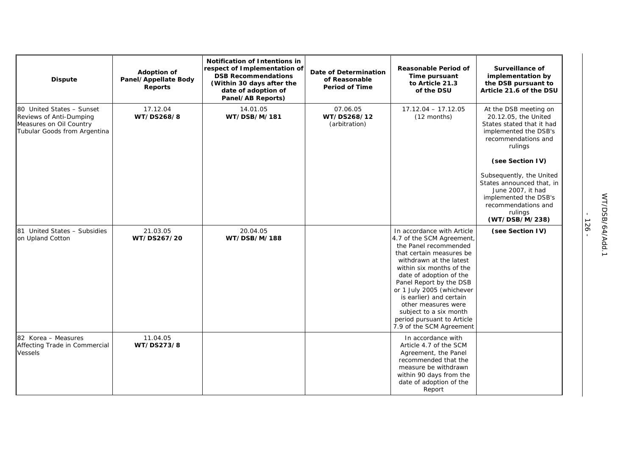| <b>Dispute</b>                                                                                                  | Adoption of<br>Panel/Appellate Body<br><b>Reports</b> | <b>Notification of Intentions in</b><br>respect of Implementation of<br><b>DSB Recommendations</b><br>(Within 30 days after the<br>date of adoption of<br>Panel/AB Reports) | <b>Date of Determination</b><br>of Reasonable<br><b>Period of Time</b> | <b>Reasonable Period of</b><br>Time pursuant<br>to Article 21.3<br>of the DSU                                                                                                                                                                                                                                                                                                                | Surveillance of<br>implementation by<br>the DSB pursuant to<br>Article 21.6 of the DSU                                                                  |
|-----------------------------------------------------------------------------------------------------------------|-------------------------------------------------------|-----------------------------------------------------------------------------------------------------------------------------------------------------------------------------|------------------------------------------------------------------------|----------------------------------------------------------------------------------------------------------------------------------------------------------------------------------------------------------------------------------------------------------------------------------------------------------------------------------------------------------------------------------------------|---------------------------------------------------------------------------------------------------------------------------------------------------------|
| 80 United States - Sunset<br>Reviews of Anti-Dumping<br>Measures on Oil Country<br>Tubular Goods from Argentina | 17.12.04<br>WT/DS268/8                                | 14.01.05<br>WT/DSB/M/181                                                                                                                                                    | 07.06.05<br>WT/DS268/12<br>(arbitration)                               | $17.12.04 - 17.12.05$<br>$(12$ months)                                                                                                                                                                                                                                                                                                                                                       | At the DSB meeting on<br>20.12.05, the United<br>States stated that it had<br>implemented the DSB's<br>recommendations and<br>rulings                   |
|                                                                                                                 |                                                       |                                                                                                                                                                             |                                                                        |                                                                                                                                                                                                                                                                                                                                                                                              | (see Section IV)                                                                                                                                        |
|                                                                                                                 |                                                       |                                                                                                                                                                             |                                                                        |                                                                                                                                                                                                                                                                                                                                                                                              | Subsequently, the United<br>States announced that, in<br>June 2007, it had<br>implemented the DSB's<br>recommendations and<br>rulings<br>(WT/DSB/M/238) |
| 81 United States - Subsidies<br>on Upland Cotton                                                                | 21.03.05<br>WT/DS267/20                               | 20.04.05<br>WT/DSB/M/188                                                                                                                                                    |                                                                        | In accordance with Article<br>4.7 of the SCM Agreement,<br>the Panel recommended<br>that certain measures be<br>withdrawn at the latest<br>within six months of the<br>date of adoption of the<br>Panel Report by the DSB<br>or 1 July 2005 (whichever<br>is earlier) and certain<br>other measures were<br>subject to a six month<br>period pursuant to Article<br>7.9 of the SCM Agreement | (see Section IV)                                                                                                                                        |
| 82 Korea - Measures<br>Affecting Trade in Commercial<br><b>Vessels</b>                                          | 11.04.05<br>WT/DS273/8                                |                                                                                                                                                                             |                                                                        | In accordance with<br>Article 4.7 of the SCM<br>Agreement, the Panel<br>recommended that the<br>measure be withdrawn<br>within 90 days from the<br>date of adoption of the<br>Report                                                                                                                                                                                                         |                                                                                                                                                         |

- 126 -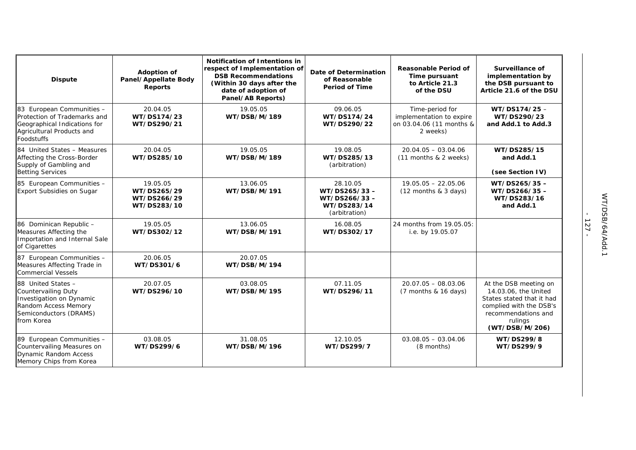| <b>Dispute</b>                                                                                                                               | <b>Adoption of</b><br>Panel/Appellate Body<br><b>Reports</b> | Notification of Intentions in<br>respect of Implementation of<br><b>DSB Recommendations</b><br>(Within 30 days after the<br>date of adoption of<br>Panel/AB Reports) | Date of Determination<br>of Reasonable<br><b>Period of Time</b>          | <b>Reasonable Period of</b><br>Time pursuant<br>to Article 21.3<br>of the DSU       | Surveillance of<br>implementation by<br>the DSB pursuant to<br>Article 21.6 of the DSU                                                                    |
|----------------------------------------------------------------------------------------------------------------------------------------------|--------------------------------------------------------------|----------------------------------------------------------------------------------------------------------------------------------------------------------------------|--------------------------------------------------------------------------|-------------------------------------------------------------------------------------|-----------------------------------------------------------------------------------------------------------------------------------------------------------|
| 83 European Communities -<br>Protection of Trademarks and<br>Geographical Indications for<br>Agricultural Products and<br><b>Foodstuffs</b>  | 20.04.05<br>WT/DS174/23<br>WT/DS290/21                       | 19.05.05<br>WT/DSB/M/189                                                                                                                                             | 09.06.05<br>WT/DS174/24<br>WT/DS290/22                                   | Time-period for<br>implementation to expire<br>on 03.04.06 (11 months &<br>2 weeks) | WT/DS174/25-<br>WT/DS290/23<br>and Add.1 to Add.3                                                                                                         |
| 84 United States - Measures<br>Affecting the Cross-Border<br>Supply of Gambling and<br><b>Betting Services</b>                               | 20.04.05<br>WT/DS285/10                                      | 19.05.05<br>WT/DSB/M/189                                                                                                                                             | 19.08.05<br>WT/DS285/13<br>(arbitration)                                 | $20.04.05 - 03.04.06$<br>(11 months & 2 weeks)                                      | WT/DS285/15<br>and Add.1<br>(see Section IV)                                                                                                              |
| 85 European Communities -<br><b>Export Subsidies on Sugar</b>                                                                                | 19.05.05<br>WT/DS265/29<br>WT/DS266/29<br>WT/DS283/10        | 13.06.05<br>WT/DSB/M/191                                                                                                                                             | 28.10.05<br>WT/DS265/33-<br>WT/DS266/33-<br>WT/DS283/14<br>(arbitration) | $19.05.05 - 22.05.06$<br>$(12$ months & 3 days)                                     | WT/DS265/35-<br>WT/DS266/35-<br>WT/DS283/16<br>and Add.1                                                                                                  |
| 86 Dominican Republic -<br>Measures Affecting the<br>Importation and Internal Sale<br>of Cigarettes                                          | 19.05.05<br>WT/DS302/12                                      | 13.06.05<br>WT/DSB/M/191                                                                                                                                             | 16.08.05<br>WT/DS302/17                                                  | 24 months from 19.05.05:<br>i.e. by 19.05.07                                        |                                                                                                                                                           |
| 87 European Communities -<br>Measures Affecting Trade in<br><b>Commercial Vessels</b>                                                        | 20.06.05<br>WT/DS301/6                                       | 20.07.05<br>WT/DSB/M/194                                                                                                                                             |                                                                          |                                                                                     |                                                                                                                                                           |
| 88 United States -<br><b>Countervailing Duty</b><br>Investigation on Dynamic<br>Random Access Memory<br>Semiconductors (DRAMS)<br>from Korea | 20.07.05<br>WT/DS296/10                                      | 03.08.05<br>WT/DSB/M/195                                                                                                                                             | 07.11.05<br>WT/DS296/11                                                  | $20.07.05 - 08.03.06$<br>(7 months & 16 days)                                       | At the DSB meeting on<br>14.03.06, the United<br>States stated that it had<br>complied with the DSB's<br>recommendations and<br>rulings<br>(WT/DSB/M/206) |
| 89 European Communities -<br>Countervailing Measures on<br><b>Dynamic Random Access</b><br>Memory Chips from Korea                           | 03.08.05<br>WT/DS299/6                                       | 31.08.05<br>WT/DSB/M/196                                                                                                                                             | 12.10.05<br>WT/DS299/7                                                   | $03.08.05 - 03.04.06$<br>(8 months)                                                 | WT/DS299/8<br>WT/DS299/9                                                                                                                                  |

- 127 -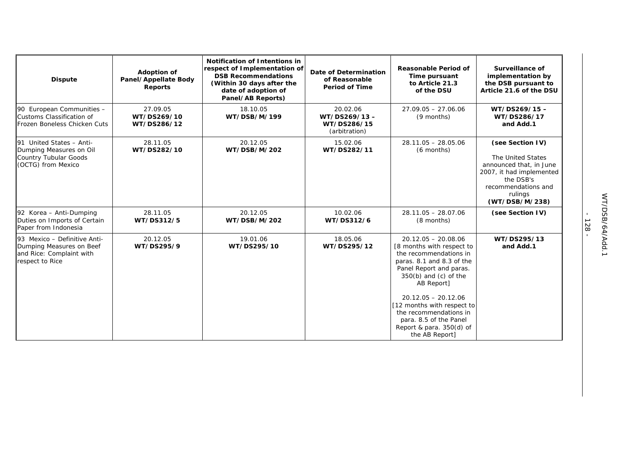| <b>Dispute</b>                                                                                          | Adoption of<br>Panel/Appellate Body<br>Reports | Notification of Intentions in<br>respect of Implementation of<br><b>DSB Recommendations</b><br>(Within 30 days after the<br>date of adoption of<br>Panel/AB Reports) | Date of Determination<br>of Reasonable<br><b>Period of Time</b> | <b>Reasonable Period of</b><br>Time pursuant<br>to Article 21.3<br>of the DSU                                                                                                                                                                                                                                                           | <b>Surveillance of</b><br>implementation by<br>the DSB pursuant to<br>Article 21.6 of the DSU                                                                 |
|---------------------------------------------------------------------------------------------------------|------------------------------------------------|----------------------------------------------------------------------------------------------------------------------------------------------------------------------|-----------------------------------------------------------------|-----------------------------------------------------------------------------------------------------------------------------------------------------------------------------------------------------------------------------------------------------------------------------------------------------------------------------------------|---------------------------------------------------------------------------------------------------------------------------------------------------------------|
| 90 European Communities -<br>Customs Classification of<br>Frozen Boneless Chicken Cuts                  | 27.09.05<br>WT/DS269/10<br>WT/DS286/12         | 18.10.05<br>WT/DSB/M/199                                                                                                                                             | 20.02.06<br>WT/DS269/13-<br>WT/DS286/15<br>(arbitration)        | $27.09.05 - 27.06.06$<br>(9 months)                                                                                                                                                                                                                                                                                                     | WT/DS269/15-<br>WT/DS286/17<br>and Add.1                                                                                                                      |
| 91 United States - Anti-<br>Dumping Measures on Oil<br>Country Tubular Goods<br>(OCTG) from Mexico      | 28.11.05<br>WT/DS282/10                        | 20.12.05<br>WT/DSB/M/202                                                                                                                                             | 15.02.06<br>WT/DS282/11                                         | $28.11.05 - 28.05.06$<br>(6 months)                                                                                                                                                                                                                                                                                                     | (see Section IV)<br>The United States<br>announced that, in June<br>2007, it had implemented<br>the DSB's<br>recommendations and<br>rulings<br>(WT/DSB/M/238) |
| 92 Korea - Anti-Dumping<br>Duties on Imports of Certain<br>Paper from Indonesia                         | 28.11.05<br>WT/DS312/5                         | 20.12.05<br>WT/DSB/M/202                                                                                                                                             | 10.02.06<br>WT/DS312/6                                          | $28.11.05 - 28.07.06$<br>(8 months)                                                                                                                                                                                                                                                                                                     | (see Section IV)                                                                                                                                              |
| 93 Mexico - Definitive Anti-<br>Dumping Measures on Beef<br>and Rice: Complaint with<br>respect to Rice | 20.12.05<br>WT/DS295/9                         | 19.01.06<br>WT/DS295/10                                                                                                                                              | 18.05.06<br>WT/DS295/12                                         | $20.12.05 - 20.08.06$<br>[8 months with respect to<br>the recommendations in<br>paras. 8.1 and 8.3 of the<br>Panel Report and paras.<br>$350(b)$ and (c) of the<br>AB Report]<br>$20.12.05 - 20.12.06$<br>[12 months with respect to]<br>the recommendations in<br>para. 8.5 of the Panel<br>Report & para. 350(d) of<br>the AB Report] | WT/DS295/13<br>and Add.1                                                                                                                                      |

- 128 -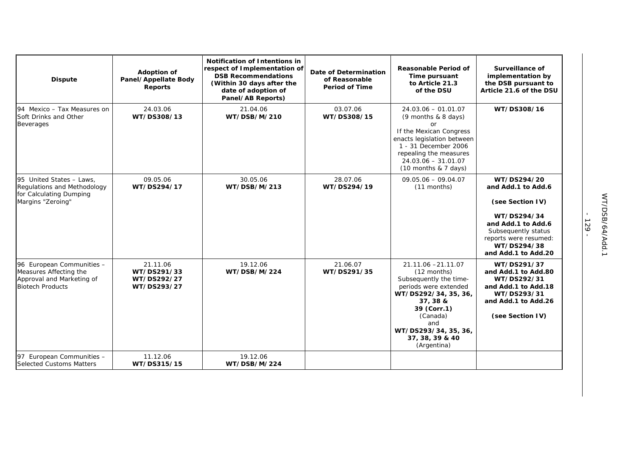| <b>Dispute</b>                                                                                              | Adoption of<br>Panel/Appellate Body<br><b>Reports</b> | Notification of Intentions in<br>respect of Implementation of<br><b>DSB Recommendations</b><br>(Within 30 days after the<br>date of adoption of<br>Panel/AB Reports) | Date of Determination<br>of Reasonable<br><b>Period of Time</b> | Reasonable Period of<br>Time pursuant<br>to Article 21.3<br>of the DSU                                                                                                                                               | Surveillance of<br>implementation by<br>the DSB pursuant to<br>Article 21.6 of the DSU                                                                                           |
|-------------------------------------------------------------------------------------------------------------|-------------------------------------------------------|----------------------------------------------------------------------------------------------------------------------------------------------------------------------|-----------------------------------------------------------------|----------------------------------------------------------------------------------------------------------------------------------------------------------------------------------------------------------------------|----------------------------------------------------------------------------------------------------------------------------------------------------------------------------------|
| 94 Mexico - Tax Measures on<br>Soft Drinks and Other<br><b>Beverages</b>                                    | 24.03.06<br>WT/DS308/13                               | 21.04.06<br>WT/DSB/M/210                                                                                                                                             | 03.07.06<br>WT/DS308/15                                         | $24.03.06 - 01.01.07$<br>(9 months & 8 days)<br>or<br>If the Mexican Congress<br>enacts legislation between<br>1 - 31 December 2006<br>repealing the measures<br>$24.03.06 - 31.01.07$<br>$(10$ months & 7 days)     | WT/DS308/16                                                                                                                                                                      |
| 95 United States - Laws,<br>Regulations and Methodology<br>for Calculating Dumping<br>Margins "Zeroing"     | 09.05.06<br>WT/DS294/17                               | 30.05.06<br>WT/DSB/M/213                                                                                                                                             | 28.07.06<br>WT/DS294/19                                         | $09.05.06 - 09.04.07$<br>(11 months)                                                                                                                                                                                 | WT/DS294/20<br>and Add.1 to Add.6<br>(see Section IV)<br>WT/DS294/34<br>and Add.1 to Add.6<br>Subsequently status<br>reports were resumed:<br>WT/DS294/38<br>and Add.1 to Add.20 |
| 96 European Communities -<br>Measures Affecting the<br>Approval and Marketing of<br><b>Biotech Products</b> | 21.11.06<br>WT/DS291/33<br>WT/DS292/27<br>WT/DS293/27 | 19.12.06<br>WT/DSB/M/224                                                                                                                                             | 21.06.07<br>WT/DS291/35                                         | 21.11.06 -21.11.07<br>(12 months)<br>Subsequently the time-<br>periods were extended<br>WT/DS292/34, 35, 36,<br>37, 38 &<br>39 (Corr.1)<br>(Canada)<br>and<br>WT/DS293/34, 35, 36,<br>37, 38, 39 & 40<br>(Argentina) | WT/DS291/37<br>and Add.1 to Add.80<br>WT/DS292/31<br>and Add.1 to Add.18<br>WT/DS293/31<br>and Add.1 to Add.26<br>(see Section IV)                                               |
| 97 European Communities -<br><b>Selected Customs Matters</b>                                                | 11.12.06<br>WT/DS315/15                               | 19.12.06<br>WT/DSB/M/224                                                                                                                                             |                                                                 |                                                                                                                                                                                                                      |                                                                                                                                                                                  |

- 129 -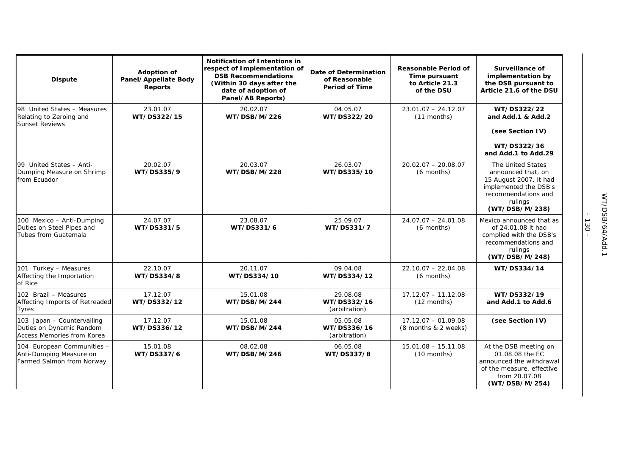| <b>Dispute</b>                                                                       | <b>Adoption of</b><br>Panel/Appellate Body<br><b>Reports</b> | <b>Notification of Intentions in</b><br>respect of Implementation of<br><b>DSB Recommendations</b><br>(Within 30 days after the<br>date of adoption of<br>Panel/AB Reports) | Date of Determination<br>of Reasonable<br><b>Period of Time</b> | <b>Reasonable Period of</b><br>Time pursuant<br>to Article 21.3<br>of the DSU | Surveillance of<br>implementation by<br>the DSB pursuant to<br>Article 21.6 of the DSU                                                         |
|--------------------------------------------------------------------------------------|--------------------------------------------------------------|-----------------------------------------------------------------------------------------------------------------------------------------------------------------------------|-----------------------------------------------------------------|-------------------------------------------------------------------------------|------------------------------------------------------------------------------------------------------------------------------------------------|
| 98 United States - Measures<br>Relating to Zeroing and<br><b>Sunset Reviews</b>      | 23.01.07<br>WT/DS322/15                                      | 20.02.07<br>WT/DSB/M/226                                                                                                                                                    | 04.05.07<br>WT/DS322/20                                         | $23.01.07 - 24.12.07$<br>(11 months)                                          | WT/DS322/22<br>and Add.1 & Add.2                                                                                                               |
|                                                                                      |                                                              |                                                                                                                                                                             |                                                                 |                                                                               | (see Section IV)                                                                                                                               |
|                                                                                      |                                                              |                                                                                                                                                                             |                                                                 |                                                                               | WT/DS322/36<br>and Add.1 to Add.29                                                                                                             |
| 99 United States - Anti-<br>Dumping Measure on Shrimp<br>from Ecuador                | 20.02.07<br>WT/DS335/9                                       | 20.03.07<br>WT/DSB/M/228                                                                                                                                                    | 26.03.07<br>WT/DS335/10                                         | $20.02.07 - 20.08.07$<br>(6 months)                                           | The United States<br>announced that, on<br>15 August 2007, it had<br>implemented the DSB's<br>recommendations and<br>rulings<br>(WT/DSB/M/238) |
| 100 Mexico - Anti-Dumping<br>Duties on Steel Pipes and<br>Tubes from Guatemala       | 24.07.07<br>WT/DS331/5                                       | 23.08.07<br>WT/DS331/6                                                                                                                                                      | 25.09.07<br>WT/DS331/7                                          | $24.07.07 - 24.01.08$<br>(6 months)                                           | Mexico announced that as<br>of 24.01.08 it had<br>complied with the DSB's<br>recommendations and<br>rulings<br>(WT/DSB/M/248)                  |
| 101 Turkey - Measures<br>Affecting the Importation<br>of Rice                        | 22.10.07<br>WT/DS334/8                                       | 20.11.07<br>WT/DS334/10                                                                                                                                                     | 09.04.08<br>WT/DS334/12                                         | $22.10.07 - 22.04.08$<br>(6 months)                                           | WT/DS334/14                                                                                                                                    |
| 102 Brazil - Measures<br>Affecting Imports of Retreaded<br><b>Tyres</b>              | 17.12.07<br>WT/DS332/12                                      | 15.01.08<br>WT/DSB/M/244                                                                                                                                                    | 29.08.08<br>WT/DS332/16<br>(arbitration)                        | $17.12.07 - 11.12.08$<br>(12 months)                                          | WT/DS332/19<br>and Add.1 to Add.6                                                                                                              |
| 103 Japan - Countervailing<br>Duties on Dynamic Random<br>Access Memories from Korea | 17.12.07<br>WT/DS336/12                                      | 15.01.08<br>WT/DSB/M/244                                                                                                                                                    | 05.05.08<br>WT/DS336/16<br>(arbitration)                        | $17.12.07 - 01.09.08$<br>(8 months & 2 weeks)                                 | (see Section IV)                                                                                                                               |
| 104 European Communities -<br>Anti-Dumping Measure on<br>Farmed Salmon from Norway   | 15.01.08<br>WT/DS337/6                                       | 08.02.08<br>WT/DSB/M/246                                                                                                                                                    | 06.05.08<br>WT/DS337/8                                          | $15.01.08 - 15.11.08$<br>$(10$ months)                                        | At the DSB meeting on<br>01.08.08 the EC<br>announced the withdrawal<br>of the measure, effective<br>from 20.07.08<br>(WT/DSB/M/254)           |

- 130 -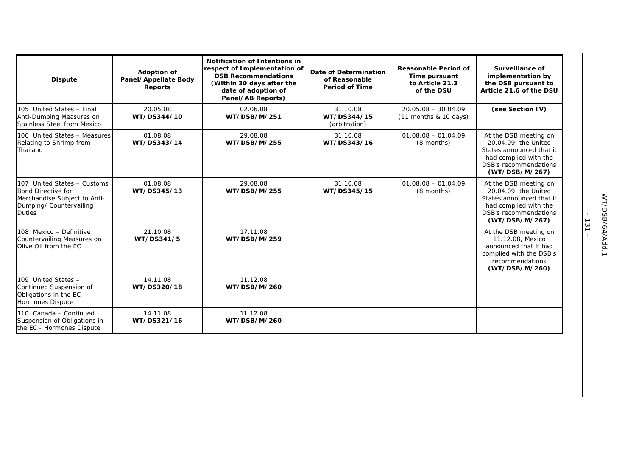| <b>Dispute</b>                                                                                                                       | <b>Adoption of</b><br>Panel/Appellate Body<br><b>Reports</b> | <b>Notification of Intentions in</b><br>respect of Implementation of<br><b>DSB Recommendations</b><br>(Within 30 days after the<br>date of adoption of<br>Panel/AB Reports) | Date of Determination<br>of Reasonable<br><b>Period of Time</b> | <b>Reasonable Period of</b><br>Time pursuant<br>to Article 21.3<br>of the DSU | Surveillance of<br>implementation by<br>the DSB pursuant to<br>Article 21.6 of the DSU                                                               |
|--------------------------------------------------------------------------------------------------------------------------------------|--------------------------------------------------------------|-----------------------------------------------------------------------------------------------------------------------------------------------------------------------------|-----------------------------------------------------------------|-------------------------------------------------------------------------------|------------------------------------------------------------------------------------------------------------------------------------------------------|
| 105 United States - Final<br>Anti-Dumping Measures on<br><b>Stainless Steel from Mexico</b>                                          | 20.05.08<br>WT/DS344/10                                      | 02.06.08<br>WT/DSB/M/251                                                                                                                                                    | 31.10.08<br>WT/DS344/15<br>(arbitration)                        | $20.05.08 - 30.04.09$<br>$(11$ months & 10 days)                              | (see Section IV)                                                                                                                                     |
| 106 United States - Measures<br>Relating to Shrimp from<br>Thailand                                                                  | 01.08.08<br>WT/DS343/14                                      | 29.08.08<br>WT/DSB/M/255                                                                                                                                                    | 31.10.08<br>WT/DS343/16                                         | $01.08.08 - 01.04.09$<br>(8 months)                                           | At the DSB meeting on<br>20.04.09, the United<br>States announced that it<br>had complied with the<br><b>DSB's recommendations</b><br>(WT/DSB/M/267) |
| 107 United States - Customs<br><b>Bond Directive for</b><br>Merchandise Subject to Anti-<br>Dumping/ Countervailing<br><b>Duties</b> | 01.08.08<br>WT/DS345/13                                      | 29.08.08<br>WT/DSB/M/255                                                                                                                                                    | 31.10.08<br>WT/DS345/15                                         | $01.08.08 - 01.04.09$<br>(8 months)                                           | At the DSB meeting on<br>20.04.09, the United<br>States announced that it<br>had complied with the<br>DSB's recommendations<br>(WT/DSB/M/267)        |
| 108 Mexico - Definitive<br>Countervailing Measures on<br>Olive Oil from the EC                                                       | 21.10.08<br>WT/DS341/5                                       | 17.11.08<br>WT/DSB/M/259                                                                                                                                                    |                                                                 |                                                                               | At the DSB meeting on<br>11.12.08, Mexico<br>announced that it had<br>complied with the DSB's<br>recommendations<br>(WT/DSB/M/260)                   |
| 109 United States -<br>Continued Suspension of<br>Obligations in the EC -<br><b>Hormones Dispute</b>                                 | 14.11.08<br>WT/DS320/18                                      | 11.12.08<br>WT/DSB/M/260                                                                                                                                                    |                                                                 |                                                                               |                                                                                                                                                      |
| 110 Canada - Continued<br>Suspension of Obligations in<br>the EC - Hormones Dispute                                                  | 14.11.08<br>WT/DS321/16                                      | 11.12.08<br>WT/DSB/M/260                                                                                                                                                    |                                                                 |                                                                               |                                                                                                                                                      |

- 131 -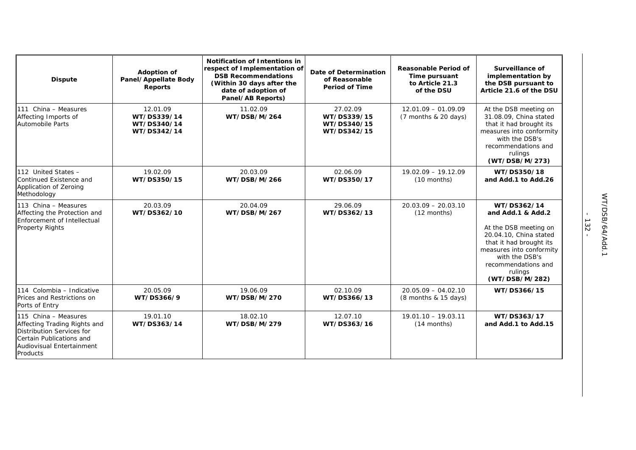| <b>Dispute</b>                                                                                                                                         | <b>Adoption of</b><br>Panel/Appellate Body<br><b>Reports</b> | <b>Notification of Intentions in</b><br>respect of Implementation of<br><b>DSB Recommendations</b><br>(Within 30 days after the<br>date of adoption of<br>Panel/AB Reports) | Date of Determination<br>of Reasonable<br><b>Period of Time</b> | <b>Reasonable Period of</b><br>Time pursuant<br>to Article 21.3<br>of the DSU | Surveillance of<br>implementation by<br>the DSB pursuant to<br>Article 21.6 of the DSU                                                                                                                           |
|--------------------------------------------------------------------------------------------------------------------------------------------------------|--------------------------------------------------------------|-----------------------------------------------------------------------------------------------------------------------------------------------------------------------------|-----------------------------------------------------------------|-------------------------------------------------------------------------------|------------------------------------------------------------------------------------------------------------------------------------------------------------------------------------------------------------------|
| 111 China - Measures<br>Affecting Imports of<br><b>Automobile Parts</b>                                                                                | 12.01.09<br>WT/DS339/14<br>WT/DS340/14<br>WT/DS342/14        | 11.02.09<br>WT/DSB/M/264                                                                                                                                                    | 27.02.09<br>WT/DS339/15<br>WT/DS340/15<br>WT/DS342/15           | $12.01.09 - 01.09.09$<br>$(7$ months & 20 days)                               | At the DSB meeting on<br>31.08.09, China stated<br>that it had brought its<br>measures into conformity<br>with the DSB's<br>recommendations and<br>rulings<br>(WT/DSB/M/273)                                     |
| 112 United States -<br>Continued Existence and<br>Application of Zeroing<br>Methodology                                                                | 19.02.09<br>WT/DS350/15                                      | 20.03.09<br>WT/DSB/M/266                                                                                                                                                    | 02.06.09<br>WT/DS350/17                                         | $19.02.09 - 19.12.09$<br>$(10$ months)                                        | WT/DS350/18<br>and Add.1 to Add.26                                                                                                                                                                               |
| 113 China - Measures<br>Affecting the Protection and<br>Enforcement of Intellectual<br><b>Property Rights</b>                                          | 20.03.09<br>WT/DS362/10                                      | 20.04.09<br>WT/DSB/M/267                                                                                                                                                    | 29.06.09<br>WT/DS362/13                                         | $20.03.09 - 20.03.10$<br>$(12$ months)                                        | WT/DS362/14<br>and Add.1 & Add.2<br>At the DSB meeting on<br>20.04.10, China stated<br>that it had brought its<br>measures into conformity<br>with the DSB's<br>recommendations and<br>rulings<br>(WT/DSB/M/282) |
| 114 Colombia - Indicative<br>Prices and Restrictions on<br>Ports of Entry                                                                              | 20.05.09<br>WT/DS366/9                                       | 19.06.09<br>WT/DSB/M/270                                                                                                                                                    | 02.10.09<br>WT/DS366/13                                         | $20.05.09 - 04.02.10$<br>(8 months & 15 days)                                 | WT/DS366/15                                                                                                                                                                                                      |
| 115 China - Measures<br>Affecting Trading Rights and<br>Distribution Services for<br>Certain Publications and<br>Audiovisual Entertainment<br>Products | 19.01.10<br>WT/DS363/14                                      | 18.02.10<br>WT/DSB/M/279                                                                                                                                                    | 12.07.10<br>WT/DS363/16                                         | $19.01.10 - 19.03.11$<br>(14 months)                                          | WT/DS363/17<br>and Add.1 to Add.15                                                                                                                                                                               |

- 132 -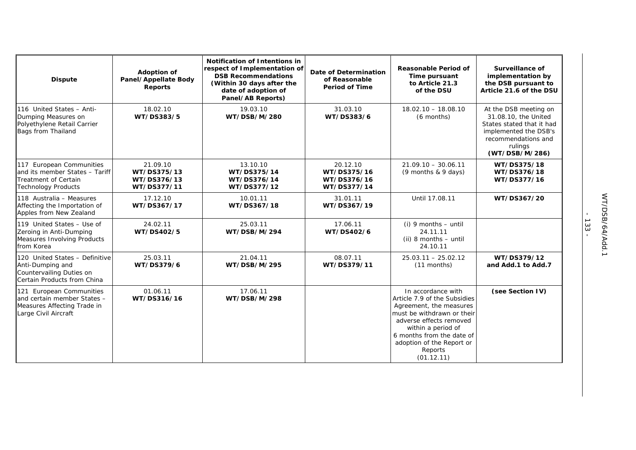| <b>Dispute</b>                                                                                                          | <b>Adoption of</b><br>Panel/Appellate Body<br>Reports | <b>Notification of Intentions in</b><br>respect of Implementation of<br><b>DSB Recommendations</b><br>(Within 30 days after the<br>date of adoption of<br>Panel/AB Reports) | <b>Date of Determination</b><br>of Reasonable<br><b>Period of Time</b> | <b>Reasonable Period of</b><br>Time pursuant<br>to Article 21.3<br>of the DSU                                                                                                                                                                   | Surveillance of<br>implementation by<br>the DSB pursuant to<br>Article 21.6 of the DSU                                                                  |
|-------------------------------------------------------------------------------------------------------------------------|-------------------------------------------------------|-----------------------------------------------------------------------------------------------------------------------------------------------------------------------------|------------------------------------------------------------------------|-------------------------------------------------------------------------------------------------------------------------------------------------------------------------------------------------------------------------------------------------|---------------------------------------------------------------------------------------------------------------------------------------------------------|
| 116 United States - Anti-<br>Dumping Measures on<br>Polyethylene Retail Carrier<br>Bags from Thailand                   | 18.02.10<br>WT/DS383/5                                | 19.03.10<br>WT/DSB/M/280                                                                                                                                                    | 31.03.10<br>WT/DS383/6                                                 | $18.02.10 - 18.08.10$<br>(6 months)                                                                                                                                                                                                             | At the DSB meeting on<br>31.08.10, the United<br>States stated that it had<br>implemented the DSB's<br>recommendations and<br>rulings<br>(WT/DSB/M/286) |
| 117 European Communities<br>and its member States - Tariff<br><b>Treatment of Certain</b><br><b>Technology Products</b> | 21.09.10<br>WT/DS375/13<br>WT/DS376/13<br>WT/DS377/11 | 13.10.10<br>WT/DS375/14<br>WT/DS376/14<br>WT/DS377/12                                                                                                                       | 20.12.10<br>WT/DS375/16<br>WT/DS376/16<br>WT/DS377/14                  | $21.09.10 - 30.06.11$<br>$(9$ months & 9 days)                                                                                                                                                                                                  | WT/DS375/18<br>WT/DS376/18<br>WT/DS377/16                                                                                                               |
| 118 Australia - Measures<br>Affecting the Importation of<br>Apples from New Zealand                                     | 17.12.10<br>WT/DS367/17                               | 10.01.11<br>WT/DS367/18                                                                                                                                                     | 31.01.11<br>WT/DS367/19                                                | Until 17.08.11                                                                                                                                                                                                                                  | WT/DS367/20                                                                                                                                             |
| 119 United States - Use of<br>Zeroing in Anti-Dumping<br>Measures Involving Products<br>from Korea                      | 24.02.11<br>WT/DS402/5                                | 25.03.11<br>WT/DSB/M/294                                                                                                                                                    | 17.06.11<br>WT/DS402/6                                                 | (i) 9 months - until<br>24.11.11<br>$(ii)$ 8 months $-$ until<br>24.10.11                                                                                                                                                                       |                                                                                                                                                         |
| 120 United States - Definitive<br>Anti-Dumping and<br>Countervailing Duties on<br>Certain Products from China           | 25.03.11<br>WT/DS379/6                                | 21.04.11<br>WT/DSB/M/295                                                                                                                                                    | 08.07.11<br>WT/DS379/11                                                | $25.03.11 - 25.02.12$<br>$(11$ months)                                                                                                                                                                                                          | WT/DS379/12<br>and Add.1 to Add.7                                                                                                                       |
| 121 European Communities<br>and certain member States -<br>Measures Affecting Trade in<br>Large Civil Aircraft          | 01.06.11<br>WT/DS316/16                               | 17.06.11<br>WT/DSB/M/298                                                                                                                                                    |                                                                        | In accordance with<br>Article 7.9 of the Subsidies<br>Agreement, the measures<br>must be withdrawn or their<br>adverse effects removed<br>within a period of<br>6 months from the date of<br>adoption of the Report or<br>Reports<br>(01.12.11) | (see Section IV)                                                                                                                                        |

- 133 -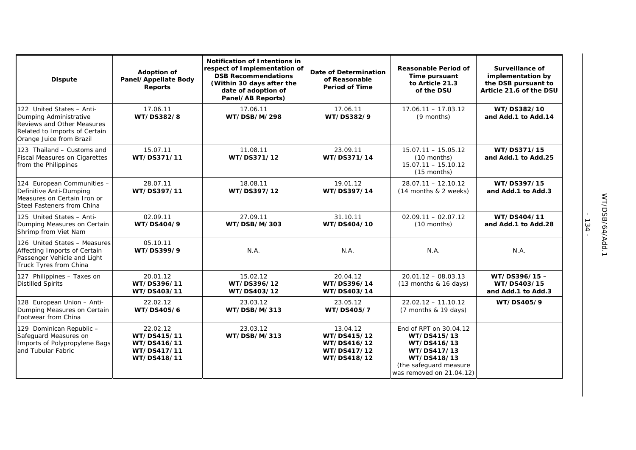| <b>Dispute</b>                                                                                                                                        | <b>Adoption of</b><br>Panel/Appellate Body<br><b>Reports</b>         | <b>Notification of Intentions in</b><br>respect of Implementation of<br><b>DSB Recommendations</b><br>(Within 30 days after the<br>date of adoption of<br>Panel/AB Reports) | <b>Date of Determination</b><br>of Reasonable<br><b>Period of Time</b> | <b>Reasonable Period of</b><br>Time pursuant<br>to Article 21.3<br>of the DSU                                                            | Surveillance of<br>implementation by<br>the DSB pursuant to<br>Article 21.6 of the DSU |
|-------------------------------------------------------------------------------------------------------------------------------------------------------|----------------------------------------------------------------------|-----------------------------------------------------------------------------------------------------------------------------------------------------------------------------|------------------------------------------------------------------------|------------------------------------------------------------------------------------------------------------------------------------------|----------------------------------------------------------------------------------------|
| 122 United States - Anti-<br>Dumping Administrative<br><b>Reviews and Other Measures</b><br>Related to Imports of Certain<br>Orange Juice from Brazil | 17.06.11<br>WT/DS382/8                                               | 17.06.11<br>WT/DSB/M/298                                                                                                                                                    | 17.06.11<br>WT/DS382/9                                                 | $17.06.11 - 17.03.12$<br>(9 months)                                                                                                      | WT/DS382/10<br>and Add.1 to Add.14                                                     |
| 123 Thailand - Customs and<br><b>Fiscal Measures on Cigarettes</b><br>from the Philippines                                                            | 15.07.11<br>WT/DS371/11                                              | 11.08.11<br>WT/DS371/12                                                                                                                                                     | 23.09.11<br>WT/DS371/14                                                | $15.07.11 - 15.05.12$<br>$(10$ months)<br>$15.07.11 - 15.10.12$<br>$(15$ months)                                                         | WT/DS371/15<br>and Add.1 to Add.25                                                     |
| 124 European Communities -<br>Definitive Anti-Dumping<br>Measures on Certain Iron or<br>Steel Fasteners from China                                    | 28.07.11<br>WT/DS397/11                                              | 18.08.11<br>WT/DS397/12                                                                                                                                                     | 19.01.12<br>WT/DS397/14                                                | $28.07.11 - 12.10.12$<br>(14 months & 2 weeks)                                                                                           | WT/DS397/15<br>and Add.1 to Add.3                                                      |
| 125 United States - Anti-<br>Dumping Measures on Certain<br>Shrimp from Viet Nam                                                                      | 02.09.11<br>WT/DS404/9                                               | 27.09.11<br>WT/DSB/M/303                                                                                                                                                    | 31.10.11<br>WT/DS404/10                                                | $02.09.11 - 02.07.12$<br>$(10$ months)                                                                                                   | WT/DS404/11<br>and Add.1 to Add.28                                                     |
| 126 United States - Measures<br>Affecting Imports of Certain<br>Passenger Vehicle and Light<br>Truck Tyres from China                                 | 05.10.11<br>WT/DS399/9                                               | N.A.                                                                                                                                                                        | N.A.                                                                   | N.A.                                                                                                                                     | N.A.                                                                                   |
| 127 Philippines - Taxes on<br><b>Distilled Spirits</b>                                                                                                | 20.01.12<br>WT/DS396/11<br>WT/DS403/11                               | 15.02.12<br>WT/DS396/12<br>WT/DS403/12                                                                                                                                      | 20.04.12<br>WT/DS396/14<br>WT/DS403/14                                 | $20.01.12 - 08.03.13$<br>$(13$ months & 16 days)                                                                                         | WT/DS396/15-<br>WT/DS403/15<br>and Add.1 to Add.3                                      |
| 128 European Union - Anti-<br>Dumping Measures on Certain<br>Footwear from China                                                                      | 22.02.12<br>WT/DS405/6                                               | 23.03.12<br>WT/DSB/M/313                                                                                                                                                    | 23.05.12<br>WT/DS405/7                                                 | $22.02.12 - 11.10.12$<br>(7 months & 19 days)                                                                                            | WT/DS405/9                                                                             |
| 129 Dominican Republic -<br>Safeguard Measures on<br>Imports of Polypropylene Bags<br>and Tubular Fabric                                              | 22.02.12<br>WT/DS415/11<br>WT/DS416/11<br>WT/DS417/11<br>WT/DS418/11 | 23.03.12<br>WT/DSB/M/313                                                                                                                                                    | 13.04.12<br>WT/DS415/12<br>WT/DS416/12<br>WT/DS417/12<br>WT/DS418/12   | End of RPT on 30.04.12<br>WT/DS415/13<br>WT/DS416/13<br>WT/DS417/13<br>WT/DS418/13<br>(the safeguard measure<br>was removed on 21.04.12) |                                                                                        |

- 134 -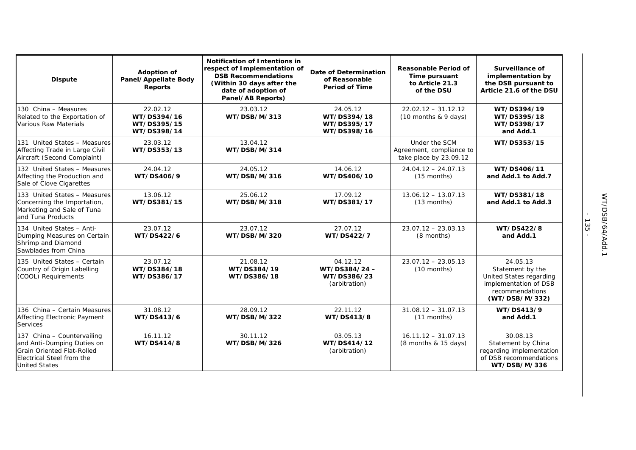| <b>Dispute</b>                                                                                                                                     | <b>Adoption of</b><br>Panel/Appellate Body<br>Reports | <b>Notification of Intentions in</b><br>respect of Implementation of<br><b>DSB Recommendations</b><br>(Within 30 days after the<br>date of adoption of<br>Panel/AB Reports) | Date of Determination<br>of Reasonable<br><b>Period of Time</b> | Reasonable Period of<br>Time pursuant<br>to Article 21.3<br>of the DSU | Surveillance of<br>implementation by<br>the DSB pursuant to<br>Article 21.6 of the DSU                                |
|----------------------------------------------------------------------------------------------------------------------------------------------------|-------------------------------------------------------|-----------------------------------------------------------------------------------------------------------------------------------------------------------------------------|-----------------------------------------------------------------|------------------------------------------------------------------------|-----------------------------------------------------------------------------------------------------------------------|
| 130 China - Measures<br>Related to the Exportation of<br>Various Raw Materials                                                                     | 22.02.12<br>WT/DS394/16<br>WT/DS395/15<br>WT/DS398/14 | 23.03.12<br>WT/DSB/M/313                                                                                                                                                    | 24.05.12<br>WT/DS394/18<br>WT/DS395/17<br>WT/DS398/16           | $22.02.12 - 31.12.12$<br>$(10$ months & 9 days)                        | WT/DS394/19<br>WT/DS395/18<br>WT/DS398/17<br>and Add.1                                                                |
| 131 United States - Measures<br>Affecting Trade in Large Civil<br>Aircraft (Second Complaint)                                                      | 23.03.12<br>WT/DS353/13                               | 13.04.12<br>WT/DSB/M/314                                                                                                                                                    |                                                                 | Under the SCM<br>Agreement, compliance to<br>take place by 23.09.12    | WT/DS353/15                                                                                                           |
| 132 United States - Measures<br>Affecting the Production and<br>Sale of Clove Cigarettes                                                           | 24.04.12<br>WT/DS406/9                                | 24.05.12<br>WT/DSB/M/316                                                                                                                                                    | 14.06.12<br>WT/DS406/10                                         | $24.04.12 - 24.07.13$<br>$(15$ months)                                 | WT/DS406/11<br>and Add.1 to Add.7                                                                                     |
| 133 United States - Measures<br>Concerning the Importation,<br>Marketing and Sale of Tuna<br>and Tuna Products                                     | 13.06.12<br>WT/DS381/15                               | 25.06.12<br>WT/DSB/M/318                                                                                                                                                    | 17.09.12<br>WT/DS381/17                                         | $13.06.12 - 13.07.13$<br>(13 months)                                   | WT/DS381/18<br>and Add.1 to Add.3                                                                                     |
| 134 United States - Anti-<br>Dumping Measures on Certain<br>Shrimp and Diamond<br>Sawblades from China                                             | 23.07.12<br>WT/DS422/6                                | 23.07.12<br>WT/DSB/M/320                                                                                                                                                    | 27.07.12<br>WT/DS422/7                                          | $23.07.12 - 23.03.13$<br>(8 months)                                    | WT/DS422/8<br>and Add.1                                                                                               |
| 135 United States - Certain<br>Country of Origin Labelling<br>(COOL) Requirements                                                                  | 23.07.12<br>WT/DS384/18<br>WT/DS386/17                | 21.08.12<br>WT/DS384/19<br>WT/DS386/18                                                                                                                                      | 04.12.12<br>WT/DS384/24-<br>WT/DS386/23<br>(arbitration)        | $23.07.12 - 23.05.13$<br>(10 months)                                   | 24.05.13<br>Statement by the<br>United States regarding<br>implementation of DSB<br>recommendations<br>(WT/DSB/M/332) |
| 136 China - Certain Measures<br>Affecting Electronic Payment<br>Services                                                                           | 31.08.12<br>WT/DS413/6                                | 28.09.12<br>WT/DSB/M/322                                                                                                                                                    | 22.11.12<br>WT/DS413/8                                          | $31.08.12 - 31.07.13$<br>$(11$ months)                                 | WT/DS413/9<br>and Add.1                                                                                               |
| 137 China - Countervailing<br>and Anti-Dumping Duties on<br><b>Grain Oriented Flat-Rolled</b><br>Electrical Steel from the<br><b>United States</b> | 16.11.12<br>WT/DS414/8                                | 30.11.12<br>WT/DSB/M/326                                                                                                                                                    | 03.05.13<br>WT/DS414/12<br>(arbitration)                        | $16.11.12 - 31.07.13$<br>$(8$ months & 15 days)                        | 30.08.13<br>Statement by China<br>regarding implementation<br>of DSB recommendations<br>WT/DSB/M/336                  |

- 135 -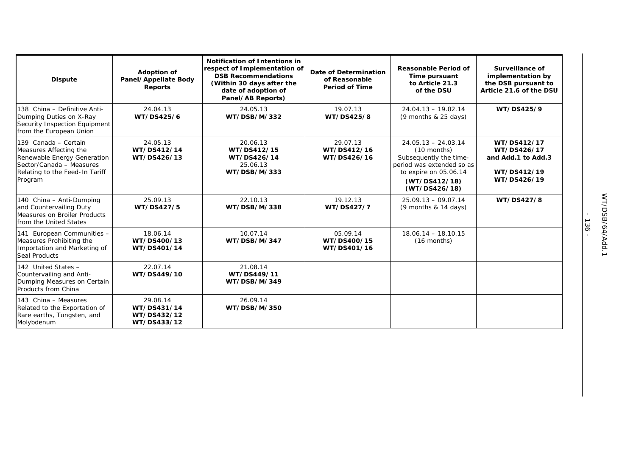| <b>Dispute</b>                                                                                                                                         | <b>Adoption of</b><br>Panel/Appellate Body<br><b>Reports</b> | <b>Notification of Intentions in</b><br>respect of Implementation of<br><b>DSB Recommendations</b><br>(Within 30 days after the<br>date of adoption of<br>Panel/AB Reports) | Date of Determination<br>of Reasonable<br><b>Period of Time</b> | <b>Reasonable Period of</b><br>Time pursuant<br>to Article 21.3<br>of the DSU                                                                            | Surveillance of<br>implementation by<br>the DSB pursuant to<br>Article 21.6 of the DSU |
|--------------------------------------------------------------------------------------------------------------------------------------------------------|--------------------------------------------------------------|-----------------------------------------------------------------------------------------------------------------------------------------------------------------------------|-----------------------------------------------------------------|----------------------------------------------------------------------------------------------------------------------------------------------------------|----------------------------------------------------------------------------------------|
| 138 China - Definitive Anti-<br>Dumping Duties on X-Ray<br>Security Inspection Equipment<br>from the European Union                                    | 24.04.13<br>WT/DS425/6                                       | 24.05.13<br>WT/DSB/M/332                                                                                                                                                    | 19.07.13<br>WT/DS425/8                                          | $24.04.13 - 19.02.14$<br>$(9$ months & 25 days)                                                                                                          | WT/DS425/9                                                                             |
| 139 Canada - Certain<br>Measures Affecting the<br>Renewable Energy Generation<br>Sector/Canada - Measures<br>Relating to the Feed-In Tariff<br>Program | 24.05.13<br>WT/DS412/14<br>WT/DS426/13                       | 20.06.13<br>WT/DS412/15<br>WT/DS426/14<br>25.06.13<br>WT/DSB/M/333                                                                                                          | 29.07.13<br>WT/DS412/16<br>WT/DS426/16                          | $24.05.13 - 24.03.14$<br>$(10$ months)<br>Subsequently the time-<br>period was extended so as<br>to expire on 05.06.14<br>(WT/DS412/18)<br>(WT/DS426/18) | WT/DS412/17<br>WT/DS426/17<br>and Add.1 to Add.3<br>WT/DS412/19<br>WT/DS426/19         |
| 140 China - Anti-Dumping<br>and Countervailing Duty<br>Measures on Broiler Products<br>from the United States                                          | 25.09.13<br>WT/DS427/5                                       | 22.10.13<br>WT/DSB/M/338                                                                                                                                                    | 19.12.13<br>WT/DS427/7                                          | $25.09.13 - 09.07.14$<br>$(9$ months & 14 days)                                                                                                          | WT/DS427/8                                                                             |
| 141 European Communities -<br>Measures Prohibiting the<br>Importation and Marketing of<br>Seal Products                                                | 18.06.14<br>WT/DS400/13<br>WT/DS401/14                       | 10.07.14<br>WT/DSB/M/347                                                                                                                                                    | 05.09.14<br>WT/DS400/15<br>WT/DS401/16                          | $18.06.14 - 18.10.15$<br>$(16$ months)                                                                                                                   |                                                                                        |
| 142 United States -<br>Countervailing and Anti-<br>Dumping Measures on Certain<br>Products from China                                                  | 22.07.14<br>WT/DS449/10                                      | 21.08.14<br>WT/DS449/11<br>WT/DSB/M/349                                                                                                                                     |                                                                 |                                                                                                                                                          |                                                                                        |
| 143 China - Measures<br>Related to the Exportation of<br>Rare earths, Tungsten, and<br>Molybdenum                                                      | 29.08.14<br>WT/DS431/14<br>WT/DS432/12<br>WT/DS433/12        | 26.09.14<br>WT/DSB/M/350                                                                                                                                                    |                                                                 |                                                                                                                                                          |                                                                                        |

- 136 -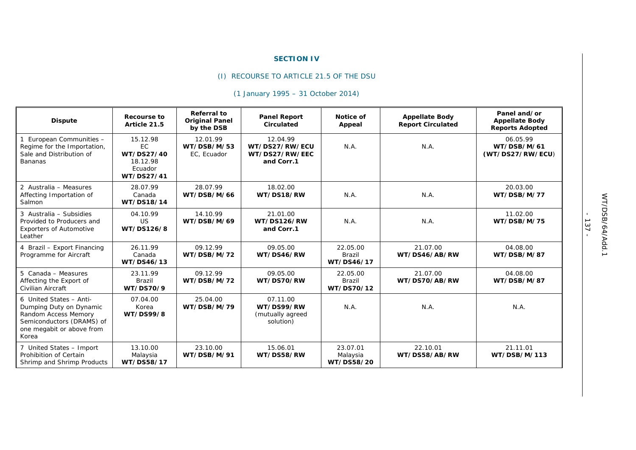### **SECTION IV**

# (I) RECOURSE TO ARTICLE 21.5 OF THE DSU

# *(1 January 1995 – 31 October 2014)*

| <b>Dispute</b>                                                                                                                                | Recourse to<br>Article 21.5                                       | <b>Referral to</b><br><b>Original Panel</b><br>by the DSB | <b>Panel Report</b><br>Circulated                          | Notice of<br>Appeal                     | <b>Appellate Body</b><br><b>Report Circulated</b> | Panel and/or<br><b>Appellate Body</b><br><b>Reports Adopted</b> |
|-----------------------------------------------------------------------------------------------------------------------------------------------|-------------------------------------------------------------------|-----------------------------------------------------------|------------------------------------------------------------|-----------------------------------------|---------------------------------------------------|-----------------------------------------------------------------|
| 1 European Communities -<br>Regime for the Importation,<br>Sale and Distribution of<br><b>Bananas</b>                                         | 15.12.98<br>EC<br>WT/DS27/40<br>18.12.98<br>Ecuador<br>WT/DS27/41 | 12.01.99<br>WT/DSB/M/53<br>EC, Ecuador                    | 12.04.99<br>WT/DS27/RW/ECU<br>WT/DS27/RW/EEC<br>and Corr.1 | N.A.                                    | N.A.                                              | 06.05.99<br>WT/DSB/M/61<br>(WT/DS27/RW/ECU)                     |
| 2 Australia - Measures<br>Affecting Importation of<br>Salmon                                                                                  | 28.07.99<br>Canada<br>WT/DS18/14                                  | 28.07.99<br>WT/DSB/M/66                                   | 18.02.00<br>WT/DS18/RW                                     | N.A.                                    | N.A.                                              | 20.03.00<br>WT/DSB/M/77                                         |
| 3 Australia - Subsidies<br>Provided to Producers and<br><b>Exporters of Automotive</b><br>Leather                                             | 04.10.99<br>US<br>WT/DS126/8                                      | 14.10.99<br>WT/DSB/M/69                                   | 21.01.00<br>WT/DS126/RW<br>and Corr.1                      | N.A.                                    | N.A.                                              | 11.02.00<br>WT/DSB/M/75                                         |
| 4 Brazil - Export Financing<br>Programme for Aircraft                                                                                         | 26.11.99<br>Canada<br>WT/DS46/13                                  | 09.12.99<br>WT/DSB/M/72                                   | 09.05.00<br>WT/DS46/RW                                     | 22.05.00<br><b>Brazil</b><br>WT/DS46/17 | 21.07.00<br>WT/DS46/AB/RW                         | 04.08.00<br>WT/DSB/M/87                                         |
| 5 Canada - Measures<br>Affecting the Export of<br>Civilian Aircraft                                                                           | 23.11.99<br>Brazil<br>WT/DS70/9                                   | 09.12.99<br>WT/DSB/M/72                                   | 09.05.00<br>WT/DS70/RW                                     | 22.05.00<br>Brazil<br>WT/DS70/12        | 21.07.00<br>WT/DS70/AB/RW                         | 04.08.00<br>WT/DSB/M/87                                         |
| 6 United States - Anti-<br>Dumping Duty on Dynamic<br>Random Access Memory<br>Semiconductors (DRAMS) of<br>one megabit or above from<br>Korea | 07.04.00<br>Korea<br>WT/DS99/8                                    | 25.04.00<br>WT/DSB/M/79                                   | 07.11.00<br>WT/DS99/RW<br>(mutually agreed<br>solution)    | N.A.                                    | N.A.                                              | N.A.                                                            |
| 7 United States - Import<br>Prohibition of Certain<br>Shrimp and Shrimp Products                                                              | 13.10.00<br>Malaysia<br>WT/DS58/17                                | 23.10.00<br>WT/DSB/M/91                                   | 15.06.01<br>WT/DS58/RW                                     | 23.07.01<br>Malaysia<br>WT/DS58/20      | 22.10.01<br>WT/DS58/AB/RW                         | 21.11.01<br>WT/DSB/M/113                                        |

- 137 -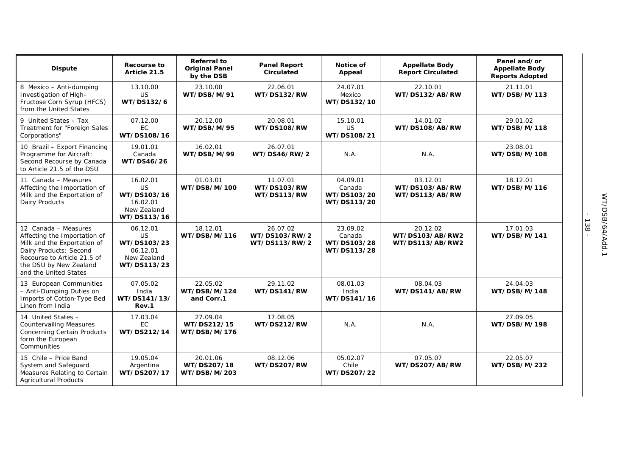| <b>Dispute</b>                                                                                                                                                                                  | Recourse to<br>Article 21.5                                                    | <b>Referral to</b><br><b>Original Panel</b><br>by the DSB | <b>Panel Report</b><br><b>Circulated</b>   | Notice of<br>Appeal                              | <b>Appellate Body</b><br><b>Report Circulated</b> | Panel and/or<br><b>Appellate Body</b><br><b>Reports Adopted</b> |
|-------------------------------------------------------------------------------------------------------------------------------------------------------------------------------------------------|--------------------------------------------------------------------------------|-----------------------------------------------------------|--------------------------------------------|--------------------------------------------------|---------------------------------------------------|-----------------------------------------------------------------|
| 8 Mexico - Anti-dumping<br>Investigation of High-<br>Fructose Corn Syrup (HFCS)<br>from the United States                                                                                       | 13.10.00<br>US<br>WT/DS132/6                                                   | 23.10.00<br>WT/DSB/M/91                                   | 22.06.01<br>WT/DS132/RW                    | 24.07.01<br>Mexico<br>WT/DS132/10                | 22.10.01<br>WT/DS132/AB/RW                        | 21.11.01<br>WT/DSB/M/113                                        |
| 9 United States - Tax<br>Treatment for "Foreign Sales<br>Corporations"                                                                                                                          | 07.12.00<br>EC<br>WT/DS108/16                                                  | 20.12.00<br>WT/DSB/M/95                                   | 20.08.01<br>WT/DS108/RW                    | 15.10.01<br>US<br>WT/DS108/21                    | 14.01.02<br>WT/DS108/AB/RW                        | 29.01.02<br>WT/DSB/M/118                                        |
| 10 Brazil - Export Financing<br>Programme for Aircraft:<br>Second Recourse by Canada<br>to Article 21.5 of the DSU                                                                              | 19.01.01<br>Canada<br>WT/DS46/26                                               | 16.02.01<br>WT/DSB/M/99                                   | 26.07.01<br>WT/DS46/RW/2                   | N.A.                                             | N.A.                                              | 23.08.01<br>WT/DSB/M/108                                        |
| 11 Canada - Measures<br>Affecting the Importation of<br>Milk and the Exportation of<br>Dairy Products                                                                                           | 16.02.01<br><b>US</b><br>WT/DS103/16<br>16.02.01<br>New Zealand<br>WT/DS113/16 | 01.03.01<br>WT/DSB/M/100                                  | 11.07.01<br>WT/DS103/RW<br>WT/DS113/RW     | 04.09.01<br>Canada<br>WT/DS103/20<br>WT/DS113/20 | 03.12.01<br>WT/DS103/AB/RW<br>WT/DS113/AB/RW      | 18.12.01<br>WT/DSB/M/116                                        |
| 12 Canada - Measures<br>Affecting the Importation of<br>Milk and the Exportation of<br>Dairy Products: Second<br>Recourse to Article 21.5 of<br>the DSU by New Zealand<br>and the United States | 06.12.01<br><b>US</b><br>WT/DS103/23<br>06.12.01<br>New Zealand<br>WT/DS113/23 | 18.12.01<br>WT/DSB/M/116                                  | 26.07.02<br>WT/DS103/RW/2<br>WT/DS113/RW/2 | 23.09.02<br>Canada<br>WT/DS103/28<br>WT/DS113/28 | 20.12.02<br>WT/DS103/AB/RW2<br>WT/DS113/AB/RW2    | 17.01.03<br>WT/DSB/M/141                                        |
| 13 European Communities<br>- Anti-Dumping Duties on<br>Imports of Cotton-Type Bed<br>Linen from India                                                                                           | 07.05.02<br>India<br>WT/DS141/13/<br>Rev.1                                     | 22.05.02<br>WT/DSB/M/124<br>and Corr.1                    | 29.11.02<br>WT/DS141/RW                    | 08.01.03<br>India<br>WT/DS141/16                 | 08.04.03<br>WT/DS141/AB/RW                        | 24.04.03<br>WT/DSB/M/148                                        |
| 14 United States -<br><b>Countervailing Measures</b><br><b>Concerning Certain Products</b><br>form the European<br>Communities                                                                  | 17.03.04<br>EC<br>WT/DS212/14                                                  | 27.09.04<br>WT/DS212/15<br>WT/DSB/M/176                   | 17.08.05<br>WT/DS212/RW                    | N.A.                                             | N.A.                                              | 27.09.05<br>WT/DSB/M/198                                        |
| 15 Chile - Price Band<br>System and Safeguard<br>Measures Relating to Certain<br><b>Agricultural Products</b>                                                                                   | 19.05.04<br>Argentina<br>WT/DS207/17                                           | 20.01.06<br>WT/DS207/18<br>WT/DSB/M/203                   | 08.12.06<br>WT/DS207/RW                    | 05.02.07<br>Chile<br>WT/DS207/22                 | 07.05.07<br>WT/DS207/AB/RW                        | 22.05.07<br>WT/DSB/M/232                                        |

- 138 -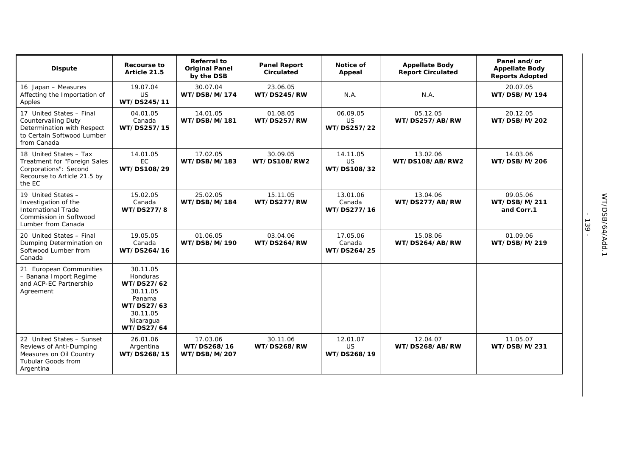| <b>Dispute</b>                                                                                                                    | Recourse to<br>Article 21.5                                                                                   | Referral to<br><b>Original Panel</b><br>by the DSB | <b>Panel Report</b><br>Circulated | Notice of<br>Appeal                  | <b>Appellate Body</b><br><b>Report Circulated</b> | Panel and/or<br><b>Appellate Body</b><br><b>Reports Adopted</b> |
|-----------------------------------------------------------------------------------------------------------------------------------|---------------------------------------------------------------------------------------------------------------|----------------------------------------------------|-----------------------------------|--------------------------------------|---------------------------------------------------|-----------------------------------------------------------------|
| 16 Japan - Measures<br>Affecting the Importation of<br>Apples                                                                     | 19.07.04<br>US<br>WT/DS245/11                                                                                 | 30.07.04<br>WT/DSB/M/174                           | 23.06.05<br>WT/DS245/RW           | N.A.                                 | N.A.                                              | 20.07.05<br>WT/DSB/M/194                                        |
| 17 United States - Final<br><b>Countervailing Duty</b><br>Determination with Respect<br>to Certain Softwood Lumber<br>from Canada | 04.01.05<br>Canada<br>WT/DS257/15                                                                             | 14.01.05<br>WT/DSB/M/181                           | 01.08.05<br>WT/DS257/RW           | 06.09.05<br>US<br>WT/DS257/22        | 05.12.05<br>WT/DS257/AB/RW                        | 20.12.05<br>WT/DSB/M/202                                        |
| 18 United States - Tax<br>Treatment for "Foreign Sales<br>Corporations": Second<br>Recourse to Article 21.5 by<br>the EC          | 14.01.05<br>EC<br>WT/DS108/29                                                                                 | 17.02.05<br>WT/DSB/M/183                           | 30.09.05<br>WT/DS108/RW2          | 14.11.05<br><b>US</b><br>WT/DS108/32 | 13.02.06<br>WT/DS108/AB/RW2                       | 14.03.06<br>WT/DSB/M/206                                        |
| 19 United States -<br>Investigation of the<br><b>International Trade</b><br>Commission in Softwood<br>Lumber from Canada          | 15.02.05<br>Canada<br>WT/DS277/8                                                                              | 25.02.05<br>WT/DSB/M/184                           | 15.11.05<br>WT/DS277/RW           | 13.01.06<br>Canada<br>WT/DS277/16    | 13.04.06<br>WT/DS277/AB/RW                        | 09.05.06<br>WT/DSB/M/211<br>and Corr.1                          |
| 20 United States - Final<br>Dumping Determination on<br>Softwood Lumber from<br>Canada                                            | 19.05.05<br>Canada<br>WT/DS264/16                                                                             | 01.06.05<br>WT/DSB/M/190                           | 03.04.06<br>WT/DS264/RW           | 17.05.06<br>Canada<br>WT/DS264/25    | 15.08.06<br>WT/DS264/AB/RW                        | 01.09.06<br>WT/DSB/M/219                                        |
| 21 European Communities<br>- Banana Import Regime<br>and ACP-EC Partnership<br>Agreement                                          | 30.11.05<br>Honduras<br>WT/DS27/62<br>30.11.05<br>Panama<br>WT/DS27/63<br>30.11.05<br>Nicaragua<br>WT/DS27/64 |                                                    |                                   |                                      |                                                   |                                                                 |
| 22 United States - Sunset<br>Reviews of Anti-Dumping<br>Measures on Oil Country<br><b>Tubular Goods from</b><br>Argentina         | 26.01.06<br>Argentina<br>WT/DS268/15                                                                          | 17.03.06<br>WT/DS268/16<br>WT/DSB/M/207            | 30.11.06<br>WT/DS268/RW           | 12.01.07<br>US<br>WT/DS268/19        | 12.04.07<br>WT/DS268/AB/RW                        | 11.05.07<br>WT/DSB/M/231                                        |

- 139 -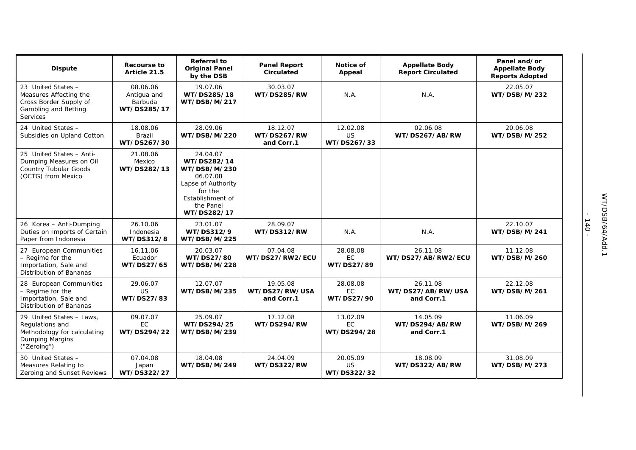| <b>Dispute</b>                                                                                               | Recourse to<br>Article 21.5                       | <b>Referral to</b><br><b>Original Panel</b><br>by the DSB                                                                            | <b>Panel Report</b><br>Circulated        | Notice of<br>Appeal                  | <b>Appellate Body</b><br><b>Report Circulated</b> | Panel and/or<br><b>Appellate Body</b><br><b>Reports Adopted</b> |
|--------------------------------------------------------------------------------------------------------------|---------------------------------------------------|--------------------------------------------------------------------------------------------------------------------------------------|------------------------------------------|--------------------------------------|---------------------------------------------------|-----------------------------------------------------------------|
| 23 United States -<br>Measures Affecting the<br>Cross Border Supply of<br>Gambling and Betting<br>Services   | 08.06.06<br>Antigua and<br>Barbuda<br>WT/DS285/17 | 19.07.06<br>WT/DS285/18<br>WT/DSB/M/217                                                                                              | 30.03.07<br>WT/DS285/RW                  | N.A.                                 | N.A.                                              | 22.05.07<br>WT/DSB/M/232                                        |
| 24 United States -<br>Subsidies on Upland Cotton                                                             | 18.08.06<br><b>Brazil</b><br>WT/DS267/30          | 28.09.06<br>WT/DSB/M/220                                                                                                             | 18.12.07<br>WT/DS267/RW<br>and Corr.1    | 12.02.08<br><b>US</b><br>WT/DS267/33 | 02.06.08<br>WT/DS267/AB/RW                        | 20.06.08<br>WT/DSB/M/252                                        |
| 25 United States - Anti-<br>Dumping Measures on Oil<br><b>Country Tubular Goods</b><br>(OCTG) from Mexico    | 21.08.06<br>Mexico<br>WT/DS282/13                 | 24.04.07<br>WT/DS282/14<br>WT/DSB/M/230<br>06.07.08<br>Lapse of Authority<br>for the<br>Establishment of<br>the Panel<br>WT/DS282/17 |                                          |                                      |                                                   |                                                                 |
| 26 Korea - Anti-Dumping<br>Duties on Imports of Certain<br>Paper from Indonesia                              | 26.10.06<br>Indonesia<br>WT/DS312/8               | 23.01.07<br>WT/DS312/9<br>WT/DSB/M/225                                                                                               | 28.09.07<br>WT/DS312/RW                  | N.A.                                 | N.A.                                              | 22.10.07<br>WT/DSB/M/241                                        |
| 27 European Communities<br>- Regime for the<br>Importation, Sale and<br>Distribution of Bananas              | 16.11.06<br>Ecuador<br>WT/DS27/65                 | 20.03.07<br>WT/DS27/80<br>WT/DSB/M/228                                                                                               | 07.04.08<br>WT/DS27/RW2/ECU              | 28.08.08<br>EC<br>WT/DS27/89         | 26.11.08<br>WT/DS27/AB/RW2/ECU                    | 11.12.08<br>WT/DSB/M/260                                        |
| 28 European Communities<br>- Regime for the<br>Importation, Sale and<br>Distribution of Bananas              | 29.06.07<br><b>US</b><br>WT/DS27/83               | 12.07.07<br>WT/DSB/M/235                                                                                                             | 19.05.08<br>WT/DS27/RW/USA<br>and Corr.1 | 28.08.08<br>EC<br>WT/DS27/90         | 26.11.08<br>WT/DS27/AB/RW/USA<br>and Corr.1       | 22.12.08<br>WT/DSB/M/261                                        |
| 29 United States - Laws,<br>Regulations and<br>Methodology for calculating<br>Dumping Margins<br>("Zeroing") | 09.07.07<br>EC<br>WT/DS294/22                     | 25.09.07<br>WT/DS294/25<br>WT/DSB/M/239                                                                                              | 17.12.08<br>WT/DS294/RW                  | 13.02.09<br>EC<br>WT/DS294/28        | 14.05.09<br>WT/DS294/AB/RW<br>and Corr.1          | 11.06.09<br>WT/DSB/M/269                                        |
| 30 United States -<br>Measures Relating to<br>Zeroing and Sunset Reviews                                     | 07.04.08<br>Japan<br>WT/DS322/27                  | 18.04.08<br>WT/DSB/M/249                                                                                                             | 24.04.09<br>WT/DS322/RW                  | 20.05.09<br>US<br>WT/DS322/32        | 18.08.09<br>WT/DS322/AB/RW                        | 31.08.09<br>WT/DSB/M/273                                        |

- 140 -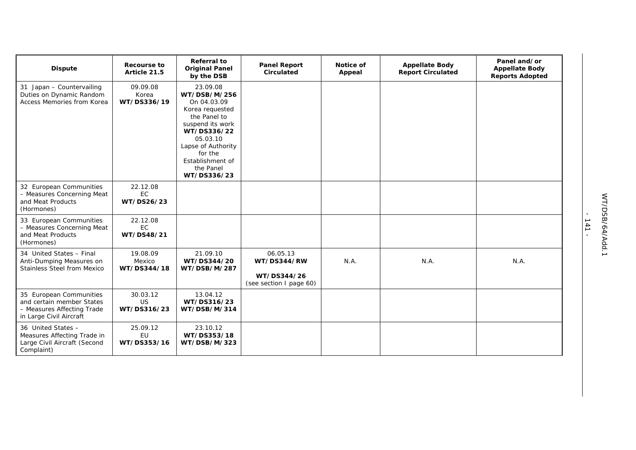| <b>Dispute</b>                                                                                                | Recourse to<br>Article 21.5          | <b>Referral to</b><br><b>Original Panel</b><br>by the DSB                                                                                                                                                  | <b>Panel Report</b><br>Circulated                                 | Notice of<br>Appeal | <b>Appellate Body</b><br><b>Report Circulated</b> | Panel and/or<br><b>Appellate Body</b><br><b>Reports Adopted</b> |
|---------------------------------------------------------------------------------------------------------------|--------------------------------------|------------------------------------------------------------------------------------------------------------------------------------------------------------------------------------------------------------|-------------------------------------------------------------------|---------------------|---------------------------------------------------|-----------------------------------------------------------------|
| 31 Japan - Countervailing<br>Duties on Dynamic Random<br>Access Memories from Korea                           | 09.09.08<br>Korea<br>WT/DS336/19     | 23.09.08<br>WT/DSB/M/256<br>On 04.03.09<br>Korea requested<br>the Panel to<br>suspend its work<br>WT/DS336/22<br>05.03.10<br>Lapse of Authority<br>for the<br>Establishment of<br>the Panel<br>WT/DS336/23 |                                                                   |                     |                                                   |                                                                 |
| 32 European Communities<br>- Measures Concerning Meat<br>and Meat Products<br>(Hormones)                      | 22.12.08<br><b>EC</b><br>WT/DS26/23  |                                                                                                                                                                                                            |                                                                   |                     |                                                   |                                                                 |
| 33 European Communities<br>- Measures Concerning Meat<br>and Meat Products<br>(Hormones)                      | 22.12.08<br><b>EC</b><br>WT/DS48/21  |                                                                                                                                                                                                            |                                                                   |                     |                                                   |                                                                 |
| 34 United States - Final<br>Anti-Dumping Measures on<br>Stainless Steel from Mexico                           | 19.08.09<br>Mexico<br>WT/DS344/18    | 21.09.10<br>WT/DS344/20<br>WT/DSB/M/287                                                                                                                                                                    | 06.05.13<br>WT/DS344/RW<br>WT/DS344/26<br>(see section I page 60) | N.A.                | N.A.                                              | N.A.                                                            |
| 35 European Communities<br>and certain member States<br>- Measures Affecting Trade<br>in Large Civil Aircraft | 30.03.12<br><b>US</b><br>WT/DS316/23 | 13.04.12<br>WT/DS316/23<br>WT/DSB/M/314                                                                                                                                                                    |                                                                   |                     |                                                   |                                                                 |
| 36 United States -<br>Measures Affecting Trade in<br>Large Civil Aircraft (Second<br>Complaint)               | 25.09.12<br>EU<br>WT/DS353/16        | 23.10.12<br>WT/DS353/18<br>WT/DSB/M/323                                                                                                                                                                    |                                                                   |                     |                                                   |                                                                 |

- 141 -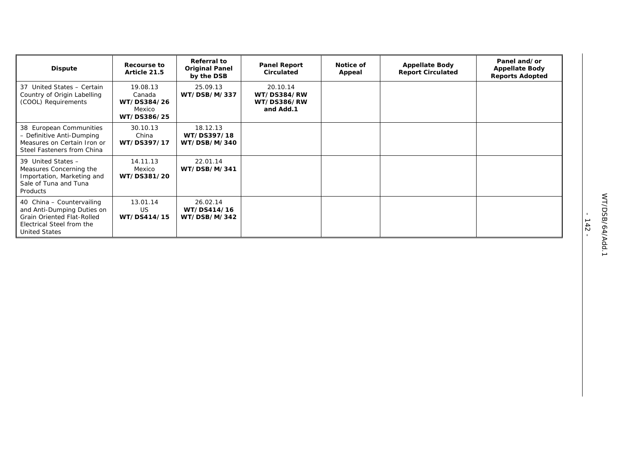| <b>Dispute</b>                                                                                                                                    | Recourse to<br>Article 21.5                                | <b>Referral to</b><br><b>Original Panel</b><br>by the DSB | <b>Panel Report</b><br>Circulated                   | Notice of<br>Appeal | <b>Appellate Body</b><br><b>Report Circulated</b> | Panel and/or<br><b>Appellate Body</b><br><b>Reports Adopted</b> |
|---------------------------------------------------------------------------------------------------------------------------------------------------|------------------------------------------------------------|-----------------------------------------------------------|-----------------------------------------------------|---------------------|---------------------------------------------------|-----------------------------------------------------------------|
| 37 United States - Certain<br>Country of Origin Labelling<br>(COOL) Requirements                                                                  | 19.08.13<br>Canada<br>WT/DS384/26<br>Mexico<br>WT/DS386/25 | 25.09.13<br>WT/DSB/M/337                                  | 20.10.14<br>WT/DS384/RW<br>WT/DS386/RW<br>and Add.1 |                     |                                                   |                                                                 |
| 38 European Communities<br>- Definitive Anti-Dumping<br>Measures on Certain Iron or<br>Steel Fasteners from China                                 | 30.10.13<br>China<br>WT/DS397/17                           | 18.12.13<br>WT/DS397/18<br>WT/DSB/M/340                   |                                                     |                     |                                                   |                                                                 |
| 39 United States -<br>Measures Concerning the<br>Importation, Marketing and<br>Sale of Tuna and Tuna<br>Products                                  | 14.11.13<br>Mexico<br>WT/DS381/20                          | 22.01.14<br>WT/DSB/M/341                                  |                                                     |                     |                                                   |                                                                 |
| 40 China - Countervailing<br>and Anti-Dumping Duties on<br><b>Grain Oriented Flat-Rolled</b><br>Electrical Steel from the<br><b>United States</b> | 13.01.14<br><b>US</b><br>WT/DS414/15                       | 26.02.14<br>WT/DS414/16<br>WT/DSB/M/342                   |                                                     |                     |                                                   |                                                                 |

- 142 -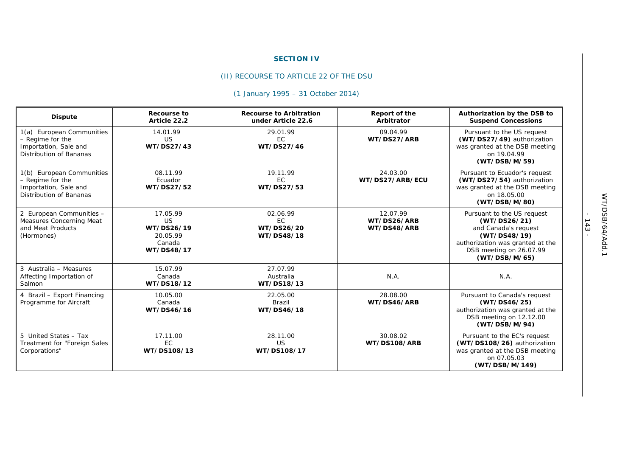### **SECTION IV**

# (II) RECOURSE TO ARTICLE 22 OF THE DSU

# *(1 January 1995 – 31 October 2014)*

| <b>Dispute</b>                                                                                    | <b>Recourse to</b><br>Article 22.2                                      | <b>Recourse to Arbitration</b><br>under Article 22.6 | Report of the<br>Arbitrator            | Authorization by the DSB to<br><b>Suspend Concessions</b>                                                                                                          |
|---------------------------------------------------------------------------------------------------|-------------------------------------------------------------------------|------------------------------------------------------|----------------------------------------|--------------------------------------------------------------------------------------------------------------------------------------------------------------------|
| 1(a) European Communities<br>- Regime for the<br>Importation, Sale and<br>Distribution of Bananas | 14.01.99<br>US<br>WT/DS27/43                                            | 29.01.99<br>EC.<br>WT/DS27/46                        | 09.04.99<br>WT/DS27/ARB                | Pursuant to the US request<br>(WT/DS27/49) authorization<br>was granted at the DSB meeting<br>on 19.04.99<br>(WT/DSB/M/59)                                         |
| 1(b) European Communities<br>- Regime for the<br>Importation, Sale and<br>Distribution of Bananas | 08.11.99<br>Ecuador<br>WT/DS27/52                                       | 19.11.99<br>EC<br>WT/DS27/53                         | 24.03.00<br>WT/DS27/ARB/ECU            | Pursuant to Ecuador's request<br>(WT/DS27/54) authorization<br>was granted at the DSB meeting<br>on 18.05.00<br>(WT/DSB/M/80)                                      |
| 2 European Communities -<br>Measures Concerning Meat<br>and Meat Products<br>(Hormones)           | 17.05.99<br><b>US</b><br>WT/DS26/19<br>20.05.99<br>Canada<br>WT/DS48/17 | 02.06.99<br>EC.<br>WT/DS26/20<br>WT/DS48/18          | 12.07.99<br>WT/DS26/ARB<br>WT/DS48/ARB | Pursuant to the US request<br>(WT/DS26/21)<br>and Canada's request<br>(WT/DS48/19)<br>authorization was granted at the<br>DSB meeting on 26.07.99<br>(WT/DSB/M/65) |
| 3 Australia - Measures<br>Affecting Importation of<br>Salmon                                      | 15.07.99<br>Canada<br>WT/DS18/12                                        | 27.07.99<br>Australia<br>WT/DS18/13                  | N.A.                                   | N.A.                                                                                                                                                               |
| 4 Brazil - Export Financing<br>Programme for Aircraft                                             | 10.05.00<br>Canada<br>WT/DS46/16                                        | 22.05.00<br>Brazil<br>WT/DS46/18                     | 28.08.00<br>WT/DS46/ARB                | Pursuant to Canada's request<br>(WT/DS46/25)<br>authorization was granted at the<br>DSB meeting on 12.12.00<br>(WT/DSB/M/94)                                       |
| 5 United States - Tax<br>Treatment for "Foreign Sales<br>Corporations"                            | 17.11.00<br><b>EC</b><br>WT/DS108/13                                    | 28.11.00<br>US<br>WT/DS108/17                        | 30.08.02<br>WT/DS108/ARB               | Pursuant to the EC's request<br>(WT/DS108/26) authorization<br>was granted at the DSB meeting<br>on 07.05.03<br>(WT/DSB/M/149)                                     |

- 143 -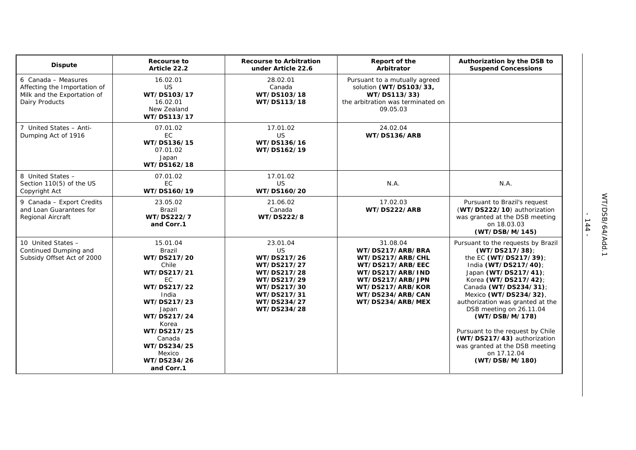| <b>Dispute</b>                                                                                       | <b>Recourse to</b><br>Article 22.2                                                                                                                                                                                      | <b>Recourse to Arbitration</b><br>under Article 22.6                                                                                          | Report of the<br>Arbitrator                                                                                                                                              | Authorization by the DSB to<br><b>Suspend Concessions</b>                                                                                                                                                                                                                                                                                                                                                                     |
|------------------------------------------------------------------------------------------------------|-------------------------------------------------------------------------------------------------------------------------------------------------------------------------------------------------------------------------|-----------------------------------------------------------------------------------------------------------------------------------------------|--------------------------------------------------------------------------------------------------------------------------------------------------------------------------|-------------------------------------------------------------------------------------------------------------------------------------------------------------------------------------------------------------------------------------------------------------------------------------------------------------------------------------------------------------------------------------------------------------------------------|
| 6 Canada - Measures<br>Affecting the Importation of<br>Milk and the Exportation of<br>Dairy Products | 16.02.01<br><b>US</b><br>WT/DS103/17<br>16.02.01<br>New Zealand<br>WT/DS113/17                                                                                                                                          | 28.02.01<br>Canada<br>WT/DS103/18<br>WT/DS113/18                                                                                              | Pursuant to a mutually agreed<br>solution (WT/DS103/33,<br>WT/DS113/33)<br>the arbitration was terminated on<br>09.05.03                                                 |                                                                                                                                                                                                                                                                                                                                                                                                                               |
| 7 United States - Anti-<br>Dumping Act of 1916                                                       | 07.01.02<br>EC<br>WT/DS136/15<br>07.01.02<br>Japan<br>WT/DS162/18                                                                                                                                                       | 17.01.02<br><b>US</b><br>WT/DS136/16<br>WT/DS162/19                                                                                           | 24.02.04<br>WT/DS136/ARB                                                                                                                                                 |                                                                                                                                                                                                                                                                                                                                                                                                                               |
| 8 United States -<br>Section 110(5) of the US<br>Copyright Act                                       | 07.01.02<br>EC<br>WT/DS160/19                                                                                                                                                                                           | 17.01.02<br><b>US</b><br>WT/DS160/20                                                                                                          | N.A.                                                                                                                                                                     | N.A.                                                                                                                                                                                                                                                                                                                                                                                                                          |
| 9 Canada - Export Credits<br>and Loan Guarantees for<br>Regional Aircraft                            | 23.05.02<br>Brazil<br>WT/DS222/7<br>and Corr.1                                                                                                                                                                          | 21.06.02<br>Canada<br>WT/DS222/8                                                                                                              | 17.02.03<br>WT/DS222/ARB                                                                                                                                                 | Pursuant to Brazil's request<br>(WT/DS222/10) authorization<br>was granted at the DSB meeting<br>on 18.03.03<br>(WT/DSB/M/145)                                                                                                                                                                                                                                                                                                |
| 10 United States -<br>Continued Dumping and<br>Subsidy Offset Act of 2000                            | 15.01.04<br>Brazil<br>WT/DS217/20<br>Chile<br>WT/DS217/21<br>EC.<br>WT/DS217/22<br>India<br>WT/DS217/23<br>Japan<br>WT/DS217/24<br>Korea<br>WT/DS217/25<br>Canada<br>WT/DS234/25<br>Mexico<br>WT/DS234/26<br>and Corr.1 | 23.01.04<br><b>US</b><br>WT/DS217/26<br>WT/DS217/27<br>WT/DS217/28<br>WT/DS217/29<br>WT/DS217/30<br>WT/DS217/31<br>WT/DS234/27<br>WT/DS234/28 | 31.08.04<br>WT/DS217/ARB/BRA<br>WT/DS217/ARB/CHL<br>WT/DS217/ARB/EEC<br>WT/DS217/ARB/IND<br>WT/DS217/ARB/JPN<br>WT/DS217/ARB/KOR<br>WT/DS234/ARB/CAN<br>WT/DS234/ARB/MEX | Pursuant to the requests by Brazil<br>(WT/DS217/38);<br>the EC (WT/DS217/39);<br>India (WT/DS217/40);<br>Japan (WT/DS217/41);<br>Korea (WT/DS217/42);<br>Canada (WT/DS234/31);<br>Mexico (WT/DS234/32)<br>authorization was granted at the<br>DSB meeting on 26.11.04<br>(WT/DSB/M/178)<br>Pursuant to the request by Chile<br>(WT/DS217/43) authorization<br>was granted at the DSB meeting<br>on 17.12.04<br>(WT/DSB/M/180) |

- 144 -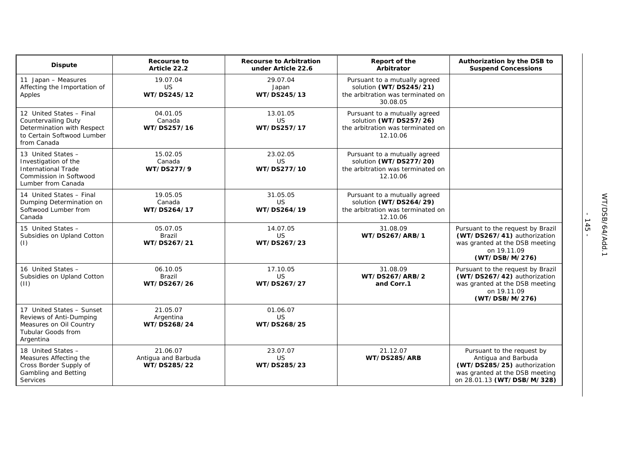| <b>Dispute</b>                                                                                                             | <b>Recourse to</b><br>Article 22.2             | <b>Recourse to Arbitration</b><br>under Article 22.6 | Report of the<br>Arbitrator                                                                              | Authorization by the DSB to<br><b>Suspend Concessions</b>                                                                                        |
|----------------------------------------------------------------------------------------------------------------------------|------------------------------------------------|------------------------------------------------------|----------------------------------------------------------------------------------------------------------|--------------------------------------------------------------------------------------------------------------------------------------------------|
| 11 Japan - Measures<br>Affecting the Importation of<br>Apples                                                              | 19.07.04<br>US<br>WT/DS245/12                  | 29.07.04<br>Japan<br>WT/DS245/13                     | Pursuant to a mutually agreed<br>solution (WT/DS245/21)<br>the arbitration was terminated on<br>30.08.05 |                                                                                                                                                  |
| 12 United States - Final<br>Countervailing Duty<br>Determination with Respect<br>to Certain Softwood Lumber<br>from Canada | 04.01.05<br>Canada<br>WT/DS257/16              | 13.01.05<br><b>US</b><br>WT/DS257/17                 | Pursuant to a mutually agreed<br>solution (WT/DS257/26)<br>the arbitration was terminated on<br>12.10.06 |                                                                                                                                                  |
| 13 United States -<br>Investigation of the<br><b>International Trade</b><br>Commission in Softwood<br>Lumber from Canada   | 15.02.05<br>Canada<br>WT/DS277/9               | 23.02.05<br><b>US</b><br>WT/DS277/10                 | Pursuant to a mutually agreed<br>solution (WT/DS277/20)<br>the arbitration was terminated on<br>12.10.06 |                                                                                                                                                  |
| 14 United States - Final<br>Dumping Determination on<br>Softwood Lumber from<br>Canada                                     | 19.05.05<br>Canada<br>WT/DS264/17              | 31.05.05<br><b>US</b><br>WT/DS264/19                 | Pursuant to a mutually agreed<br>solution (WT/DS264/29)<br>the arbitration was terminated on<br>12.10.06 |                                                                                                                                                  |
| 15 United States -<br>Subsidies on Upland Cotton<br>(1)                                                                    | 05.07.05<br>Brazil<br>WT/DS267/21              | 14.07.05<br><b>US</b><br>WT/DS267/23                 | 31.08.09<br>WT/DS267/ARB/1                                                                               | Pursuant to the request by Brazil<br>(WT/DS267/41) authorization<br>was granted at the DSB meeting<br>on 19.11.09<br>(WT/DSB/M/276)              |
| 16 United States -<br>Subsidies on Upland Cotton<br>(11)                                                                   | 06.10.05<br>Brazil<br>WT/DS267/26              | 17.10.05<br><b>US</b><br>WT/DS267/27                 | 31.08.09<br>WT/DS267/ARB/2<br>and Corr.1                                                                 | Pursuant to the request by Brazil<br>(WT/DS267/42) authorization<br>was granted at the DSB meeting<br>on 19.11.09<br>(WT/DSB/M/276)              |
| 17 United States - Sunset<br>Reviews of Anti-Dumping<br>Measures on Oil Country<br><b>Tubular Goods from</b><br>Argentina  | 21.05.07<br>Argentina<br>WT/DS268/24           | 01.06.07<br><b>US</b><br>WT/DS268/25                 |                                                                                                          |                                                                                                                                                  |
| 18 United States -<br>Measures Affecting the<br>Cross Border Supply of<br>Gambling and Betting<br>Services                 | 21.06.07<br>Antigua and Barbuda<br>WT/DS285/22 | 23.07.07<br><b>US</b><br>WT/DS285/23                 | 21.12.07<br>WT/DS285/ARB                                                                                 | Pursuant to the request by<br>Antigua and Barbuda<br>(WT/DS285/25) authorization<br>was granted at the DSB meeting<br>on 28.01.13 (WT/DSB/M/328) |

- 145 -